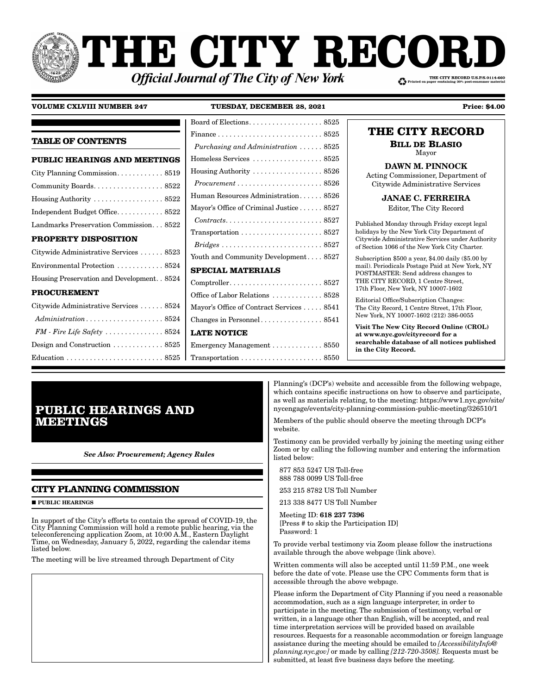# **THE CITY RECO!** THE CITY RECORD U.S.P.S.0114-660 **Official Journal of The City of New York**

### **VOLUME CXLVIII NUMBER 247**

TUESDAY, DECEMBER 28, 2021

|                                                           | Board of Elections. 8525                                               |                                                                                                         |
|-----------------------------------------------------------|------------------------------------------------------------------------|---------------------------------------------------------------------------------------------------------|
|                                                           |                                                                        | THE CITY RECORD                                                                                         |
| <b>TABLE OF CONTENTS</b>                                  | Purchasing and Administration  8525                                    | <b>BILL DE BLASIO</b><br>Mayor                                                                          |
| <b>PUBLIC HEARINGS AND MEETINGS</b>                       |                                                                        |                                                                                                         |
|                                                           | Housing Authority  8526                                                | <b>DAWN M. PINNOCK</b><br>Acting Commissioner, Department of                                            |
|                                                           | $Procurrent \ldots \ldots \ldots \ldots \ldots \ldots \ldots 8526$     | Citywide Administrative Services                                                                        |
| Housing Authority  8522                                   | Human Resources Administration 8526                                    | <b>JANAE C. FERREIRA</b>                                                                                |
| Independent Budget Office8522                             | Mayor's Office of Criminal Justice 8527                                | Editor, The City Record                                                                                 |
| Landmarks Preservation Commission 8522                    | $Contracts. \ldots \ldots \ldots \ldots \ldots \ldots \ldots 8527$     | Published Monday through Friday except legal                                                            |
| PROPERTY DISPOSITION                                      |                                                                        | holidays by the New York City Department of<br>Citywide Administrative Services under Authority         |
| Citywide Administrative Services 8523                     | Youth and Community Development 8527                                   | of Section 1066 of the New York City Charter.                                                           |
| Environmental Protection 8524                             | <b>SPECIAL MATERIALS</b>                                               | Subscription $$500$ a year, $$4.00$ daily $$5.00$ by<br>mail). Periodicals Postage Paid at New York, NY |
| Housing Preservation and Development. . 8524              |                                                                        | POSTMASTER: Send address changes to<br>THE CITY RECORD, 1 Centre Street,                                |
| <b>PROCUREMENT</b>                                        | Office of Labor Relations  8528                                        | 17th Floor, New York, NY 10007-1602                                                                     |
| Citywide Administrative Services  8524                    | Mayor's Office of Contract Services 8541                               | Editorial Office/Subscription Changes:<br>The City Record, 1 Centre Street, 17th Floor,                 |
| $Administration \dots \dots \dots \dots \dots \dots 8524$ |                                                                        | New York, NY 10007-1602 (212) 386-0055                                                                  |
|                                                           | <b>LATE NOTICE</b>                                                     | Visit The New City Record Online (CROL)<br>at www.nyc.gov/cityrecord for a                              |
| Design and Construction 8525                              | Emergency Management $\ldots \ldots \ldots \ldots$ 8550                | searchable database of all notices published<br>in the City Record.                                     |
|                                                           | $Transportation \ldots \ldots \ldots \ldots \ldots \ldots \ldots 8550$ |                                                                                                         |

# **PUBLIC HEARINGS AND MEETINGS**

**See Also: Procurement; Agency Rules** 

### **CITY PLANNING COMMISSION**

**PUBLIC HEARINGS** 

In support of the City's efforts to contain the spread of COVID-19, the City Planning Commission will hold a remote public hearing, via the teleconferencing application Zoom, at 10:00 A.M., Eastern Daylight Time, on Wednesday, January 5, 2022, regarding the calendar items listed below.

The meeting will be live streamed through Department of City

Planning's (DCP's) website and accessible from the following webpage, which contains specific instructions on how to observe and participate, as well as materials relating, to the meeting: https://www1.nyc.gov/site/ nycengage/events/city-planning-commission-public-meeting/326510/1

**Price: \$4.00** 

Members of the public should observe the meeting through DCP's website.

Testimony can be provided verbally by joining the meeting using either Zoom or by calling the following number and entering the information listed below:

877 853 5247 US Toll-free 888 788 0099 US Toll-free

253 215 8782 US Toll Number

213 338 8477 US Toll Number

Meeting ID: 618 237 7396 [Press # to skip the Participation ID] Password: 1

To provide verbal testimony via Zoom please follow the instructions available through the above webpage (link above).

Written comments will also be accepted until 11:59 P.M., one week before the date of vote. Please use the CPC Comments form that is accessible through the above webpage.

Please inform the Department of City Planning if you need a reasonable accommodation, such as a sign language interpreter, in order to participate in the meeting. The submission of testimony, verbal or written, in a language other than English, will be accepted, and real time interpretation services will be provided based on available resources. Requests for a reasonable accommodation or foreign language assistance during the meeting should be emailed to *[AccessibilityInfo*@ planning.nyc.gov] or made by calling [212-720-3508]. Requests must be submitted, at least five business days before the meeting.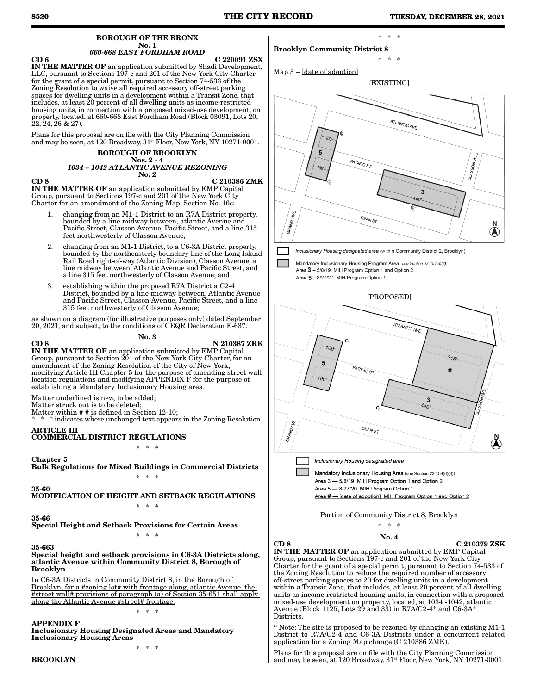#### BOROUGH OF THE BRONX No. 1 *660-668 EAST FORDHAM ROAD*

 $CD 6$   $C 220091 ZSX$ **IN THE MATTER OF** an application submitted by Shadi Development, LLC, pursuant to Sections 197-c and 201 of the New York City Charter for the grant of a special permit, pursuant to Section 74-533 of the Zoning Resolution to waive all required accessory off-street parking spaces for dwelling units in a development within a Transit Zone, that includes, at least 20 percent of all dwelling units as income-restricted housing units, in connection with a proposed mixed-use development, on property, located, at 660-668 East Fordham Road (Block 03091, Lots 20,  $22, 24, 26 \& 27$ ).

Plans for this proposal are on file with the City Planning Commission and may be seen, at 120 Broadway,  $31<sup>st</sup>$  Floor, New York, NY 10271-0001.

#### BOROUGH OF BROOKLYN Nos. 2 - 4 *1034 – 1042 ATLANTIC AVENUE REZONING* No. 2

CD 8 C 210386 ZMK

IN THE MATTER OF an application submitted by EMP Capital Group, pursuant to Sections 197-c and 201 of the New York City Charter for an amendment of the Zoning Map, Section No. 16c:

- 1. changing from an M1-1 District to an R7A District property, bounded by a line midway between, atlantic Avenue and Pacific Street, Classon Avenue, Pacific Street, and a line 315 feet northwesterly of Classon Avenue;
- 2. changing from an M1-1 District, to a C6-3A District property, bounded by the northeasterly boundary line of the Long Island Rail Road right-of-way (Atlantic Division), Classon Avenue, a line midway between, Atlantic Avenue and Pacific Street, and a line 315 feet northwesterly of Classon Avenue; and
- 3. establishing within the proposed R7A District a C2-4 District, bounded by a line midway between, Atlantic Avenue and Pacific Street, Classon Avenue, Pacific Street, and a line 315 feet northwesterly of Classon Avenue;

as shown on a diagram (for illustrative purposes only) dated September 20, 2021, and subject, to the conditions of CEQR Declaration E-637. No. 3

CD 8 N 210387 ZRK IN THE MATTER OF an application submitted by EMP Capital Group, pursuant to Section 201 of the New York City Charter, for an amendment of the Zoning Resolution of the City of New York, modifying Article III Chapter 5 for the purpose of amending street wall location regulations and modifying APPENDIX F for the purpose of establishing a Mandatory Inclusionary Housing area.

Matter underlined is new, to be added;

Matter struck out is to be deleted;

Matter within # # is defined in Section 12-10;  $*$  indicates where unchanged text appears in the Zoning Resolution

ARTICLE III

COMMERCIAL DISTRICT REGULATIONS

\* \* \*

Chapter 5 Bulk Regulations for Mixed Buildings in Commercial Districts \* \* \*

35-60 MODIFICATION OF HEIGHT AND SETBACK REGULATIONS \* \* \*

35-66

Special Height and Setback Provisions for Certain Areas \* \* \*

35-663

Special height and setback provisions in C6-3A Districts along, atlantic Avenue within Community District 8, Borough of Brooklyn

In C6-3A Districts in Community District 8, in the Borough of Brooklyn, for a #zoning lot# with frontage along, atlantic Avenue, the #street wall# provisions of paragraph (a) of Section 35-651 shall apply along the Atlantic Avenue #street# frontage.

\* \* \*

APPENDIX F Inclusionary Housing Designated Areas and Mandatory Inclusionary Housing Areas

\* \* \*

### Brooklyn Community District 8

Map 3 – [date of adoption]

[EXISTING]

\* \* \*

\* \* \*



Mandatory Inclusionary Housing Program Area see Section 23-154(d)(3) Area 3 - 5/8/19 MIH Program Option 1 and Option 2

Area 5 - 8/27/20 MIH Program Option 1



## ATLANTIC AVE.  $100$  $315'$ 5 PACIFIC ST. Ħ  $100$ 3  $440$ GRANDAVE DEAN ST.  $\bigotimes^{\mathsf{N}}$ Inclusionary Housing designated area

Mandatory Inclusionary Housing Area (see Section 23-154(d)(3)) Area 3 - 5/8/19 MIH Program Option 1 and Option 2 Area 5 - 8/27/20 MIH Program Option 1 Area # - [date of adoption] MIH Program Option 1 and Option 2

Portion of Community District 8, Brooklyn \* \* \*

### No. 4

 $CD 8$  C 210379 ZSK

IN THE MATTER OF an application submitted by EMP Capital Group, pursuant to Sections 197-c and 201 of the New York City Charter for the grant of a special permit, pursuant to Section 74-533 of the Zoning Resolution to reduce the required number of accessory off-street parking spaces to 20 for dwelling units in a development within a Transit Zone, that includes, at least 20 percent of all dwelling units as income-restricted housing units, in connection with a proposed mixed-use development on property, located, at 1034 -1042, atlantic Avenue (Block 1125, Lots 29 and 33) in R7A/C2-4\* and C6-3A\* Districts.

\* Note: The site is proposed to be rezoned by changing an existing M1-1 District to R7A/C2-4 and C6-3A Districts under a concurrent related application for a Zoning Map change (C 210386 ZMK).

Plans for this proposal are on file with the City Planning Commission and may be seen, at 120 Broadway,  $31^{st}$  Floor, New York, NY 10271-0001.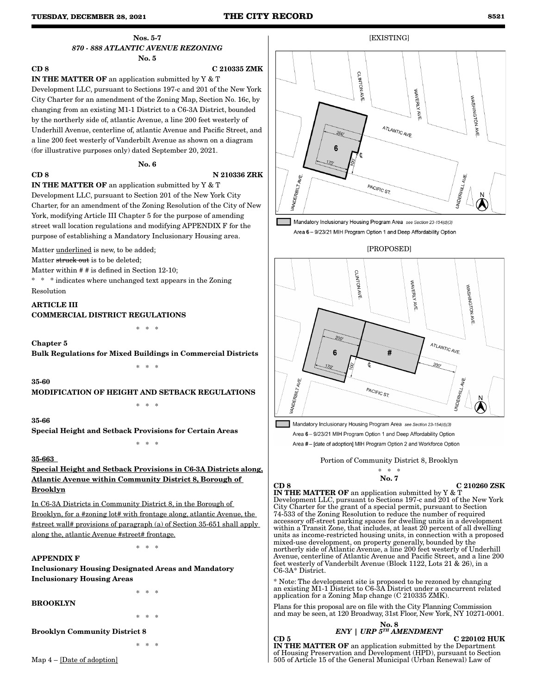### Nos. 5-7 *870 - 888 ATLANTIC AVENUE REZONING* No. 5

# CD 8 C 210335 ZMK IN THE MATTER OF an application submitted by Y & T

Development LLC, pursuant to Sections 197-c and 201 of the New York City Charter for an amendment of the Zoning Map, Section No. 16c, by changing from an existing M1-1 District to a C6-3A District, bounded by the northerly side of, atlantic Avenue, a line 200 feet westerly of Underhill Avenue, centerline of, atlantic Avenue and Pacific Street, and a line 200 feet westerly of Vanderbilt Avenue as shown on a diagram (for illustrative purposes only) dated September 20, 2021.

### No. 6

### CD 8 N 210336 ZRK

IN THE MATTER OF an application submitted by Y & T Development LLC, pursuant to Section 201 of the New York City Charter, for an amendment of the Zoning Resolution of the City of New York, modifying Article III Chapter 5 for the purpose of amending street wall location regulations and modifying APPENDIX F for the purpose of establishing a Mandatory Inclusionary Housing area.

Matter underlined is new, to be added;

Matter struck out is to be deleted:

Matter within # # is defined in Section 12-10;

\* \* \* indicates where unchanged text appears in the Zoning Resolution

### ARTICLE III COMMERCIAL DISTRICT REGULATIONS

\* \* \*

### Chapter 5

Bulk Regulations for Mixed Buildings in Commercial Districts

\* \* \*

### 35-60

MODIFICATION OF HEIGHT AND SETBACK REGULATIONS

\* \* \*

35-66

Special Height and Setback Provisions for Certain Areas

### 35-663

Special Height and Setback Provisions in C6-3A Districts along, Atlantic Avenue within Community District 8, Borough of Brooklyn

\* \* \*

In C6-3A Districts in Community District 8, in the Borough of Brooklyn, for a #zoning lot# with frontage along, atlantic Avenue, the #street wall# provisions of paragraph (a) of Section 35-651 shall apply along the, atlantic Avenue #street# frontage.

\* \* \*

### APPENDIX F

Inclusionary Housing Designated Areas and Mandatory Inclusionary Housing Areas

### BROOKLYN

\* \* \*

\* \* \*

Brooklyn Community District 8

\* \* \*



Mandatory Inclusionary Housing Program Area see Section 23-154(d)(3) Area 6 - 9/23/21 MIH Program Option 1 and Deep Affordability Option





Mandatory Inclusionary Housing Program Area see Section 23-154(d)(3) Area 6 - 9/23/21 MIH Program Option 1 and Deep Affordability Option

Area #- [date of adoption] MIH Program Option 2 and Workforce Option

Portion of Community District 8, Brooklyn

$$
\overset{*}{\mathbf{No}}.\overset{*}{\mathbf{7}}
$$

CD 8 C 210260 ZSK

IN THE MATTER OF an application submitted by Y & T Development LLC, pursuant to Sections 197-c and 201 of the New York City Charter for the grant of a special permit, pursuant to Section 74-533 of the Zoning Resolution to reduce the number of required accessory off-street parking spaces for dwelling units in a development within a Transit Zone, that includes, at least 20 percent of all dwelling units as income-restricted housing units, in connection with a proposed mixed-use development, on property generally, bounded by the northerly side of Atlantic Avenue, a line 200 feet westerly of Underhill Avenue, centerline of Atlantic Avenue and Pacific Street, and a line 200 feet westerly of Vanderbilt Avenue (Block 1122, Lots 21 & 26), in a C6-3A\* District.

\* Note: The development site is proposed to be rezoned by changing an existing M1-1 District to C6-3A District under a concurrent related application for a Zoning Map change (C 210335 ZMK).

Plans for this proposal are on file with the City Planning Commission and may be seen, at 120 Broadway, 31st Floor, New York, NY 10271-0001.

### No. 8 *ENY | URP 5TH AMENDMENT*

### $CD 5$  C 220102 HUK

IN THE MATTER OF an application submitted by the Department of Housing Preservation and Development (HPD), pursuant to Section 505 of Article 15 of the General Municipal (Urban Renewal) Law of

Map 4 – [Date of adoption]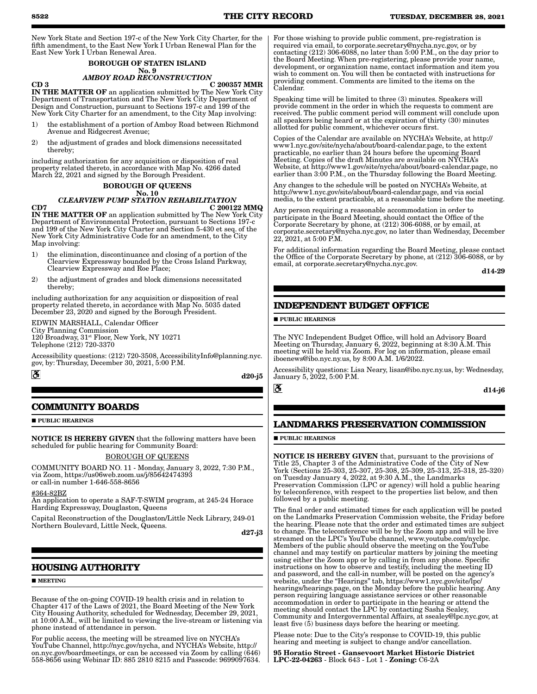New York State and Section 197-c of the New York City Charter, for the fifth amendment, to the East New York I Urban Renewal Plan for the East New York I Urban Renewal Area.

#### BOROUGH OF STATEN ISLAND No. 9

### *AMBOY ROAD RECONSTRUCTION*

 $CD$  3 C 200357 MMR IN THE MATTER OF an application submitted by The New York City Department of Transportation and The New York City Department of Design and Construction, pursuant to Sections 197-c and 199 of the New York City Charter for an amendment, to the City Map involving:

- 1) the establishment of a portion of Amboy Road between Richmond Avenue and Ridgecrest Avenue;
- 2) the adjustment of grades and block dimensions necessitated thereby;

including authorization for any acquisition or disposition of real property related thereto, in accordance with Map No. 4266 dated March 22, 2021 and signed by the Borough President.

## BOROUGH OF QUEENS

No. 10 *CLEARVIEW PUMP STATION REHABILITATION*  $CD7$  C 200122 MMQ

IN THE MATTER OF an application submitted by The New York City Department of Environmental Protection, pursuant to Sections 197-c and 199 of the New York City Charter and Section 5-430 et seq. of the New York City Administrative Code for an amendment, to the City Map involving:

- 1) the elimination, discontinuance and closing of a portion of the Clearview Expressway bounded by the Cross Island Parkway, Clearview Expressway and Roe Place;
- 2) the adjustment of grades and block dimensions necessitated thereby;

including authorization for any acquisition or disposition of real property related thereto, in accordance with Map No. 5035 dated December 23, 2020 and signed by the Borough President.

EDWIN MARSHALL, Calendar Officer City Planning Commission 120 Broadway, 31<sup>st</sup> Floor, New York, NY 10271 Telephone (212) 720-3370

Accessibility questions: (212) 720-3508, AccessibilityInfo@planning.nyc. gov, by: Thursday, December 30, 2021, 5:00 P.M.

### **COMMUNITY BOARDS**

**PUBLIC HEARINGS** 

 $\mathbf{a}$ 

NOTICE IS HEREBY GIVEN that the following matters have been scheduled for public hearing for Community Board:

### BOROUGH OF QUEEN

COMMUNITY BOARD NO. 11 - Monday, January 3, 2022, 7:30 P.M., via Zoom, https://us06web.zoom.us/j/85642474393 or call-in number 1-646-558-8656

#364-82BZ

An application to operate a SAF-T-SWIM program, at 245-24 Horace Harding Expressway, Douglaston, Queens

Capital Reconstruction of the Douglaston/Little Neck Library, 249-01 Northern Boulevard, Little Neck, Queens.

d27-j3

d20-j5

 $\mathbf{S}$ 

### **HOUSING AUTHORITY**

#### **MEETING**

Because of the on-going COVID-19 health crisis and in relation to Chapter 417 of the Laws of 2021, the Board Meeting of the New York City Housing Authority, scheduled for Wednesday, December 29, 2021, at 10:00 A.M., will be limited to viewing the live-stream or listening via phone instead of attendance in person.

For public access, the meeting will be streamed live on NYCHA's YouTube Channel, http://nyc.gov/nycha, and NYCHA's Website, http:// on.nyc.gov/boardmeetings, or can be accessed via Zoom by calling (646) 558-8656 using Webinar ID: 885 2810 8215 and Passcode: 9699097634.

For those wishing to provide public comment, pre-registration is required via email, to corporate.secretary@nycha.nyc.gov, or by contacting (212) 306-6088, no later than 5:00 P.M., on the day prior to the Board Meeting. When pre-registering, please provide your name, development, or organization name, contact information and item you wish to comment on. You will then be contacted with instructions for providing comment. Comments are limited to the items on the Calendar.

Speaking time will be limited to three (3) minutes. Speakers will provide comment in the order in which the requests to comment are received. The public comment period will comment will conclude upon all speakers being heard or at the expiration of thirty (30) minutes allotted for public comment, whichever occurs first.

Copies of the Calendar are available on NYCHA's Website, at http:// www1.nyc.gov/site/nycha/about/board-calendar.page, to the extent practicable, no earlier than 24 hours before the upcoming Board Meeting. Copies of the draft Minutes are available on NYCHA's Website, at http://www1.gov/site/nycha/about/board-calendar.page, no earlier than 3:00 P.M., on the Thursday following the Board Meeting.

Any changes to the schedule will be posted on NYCHA's Website, at http://www1.nyc.gov/site/about/board-calendar.page, and via social media, to the extent practicable, at a reasonable time before the meeting.

Any person requiring a reasonable accommodation in order to participate in the Board Meeting, should contact the Office of the Corporate Secretary by phone, at (212) 306-6088, or by email, at corporate.secretary@nycha.nyc.gov, no later than Wednesday, December 22, 2021, at 5:00 P.M.

For additional information regarding the Board Meeting, please contact the Office of the Corporate Secretary by phone, at (212) 306-6088, or by email, at corporate.secretary@nycha.nyc.gov.

d14-29

## **INDEPENDENT BUDGET OFFICE**

**PUBLIC HEARINGS** 

The NYC Independent Budget Office, will hold an Advisory Board Meeting on Thursday, January 6, 2022, beginning at 8:30 Å.M. This meeting will be held via Zoom. For log on information, please email iboenews@ibo.nyc.ny.us, by 8:00 A.M. 1/6/2022.

Accessibility questions: Lisa Neary, lisan@ibo.nyc.ny.us, by: Wednesday, January 5, 2022, 5:00 P.M.

d14-j6

### **LANDMARKS PRESERVATION COMMISSION**

#### **PUBLIC HEARINGS**

NOTICE IS HEREBY GIVEN that, pursuant to the provisions of Title 25, Chapter 3 of the Administrative Code of the City of New York (Sections 25-303, 25-307, 25-308, 25-309, 25-313, 25-318, 25-320) on Tuesday January 4, 2022, at 9:30 A.M., the Landmarks Preservation Commission (LPC or agency) will hold a public hearing by teleconference, with respect to the properties list below, and then followed by a public meeting.

The final order and estimated times for each application will be posted on the Landmarks Preservation Commission website, the Friday before the hearing. Please note that the order and estimated times are subject to change. The teleconference will be by the Zoom app and will be live streamed on the LPC's YouTube channel, www.youtube.com/nyclpc. Members of the public should observe the meeting on the YouTube channel and may testify on particular matters by joining the meeting using either the Zoom app or by calling in from any phone. Specific instructions on how to observe and testify, including the meeting ID and password, and the call-in number, will be posted on the agency's website, under the "Hearings" tab, https://www1.nyc.gov/site/lpc/ hearings/hearings.page, on the Monday before the public hearing. Any person requiring language assistance services or other reasonable accommodation in order to participate in the hearing or attend the meeting should contact the LPC by contacting Sasha Sealey, Community and Intergovernmental Affairs, at ssealey@lpc.nyc.gov, at least five (5) business days before the hearing or meeting.

Please note: Due to the City's response to COVID-19, this public hearing and meeting is subject to change and/or cancellation.

95 Horatio Street - Gansevoort Market Historic District LPC-22-04263 - Block 643 - Lot 1 - Zoning: C6-2A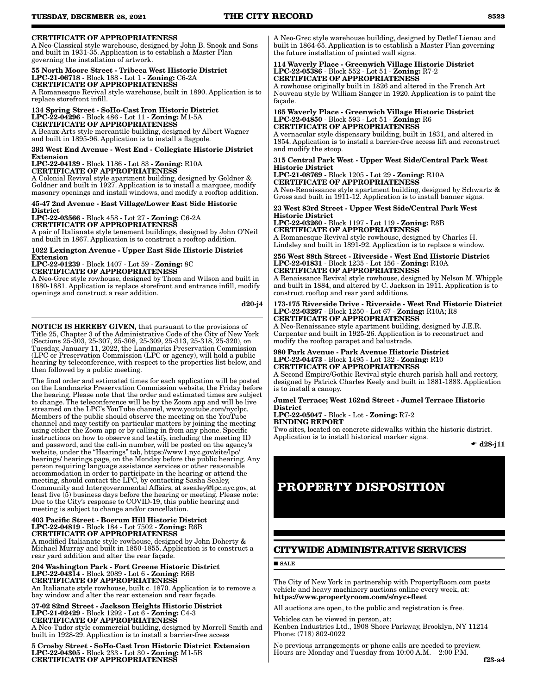### CERTIFICATE OF APPROPRIATENESS

A Neo-Classical style warehouse, designed by John B. Snook and Sons and built in 1931-35. Application is to establish a Master Plan governing the installation of artwork.

#### 55 North Moore Street - Tribeca West Historic District LPC-21-06718 - Block 188 - Lot 1 - Zoning: C6-2A CERTIFICATE OF APPROPRIATENESS

A Romanesque Revival style warehouse, built in 1890. Application is to replace storefront infill.

134 Spring Street - SoHo-Cast Iron Historic District LPC-22-04296 - Block 486 - Lot 11 - Zoning: M1-5A CERTIFICATE OF APPROPRIATENESS A Beaux-Arts style mercantile building, designed by Albert Wagner

and built in 1895-96. Application is to install a flagpole.

393 West End Avenue - West End - Collegiate Historic District Extension LPC-22-04139 - Block 1186 - Lot 83 - Zoning: R10A

CERTIFICATE OF APPROPRIATENESS A Colonial Revival style apartment building, designed by Goldner &

Goldner and built in 1927. Application is to install a marquee, modify masonry openings and install windows, and modify a rooftop addition.

45-47 2nd Avenue - East Village/Lower East Side Historic **District** LPC-22-03566 - Block 458 - Lot 27 - Zoning: C6-2A

CERTIFICATE OF APPROPRIATENESS

A pair of Italianate style tenement buildings, designed by John O'Neil and built in 1867. Application is to construct a rooftop addition.

1022 Lexington Avenue - Upper East Side Historic District Extension

LPC-22-01239 - Block 1407 - Lot 59 - Zoning: 8C

CERTIFICATE OF APPROPRIATENESS A Neo-Grec style rowhouse, designed by Thom and Wilson and built in

1880-1881. Application is replace storefront and entrance infill, modify openings and construct a rear addition.

d20-j4

NOTICE IS HEREBY GIVEN, that pursuant to the provisions of Title 25, Chapter 3 of the Administrative Code of the City of New York (Sections 25-303, 25-307, 25-308, 25-309, 25-313, 25-318, 25-320), on Tuesday, January 11, 2022, the Landmarks Preservation Commission (LPC or Preservation Commission (LPC or agency), will hold a public hearing by teleconference, with respect to the properties list below, and then followed by a public meeting.

The final order and estimated times for each application will be posted on the Landmarks Preservation Commission website, the Friday before the hearing. Please note that the order and estimated times are subject to change. The teleconference will be by the Zoom app and will be live streamed on the LPC's YouTube channel, www.youtube.com/nyclpc. Members of the public should observe the meeting on the YouTube channel and may testify on particular matters by joining the meeting using either the Zoom app or by calling in from any phone. Specific instructions on how to observe and testify, including the meeting ID and password, and the call-in number, will be posted on the agency's website, under the "Hearings" tab, https://www1.nyc.gov/site/lpc/ hearings/ hearings.page, on the Monday before the public hearing. Any person requiring language assistance services or other reasonable accommodation in order to participate in the hearing or attend the meeting, should contact the LPC, by contacting Sasha Sealey, Community and Intergovernmental Affairs, at ssealey@lpc.nyc.gov, at least five (5) business days before the hearing or meeting. Please note: Due to the City's response to COVID-19, this public hearing and meeting is subject to change and/or cancellation.

#### 403 Pacific Street - Boerum Hill Historic District LPC-22-04819 - Block 184 - Lot 7502 - Zoning: R6B CERTIFICATE OF APPROPRIATENESS A modified Italianate style rowhouse, designed by John Doherty &

Michael Murray and built in 1850-1855. Application is to construct a rear yard addition and alter the rear façade.

#### 204 Washington Park - Fort Greene Historic District LPC-22-04314 - Block 2089 - Lot 6 - Zoning: R6B CERTIFICATE OF APPROPRIATENESS

An Italianate style rowhouse, built c. 1870. Application is to remove a bay window and alter the rear extension and rear façade.

37-02 82nd Street - Jackson Heights Historic District LPC-21-02429 - Block 1292 - Lot 6 - Zoning: C4-3 CERTIFICATE OF APPROPRIATENESS A Neo-Tudor style commercial building, designed by Morrell Smith and built in 1928-29. Application is to install a barrier-free access

5 Crosby Street - SoHo-Cast Iron Historic District Extension LPC-22-04305 - Block 233 - Lot 30 - Zoning: M1-5B CERTIFICATE OF APPROPRIATENESS

A Neo-Grec style warehouse building, designed by Detlef Lienau and built in 1864-65. Application is to establish a Master Plan governing the future installation of painted wall signs.

### 114 Waverly Place - Greenwich Village Historic District LPC-22-05386 - Block 552 - Lot 51 - Zoning: R7-2 CERTIFICATE OF APPROPRIATENESS

A rowhouse originally built in 1826 and altered in the French Art Nouveau style by William Sanger in 1920. Application is to paint the façade.

165 Waverly Place - Greenwich Village Historic District LPC-22-04850 - Block 593 - Lot 51 - Zoning: R6 CERTIFICATE OF APPROPRIATENESS A vernacular style dispensary building, built in 1831, and altered in

1854. Application is to install a barrier-free access lift and reconstruct and modify the stoop.

### 315 Central Park West - Upper West Side/Central Park West Historic District

LPC-21-08769 - Block 1205 - Lot 29 - Zoning: R10A CERTIFICATE OF APPROPRIATENESS A Neo-Renaissance style apartment building, designed by Schwartz & Gross and built in 1911-12. Application is to install banner signs.

### 23 West 83rd Street - Upper West Side/Central Park West Historic District

LPC-22-03260 - Block 1197 - Lot 119 - Zoning: R8B CERTIFICATE OF APPROPRIATENESS A Romanesque Revival style rowhouse, designed by Charles H. Lindsley and built in 1891-92. Application is to replace a window.

256 West 88th Street - Riverside - West End Historic District LPC-22-01831 - Block 1235 - Lot 156 - Zoning: R10A CERTIFICATE OF APPROPRIATENESS

A Renaissance Revival style rowhouse, designed by Nelson M. Whipple and built in 1884, and altered by C. Jackson in 1911. Application is to construct rooftop and rear yard additions.

#### 173-175 Riverside Drive - Riverside - West End Historic District LPC-22-03297 - Block 1250 - Lot 67 - Zoning: R10A; R8 CERTIFICATE OF APPROPRIATENESS

A Neo-Renaissance style apartment building, designed by J.E.R. Carpenter and built in 1925-26. Application is to reconstruct and modify the rooftop parapet and balustrade.

### 980 Park Avenue - Park Avenue Historic District LPC-22-04473 - Block 1495 - Lot 132 - Zoning: R10 CERTIFICATE OF APPROPRIATENESS

A Second Empire/Gothic Revival style church parish hall and rectory, designed by Patrick Charles Keely and built in 1881-1883. Application is to install a canopy.

#### Jumel Terrace; West 162nd Street - Jumel Terrace Historic **District**

LPC-22-05047 - Block - Lot - Zoning: R7-2 BINDING REPORT

Two sites, located on concrete sidewalks within the historic district. Application is to install historical marker signs.

 $\bullet$  d28-j11

# **PROPERTY DISPOSITION**

## **CITYWIDE ADMINISTRATIVE SERVICES**

**SALE** 

The City of New York in partnership with PropertyRoom.com posts vehicle and heavy machinery auctions online every week, at: https://www.propertyroom.com/s/nyc+fleet

All auctions are open, to the public and registration is free.

Vehicles can be viewed in person, at: Kenben Industries Ltd., 1908 Shore Parkway, Brooklyn, NY 11214 Phone: (718) 802-0022

No previous arrangements or phone calls are needed to preview. Hours are Monday and Tuesday from 10:00 A.M. – 2:00 P.M.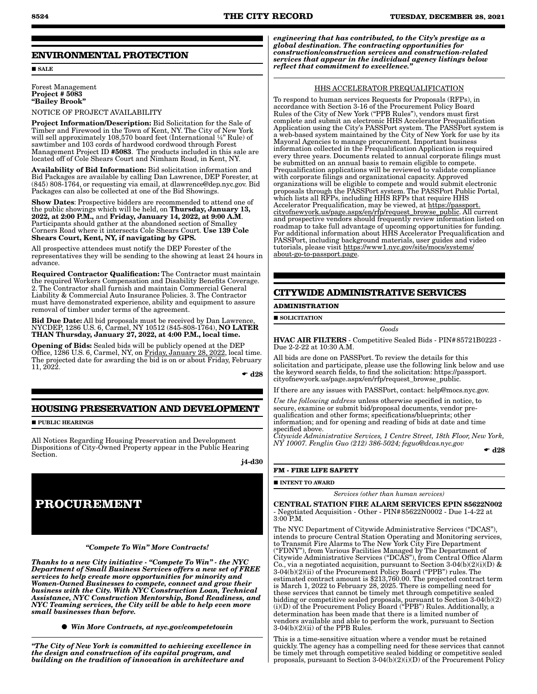### **ENVIRONMENTAL PROTECTION**

**SALE** 

### Forest Management Project # 5083 "Bailey Brook"

NOTICE OF PROJECT AVAILABILITY

Project Information/Description: Bid Solicitation for the Sale of Timber and Firewood in the Town of Kent, NY. The City of New York will sell approximately 108,570 board feet (International ¼" Rule) of sawtimber and 103 cords of hardwood cordwood through Forest Management Project ID #5083. The products included in this sale are located off of Cole Shears Court and Nimham Road, in Kent, NY.

Availability of Bid Information: Bid solicitation information and Bid Packages are available by calling Dan Lawrence, DEP Forester, at (845) 808-1764, or requesting via email, at dlawrence@dep.nyc.gov. Bid Packages can also be collected at one of the Bid Showings.

Show Dates: Prospective bidders are recommended to attend one of the public showings which will be held, on Thursday, January 13, 2022, at 2:00 P.M., and Friday, January 14, 2022, at 9:00 A.M. Participants should gather at the abandoned section of Smalley Corners Road where it intersects Cole Shears Court. Use 139 Cole Shears Court, Kent, NY, if navigating by GPS.

All prospective attendees must notify the DEP Forester of the representatives they will be sending to the showing at least 24 hours in advance.

Required Contractor Qualification: The Contractor must maintain the required Workers Compensation and Disability Benefits Coverage. 2. The Contractor shall furnish and maintain Commercial General Liability & Commercial Auto Insurance Policies. 3. The Contractor must have demonstrated experience, ability and equipment to assure removal of timber under terms of the agreement.

Bid Due Date: All bid proposals must be received by Dan Lawrence, NYCDEP, 1286 U.S. 6, Carmel, NY 10512 (845-808-1764), NO LATER THAN Thursday, January 27, 2022, at 4:00 P.M., local time.

Opening of Bids: Sealed bids will be publicly opened at the DEP Office, 1286 U.S. 6, Carmel, NY, on Friday, January 28, 2022, local time. The projected date for awarding the bid is on or about Friday, February 11, 2022.

 $\bullet$  d28

### **HOUSING PRESERVATION AND DEVELOPMENT**

**PUBLIC HEARINGS** 

All Notices Regarding Housing Preservation and Development Dispositions of City-Owned Property appear in the Public Hearing Section.

j4-d30



*"Compete To Win" More Contracts!* 

*Thanks to a new City initiative - "Compete To Win" - the NYC Department of Small Business Services offers a new set of FREE services to help create more opportunities for minority and Women-Owned Businesses to compete, connect and grow their business with the City. With NYC Construction Loan, Technical Assistance, NYC Construction Mentorship, Bond Readiness, and NYC Teaming services, the City will be able to help even more small businesses than before.*

*Win More Contracts, at nyc.gov/competetowin*

*"The City of New York is committed to achieving excellence in the design and construction of its capital program, and building on the tradition of innovation in architecture and* 

*engineering that has contributed, to the City's prestige as a global destination. The contracting opportunities for construction/construction services and construction-related services that appear in the individual agency listings below reflect that commitment to excellence."*

### HHS ACCELERATOR PREQUALIFICATION

To respond to human services Requests for Proposals (RFPs), in accordance with Section 3-16 of the Procurement Policy Board Rules of the City of New York ("PPB Rules"), vendors must first complete and submit an electronic HHS Accelerator Prequalification Application using the City's PASSPort system. The PASSPort system is a web-based system maintained by the City of New York for use by its Mayoral Agencies to manage procurement. Important business information collected in the Prequalification Application is required every three years. Documents related to annual corporate filings must be submitted on an annual basis to remain eligible to compete. Prequalification applications will be reviewed to validate compliance with corporate filings and organizational capacity. Approved organizations will be eligible to compete and would submit electronic proposals through the PASSPort system. The PASSPort Public Portal, which lists all RFPs, including HHS RFPs that require HHS Accelerator Prequalification, may be viewed, at https://passport. cityofnewyork.us/page.aspx/en/rfp/request\_browse\_public. All current and prospective vendors should frequently review information listed on roadmap to take full advantage of upcoming opportunities for funding. For additional information about HHS Accelerator Prequalification and PASSPort, including background materials, user guides and video tutorials, please visit https://www1.nyc.gov/site/mocs/systems/ about-go-to-passport.page.

### **CITYWIDE ADMINISTRATIVE SERVICES**

### **ADMINISTRATION**

**SOLICITATION** 

*Goods*

HVAC AIR FILTERS - Competitive Sealed Bids - PIN#85721B0223 - Due 2-2-22 at 10:30 A.M.

All bids are done on PASSPort. To review the details for this solicitation and participate, please use the following link below and use the keyword search fields, to find the solicitation: https://passport. cityofnewyork.us/page.aspx/en/rfp/request\_browse\_public.

If there are any issues with PASSPort, contact: help@mocs.nyc.gov.

*Use the following address* unless otherwise specified in notice, to secure, examine or submit bid/proposal documents, vendor prequalification and other forms; specifications/blueprints; other information; and for opening and reading of bids at date and time specified above.

*Citywide Administrative Services, 1 Centre Street, 18th Floor, New York, NY 10007. Fenglin Guo (212) 386-5024; feguo@dcas.nyc.gov*  $\bullet$  d28

**FM - FIRE LIFE SAFETY**

#### **INTENT TO AWARD**

*Services (other than human services)*

CENTRAL STATION FIRE ALARM SERVICES EPIN 85622N002 - Negotiated Acquisition - Other - PIN#85622N0002 - Due 1-4-22 at  $3:00$  P.M.

The NYC Department of Citywide Administrative Services ("DCAS"), intends to procure Central Station Operating and Monitoring services, to Transmit Fire Alarms to The New York City Fire Department ("FDNY"), from Various Facilities Managed by The Department of Citywide Administrative Services ("DCAS"), from Central Office Alarm Co., via a negotiated acquisition, pursuant to Section 3-04(b)(2)(i)(D)  $\&$ 3-04(b)(2)(ii) of the Procurement Policy Board ("PPB") rules. The estimated contract amount is \$213,760.00. The projected contract term is March 1, 2022 to February 28, 2025. There is compelling need for these services that cannot be timely met through competitive sealed bidding or competitive sealed proposals, pursuant to Section 3-04(b)(2) (i)(D) of the Procurement Policy Board ("PPB") Rules. Additionally, a determination has been made that there is a limited number of vendors available and able to perform the work, pursuant to Section 3-04(b)(2)(ii) of the PPB Rules.

This is a time-sensitive situation where a vendor must be retained quickly. The agency has a compelling need for these services that cannot be timely met through competitive sealed bidding or competitive sealed proposals, pursuant to Section 3-04(b)(2)(i)(D) of the Procurement Policy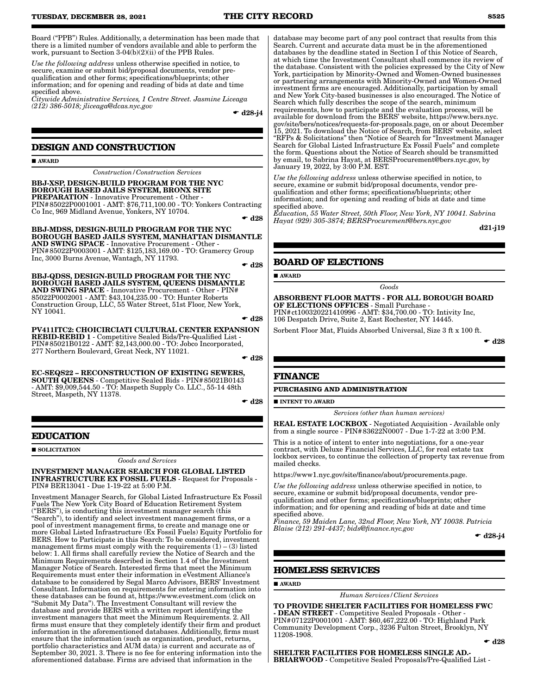Board ("PPB") Rules. Additionally, a determination has been made that there is a limited number of vendors available and able to perform the work, pursuant to Section 3-04(b)(2)(ii) of the PPB Rules.

*Use the following address* unless otherwise specified in notice, to secure, examine or submit bid/proposal documents, vendor prequalification and other forms; specifications/blueprints; other information; and for opening and reading of bids at date and time specified above.

*Citywide Administrative Services, 1 Centre Street. Jasmine Liceaga (212) 386-5018; jliceaga@dcas.nyc.gov*

 $\bullet$  d28-i4

### **DESIGN AND CONSTRUCTION**

**AWARD** 

*Construction/Construction Services*

BBJ-XSP, DESIGN-BUILD PROGRAM FOR THE NYC BOROUGH BASED JAILS SYSTEM, BRONX SITE PREPARATION - Innovative Procurement - Other - PIN#85022P0001001 - AMT: \$76,711,100.00 - TO: Yonkers Contracting Co Inc, 969 Midland Avenue, Yonkers, NY 10704.

 $\div$  d28

BBJ-MDSS, DESIGN-BUILD PROGRAM FOR THE NYC BOROUGH BASED JAILS SYSTEM, MANHATTAN DISMANTLE AND SWING SPACE - Innovative Procurement - Other - PIN#85022P0003001 - AMT: \$125,183,169.00 - TO: Gramercy Group Inc, 3000 Burns Avenue, Wantagh, NY 11793.

 $\bullet$  d28

BBJ-QDSS, DESIGN-BUILD PROGRAM FOR THE NYC BOROUGH BASED JAILS SYSTEM, QUEENS DISMANTLE AND SWING SPACE - Innovative Procurement - Other - PIN# 85022P0002001 - AMT: \$43,104,235.00 - TO: Hunter Roberts Construction Group, LLC, 55 Water Street, 51st Floor, New York, NY 10041.

 $\bullet$  d28

PV411ITC2: CHOICIRCIATI CULTURAL CENTER EXPANSION REBID-REBID 1 - Competitive Sealed Bids/Pre-Qualified List - PIN#85021B0122 - AMT: \$2,143,000.00 - TO: Jobco Incorporated, 277 Northern Boulevard, Great Neck, NY 11021.  $\bullet$  d28

EC-SEQS22 – RECONSTRUCTION OF EXISTING SEWERS, SOUTH QUEENS - Competitive Sealed Bids - PIN#85021B0143 - AMT: \$9,009,544.50 - TO: Maspeth Supply Co. LLC., 55-14 48th Street, Maspeth, NY 11378.

 $\bullet$  d28

### **EDUCATION**

 $\blacksquare$  SOLICITATION

*Goods and Services*

INVESTMENT MANAGER SEARCH FOR GLOBAL LISTED INFRASTRUCTURE EX FOSSIL FUELS - Request for Proposals - PIN# BER13041 - Due 1-19-22 at 5:00 P.M.

Investment Manager Search, for Global Listed Infrastructure Ex Fossil Fuels The New York City Board of Education Retirement System ("BERS"), is conducting this investment manager search (this "Search"), to identify and select investment management firms, or a pool of investment management firms, to create and manage one or more Global Listed Infrastructure (Ex Fossil Fuels) Equity Portfolio for BERS. How to Participate in this Search: To be considered, investment management firms must comply with the requirements  $(1) - (3)$  listed below: 1. All firms shall carefully review the Notice of Search and the Minimum Requirements described in Section 1.4 of the Investment Manager Notice of Search. Interested firms that meet the Minimum Requirements must enter their information in eVestment Alliance's database to be considered by Segal Marco Advisors, BERS' Investment Consultant. Information on requirements for entering information into these databases can be found at, https://www.evestment.com (click on "Submit My Data"). The Investment Consultant will review the database and provide BERS with a written report identifying the investment managers that meet the Minimum Requirements. 2. All firms must ensure that they completely identify their firm and product information in the aforementioned databases. Additionally, firms must ensure that the information (such as organization, product, returns, portfolio characteristics and AUM data) is current and accurate as of September 30, 2021. 3. There is no fee for entering information into the aforementioned database. Firms are advised that information in the

database may become part of any pool contract that results from this Search. Current and accurate data must be in the aforementioned databases by the deadline stated in Section I of this Notice of Search, at which time the Investment Consultant shall commence its review of the database. Consistent with the policies expressed by the City of New York, participation by Minority-Owned and Women-Owned businesses or partnering arrangements with Minority-Owned and Women-Owned investment firms are encouraged. Additionally, participation by small and New York City-based businesses is also encouraged. The Notice of Search which fully describes the scope of the search, minimum requirements, how to participate and the evaluation process, will be available for download from the BERS' website, https://www.bers.nyc. gov/site/bers/notices/requests-for-proposals.page, on or about December 15, 2021. To download the Notice of Search, from BERS' website, select "RFPs & Solicitations" then "Notice of Search for "Investment Manager Search for Global Listed Infrastructure Ex Fossil Fuels" and complete the form. Questions about the Notice of Search should be transmitted by email, to Sabrina Hayat, at BERSProcurement@bers.nyc.gov, by January 19, 2022, by 3:00 P.M. EST.

*Use the following address* unless otherwise specified in notice, to secure, examine or submit bid/proposal documents, vendor prequalification and other forms; specifications/blueprints; other information; and for opening and reading of bids at date and time specified above.

*Education, 55 Water Street, 50th Floor, New York, NY 10041. Sabrina Hayat (929) 305-3874; BERSProcurement@bers.nyc.gov*

d21-j19

### **BOARD OF ELECTIONS**

AWARD

*Goods*

ABSORBENT FLOOR MATTS - FOR ALL BOROUGH BOARD OF ELECTIONS OFFICES - Small Purchase - PIN#ct100320221410996 - AMT: \$34,700.00 - TO: Intivity Inc,

106 Despatch Drive, Suite 2, East Rochester, NY 14445.

Sorbent Floor Mat, Fluids Absorbed Universal, Size 3 ft x 100 ft.

 $\bullet$  d28

### **FINANCE**

**PURCHASING AND ADMINISTRATION**

**INTENT TO AWARD** 

*Services (other than human services)*

REAL ESTATE LOCKBOX - Negotiated Acquisition - Available only from a single source - PIN#83622N0007 - Due 1-7-22 at 3:00 P.M.

This is a notice of intent to enter into negotiations, for a one-year contract, with Deluxe Financial Services, LLC, for real estate tax lockbox services, to continue the collection of property tax revenue from mailed checks.

https://www1.nyc.gov/site/finance/about/procurements.page.

*Use the following address* unless otherwise specified in notice, to secure, examine or submit bid/proposal documents, vendor prequalification and other forms; specifications/blueprints; other information; and for opening and reading of bids at date and time specified above.

*Finance, 59 Maiden Lane, 32nd Floor, New York, NY 10038. Patricia Blaise (212) 291-4437; bids@finance.nyc.gov*

 $\bullet$  d28-j4

### **HOMELESS SERVICES**

#### AWARD

*Human Services/Client Services*

TO PROVIDE SHELTER FACILITIES FOR HOMELESS FWC - DEAN STREET - Competitive Sealed Proposals - Other - PIN#07122P0001001 - AMT: \$60,467,222.00 - TO: Highland Park Community Development Corp., 3236 Fulton Street, Brooklyn, NY 11208-1908.

 $\bullet$  d28

SHELTER FACILITIES FOR HOMELESS SINGLE AD.- BRIARWOOD - Competitive Sealed Proposals/Pre-Qualified List -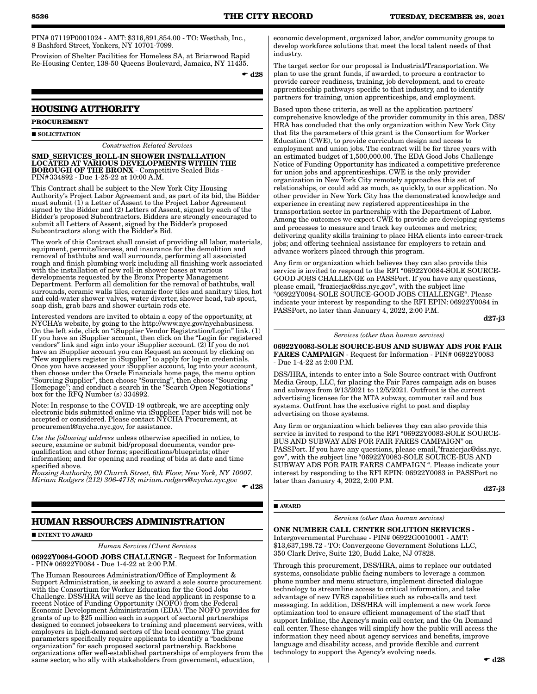PIN# 07119P0001024 - AMT: \$316,891,854.00 - TO: Westhab, Inc., 8 Bashford Street, Yonkers, NY 10701-7099.

Provision of Shelter Facilities for Homeless SA, at Briarwood Rapid Re-Housing Center, 138-50 Queens Boulevard, Jamaica, NY 11435.

 $\blacktriangleright$  d28

### **HOUSING AUTHORITY**

### **PROCUREMENT**

#### SOLICITATION

*Construction Related Services*

SMD\_SERVICES\_ROLL-IN SHOWER INSTALLATION LOCATED AT VARIOUS DEVELOPMENTS WITHIN THE BOROUGH OF THE BRONX - Competitive Sealed Bids - PIN#334892 - Due 1-25-22 at 10:00 A.M.

This Contract shall be subject to the New York City Housing Authority's Project Labor Agreement and, as part of its bid, the Bidder must submit (1) a Letter of Assent to the Project Labor Agreement signed by the Bidder and (2) Letters of Assent, signed by each of the Bidder's proposed Subcontractors. Bidders are strongly encouraged to submit all Letters of Assent, signed by the Bidder's proposed Subcontractors along with the Bidder's Bid.

The work of this Contract shall consist of providing all labor, materials, equipment, permits/licenses, and insurance for the demolition and removal of bathtubs and wall surrounds, performing all associated rough and finish plumbing work including all finishing work associated with the installation of new roll-in shower bases at various developments requested by the Bronx Property Management Department. Perform all demolition for the removal of bathtubs, wall surrounds, ceramic walls tiles, ceramic floor tiles and sanitary tiles, hot and cold-water shower valves, water diverter, shower head, tub spout, soap dish, grab bars and shower curtain rods etc.

Interested vendors are invited to obtain a copy of the opportunity, at NYCHA's website, by going to the http://www.nyc.gov/nychabusiness. On the left side, click on "iSupplier Vendor Registration/Login" link. (1) If you have an iSupplier account, then click on the "Login for registered vendors" link and sign into your iSupplier account. (2) If you do not have an iSupplier account you can Request an account by clicking on "New suppliers register in iSupplier" to apply for log-in credentials. Once you have accessed your iSupplier account, log into your account, then choose under the Oracle Financials home page, the menu option "Sourcing Supplier", then choose "Sourcing", then choose "Sourcing Homepage"; and conduct a search in the "Search Open Negotiations" box for the RFQ Number (s) 334892.

Note: In response to the COVID-19 outbreak, we are accepting only electronic bids submitted online via iSupplier. Paper bids will not be accepted or considered. Please contact NYCHA Procurement, at procurement@nycha.nyc.gov, for assistance.

*Use the following address* unless otherwise specified in notice, to secure, examine or submit bid/proposal documents, vendor prequalification and other forms; specifications/blueprints; other information; and for opening and reading of bids at date and time specified above.

*Housing Authority, 90 Church Street, 6th Floor, New York, NY 10007. Miriam Rodgers (212) 306-4718; miriam.rodgers@nycha.nyc.gov*

 $\blacktriangleright$  d28

## **HUMAN RESOURCES ADMINISTRATION**

**INTENT TO AWARD** 

*Human Services/Client Services*

06922Y0084-GOOD JOBS CHALLENGE - Request for Information - PIN# 06922Y0084 - Due 1-4-22 at 2:00 P.M.

The Human Resources Administration/Office of Employment & Support Administration, is seeking to award a sole source procurement with the Consortium for Worker Education for the Good Jobs Challenge. DSS/HRA will serve as the lead applicant in response to a recent Notice of Funding Opportunity (NOFO) from the Federal Economic Development Administration (EDA). The NOFO provides for grants of up to \$25 million each in support of sectoral partnerships designed to connect jobseekers to training and placement services, with employers in high-demand sectors of the local economy. The grant parameters specifically require applicants to identify a "backbone organization" for each proposed sectoral partnership. Backbone organizations offer well-established partnerships of employers from the same sector, who ally with stakeholders from government, education,

economic development, organized labor, and/or community groups to develop workforce solutions that meet the local talent needs of that industry.

The target sector for our proposal is Industrial/Transportation. We plan to use the grant funds, if awarded, to procure a contractor to provide career readiness, training, job development, and to create apprenticeship pathways specific to that industry, and to identify partners for training, union apprenticeships, and employment.

Based upon these criteria, as well as the application partners' comprehensive knowledge of the provider community in this area, DSS/ HRA has concluded that the only organization within New York City that fits the parameters of this grant is the Consortium for Worker Education (CWE), to provide curriculum design and access to employment and union jobs. The contract will be for three years with an estimated budget of 1,500,000.00. The EDA Good Jobs Challenge Notice of Funding Opportunity has indicated a competitive preference for union jobs and apprenticeships. CWE is the only provider organization in New York City remotely approaches this set of relationships, or could add as much, as quickly, to our application. No other provider in New York City has the demonstrated knowledge and experience in creating new registered apprenticeships in the transportation sector in partnership with the Department of Labor. Among the outcomes we expect CWE to provide are developing systems and processes to measure and track key outcomes and metrics; delivering quality skills training to place HRA clients into career-track jobs; and offering technical assistance for employers to retain and advance workers placed through this program.

Any firm or organization which believes they can also provide this service is invited to respond to the RFI "06922Y0084-SOLE SOURCE-GOOD JOBS CHALLENGE on PASSPort. If you have any questions, please email, "frazierjac@dss.nyc.gov", with the subject line "06922Y0084-SOLE SOURCE-GOOD JOBS CHALLENGE". Please indicate your interest by responding to the RFI EPIN: 06922Y0084 in PASSPort, no later than January 4, 2022, 2:00 P.M.

#### *Services (other than human services)*

06922Y0083-SOLE SOURCE-BUS AND SUBWAY ADS FOR FAIR FARES CAMPAIGN - Request for Information - PIN# 06922Y0083 - Due 1-4-22 at 2:00 P.M.

DSS/HRA, intends to enter into a Sole Source contract with Outfront Media Group, LLC, for placing the Fair Fares campaign ads on buses and subways from 9/13/2021 to 12/5/2021. Outfront is the current advertising licensee for the MTA subway, commuter rail and bus systems. Outfront has the exclusive right to post and display advertising on those systems.

Any firm or organization which believes they can also provide this service is invited to respond to the RFI "06922Y0083-SOLE SOURCE-BUS AND SUBWAY ADS FOR FAIR FARES CAMPAIGN" on PASSPort. If you have any questions, please email,"frazierjac@dss.nyc. gov", with the subject line "06922Y0083-SOLE SOURCE-BUS AND SUBWAY ADS FOR FAIR FARES CAMPAIGN ". Please indicate your interest by responding to the RFI EPIN: 06922Y0083 in PASSPort no later than January 4, 2022, 2:00 P.M.

d27-j3

#### AWARD

*Services (other than human services)*

ONE NUMBER CALL CENTER SOLUTION SERVICES - Intergovernmental Purchase - PIN# 06922G0010001 - AMT:

\$13,637,198.72 - TO: Convergeone Government Solutions LLC, 350 Clark Drive, Suite 120, Budd Lake, NJ 07828.

Through this procurement, DSS/HRA, aims to replace our outdated systems, consolidate public facing numbers to leverage a common phone number and menu structure, implement directed dialogue technology to streamline access to critical information, and take advantage of new IVRS capabilities such as robo-calls and text messaging. In addition, DSS/HRA will implement a new work force optimization tool to ensure efficient management of the staff that support Infoline, the Agency's main call center, and the On Demand call center. These changes will simplify how the public will access the information they need about agency services and benefits, improve language and disability access, and provide flexible and current technology to support the Agency's evolving needs.

d27-j3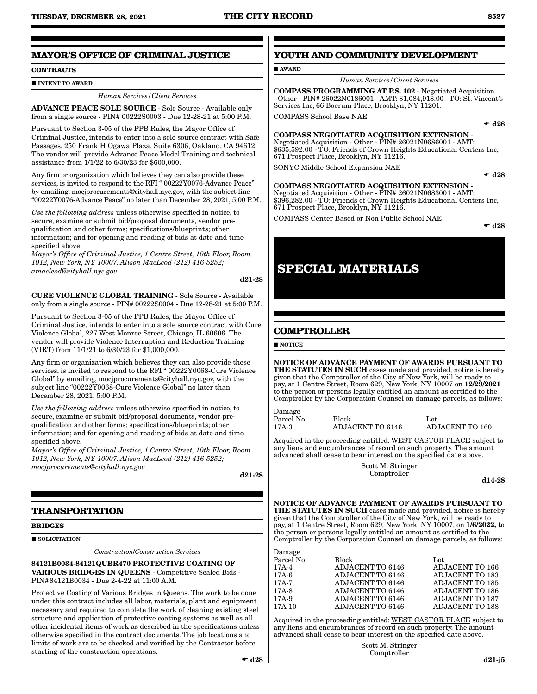### **MAYOR'S OFFICE OF CRIMINAL JUSTICE**

#### **CONTRACTS**

**INTENT TO AWARD** 

#### *Human Services/Client Services*

ADVANCE PEACE SOLE SOURCE - Sole Source - Available only from a single source - PIN# 00222S0003 - Due 12-28-21 at 5:00 P.M.

Pursuant to Section 3-05 of the PPB Rules, the Mayor Office of Criminal Justice, intends to enter into a sole source contract with Safe Passages, 250 Frank H Ogawa Plaza, Suite 6306, Oakland, CA 94612. The vendor will provide Advance Peace Model Training and technical assistance from 1/1/22 to 6/30/23 for \$600,000.

Any firm or organization which believes they can also provide these services, is invited to respond to the RFI " 00222Y0076-Advance Peace" by emailing, mocjprocurements@cityhall.nyc.gov, with the subject line "00222Y0076-Advance Peace" no later than December 28, 2021, 5:00 P.M.

*Use the following address* unless otherwise specified in notice, to secure, examine or submit bid/proposal documents, vendor prequalification and other forms; specifications/blueprints; other information; and for opening and reading of bids at date and time specified above.

*Mayor's Office of Criminal Justice, 1 Centre Street, 10th Floor, Room 1012, New York, NY 10007. Alison MacLeod (212) 416-5252; amacleod@cityhall.nyc.gov*

d21-28

CURE VIOLENCE GLOBAL TRAINING - Sole Source - Available only from a single source - PIN# 00222S0004 - Due 12-28-21 at 5:00 P.M.

Pursuant to Section 3-05 of the PPB Rules, the Mayor Office of Criminal Justice, intends to enter into a sole source contract with Cure Violence Global, 227 West Monroe Street, Chicago, IL 60606. The vendor will provide Violence Interruption and Reduction Training (VIRT) from 11/1/21 to 6/30/23 for \$1,000,000.

Any firm or organization which believes they can also provide these services, is invited to respond to the RFI " 00222Y0068-Cure Violence Global" by emailing, mocjprocurements@cityhall.nyc.gov, with the subject line "00222Y0068-Cure Violence Global" no later than December 28, 2021, 5:00 P.M.

*Use the following address* unless otherwise specified in notice, to secure, examine or submit bid/proposal documents, vendor prequalification and other forms; specifications/blueprints; other information; and for opening and reading of bids at date and time specified above.

*Mayor's Office of Criminal Justice, 1 Centre Street, 10th Floor, Room 1012, New York, NY 10007. Alison MacLeod (212) 416-5252; mocjprocurements@cityhall.nyc.gov*

d21-28

### **TRANSPORTATION**

#### **BRIDGES**

SOLICITATION

*Construction*/*Construction Services*

84121B0034-84121QUBR470 PROTECTIVE COATING OF VARIOUS BRIDGES IN QUEENS - Competitive Sealed Bids - PIN#84121B0034 - Due 2-4-22 at 11:00 A.M.

Protective Coating of Various Bridges in Queens. The work to be done under this contract includes all labor, materials, plant and equipment necessary and required to complete the work of cleaning existing steel structure and application of protective coating systems as well as all other incidental items of work as described in the specifications unless otherwise specified in the contract documents. The job locations and limits of work are to be checked and verified by the Contractor before starting of the construction operations.

### **YOUTH AND COMMUNITY DEVELOPMENT**

### **AWARD**

*Human Services/Client Services*

COMPASS PROGRAMMING AT P.S. 102 - Negotiated Acquisition - Other - PIN# 26022N0186001 - AMT: \$1,084,918.00 - TO: St. Vincent's Services Inc, 66 Boerum Place, Brooklyn, NY 11201.

COMPASS School Base NAE

### COMPASS NEGOTIATED ACQUISITION EXTENSION -

Negotiated Acquisition - Other - PIN# 26021N0686001 - AMT: \$635,592.00 - TO: Friends of Crown Heights Educational Centers Inc, 671 Prospect Place, Brooklyn, NY 11216.

SONYC Middle School Expansion NAE

 $\bullet$  d28

 $-128$ 

COMPASS NEGOTIATED ACQUISITION EXTENSION - Negotiated Acquisition - Other - PIN# 26021N0683001 - AMT:

\$396,282.00 - TO: Friends of Crown Heights Educational Centers Inc, 671 Prospect Place, Brooklyn, NY 11216.

COMPASS Center Based or Non Public School NAE

 $\bullet$  d28

# **SPECIAL MATERIALS**

### **COMPTROLLER**

**NOTICE** 

NOTICE OF ADVANCE PAYMENT OF AWARDS PURSUANT TO THE STATUTES IN SUCH cases made and provided, notice is hereby given that the Comptroller of the City of New York, will be ready to pay, at 1 Centre Street, Room 629, New York, NY 10007 on 12/29/2021 to the person or persons legally entitled an amount as certified to the Comptroller by the Corporation Counsel on damage parcels, as follows:

Damage

17A-3 ADJACENT TO 6146

Parcel No. Block<br>17A-3 ADJACENT TO 6146 ADJACENT TO 160

Acquired in the proceeding entitled: WEST CASTOR PLACE subject to any liens and encumbrances of record on such property. The amount advanced shall cease to bear interest on the specified date above.

> Scott M. Stringer Comptroller

d14-28

NOTICE OF ADVANCE PAYMENT OF AWARDS PURSUANT TO THE STATUTES IN SUCH cases made and provided, notice is hereby given that the Comptroller of the City of New York, will be ready to pay, at 1 Centre Street, Room 629, New York, NY 10007, on 1/6/2022, to the person or persons legally entitled an amount as certified to the Comptroller by the Corporation Counsel on damage parcels, as follows:

| Block                   | Lot                    |
|-------------------------|------------------------|
| ADJACENT TO 6146        | <b>ADJACENT TO 166</b> |
| <b>ADJACENT TO 6146</b> | <b>ADJACENT TO 183</b> |
| ADJACENT TO 6146        | ADJACENT TO 185        |
| <b>ADJACENT TO 6146</b> | <b>ADJACENT TO 186</b> |
| <b>ADJACENT TO 6146</b> | <b>ADJACENT TO 187</b> |
| <b>ADJACENT TO 6146</b> | <b>ADJACENT TO 188</b> |
|                         |                        |

Acquired in the proceeding entitled: WEST CASTOR PLACE subject to any liens and encumbrances of record on such property. The amount advanced shall cease to bear interest on the specified date above.

> Scott M. Stringer Comptroller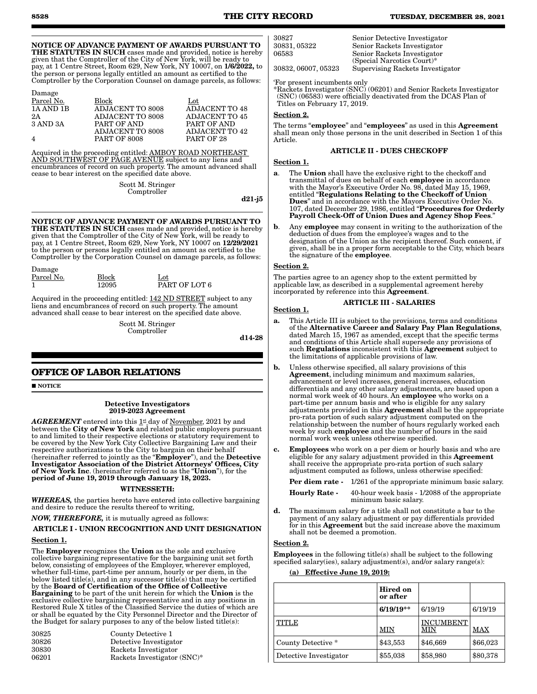#### NOTICE OF ADVANCE PAYMENT OF AWARDS PURSUANT TO THE STATUTES IN SUCH cases made and provided, notice is hereby given that the Comptroller of the City of New York, will be ready to pay, at 1 Centre Street, Room 629, New York, NY 10007, on 1/6/2022, to the person or persons legally entitled an amount as certified to the Comptroller by the Corporation Counsel on damage parcels, as follows:

| Damage         |                         |                |
|----------------|-------------------------|----------------|
| Parcel No.     | Block                   | Lot            |
| 1A AND 1B      | ADJACENT TO 8008        | ADJACENT TO 48 |
| 2A             | ADJACENT TO 8008        | ADJACENT TO 45 |
| 3 AND 3A       | PART OF AND             | PART OF AND    |
|                | <b>ADJACENT TO 8008</b> | ADJACENT TO 42 |
| $\overline{4}$ | <b>PART OF 8008</b>     | PART OF 28     |

Acquired in the proceeding entitled: AMBOY ROAD NORTHEAST AND SOUTHWEST OF PAGE AVENUE subject to any liens and encumbrances of record on such property. The amount advanced shall cease to bear interest on the specified date above.

> Scott M. Stringer Comptroller

d21-j5

NOTICE OF ADVANCE PAYMENT OF AWARDS PURSUANT TO THE STATUTES IN SUCH cases made and provided, notice is hereby given that the Comptroller of the City of New York, will be ready to pay, at 1 Centre Street, Room 629, New York, NY 10007 on 12/29/2021 to the person or persons legally entitled an amount as certified to the Comptroller by the Corporation Counsel on damage parcels, as follows:

| Damage     |              |               |
|------------|--------------|---------------|
| Parcel No. | <b>Block</b> | Lot           |
|            | 12095        | PART OF LOT 6 |

Acquired in the proceeding entitled: 142 ND STREET subject to any liens and encumbrances of record on such property. The amount advanced shall cease to bear interest on the specified date above.

> Scott M. Stringer Comptroller

d14-28

### **OFFICE OF LABOR RELATIONS**

**NOTICE** 

Detective Investigators 2019-2023 Agreement

AGREEMENT entered into this 1st day of <u>November</u>, 2021 by and between the City of New York and related public employers pursuant to and limited to their respective elections or statutory requirement to be covered by the New York City Collective Bargaining Law and their respective authorizations to the City to bargain on their behalf<br>(hereinafter referred to jointly as the **"Employer**"), and the **Detective** Investigator Association of the District Attorneys' Offices, City of New York Inc. (hereinafter referred to as the "Union"), for the period of June 19, 2019 through January 18, 2023.

### WITNESSETH:

*WHEREAS,* the parties hereto have entered into collective bargaining and desire to reduce the results thereof to writing,

### *NOW, THEREFORE,* it is mutually agreed as follows:

## ARTICLE I - UNION RECOGNITION AND UNIT DESIGNATION

#### Section 1.

The Employer recognizes the Union as the sole and exclusive collective bargaining representative for the bargaining unit set forth below, consisting of employees of the Employer, wherever employed, whether full-time, part-time per annum, hourly or per diem, in the below listed title(s), and in any successor title(s) that may be certified by the Board of Certification of the Office of Collective Bargaining to be part of the unit herein for which the Union is the exclusive collective bargaining representative and in any positions in Restored Rule X titles of the Classified Service the duties of which are or shall be equated by the City Personnel Director and the Director of the Budget for salary purposes to any of the below listed title(s):

| 30825 | County Detective 1          |
|-------|-----------------------------|
| 30826 | Detective Investigator      |
| 30830 | Rackets Investigator        |
| 06201 | Rackets Investigator (SNC)* |

### 'For present incumbents only

\*Rackets Investigator (SNC) (06201) and Senior Rackets Investigator (SNC) (06583) were officially deactivated from the DCAS Plan of Titles on February 17, 2019.

### Section 2.

The terms "employee" and "employees" as used in this Agreement shall mean only those persons in the unit described in Section 1 of this Article.

### ARTICLE II - DUES CHECKOFF

#### Section 1.

- The Union shall have the exclusive right to the checkoff and transmittal of dues on behalf of each employee in accordance with the Mayor's Executive Order No. 98, dated May 15, 1969, entitled "Regulations Relating to the Checkoff of Union Dues" and in accordance with the Mayors Executive Order No. 107, dated December 29, 1986, entitled "Procedures for Orderly Payroll Check-Off of Union Dues and Agency Shop Fees."
- b. Any employee may consent in writing to the authorization of the deduction of dues from the employee's wages and to the designation of the Union as the recipient thereof. Such consent, if given, shall be in a proper form acceptable to the City, which bears the signature of the employee.

### Section 2.

The parties agree to an agency shop to the extent permitted by applicable law, as described in a supplemental agreement hereby incorporated by reference into this **Agreement**.

### ARTICLE III - SALARIES

### Section 1.

- This Article III is subject to the provisions, terms and conditions of the Alternative Career and Salary Pay Plan Regulations, dated March 15, 1967 as amended, except that the specific terms and conditions of this Article shall supersede any provisions of such **Regulations** inconsistent with this **Agreement** subject to the limitations of applicable provisions of law.
- b. Unless otherwise specified, all salary provisions of this Agreement, including minimum and maximum salaries advancement or level increases, general increases, education differentials and any other salary adjustments, are based upon a normal work week of 40 hours. An employee who works on a part-time per annum basis and who is eligible for any salary adjustments provided in this **Agreement** shall be the appropriate pro-rata portion of such salary adjustment computed on the relationship between the number of hours regularly worked each week by such **employee** and the number of hours in the said normal work week unless otherwise specified.
- c. Employees who work on a per diem or hourly basis and who are eligible for any salary adjustment provided in this Agreement shall receive the appropriate pro-rata portion of such salary adjustment computed as follows, unless otherwise specified:

Per diem rate - 1/261 of the appropriate minimum basic salary.

- Hourly Rate 40-hour week basis 1/2088 of the appropriate minimum basic salary.
- d. The maximum salary for a title shall not constitute a bar to the payment of any salary adjustment or pay differentials provided for in this **Agreement** but the said increase above the maximum shall not be deemed a promotion.

#### Section 2.

Employees in the following title(s) shall be subject to the following specified salary(ies), salary adjustment(s), and/or salary range(s):

#### (a) Effective June 19, 2019:

|                        | Hired on<br>or after |                         |          |
|------------------------|----------------------|-------------------------|----------|
|                        | $6/19/19**$          | 6/19/19                 | 6/19/19  |
| <b>TITLE</b>           | <b>MIN</b>           | <b>INCUMBENT</b><br>MIN | MAX      |
| County Detective *     | \$43,553             | \$46,669                | \$66,023 |
| Detective Investigator | \$55,038             | \$58,980                | \$80,378 |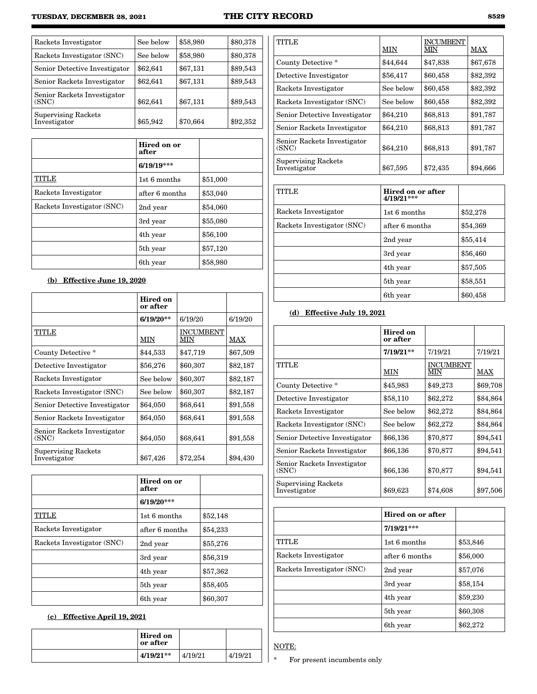### **TUESDAY, DECEMBER 28, 2021 THE CITY RECORD 8529**

| Rackets Investigator                 | See below | \$58,980 | \$80,378 |
|--------------------------------------|-----------|----------|----------|
| Rackets Investigator (SNC)           | See below | \$58,980 | \$80,378 |
| Senior Detective Investigator        | \$62,641  | \$67,131 | \$89,543 |
| Senior Rackets Investigator          | \$62,641  | \$67,131 | \$89,543 |
| Senior Rackets Investigator<br>(SNC) | \$62,641  | \$67,131 | \$89,543 |
| Supervising Rackets<br>Investigator  | \$65,942  | \$70,664 | \$92,352 |

|                            | Hired on or<br>after |          |
|----------------------------|----------------------|----------|
|                            | $6/19/19***$         |          |
| <b>TITLE</b>               | 1st 6 months         | \$51,000 |
| Rackets Investigator       | after 6 months       | \$53,040 |
| Rackets Investigator (SNC) | 2nd year             | \$54,060 |
|                            | 3rd year             | \$55,080 |
|                            | 4th year             | \$56,100 |
|                            | 5 <sup>th</sup> year | \$57,120 |
|                            | 6th year             | \$58,980 |

## (b) Effective June 19, 2020

|                                            | Hired on<br>or after |                         |          |
|--------------------------------------------|----------------------|-------------------------|----------|
|                                            | $6/19/20**$          | 6/19/20                 | 6/19/20  |
| TITLE                                      | MIN                  | <b>INCUMBENT</b><br>MIN | MAX      |
| County Detective*                          | \$44,533             | \$47,719                | \$67,509 |
| Detective Investigator                     | \$56,276             | \$60,307                | \$82,187 |
| Rackets Investigator                       | See below            | \$60,307                | \$82,187 |
| Rackets Investigator (SNC)                 | See below            | \$60,307                | \$82,187 |
| Senior Detective Investigator              | \$64,050             | \$68,641                | \$91,558 |
| Senior Rackets Investigator                | \$64,050             | \$68,641                | \$91,558 |
| Senior Rackets Investigator<br>(SNC)       | \$64,050             | \$68,641                | \$91,558 |
| <b>Supervising Rackets</b><br>Investigator | \$67,426             | \$72,254                | \$94,430 |

|                            | Hired on or<br>after |          |
|----------------------------|----------------------|----------|
|                            | $6/19/20***$         |          |
| TITLE                      | 1st 6 months         | \$52,148 |
| Rackets Investigator       | after 6 months       | \$54,233 |
| Rackets Investigator (SNC) | 2nd year             | \$55,276 |
|                            | 3rd year             | \$56,319 |
|                            | 4th year             | \$57,362 |
|                            | 5th year             | \$58,405 |
|                            | 6th year             | \$60,307 |

## (c) Effective April 19, 2021

| <b>Hired on</b><br>$\vert$ or after |         |         |  |
|-------------------------------------|---------|---------|--|
| $4/19/21**$                         | 4/19/21 | 4/19/21 |  |

| <b>TITLE</b>                               | MIN       | <b>INCUMBENT</b><br>МIN | MAX      |
|--------------------------------------------|-----------|-------------------------|----------|
| County Detective *                         | \$44,644  | \$47,838                | \$67,678 |
| Detective Investigator                     | \$56,417  | \$60,458                | \$82,392 |
| Rackets Investigator                       | See below | \$60,458                | \$82,392 |
| Rackets Investigator (SNC)                 | See below | \$60,458                | \$82,392 |
| Senior Detective Investigator              | \$64,210  | \$68,813                | \$91,787 |
| Senior Rackets Investigator                | \$64,210  | \$68,813                | \$91,787 |
| Senior Rackets Investigator<br>(SNC)       | \$64,210  | \$68,813                | \$91,787 |
| <b>Supervising Rackets</b><br>Investigator | \$67,595  | \$72,435                | \$94,666 |

| <b>TITLE</b>               | Hired on or after<br>$4/19/21***$ |          |
|----------------------------|-----------------------------------|----------|
| Rackets Investigator       | 1st 6 months                      | \$52,278 |
| Rackets Investigator (SNC) | after 6 months                    | \$54,369 |
|                            | 2nd year                          | \$55,414 |
|                            | 3rd year                          | \$56,460 |
|                            | 4th year                          | \$57,505 |
|                            | 5 <sup>th</sup> year              | \$58,551 |
|                            | 6th year                          | \$60,458 |

## (d) Effective July 19, 2021

|                                            | Hired on<br>or after |                         |          |
|--------------------------------------------|----------------------|-------------------------|----------|
|                                            | $7/19/21**$          | 7/19/21                 | 7/19/21  |
| <b>TITLE</b>                               | MIN                  | <b>INCUMBENT</b><br>МIN | MAX      |
| County Detective*                          | \$45,983             | \$49,273                | \$69,708 |
| Detective Investigator                     | \$58,110             | \$62,272                | \$84,864 |
| Rackets Investigator                       | See below            | \$62,272                | \$84,864 |
| Rackets Investigator (SNC)                 | See below            | \$62,272                | \$84,864 |
| Senior Detective Investigator              | \$66,136             | \$70,877                | \$94,541 |
| Senior Rackets Investigator                | \$66,136             | \$70,877                | \$94,541 |
| Senior Rackets Investigator<br>(SNC)       | \$66,136             | \$70,877                | \$94,541 |
| <b>Supervising Rackets</b><br>Investigator | \$69,623             | \$74,608                | \$97,506 |

|                            | Hired on or after    |          |
|----------------------------|----------------------|----------|
|                            | $7/19/21***$         |          |
| TITLE                      | 1st 6 months         | \$53,846 |
| Rackets Investigator       | after 6 months       | \$56,000 |
| Rackets Investigator (SNC) | 2nd year             | \$57,076 |
|                            | 3rd year             | \$58,154 |
|                            | 4th year             | \$59,230 |
|                            | 5 <sup>th</sup> year | \$60,308 |
|                            | 6th year             | \$62,272 |

NOTE:

\* For present incumbents only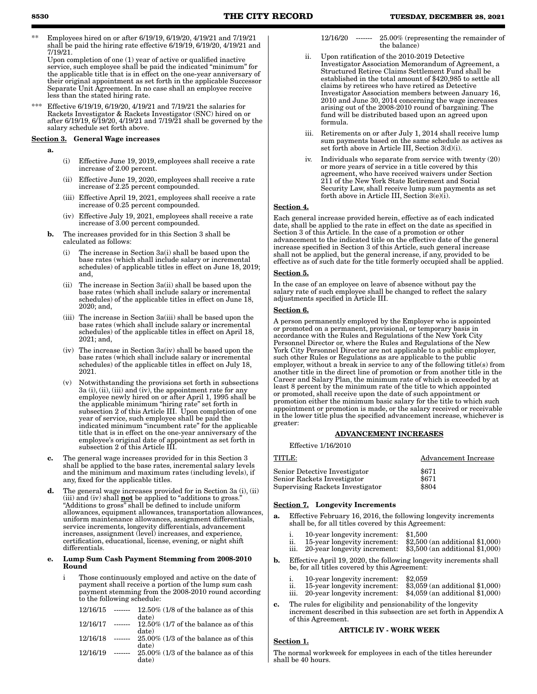\*\* Employees hired on or after 6/19/19, 6/19/20, 4/19/21 and 7/19/21 shall be paid the hiring rate effective 6/19/19, 6/19/20, 4/19/21 and 7/19/21.

Upon completion of one (1) year of active or qualified inactive service, such employee shall be paid the indicated "minimum" for the applicable title that is in effect on the one-year anniversary of their original appointment as set forth in the applicable Successor Separate Unit Agreement. In no case shall an employee receive less than the stated hiring rate.

\*\*\* Effective 6/19/19, 6/19/20, 4/19/21 and 7/19/21 the salaries for Rackets Investigator & Rackets Investigator (SNC) hired on or after 6/19/19, 6/19/20, 4/19/21 and 7/19/21 shall be governed by the salary schedule set forth above.

### Section 3. General Wage increases

a.

- (i) Effective June 19, 2019, employees shall receive a rate increase of 2.00 percent.
- (ii) Effective June 19, 2020, employees shall receive a rate increase of 2.25 percent compounded.
- (iii) Effective April 19, 2021, employees shall receive a rate increase of 0.25 percent compounded.
- (iv) Effective July 19, 2021, employees shall receive a rate increase of 3.00 percent compounded.
- b. The increases provided for in this Section 3 shall be calculated as follows:
	- (i) The increase in Section 3a(i) shall be based upon the base rates (which shall include salary or incremental schedules) of applicable titles in effect on June 18, 2019; and,
	- (ii) The increase in Section 3a(ii) shall be based upon the base rates (which shall include salary or incremental schedules) of the applicable titles in effect on June 18, 2020; and,
	- (iii) The increase in Section 3a(iii) shall be based upon the base rates (which shall include salary or incremental schedules) of the applicable titles in effect on April 18, 2021; and,
	- (iv) The increase in Section 3a(iv) shall be based upon the base rates (which shall include salary or incremental schedules) of the applicable titles in effect on July 18, 2021.
	- (v) Notwithstanding the provisions set forth in subsections 3a (i), (ii), (iii) and (iv), the appointment rate for any employee newly hired on or after April 1, 1995 shall be the applicable minimum "hiring rate" set forth in subsection 2 of this Article III. Upon completion of one year of service, such employee shall be paid the indicated minimum "incumbent rate" for the applicable title that is in effect on the one-year anniversary of the employee's original date of appointment as set forth in subsection 2 of this Article III.
- c. The general wage increases provided for in this Section 3 shall be applied to the base rates, incremental salary levels and the minimum and maximum rates (including levels), if any, fixed for the applicable titles.
- d. The general wage increases provided for in Section 3a (i), (ii) (iii) and (iv) shall **not** be applied to "additions to gross." "Additions to gross" shall be defined to include uniform allowances, equipment allowances, transportation allowances, uniform maintenance allowances, assignment differentials, service increments, longevity differentials, advancement increases, assignment (level) increases, and experience, certification, educational, license, evening, or night shift differentials.

#### Lump Sum Cash Payment Stemming from 2008-2010 Round

i Those continuously employed and active on the date of payment shall receive a portion of the lump sum cash payment stemming from the 2008-2010 round according to the following schedule:

| 12/16/15 | $12.50\%$ (1/8 of the balance as of this |
|----------|------------------------------------------|
|          | date)                                    |
| 12/16/17 | $12.50\%$ (1/7 of the balance as of this |
|          | date)                                    |
| 12/16/18 | $25.00\%$ (1/3 of the balance as of this |
|          | date)                                    |
| 12/16/19 | $25.00\%$ (1/3 of the balance as of this |
|          | date)                                    |
|          |                                          |

- 12/16/20 ------- 25.00% (representing the remainder of the balance)
- ii. Upon ratification of the 2010-2019 Detective Investigator Association Memorandum of Agreement, a Structured Retiree Claims Settlement Fund shall be established in the total amount of \$420,985 to settle all claims by retirees who have retired as Detective Investigator Association members between January 16, 2010 and June 30, 2014 concerning the wage increases arising out of the 2008-2010 round of bargaining. The fund will be distributed based upon an agreed upon formula.
- iii. Retirements on or after July 1, 2014 shall receive lump sum payments based on the same schedule as actives as set forth above in Article III, Section 3(d)(i).
- iv. Individuals who separate from service with twenty (20) or more years of service in a title covered by this agreement, who have received waivers under Section 211 of the New York State Retirement and Social Security Law, shall receive lump sum payments as set forth above in Article III, Section 3(e)(i).

#### Section 4.

Each general increase provided herein, effective as of each indicated date, shall be applied to the rate in effect on the date as specified in Section 3 of this Article. In the case of a promotion or other advancement to the indicated title on the effective date of the general increase specified in Section 3 of this Article, such general increase shall not be applied, but the general increase, if any, provided to be effective as of such date for the title formerly occupied shall be applied.

### Section 5.

In the case of an employee on leave of absence without pay the salary rate of such employee shall be changed to reflect the salary adjustments specified in Article III.

#### Section 6.

A person permanently employed by the Employer who is appointed or promoted on a permanent, provisional, or temporary basis in accordance with the Rules and Regulations of the New York City Personnel Director or, where the Rules and Regulations of the New York City Personnel Director are not applicable to a public employer, such other Rules or Regulations as are applicable to the public employer, without a break in service to any of the following title(s) from another title in the direct line of promotion or from another title in the Career and Salary Plan, the minimum rate of which is exceeded by at least 8 percent by the minimum rate of the title to which appointed or promoted, shall receive upon the date of such appointment or promotion either the minimum basic salary for the title to which such appointment or promotion is made, or the salary received or receivable in the lower title plus the specified advancement increase, whichever is greater:

### ADVANCEMENT INCREASES

### Effective 1/16/2010

# TITLE: Advancement Increase Senior Detective Investigator \$671

| belliul Detective Illvestigatul  | $\omega$ $\sigma$ $\mu$ |
|----------------------------------|-------------------------|
| Senior Rackets Investigator      | \$671                   |
| Supervising Rackets Investigator | \$804                   |
|                                  |                         |

### Section 7. Longevity Increments

- a. Effective February 16, 2016, the following longevity increments shall be, for all titles covered by this Agreement:
	- i. 10-year longevity increment: \$1,500<br>ii. 15-year longevity increment: \$2,500 (an additional \$1,000)
	- 15-year longevity increment: \$2,500 (an additional \$1,000)<br>20-year longevity increment: \$3,500 (an additional \$1,000) iii. 20-year longevity increment:
- b. Effective April 19, 2020, the following longevity increments shall be, for all titles covered by this Agreement:
	- i. 10-year longevity increment: \$2,059
	- ii. 15-year longevity increment: \$3,059 (an additional \$1,000)
	- iii. 20-year longevity increment: \$4,059 (an additional \$1,000)
- c. The rules for eligibility and pensionability of the longevity increment described in this subsection are set forth in Appendix A of this Agreement.

### ARTICLE IV - WORK WEEK

### Section 1.

The normal workweek for employees in each of the titles hereunder shall be 40 hours.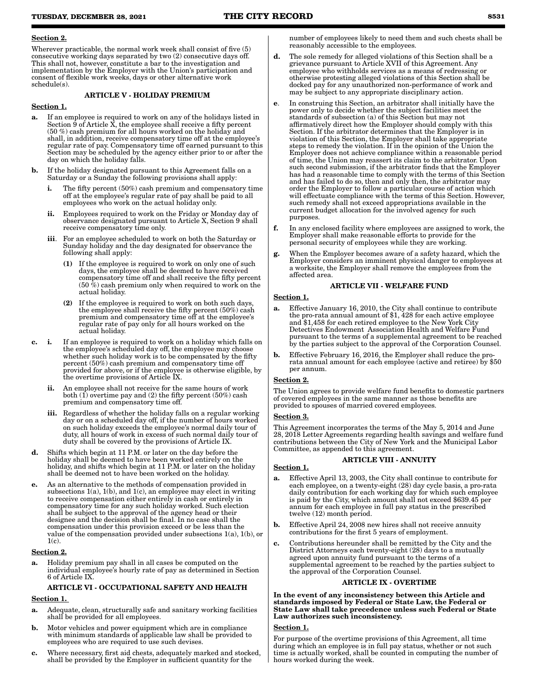#### Section 2.

Wherever practicable, the normal work week shall consist of five (5) consecutive working days separated by two (2) consecutive days off. This shall not, however, constitute a bar to the investigation and implementation by the Employer with the Union's participation and consent of flexible work weeks, days or other alternative work schedule(s).

### ARTICLE V - HOLIDAY PREMIUM

#### Section 1.

- a. If an employee is required to work on any of the holidays listed in Section 9 of Article X, the employee shall receive a fifty percent (50 %) cash premium for all hours worked on the holiday and shall, in addition, receive compensatory time off at the employee's regular rate of pay. Compensatory time off earned pursuant to this Section may be scheduled by the agency either prior to or after the day on which the holiday falls.
- b. If the holiday designated pursuant to this Agreement falls on a Saturday or a Sunday the following provisions shall apply:
	- The fifty percent  $(50\%)$  cash premium and compensatory time off at the employee's regular rate of pay shall be paid to all employees who work on the actual holiday only.
	- ii. Employees required to work on the Friday or Monday day of observance designated pursuant to Article X, Section 9 shall receive compensatory time only.
	- iii. For an employee scheduled to work on both the Saturday or Sunday holiday and the day designated for observance the following shall apply:
		- (1) If the employee is required to work on only one of such days, the employee shall be deemed to have received compensatory time off and shall receive the fifty percent  $(50 \%)$  cash premium only when required to work on the actual holiday.
		- (2) If the employee is required to work on both such days, the employee shall receive the fifty percent (50%) cash premium and compensatory time off at the employee's regular rate of pay only for all hours worked on the actual holiday.
- c. i. If an employee is required to work on a holiday which falls on the employee's scheduled day off, the employee may choose whether such holiday work is to be compensated by the fifty percent (50%) cash premium and compensatory time off provided for above, or if the employee is otherwise eligible, by the overtime provisions of Article IX.
	- ii. An employee shall not receive for the same hours of work both (1) overtime pay and (2) the fifty percent (50%) cash premium and compensatory time off.
	- iii. Regardless of whether the holiday falls on a regular working day or on a scheduled day off, if the number of hours worked on such holiday exceeds the employee's normal daily tour of duty, all hours of work in excess of such normal daily tour of duty shall be covered by the provisions of Article IX.
- d. Shifts which begin at 11 P.M. or later on the day before the holiday shall be deemed to have been worked entirely on the holiday, and shifts which begin at 11 P.M. or later on the holiday shall be deemed not to have been worked on the holiday.
- As an alternative to the methods of compensation provided in subsections 1(a), 1(b), and 1(c), an employee may elect in writing to receive compensation either entirely in cash or entirely in compensatory time for any such holiday worked. Such election shall be subject to the approval of the agency head or their designee and the decision shall be final. In no case shall the compensation under this provision exceed or be less than the value of the compensation provided under subsections 1(a), 1(b), or 1(c).

#### Section 2.

Holiday premium pay shall in all cases be computed on the individual employee's hourly rate of pay as determined in Section 6 of Article IX.

### ARTICLE VI - OCCUPATIONAL SAFETY AND HEALTH

### Section 1.

- a. Adequate, clean, structurally safe and sanitary working facilities shall be provided for all employees.
- b. Motor vehicles and power equipment which are in compliance with minimum standards of applicable law shall be provided to employees who are required to use such devises.
- c. Where necessary, first aid chests, adequately marked and stocked, shall be provided by the Employer in sufficient quantity for the

number of employees likely to need them and such chests shall be reasonably accessible to the employees.

- **d.** The sole remedy for alleged violations of this Section shall be a grievance pursuant to Article XVII of this Agreement. Any employee who withholds services as a means of redressing or otherwise protesting alleged violations of this Section shall be docked pay for any unauthorized non-performance of work and may be subject to any appropriate disciplinary action.
- e. In construing this Section, an arbitrator shall initially have the power only to decide whether the subject facilities meet the standards of subsection (a) of this Section but may not affirmatively direct how the Employer should comply with this Section. If the arbitrator determines that the Employer is in violation of this Section, the Employer shall take appropriate steps to remedy the violation. If in the opinion of the Union the Employer does not achieve compliance within a reasonable period of time, the Union may reassert its claim to the arbitrator. Upon such second submission, if the arbitrator finds that the Employer has had a reasonable time to comply with the terms of this Section and has failed to do so, then and only then, the arbitrator may order the Employer to follow a particular course of action which will effectuate compliance with the terms of this Section. However, such remedy shall not exceed appropriations available in the current budget allocation for the involved agency for such purposes.
- f. In any enclosed facility where employees are assigned to work, the Employer shall make reasonable efforts to provide for the personal security of employees while they are working.
- When the Employer becomes aware of a safety hazard, which the Employer considers an imminent physical danger to employees at a worksite, the Employer shall remove the employees from the affected area.

### ARTICLE VII - WELFARE FUND

#### Section 1.

- a. Effective January 16, 2010, the City shall continue to contribute the pro-rata annual amount of \$1, 428 for each active employee and \$1,458 for each retired employee to the New York City Detectives Endowment Association Health and Welfare Fund pursuant to the terms of a supplemental agreement to be reached by the parties subject to the approval of the Corporation Counsel.
- b. Effective February 16, 2016, the Employer shall reduce the prorata annual amount for each employee (active and retiree) by \$50 per annum.

### Section 2.

The Union agrees to provide welfare fund benefits to domestic partners of covered employees in the same manner as those benefits are provided to spouses of married covered employees.

#### Section 3.

This Agreement incorporates the terms of the May 5, 2014 and June 28, 2018 Letter Agreements regarding health savings and welfare fund contributions between the City of New York and the Municipal Labor Committee, as appended to this agreement.

### ARTICLE VIII - ANNUITY

#### Section 1.

- Effective April 13, 2003, the City shall continue to contribute for each employee, on a twenty-eight (28) day cycle basis, a pro-rata daily contribution for each working day for which such employee is paid by the City, which amount shall not exceed \$639.45 per annum for each employee in full pay status in the prescribed twelve (12) month period.
- b. Effective April 24, 2008 new hires shall not receive annuity contributions for the first 5 years of employment.
- c. Contributions hereunder shall be remitted by the City and the District Attorneys each twenty-eight (28) days to a mutually agreed upon annuity fund pursuant to the terms of a supplemental agreement to be reached by the parties subject to the approval of the Corporation Counsel.

#### ARTICLE IX - OVERTIME

In the event of any inconsistency between this Article and standards imposed by Federal or State Law, the Federal or State Law shall take precedence unless such Federal or State Law authorizes such inconsistency.

### Section 1.

For purpose of the overtime provisions of this Agreement, all time during which an employee is in full pay status, whether or not such time is actually worked, shall be counted in computing the number of hours worked during the week.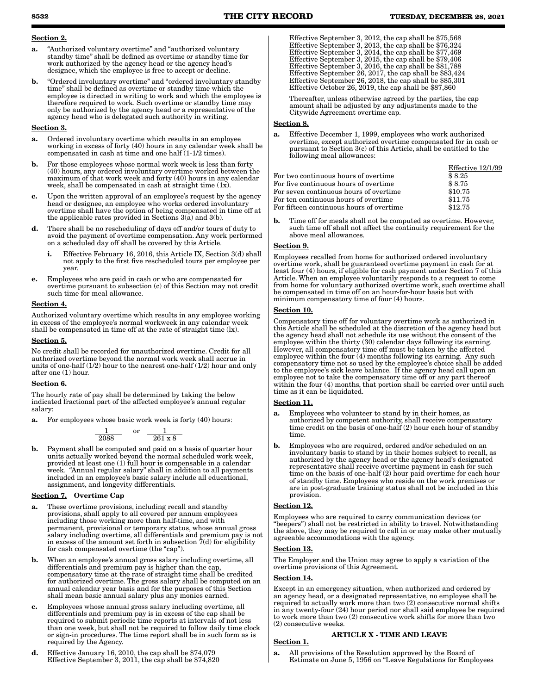### Section 2.

- a. "Authorized voluntary overtime" and "authorized voluntary standby time" shall be defined as overtime or standby time for work authorized by the agency head or the agency head's designee, which the employee is free to accept or decline.
- b. "Ordered involuntary overtime" and "ordered involuntary standby time" shall be defined as overtime or standby time which the employee is directed in writing to work and which the employee is therefore required to work. Such overtime or standby time may only be authorized by the agency head or a representative of the agency head who is delegated such authority in writing.

#### Section 3.

- a. Ordered involuntary overtime which results in an employee working in excess of forty (40) hours in any calendar week shall be compensated in cash at time and one half (1-1/2 times).
- b. For those employees whose normal work week is less than forty (40) hours, any ordered involuntary overtime worked between the maximum of that work week and forty (40) hours in any calendar week, shall be compensated in cash at straight time  $(1x)$ .
- c. Upon the written approval of an employee's request by the agency head or designee, an employee who works ordered involuntary overtime shall have the option of being compensated in time off at the applicable rates provided in Sections  $3(a)$  and  $3(b)$ .
- d. There shall be no rescheduling of days off and/or tours of duty to avoid the payment of overtime compensation. Any work performed on a scheduled day off shall be covered by this Article.
	- Effective February 16, 2016, this Article IX, Section 3(d) shall not apply to the first five rescheduled tours per employee per year.
- e. Employees who are paid in cash or who are compensated for overtime pursuant to subsection (c) of this Section may not credit such time for meal allowance.

#### Section 4.

Authorized voluntary overtime which results in any employee working in excess of the employee's normal workweek in any calendar week shall be compensated in time off at the rate of straight time (lx).

#### Section 5.

No credit shall be recorded for unauthorized overtime. Credit for all authorized overtime beyond the normal work week shall accrue in units of one-half  $(1/2)$  hour to the nearest one-half  $(1/2)$  hour and only after one (1) hour.

#### Section 6.

The hourly rate of pay shall be determined by taking the below indicated fractional part of the affected employee's annual regular salary:

a. For employees whose basic work week is forty (40) hours:

$$
\frac{1}{2088} \quad \text{or} \quad \frac{1}{261 \times 8}
$$

b. Payment shall be computed and paid on a basis of quarter hour units actually worked beyond the normal scheduled work week, provided at least one (1) full hour is compensable in a calendar week. "Annual regular salary" shall in addition to all payments included in an employee's basic salary include all educational, assignment, and longevity differentials.

### Section 7. Overtime Cap

- a. These overtime provisions, including recall and standby provisions, shall apply to all covered per annum employees including those working more than half-time, and with permanent, provisional or temporary status, whose annual gross salary including overtime, all differentials and premium pay is not in excess of the amount set forth in subsection  $\bar{7}$ (d) for eligibility for cash compensated overtime (the "cap").
- b. When an employee's annual gross salary including overtime, all differentials and premium pay is higher than the cap, compensatory time at the rate of straight time shall be credited for authorized overtime. The gross salary shall be computed on an annual calendar year basis and for the purposes of this Section shall mean basic annual salary plus any monies earned.
- c. Employees whose annual gross salary including overtime, all differentials and premium pay is in excess of the cap shall be required to submit periodic time reports at intervals of not less than one week, but shall not be required to follow daily time clock or sign-in procedures. The time report shall be in such form as is required by the Agency.
- d. Effective January 16, 2010, the cap shall be \$74,079 Effective September 3, 2011, the cap shall be  $$74,820$

Effective September 3, 2012, the cap shall be \$75,568 Effective September 3, 2013, the cap shall be \$76,324 Effective September 3, 2014, the cap shall be \$77,469 Effective September 3, 2015, the cap shall be  $$79,406$ Effective September 3, 2016, the cap shall be \$81,788 Effective September 26, 2017, the cap shall be \$83,424 Effective September 26, 2018, the cap shall be \$85,301 Effective October 26, 2019, the cap shall be \$87,860

Thereafter, unless otherwise agreed by the parties, the cap amount shall be adjusted by any adjustments made to the Citywide Agreement overtime cap.

### Section 8.

a. Effective December 1, 1999, employees who work authorized overtime, except authorized overtime compensated for in cash or pursuant to Section 3(c) of this Article, shall be entitled to the following meal allowances:

|                                          | Effective 12/1/99 |
|------------------------------------------|-------------------|
| For two continuous hours of overtime     | \$8.25            |
| For five continuous hours of overtime    | \$8.75            |
| For seven continuous hours of overtime   | \$10.75           |
| For ten continuous hours of overtime     | \$11.75           |
| For fifteen continuous hours of overtime | \$12.75           |

b. Time off for meals shall not be computed as overtime. However, such time off shall not affect the continuity requirement for the above meal allowances.

#### Section 9.

Employees recalled from home for authorized ordered involuntary overtime work, shall be guaranteed overtime payment in cash for at least four (4) hours, if eligible for cash payment under Section 7 of this Article. When an employee voluntarily responds to a request to come from home for voluntary authorized overtime work, such overtime shall be compensated in time off on an hour-for-hour basis but with minimum compensatory time of four (4) hours.

#### Section 10.

Compensatory time off for voluntary overtime work as authorized in this Article shall be scheduled at the discretion of the agency head but the agency head shall not schedule its use without the consent of the employee within the thirty (30) calendar days following its earning. However, all compensatory time off must be taken by the affected employee within the four (4) months following its earning. Any such compensatory time not so used by the employee's choice shall be added to the employee's sick leave balance. If the agency head call upon an employee not to take the compensatory time off or any part thereof within the four (4) months, that portion shall be carried over until such time as it can be liquidated.

### Section 11.

- a. Employees who volunteer to stand by in their homes, as authorized by competent authority, shall receive compensatory time credit on the basis of one-half  $(2)$  hour each hour of standby time.
- **b.** Employees who are required, ordered and/or scheduled on an involuntary basis to stand by in their homes subject to recall, as authorized by the agency head or the agency head's designated representative shall receive overtime payment in cash for such time on the basis of one-half (2) hour paid overtime for each hour of standby time. Employees who reside on the work premises or are in post-graduate training status shall not be included in this provision.

### Section 12.

Employees who are required to carry communication devices (or "beepers") shall not be restricted in ability to travel. Notwithstanding the above, they may be required to call in or may make other mutually agreeable accommodations with the agency.

### Section 13.

The Employer and the Union may agree to apply a variation of the overtime provisions of this Agreement.

### Section 14.

Except in an emergency situation, when authorized and ordered by an agency head, or a designated representative, no employee shall be required to actually work more than two (2) consecutive normal shifts in any twenty-four (24) hour period nor shall said employee be required to work more than two (2) consecutive work shifts for more than two (2) consecutive weeks.

### ARTICLE X - TIME AND LEAVE

### Section 1.

a. All provisions of the Resolution approved by the Board of Estimate on June 5, 1956 on "Leave Regulations for Employees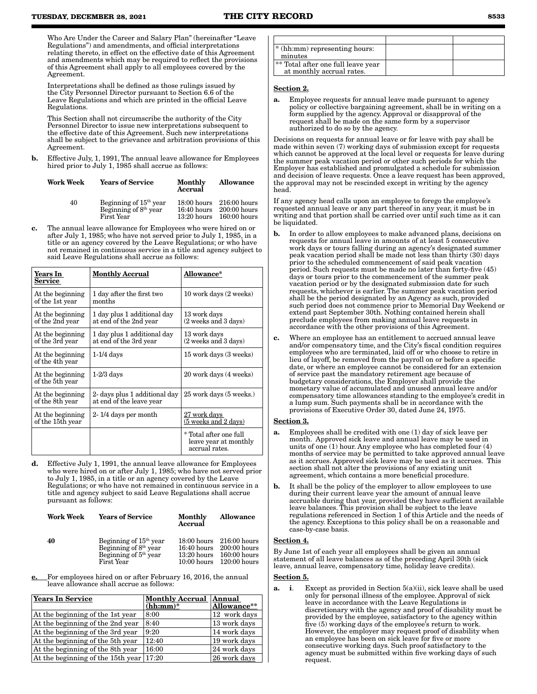Who Are Under the Career and Salary Plan" (hereinafter "Leave Regulations") and amendments, and official interpretations relating thereto, in effect on the effective date of this Agreement and amendments which may be required to reflect the provisions of this Agreement shall apply to all employees covered by the Agreement.

Interpretations shall be defined as those rulings issued by the City Personnel Director pursuant to Section 6.6 of the Leave Regulations and which are printed in the official Leave Regulations.

This Section shall not circumscribe the authority of the City Personnel Director to issue new interpretations subsequent to the effective date of this Agreement. Such new interpretations shall be subject to the grievance and arbitration provisions of this Agreement.

b. Effective July, 1, 1991, The annual leave allowance for Employees hired prior to July 1, 1985 shall accrue as follows:

| Work Week | <b>Years of Service</b>                                                     | Monthly<br>Accrual             | <b>Allowance</b>                                             |
|-----------|-----------------------------------------------------------------------------|--------------------------------|--------------------------------------------------------------|
| 40        | Beginning of $15th$ year<br>Beginning of 8 <sup>th</sup> year<br>First Year | $16:40$ hours<br>$13:20$ hours | 18:00 hours 216:00 hours<br>$200:00$ hours<br>$160:00$ hours |

The annual leave allowance for Employees who were hired on or after July 1, 1985; who have not served prior to July 1, 1985, in a title or an agency covered by the Leave Regulations; or who have not remained in continuous service in a title and agency subject to said Leave Regulations shall accrue as follows:

| Years In<br><b>Service</b>           | <b>Monthly Accrual</b>                                    | Allowance*                                                        |
|--------------------------------------|-----------------------------------------------------------|-------------------------------------------------------------------|
| At the beginning<br>of the 1st year  | 1 day after the first two<br>months                       | 10 work days (2 weeks)                                            |
| At the beginning<br>of the 2nd year  | 1 day plus 1 additional day<br>at end of the 2nd year     | 13 work days<br>(2 weeks and 3 days)                              |
| At the beginning<br>of the 3rd year  | 1 day plus 1 additional day<br>at end of the 3rd year     | 13 work days<br>(2 weeks and 3 days)                              |
| At the beginning<br>of the 4th year  | $1-1/4$ days                                              | 15 work days (3 weeks)                                            |
| At the beginning<br>of the 5th year  | $1-2/3$ days                                              | 20 work days (4 weeks)                                            |
| At the beginning<br>of the 8th year  | 2- days plus 1 additional day<br>at end of the leave year | 25 work days (5 weeks.)                                           |
| At the beginning<br>of the 15th year | 2-1/4 days per month                                      | 27 work days<br>(5 weeks and 2 days)                              |
|                                      |                                                           | * Total after one full<br>leave year at monthly<br>accrual rates. |

d. Effective July 1, 1991, the annual leave allowance for Employees who were hired on or after July 1, 1985; who have not served prior to July 1, 1985, in a title or an agency covered by the Leave Regulations; or who have not remained in continuous service in a title and agency subject to said Leave Regulations shall accrue pursuant as follows:

| <b>Work Week</b> | <b>Years of Service</b>                                                                            | Monthly<br>Accrual | Allowance                                                                  |
|------------------|----------------------------------------------------------------------------------------------------|--------------------|----------------------------------------------------------------------------|
| 40               | Beginning of 15 <sup>th</sup> year<br>Beginning of 8 <sup>th</sup> year<br>Beginning of $5th$ year | $16:40$ hours      | 18:00 hours 216:00 hours<br>$200:00$ hours<br>$13:20$ hours $160:00$ hours |

10:00 hours

120:00 hours

For employees hired on or after February 16, 2016, the annual leave allowance shall accrue as follows:

First Year

| Years In Service                           | <b>Monthly Accrual</b><br>$(hh;mm)^*$ | Annual<br>Allowance** |
|--------------------------------------------|---------------------------------------|-----------------------|
| At the beginning of the 1st year           | 8:00                                  | 12 work days          |
| At the beginning of the 2nd year           | 8:40                                  | 13 work days          |
| At the beginning of the 3rd year           | 9:20                                  | 14 work days          |
| At the beginning of the 5th year           | 12:40                                 | 19 work days          |
| At the beginning of the 8th year           | 16:00                                 | 24 work days          |
| At the beginning of the 15th year $ 17:20$ |                                       | 26 work days          |

| * (hh:mm) representing hours:<br>minutes                        |  |
|-----------------------------------------------------------------|--|
| ** Total after one full leave year<br>at monthly accrual rates. |  |

### Section 2.

Employee requests for annual leave made pursuant to agency policy or collective bargaining agreement, shall be in writing on a form supplied by the agency. Approval or disapproval of the request shall be made on the same form by a supervisor authorized to do so by the agency.

Decisions on requests for annual leave or for leave with pay shall be made within seven (7) working days of submission except for requests which cannot be approved at the local level or requests for leave during the summer peak vacation period or other such periods for which the Employer has established and promulgated a schedule for submission and decision of leave requests. Once a leave request has been approved, the approval may not be rescinded except in writing by the agency head.

If any agency head calls upon an employee to forego the employee's requested annual leave or any part thereof in any year, it must be in writing and that portion shall be carried over until such time as it can be liquidated.

- b. In order to allow employees to make advanced plans, decisions on requests for annual leave in amounts of at least 5 consecutive work days or tours falling during an agency's designated summer peak vacation period shall be made not less than thirty (30) days prior to the scheduled commencement of said peak vacation period. Such requests must be made no later than forty-five (45) days or tours prior to the commencement of the summer peak vacation period or by the designated submission date for such requests, whichever is earlier. The summer peak vacation period shall be the period designated by an Agency as such, provided such period does not commence prior to Memorial Day Weekend or extend past September 30th. Nothing contained herein shall preclude employees from making annual leave requests in accordance with the other provisions of this Agreement.
- c. Where an employee has an entitlement to accrued annual leave and/or compensatory time, and the City's fiscal condition requires employees who are terminated, laid off or who choose to retire in lieu of layoff, be removed from the payroll on or before a specific date, or where an employee cannot be considered for an extension of service past the mandatory retirement age because of budgetary considerations, the Employer shall provide the monetary value of accumulated and unused annual leave and/or compensatory time allowances standing to the employee's credit in a lump sum. Such payments shall be in accordance with the provisions of Executive Order 30, dated June 24, 1975.

### Section 3.

- Employees shall be credited with one (1) day of sick leave per month. Approved sick leave and annual leave may be used in units of one (1) hour. Any employee who has completed four (4) months of service may be permitted to take approved annual leave as it accrues. Approved sick leave may be used as it accrues. This section shall not alter the provisions of any existing unit agreement, which contains a more beneficial procedure.
- b. It shall be the policy of the employer to allow employees to use during their current leave year the amount of annual leave accruable during that year, provided they have sufficient available leave balances. This provision shall be subject to the leave regulations referenced in Section 1 of this Article and the needs of the agency. Exceptions to this policy shall be on a reasonable and case-by-case basis.

### Section 4.

By June 1st of each year all employees shall be given an annual statement of all leave balances as of the preceding April 30th (sick leave, annual leave, compensatory time, holiday leave credits).

### Section 5.

**a.** i. Except as provided in Section  $5(a)(ii)$ , sick leave shall be used only for personal illness of the employee. Approval of sick leave in accordance with the Leave Regulations is discretionary with the agency and proof of disability must be provided by the employee, satisfactory to the agency within five (5) working days of the employee's return to work. However, the employer may request proof of disability when an employee has been on sick leave for five or more consecutive working days. Such proof satisfactory to the agency must be submitted within five working days of such request.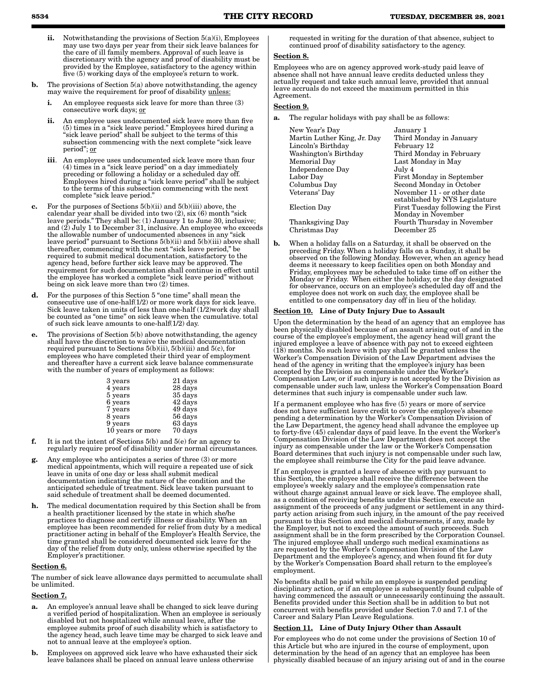- ii. Notwithstanding the provisions of Section  $5(a)(i)$ , Employees may use two days per year from their sick leave balances for the care of ill family members. Approval of such leave is discretionary with the agency and proof of disability must be provided by the Employee, satisfactory to the agency within five (5) working days of the employee's return to work.
- b. The provisions of Section 5(a) above notwithstanding, the agency may waive the requirement for proof of disability unless:
	- i. An employee requests sick leave for more than three (3) consecutive work days; or
	- ii. An employee uses undocumented sick leave more than five (5) times in a "sick leave period." Employees hired during a "sick leave period" shall be subject to the terms of this subsection commencing with the next complete "sick leave period"; or
	- iii. An employee uses undocumented sick leave more than four (4) times in a "sick leave period" on a day immediately preceding or following a holiday or a scheduled day off. Employees hired during a "sick leave period" shall be subject to the terms of this subsection commencing with the next complete "sick leave period."
- c. For the purposes of Sections 5(b)(ii) and 5(b)(iii) above, the calendar year shall be divided into two (2), six (6) month "sick leave periods." They shall be: (1) January 1 to June 30, inclusive; and (2) July 1 to December 31, inclusive. An employee who exceeds the allowable number of undocumented absences in any "sick leave period" pursuant to Sections 5(b)(ii) and 5(b)(iii) above shall thereafter, commencing with the next "sick leave period," be required to submit medical documentation, satisfactory to the agency head, before further sick leave may be approved. The requirement for such documentation shall continue in effect until the employee has worked a complete "sick leave period" without being on sick leave more than two (2) times.
- d. For the purposes of this Section 5 "one time" shall mean the consecutive use of one-half(1/2) or more work days for sick leave. Sick leave taken in units of less than one-half  $(1/2)$ work day shall be counted as "one time" on sick leave when the cumulative. total of such sick leave amounts to one-half(1/2) day.
- The provisions of Section  $5(b)$  above notwithstanding, the agency shall have the discretion to waive the medical documentation required pursuant to Sections 5(b)(ii), 5(b)(iii) and 5(c), for employees who have completed their third year of employment and thereafter have a current sick leave balance commensurate with the number of years of employment as follows:

| 3 years          | 21 days |
|------------------|---------|
| 4 years          | 28 days |
| 5 years          | 35 days |
| 6 years          | 42 days |
| 7 years          | 49 days |
| 8 years          | 56 days |
| 9 years          | 63 days |
| 10 years or more | 70 days |
|                  |         |

- f. It is not the intent of Sections 5(b) and 5(e) for an agency to regularly require proof of disability under normal circumstances.
- g. Any employee who anticipates a series of three (3) or more medical appointments, which will require a repeated use of sick leave in units of one day or less shall submit medical documentation indicating the nature of the condition and the anticipated schedule of treatment. Sick leave taken pursuant to said schedule of treatment shall be deemed documented.
- The medical documentation required by this Section shall be from a health practitioner licensed by the state in which she/he practices to diagnose and certify illness or disability. When an employee has been recommended for relief from duty by a medical practitioner acting in behalf of the Employer's Health Service, the time granted shall be considered documented sick leave for the day of the relief from duty only, unless otherwise specified by the Employer's practitioner.

### Section 6.

The number of sick leave allowance days permitted to accumulate shall be unlimited.

### Section 7.

- a. An employee's annual leave shall be changed to sick leave during a verified period of hospitalization. When an employee is seriously disabled but not hospitalized while annual leave, after the employee submits proof of such disability which is satisfactory to the agency head, such leave time may be charged to sick leave and not to annual leave at the employee's option.
- b. Employees on approved sick leave who have exhausted their sick leave balances shall be placed on annual leave unless otherwise

requested in writing for the duration of that absence, subject to continued proof of disability satisfactory to the agency.

### Section 8.

Employees who are on agency approved work-study paid leave of absence shall not have annual leave credits deducted unless they actually request and take such annual leave, provided that annual leave accruals do not exceed the maximum permitted in this Agreement.

### Section 9.

a. The regular holidays with pay shall be as follows:

| New Year's Day              | January 1                         |
|-----------------------------|-----------------------------------|
| Martin Luther King, Jr. Day | Third Monday in January           |
| Lincoln's Birthday          | February 12                       |
| Washington's Birthday       | Third Monday in February          |
| Memorial Day                | Last Monday in May                |
| Independence Day            | July 4                            |
| Labor Day                   | <b>First Monday in September</b>  |
| Columbus Day                | Second Monday in October          |
| Veterans' Day               | November 11 - or other date       |
|                             | established by NYS Legislature    |
| Election Day                | First Tuesday following the First |
|                             | Monday in November                |
| Thanksgiving Day            | Fourth Thursday in November       |
| Christmas Day               | December 25                       |

b. When a holiday falls on a Saturday, it shall be observed on the preceding Friday. When a holiday falls on a Sunday, it shall be observed on the following Monday. However, when an agency head deems it necessary to keep facilities open on both Monday and Friday, employees may be scheduled to take time off on either the Monday or Friday. When either the holiday, or the day designated for observance, occurs on an employee's scheduled day off and the employee does not work on such day, the employee shall be entitled to one compensatory day off in lieu of the holiday.

### Section 10. Line of Duty Injury Due to Assault

Upon the determination by the head of an agency that an employee has been physically disabled because of an assault arising out of and in the course of the employee's employment, the agency head will grant the injured employee a leave of absence with pay not to exceed eighteen (18) months. No such leave with pay shall be granted unless the Worker's Compensation Division of the Law Department advises the head of the agency in writing that the employee's injury has been accepted by the Division as compensable under the Worker's Compensation Law, or if such injury is not accepted by the Division as compensable under such law, unless the Worker's Compensation Board determines that such injury is compensable under such law.

If a permanent employee who has five (5) years or more of service does not have sufficient leave credit to cover the employee's absence pending a determination by the Worker's Compensation Division of the Law Department, the agency head shall advance the employee up to forty-five  $(45)$  calendar days of paid leave. In the event the Worker Compensation Division of the Law Department does not accept the injury as compensable under the law or the Worker's Compensation Board determines that such injury is not compensable under such law, the employee shall reimburse the City for the paid leave advance.

If an employee is granted a leave of absence with pay pursuant to this Section, the employee shall receive the difference between the employee's weekly salary and the employee's compensation rate without charge against annual leave or sick leave. The employee shall, as a condition of receiving benefits under this Section, execute an assignment of the proceeds of any judgment or settlement in any thirdparty action arising from such injury, in the amount of the pay received pursuant to this Section and medical disbursements, if any, made by the Employer, but not to exceed the amount of such proceeds. Such assignment shall be in the form prescribed by the Corporation Counsel. The injured employee shall undergo such medical examinations as are requested by the Worker's Compensation Division of the Law Department and the employee's agency, and when found fit for duty by the Worker's Compensation Board shall return to the employee's employment.

No benefits shall be paid while an employee is suspended pending disciplinary action, or if an employee is subsequently found culpable of having commenced the assault or unnecessarily continuing the assault. Benefits provided under this Section shall be in addition to but not concurrent with benefits provided under Section 7.0 and 7.1 of the Career and Salary Plan Leave Regulations.

### Section 11. Line of Duty Injury Other than Assault

For employees who do not come under the provisions of Section 10 of this Article but who are injured in the course of employment, upon determination by the head of an agency that an employee has been physically disabled because of an injury arising out of and in the course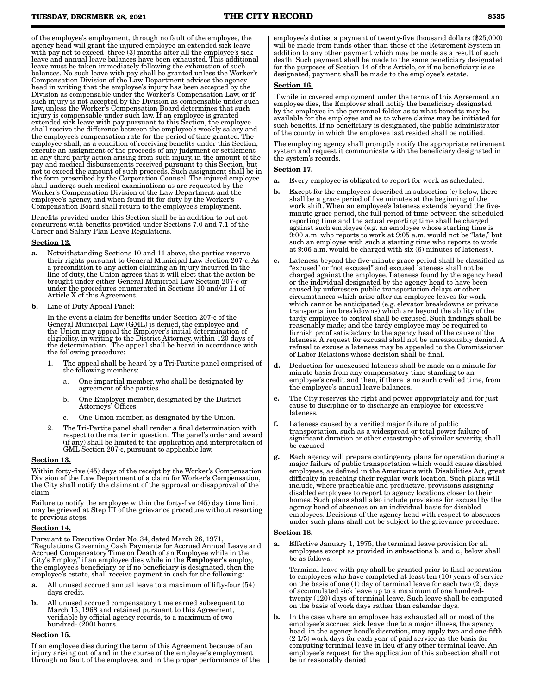of the employee's employment, through no fault of the employee, the agency head will grant the injured employee an extended sick leave with pay not to exceed three (3) months after all the employee's sick leave and annual leave balances have been exhausted. This additional leave must be taken immediately following the exhaustion of such balances. No such leave with pay shall be granted unless the Worker's Compensation Division of the Law Department advises the agency head in writing that the employee's injury has been accepted by the Division as compensable under the Worker's Compensation Law, or if such injury is not accepted by the Division as compensable under such law, unless the Worker's Compensation Board determines that such injury is compensable under such law. If an employee is granted extended sick leave with pay pursuant to this Section, the employee shall receive the difference between the employee's weekly salary and the employee's compensation rate for the period of time granted. The employee shall, as a condition of receiving benefits under this Section, execute an assignment of the proceeds of any judgment or settlement in any third party action arising from such injury, in the amount of the pay and medical disbursements received pursuant to this Section, but not to exceed the amount of such proceeds. Such assignment shall be in the form prescribed by the Corporation Counsel. The injured employee shall undergo such medical examinations as are requested by the Worker's Compensation Division of the Law Department and the employee's agency, and when found fit for duty by the Worker's Compensation Board shall return to the employee's employment.

Benefits provided under this Section shall be in addition to but not concurrent with benefits provided under Sections 7.0 and 7.1 of the Career and Salary Plan Leave Regulations.

### Section 12.

- a. Notwithstanding Sections 10 and 11 above, the parties reserve their rights pursuant to General Municipal Law Section 207-c. As a precondition to any action claiming an injury incurred in the line of duty, the Union agrees that it will elect that the action be brought under either General Municipal Law Section 207-c or under the procedures enumerated in Sections 10 and/or 11 of Article X of this Agreement.
- b. Line of Duty Appeal Panel:

In the event a claim for benefits under Section 207-c of the General Municipal Law (GML) is denied, the employee and the Union may appeal the Employer's initial determination of eligibility, in writing to the District Attorney, within 120 days of the determination. The appeal shall be heard in accordance with the following procedure:

- 1. The appeal shall be heard by a Tri-Partite panel comprised of the following members:
	- a. One impartial member, who shall be designated by agreement of the parties.
	- b. One Employer member, designated by the District Attorneys' Offices.
	- c. One Union member, as designated by the Union.
- 2. The Tri-Partite panel shall render a final determination with respect to the matter in question. The panel's order and award (if any) shall be limited to the application and interpretation of GML Section 207-c, pursuant to applicable law.

### Section 13.

Within forty-five (45) days of the receipt by the Worker's Compensation Division of the Law Department of a claim for Worker's Compensation, the City shall notify the claimant of the approval or disapproval of the claim.

Failure to notify the employee within the forty-five (45) day time limit may be grieved at Step III of the grievance procedure without resorting to previous steps.

### Section 14.

Pursuant to Executive Order No. 34, dated March 26, 1971, "Regulations Governing Cash Payments for Accrued Annual Leave and Accrued Compensatory Time on Death of an Employee while in the City's Employ," if an employee dies while in the **Employer's** employ, the employee's beneficiary or if no beneficiary is designated, then the employee's estate, shall receive payment in cash for the following:

- a. All unused accrued annual leave to a maximum of fifty-four (54) days credit.
- b. All unused accrued compensatory time earned subsequent to March 15, 1968 and retained pursuant to this Agreement, verifiable by official agency records, to a maximum of two hundred- $(200)$  hours.

### Section 15.

If an employee dies during the term of this Agreement because of an injury arising out of and in the course of the employee's employment through no fault of the employee, and in the proper performance of the employee's duties, a payment of twenty-five thousand dollars (\$25,000) will be made from funds other than those of the Retirement System in addition to any other payment which may be made as a result of such death. Such payment shall be made to the same beneficiary designated for the purposes of Section 14 of this Article, or if no beneficiary is so designated, payment shall be made to the employee's estate.

### Section 16.

If while in covered employment under the terms of this Agreement an employee dies, the Employer shall notify the beneficiary designated by the employee in the personnel folder as to what benefits may be available for the employee and as to where claims may be initiated for such benefits. If no beneficiary is designated, the public administrator of the county in which the employee last resided shall be notified.

The employing agency shall promptly notify the appropriate retirement system and request it communicate with the beneficiary designated in the system's records.

### Section 17.

- a. Every employee is obligated to report for work as scheduled.
- **b.** Except for the employees described in subsection (c) below, there shall be a grace period of five minutes at the beginning of the work shift. When an employee's lateness extends beyond the fiveminute grace period, the full period of time between the scheduled reporting time and the actual reporting time shall be charged against such employee (e.g. an employee whose starting time is 9:00 a.m. who reports to work at 9:05 a.m. would not be "late," but such an employee with such a starting time who reports to work at  $9:06$  a.m. would be charged with  $six(6)$  minutes of lateness)
- c. Lateness beyond the five-minute grace period shall be classified as "excused" or "not excused" and excused lateness shall not be charged against the employee. Lateness found by the agency head or the individual designated by the agency head to have been caused by unforeseen public transportation delays or other circumstances which arise after an employee leaves for work which cannot be anticipated (e.g. elevator breakdowns or private transportation breakdowns) which are beyond the ability of the tardy employee to control shall be excused. Such findings shall be reasonably made; and the tardy employee may be required to furnish proof satisfactory to the agency head of the cause of the lateness. A request for excusal shall not be unreasonably denied. A refusal to excuse a lateness may be appealed to the Commissioner of Labor Relations whose decision shall be final.
- d. Deduction for unexcused lateness shall be made on a minute for minute basis from any compensatory time standing to an employee's credit and then, if there is no such credited time, from the employee's annual leave balances.
- e. The City reserves the right and power appropriately and for just cause to discipline or to discharge an employee for excessive lateness.
- f. Lateness caused by a verified major failure of public transportation, such as a widespread or total power failure of significant duration or other catastrophe of similar severity, shall be excused.
- Each agency will prepare contingency plans for operation during a major failure of public transportation which would cause disabled employees, as defined in the Americans with Disabilities Act, great difficulty in reaching their regular work location. Such plans will include, where practicable and productive, provisions assigning disabled employees to report to agency locations closer to their homes. Such plans shall also include provisions for excusal by the agency head of absences on an individual basis for disabled employees. Decisions of the agency head with respect to absences under such plans shall not be subject to the grievance procedure.

### Section 18.

Effective January 1, 1975, the terminal leave provision for all employees except as provided in subsections b, and c., below shall be as follows:

Terminal leave with pay shall be granted prior to final separation to employees who have completed at least ten (10) years of service on the basis of one (1) day of terminal leave for each two (2) days of accumulated sick leave up to a maximum of one hundredtwenty (120) days of terminal leave. Such leave shall be computed on the basis of work days rather than calendar days.

b. In the case where an employee has exhausted all or most of the employee's accrued sick leave due to a major illness, the agency head, in the agency head's discretion, may apply two and one-fifth (2 1/5) work days for each year of paid service as the basis for computing terminal leave in lieu of any other terminal leave. An employee's request for the application of this subsection shall not be unreasonably denied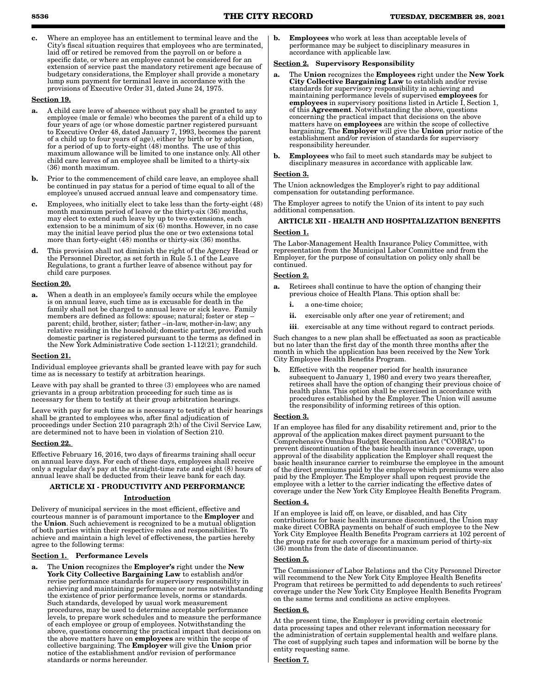c. Where an employee has an entitlement to terminal leave and the City's fiscal situation requires that employees who are terminated, laid off or retired be removed from the payroll on or before a specific date, or where an employee cannot be considered for an extension of service past the mandatory retirement age because of budgetary considerations, the Employer shall provide a monetary lump sum payment for terminal leave in accordance with the provisions of Executive Order 31, dated June 24, 1975.

### Section 19.

- a. A child care leave of absence without pay shall be granted to any employee (male or female) who becomes the parent of a child up to four years of age (or whose domestic partner registered pursuant to Executive Order 48, dated January 7, 1993, becomes the parent of a child up to four years of age), either by birth or by adoption, for a period of up to forty-eight (48) months. The use of this maximum allowance will be limited to one instance only. All other child care leaves of an employee shall be limited to a thirty-six (36) month maximum.
- b. Prior to the commencement of child care leave, an employee shall be continued in pay status for a period of time equal to all of the employee's unused accrued annual leave and compensatory time.
- c. Employees, who initially elect to take less than the forty-eight (48) month maximum period of leave or the thirty-six (36) months, may elect to extend such leave by up to two extensions, each extension to be a minimum of six (6) months. However, in no case may the initial leave period plus the one or two extensions total more than forty-eight (48) months or thirty-six (36) months.
- d. This provision shall not diminish the right of the Agency Head or the Personnel Director, as set forth in Rule 5.1 of the Leave Regulations, to grant a further leave of absence without pay for child care purposes.

### Section 20.

When a death in an employee's family occurs while the employee is on annual leave, such time as is excusable for death in the family shall not be charged to annual leave or sick leave. Family members are defined as follows: spouse; natural; foster or step – parent; child, brother, sister; father –in-law, mother-in-law; any relative residing in the household; domestic partner, provided such domestic partner is registered pursuant to the terms as defined in the New York Administrative Code section 1-112(21); grandchild.

### Section 21.

Individual employee grievants shall be granted leave with pay for such time as is necessary to testify at arbitration hearings.

Leave with pay shall be granted to three (3) employees who are named grievants in a group arbitration proceeding for such time as is necessary for them to testify at their group arbitration hearings.

Leave with pay for such time as is necessary to testify at their hearings shall be granted to employees who, after final adjudication of proceedings under Section 210 paragraph 2(h) of the Civil Service Law, are determined not to have been in violation of Section 210.

### Section 22.

Effective February 16, 2016, two days of firearms training shall occur on annual leave days. For each of these days, employees shall receive only a regular day's pay at the straight-time rate and eight (8) hours of annual leave shall be deducted from their leave bank for each day.

### ARTICLE XI - PRODUCTIVITY AND PERFORMANCE

### Introduction

Delivery of municipal services in the most efficient, effective and courteous manner is of paramount importance to the **Employer** and the Union. Such achievement is recognized to be a mutual obligation of both parties within their respective roles and responsibilities. To achieve and maintain a high level of effectiveness, the parties hereby agree to the following terms:

### Section 1. Performance Levels

a. The Union recognizes the Employer's right under the New York City Collective Bargaining Law to establish and/or revise performance standards for supervisory responsibility in achieving and maintaining performance or norms notwithstanding the existence of prior performance levels, norms or standards. Such standards, developed by usual work measurement procedures, may be used to determine acceptable performance levels, to prepare work schedules and to measure the performance of each employee or group of employees. Notwithstanding the above, questions concerning the practical impact that decisions on the above matters have on **employees** are within the scope of collective bargaining. The Employer will give the Union prior notice of the establishment and/or revision of performance standards or norms hereunder.

b. Employees who work at less than acceptable levels of performance may be subject to disciplinary measures in accordance with applicable law.

### Section 2. Supervisory Responsibility

- a. The Union recognizes the Employees right under the New York City Collective Bargaining Law to establish and/or revise standards for supervisory responsibility in achieving and maintaining performance levels of supervised **employees** for employees in supervisory positions listed in Article I, Section 1, of this Agreement. Notwithstanding the above, questions concerning the practical impact that decisions on the above matters have on employees are within the scope of collective bargaining. The Employer will give the Union prior notice of the establishment and/or revision of standards for supervisory responsibility hereunder.
- **b.** Employees who fail to meet such standards may be subject to disciplinary measures in accordance with applicable law.

### Section 3.

The Union acknowledges the Employer's right to pay additional compensation for outstanding performance.

The Employer agrees to notify the Union of its intent to pay such additional compensation.

### ARTICLE XII - HEALTH AND HOSPITALIZATION BENEFITS Section 1.

The Labor-Management Health Insurance Policy Committee, with representation from the Municipal Labor Committee and from the Employer, for the purpose of consultation on policy only shall be continued.

### Section 2.

- a. Retirees shall continue to have the option of changing their previous choice of Health Plans. This option shall be:
	- i. a one-time choice;
	- ii. exercisable only after one year of retirement; and
	- iii. exercisable at any time without regard to contract periods.

Such changes to a new plan shall be effectuated as soon as practicable but no later than the first day of the month three months after the month in which the application has been received by the New York City Employee Health Benefits Program.

**b.** Effective with the reopener period for health insurance subsequent to January 1, 1980 and every two years thereafter, retirees shall have the option of changing their previous choice of health plans. This option shall be exercised in accordance with procedures established by the Employer. The Union will assume the responsibility of informing retirees of this option.

### Section 3.

If an employee has filed for any disability retirement and, prior to the approval of the application makes direct payment pursuant to the Comprehensive Omnibus Budget Reconciliation Act ("COBRA") to prevent discontinuation of the basic health insurance coverage, upon approval of the disability application the Employer shall request the basic health insurance carrier to reimburse the employee in the amount of the direct premiums paid by the employee which premiums were also paid by the Employer. The Employer shall upon request provide the employee with a letter to the carrier indicating the effective dates of coverage under the New York City Employee Health Benefits Program.

### Section 4.

If an employee is laid off, on leave, or disabled, and has City contributions for basic health insurance discontinued, the Union may make direct COBRA payments on behalf of such employee to the New York City Employee Health Benefits Program carriers at 102 percent of the group rate for such coverage for a maximum period of thirty-six (36) months from the date of discontinuance.

### Section 5.

The Commissioner of Labor Relations and the City Personnel Director will recommend to the New York City Employee Health Benefits Program that retirees be permitted to add dependents to such retirees' coverage under the New York City Employee Health Benefits Program on the same terms and conditions as active employees.

### ection 6.

At the present time, the Employer is providing certain electronic data processing tapes and other relevant information necessary for the administration of certain supplemental health and welfare plans. The cost of supplying such tapes and information will be borne by the entity requesting same.

Section 7.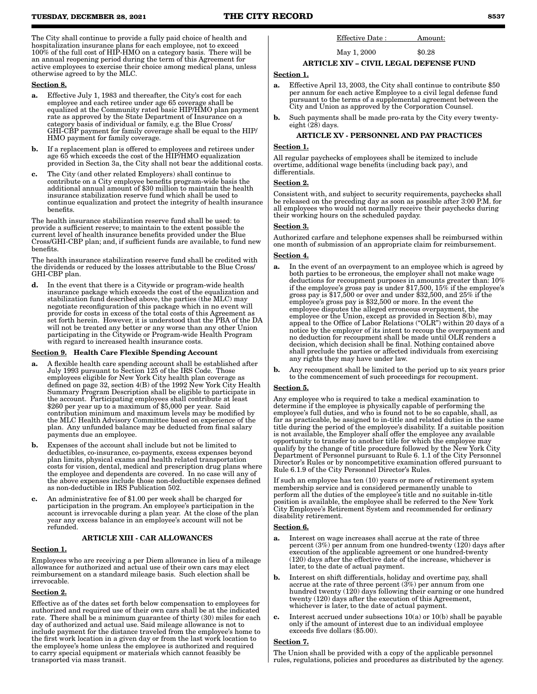The City shall continue to provide a fully paid choice of health and hospitalization insurance plans for each employee, not to exceed 100% of the full cost of HIP-HMO on a category basis. There will be an annual reopening period during the term of this Agreement for active employees to exercise their choice among medical plans, unless otherwise agreed to by the MLC.

### Section 8.

- a. Effective July 1, 1983 and thereafter, the City's cost for each employee and each retiree under age 65 coverage shall be equalized at the Community rated basic HIP/HMO plan payment rate as approved by the State Department of Insurance on a category basis of individual or family, e.g. the Blue Cross/ GHI-CBP payment for family coverage shall be equal to the HIP/ HMO payment for family coverage.
- **b.** If a replacement plan is offered to employees and retirees under age 65 which exceeds the cost of the HIP/HMO equalization provided in Section 3a, the City shall not bear the additional costs.
- c. The City (and other related Employers) shall continue to contribute on a City employee benefits program-wide basis the additional annual amount of \$30 million to maintain the health insurance stabilization reserve fund which shall be used to continue equalization and protect the integrity of health insurance benefits.

The health insurance stabilization reserve fund shall be used: to provide a sufficient reserve; to maintain to the extent possible the current level of health insurance benefits provided under the Blue Cross/GHI-CBP plan; and, if sufficient funds are available, to fund new benefits.

The health insurance stabilization reserve fund shall be credited with the dividends or reduced by the losses attributable to the Blue Cross/ GHI-CBP plan.

d. In the event that there is a Citywide or program-wide health insurance package which exceeds the cost of the equalization and stabilization fund described above, the parties (the MLC) may negotiate reconfiguration of this package which in no event will provide for costs in excess of the total costs of this Agreement as set forth herein. However, it is understood that the PBA of the DA will not be treated any better or any worse than any other Union participating in the Citywide or Program-wide Health Program with regard to increased health insurance costs.

### Section 9. Health Care Flexible Spending Account

- a. A flexible health care spending account shall be established after July 1993 pursuant to Section 125 of the IRS Code. Those employees eligible for New York City health plan coverage as defined on page 32, section 4(B) of the 1992 New York City Health Summary Program Description shall be eligible to participate in the account. Participating employees shall contribute at least \$260 per year up to a maximum of \$5,000 per year. Said contribution minimum and maximum levels may be modified by the MLC Health Advisory Committee based on experience of the plan. Any unfunded balance may be deducted from final salary payments due an employee.
- b. Expenses of the account shall include but not be limited to deductibles, co-insurance, co-payments, excess expenses beyond plan limits, physical exams and health related transportation costs for vision, dental, medical and prescription drug plans where the employee and dependents are covered. In no case will any of the above expenses include those non-deductible expenses defined as non-deductible in IRS Publication 502.
- c. An administrative fee of \$1.00 per week shall be charged for participation in the program. An employee's participation in the account is irrevocable during a plan year. At the close of the plan year any excess balance in an employee's account will not be refunded.

### ARTICLE XIII - CAR ALLOWANCES

### Section 1.

Employees who are receiving a per Diem allowance in lieu of a mileage allowance for authorized and actual use of their own cars may elect reimbursement on a standard mileage basis. Such election shall be irrevocable.

### Section 2.

Effective as of the dates set forth below compensation to employees for authorized and required use of their own cars shall be at the indicated rate. There shall be a minimum guarantee of thirty (30) miles for each day of authorized and actual use. Said mileage allowance is not to include payment for the distance traveled from the employee's home to the first work location in a given day or from the last work location to the employee's home unless the employee is authorized and required to carry special equipment or materials which cannot feasibly be transported via mass transit.

### Effective Date : Amount:

# May 1, 2000 \$0.28

## ARTICLE XIV – CIVIL LEGAL DEFENSE FUND

### Section 1.

- a. Effective April 13, 2003, the City shall continue to contribute \$50 per annum for each active Employee to a civil legal defense fund pursuant to the terms of a supplemental agreement between the City and Union as approved by the Corporation Counsel.
- b. Such payments shall be made pro-rata by the City every twentyeight (28) days.

### ARTICLE XV - PERSONNEL AND PAY PRACTICES

### Section 1.

All regular paychecks of employees shall be itemized to include overtime, additional wage benefits (including back pay), and differentials.

### Section 2.

Consistent with, and subject to security requirements, paychecks shall be released on the preceding day as soon as possible after 3:00 P.M. for all employees who would not normally receive their paychecks during their working hours on the scheduled payday.

### Section 3.

Authorized carfare and telephone expenses shall be reimbursed within one month of submission of an appropriate claim for reimbursement.

### Section 4.

- a. In the event of an overpayment to an employee which is agreed by both parties to be erroneous, the employer shall not make wage deductions for recoupment purposes in amounts greater than: 10% if the employee's gross pay is under \$17,500, 15% if the employee's gross pay is \$17,500 or over and under \$32,500, and 25% if the employee's gross pay is \$32,500 or more. In the event the employee disputes the alleged erroneous overpayment, the employee or the Union, except as provided in Section 8(b), may appeal to the Office of Labor Relations ("OLR") within 20 days of a notice by the employer of its intent to recoup the overpayment and no deduction for recoupment shall be made until OLR renders a decision, which decision shall be final. Nothing contained above shall preclude the parties or affected individuals from exercising any rights they may have under law.
- b. Any recoupment shall be limited to the period up to six years prior to the commencement of such proceedings for recoupment.

### Section 5.

Any employee who is required to take a medical examination to determine if the employee is physically capable of performing the employee's full duties, and who is found not to be so capable, shall, as far as practicable, be assigned to in-title and related duties in the same title during the period of the employee's disability. If a suitable position is not available, the Employer shall offer the employee any available opportunity to transfer to another title for which the employee may qualify by the change of title procedure followed by the New York City Department of Personnel pursuant to Rule 6. 1.1 of the City Personnel Director's Rules or by noncompetitive examination offered pursuant to Rule 6.1.9 of the City Personnel Director's Rules.

If such an employee has ten (10) years or more of retirement system membership service and is considered permanently unable to perform all the duties of the employee's title and no suitable in-title position is available, the employee shall be referred to the New York City Employee's Retirement System and recommended for ordinary disability retirement.

### Section 6.

- a. Interest on wage increases shall accrue at the rate of three percent (3%) per annum from one hundred-twenty (120) days after execution of the applicable agreement or one hundred-twenty (120) days after the effective date of the increase, whichever is later, to the date of actual payment.
- b. Interest on shift differentials, holiday and overtime pay, shall accrue at the rate of three percent (3%) per annum from one hundred twenty (120) days following their earning or one hundred twenty (120) days after the execution of this Agreement, whichever is later, to the date of actual payment.
- Interest accrued under subsections  $10(a)$  or  $10(b)$  shall be payable only if the amount of interest due to an individual employee exceeds five dollars (\$5.00).

### Section 7.

The Union shall be provided with a copy of the applicable personnel rules, regulations, policies and procedures as distributed by the agency.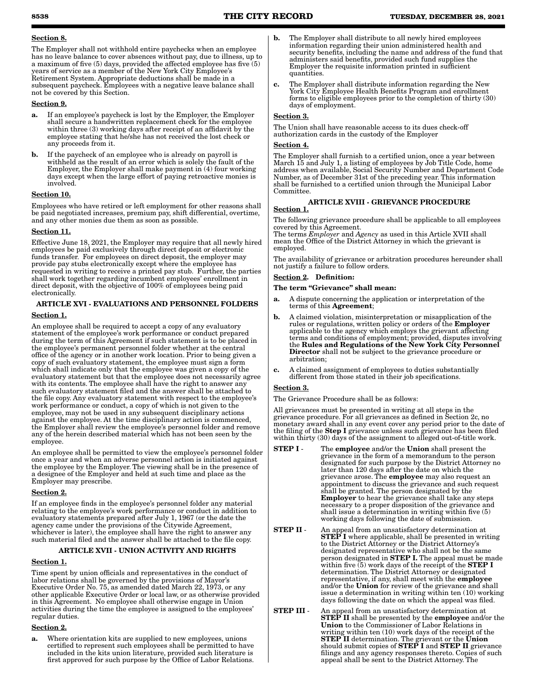### Section 8.

The Employer shall not withhold entire paychecks when an employee has no leave balance to cover absences without pay, due to illness, up to a maximum of five (5) days, provided the affected employee has five (5) years of service as a member of the New York City Employee's Retirement System. Appropriate deductions shall be made in a subsequent paycheck. Employees with a negative leave balance shall not be covered by this Section.

### Section 9.

- a. If an employee's paycheck is lost by the Employer, the Employer shall secure a handwritten replacement check for the employee within three (3) working days after receipt of an affidavit by the employee stating that he/she has not received the lost check or any proceeds from it.
- If the paycheck of an employee who is already on payroll is withheld as the result of an error which is solely the fault of the Employer, the Employer shall make payment in (4) four working days except when the large effort of paying retroactive monies is involved.

### Section 10.

Employees who have retired or left employment for other reasons shall be paid negotiated increases, premium pay, shift differential, overtime, and any other monies due them as soon as possible.

### Section 11.

Effective June 18, 2021, the Employer may require that all newly hired employees be paid exclusively through direct deposit or electronic funds transfer. For employees on direct deposit, the employer may provide pay stubs electronically except where the employee has requested in writing to receive a printed pay stub. Further, the parties shall work together regarding incumbent employees' enrollment in direct deposit, with the objective of 100% of employees being paid electronically.

### ARTICLE XVI - EVALUATIONS AND PERSONNEL FOLDERS

### Section 1.

An employee shall be required to accept a copy of any evaluatory statement of the employee's work performance or conduct prepared during the term of this Agreement if such statement is to be placed in the employee's permanent personnel folder whether at the central office of the agency or in another work location. Prior to being given a copy of such evaluatory statement, the employee must sign a form which shall indicate only that the employee was given a copy of the evaluatory statement but that the employee does not necessarily agree with its contents. The employee shall have the right to answer any such evaluatory statement filed and the answer shall be attached to the file copy. Any evaluatory statement with respect to the employee's work performance or conduct, a copy of which is not given to the employee, may not be used in any subsequent disciplinary actions against the employee. At the time disciplinary action is commenced, the Employer shall review the employee's personnel folder and remove any of the herein described material which has not been seen by the employee.

An employee shall be permitted to view the employee's personnel folder once a year and when an adverse personnel action is initiated against the employee by the Employer. The viewing shall be in the presence of a designee of the Employer and held at such time and place as the Employer may prescribe.

### Section 2.

If an employee finds in the employee's personnel folder any material relating to the employee's work performance or conduct in addition to evaluatory statements prepared after July 1, 1967 (or the date the agency came under the provisions of the Citywide Agreement, whichever is later), the employee shall have the right to answer any such material filed and the answer shall be attached to the file copy.

### ARTICLE XVII - UNION ACTIVITY AND RIGHTS

### Section 1.

Time spent by union officials and representatives in the conduct of labor relations shall be governed by the provisions of Mayor's Executive Order No. 75, as amended dated March 22, 1973, or any other applicable Executive Order or local law, or as otherwise provided in this Agreement. No employee shall otherwise engage in Union activities during the time the employee is assigned to the employees' regular duties.

### Section 2.

a. Where orientation kits are supplied to new employees, unions certified to represent such employees shall be permitted to have included in the kits union literature, provided such literature is first approved for such purpose by the Office of Labor Relations.

- **b.** The Employer shall distribute to all newly hired employees information regarding their union administered health and security benefits, including the name and address of the fund that administers said benefits, provided such fund supplies the Employer the requisite information printed in sufficient quantities.
- c. The Employer shall distribute information regarding the New York City Employee Health Benefits Program and enrollment forms to eligible employees prior to the completion of thirty (30) days of employment.

### Section 3.

The Union shall have reasonable access to its dues check-off authorization cards in the custody of the Employer

### Section 4.

The Employer shall furnish to a certified union, once a year between March 15 and July 1, a listing of employees by Job Title Code, home address when available, Social Security Number and Department Code Number, as of December 31st of the preceding year. This information shall be furnished to a certified union through the Municipal Labor Committee.

### ARTICLE XVIII - GRIEVANCE PROCEDURE Section 1.

The following grievance procedure shall be applicable to all employees covered by this Agreement.

The terms *Employer* and *Agency* as used in this Article XVII shall mean the Office of the District Attorney in which the grievant is employed.

The availability of grievance or arbitration procedures hereunder shall not justify a failure to follow orders.

### Section 2. Definition:

### The term "Grievance" shall mean:

- a. A dispute concerning the application or interpretation of the terms of this Agreement;
- b. A claimed violation, misinterpretation or misapplication of the rules or regulations, written policy or orders of the **Employer** applicable to the agency which employs the grievant affecting terms and conditions of employment; provided, disputes involving the Rules and Regulations of the New York City Personnel Director shall not be subject to the grievance procedure or arbitration;
- c. A claimed assignment of employees to duties substantially different from those stated in their job specifications.

### Section 3.

The Grievance Procedure shall be as follows:

All grievances must be presented in writing at all steps in the grievance procedure. For all grievances as defined in Section 2c, no monetary award shall in any event cover any period prior to the date of the filing of the Step I grievance unless such grievance has been filed within thirty (30) days of the assignment to alleged out-of-title work.

- STEP I The employee and/or the Union shall present the grievance in the form of a memorandum to the person designated for such purpose by the District Attorney no later than 120 days after the date on which the<br>grievance arose. The **employee** may also request an appointment to discuss the grievance and such request shall be granted. The person designated by the<br>**Employer** to hear the grievance shall take any steps necessary to a proper disposition of the grievance and shall issue a determination in writing within five (5) working days following the date of submission.
- STEP II An appeal from an unsatisfactory determination at **STEP I** where applicable, shall be presented in writing to the District Attorney or the District Attorney's designated representative who shall not be the same<br>person designated in **STEP I.** The appeal must be made within five (5) work days of the receipt of the  ${\rm STEP}$  I determination. The District Attorney or designated representative, if any, shall meet with the **employee** and/or the Union for review of the grievance and shall issue a determination in writing within ten (10) working days following the date on which the appeal was filed.
- **STEP III** An appeal from an unsatisfactory determination at STEP II shall be presented by the employee and/or the Union to the Commissioner of Labor Relations in writing within ten (10) work days of the receipt of the **STEP II** determination. The grievant or the **Union** should submit copies of **STEP I** and **STEP II** grievance filings and any agency responses thereto. Copies of such appeal shall be sent to the District Attorney. The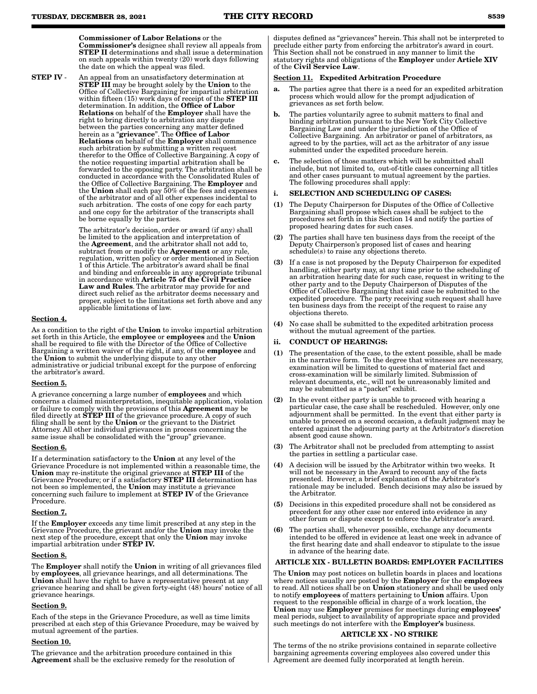Commissioner of Labor Relations or the Commissioner's designee shall review all appeals from STEP II determinations and shall issue a determination on such appeals within twenty (20) work days following the date on which the appeal was filed.

**STEP IV** - An appeal from an unsatisfactory determination at **STEP III** may be brought solely by the **Union** to the Office of Collective Bargaining for impartial arbitration within fifteen (15) work days of receipt of the **STEP III** determination. In addition, the Office of Labor Relations on behalf of the Employer shall have the right to bring directly to arbitration any dispute between the parties concerning any matter defined herein as a "grievance". The Office of Labor Relations on behalf of the Employer shall commence such arbitration by submitting a written request therefor to the Office of Collective Bargaining. A copy of the notice requesting impartial arbitration shall be forwarded to the opposing party. The arbitration shall be conducted in accordance with the Consolidated Rules of the Office of Collective Bargaining. The **Employer** and the Union shall each pay 50% of the fees and expenses of the arbitrator and of all other expenses incidental to such arbitration. The costs of one copy for each party and one copy for the arbitrator of the transcripts shall be borne equally by the parties.

> The arbitrator's decision, order or award (if any) shall be limited to the application and interpretation of the Agreement, and the arbitrator shall not add to, subtract from or modify the **Agreement** or any rule, regulation, written policy or order mentioned in Section 1 of this Article. The arbitrator's award shall be final and binding and enforceable in any appropriate tribunal in accordance with Article 75 of the Civil Practice Law and Rules. The arbitrator may provide for and direct such relief as the arbitrator deems necessary and proper, subject to the limitations set forth above and any applicable limitations of law.

### Section 4.

As a condition to the right of the Union to invoke impartial arbitration set forth in this Article, the employee or employees and the Union shall be required to file with the Director of the Office of Collective Bargaining a written waiver of the right, if any, of the **employee** and the Union to submit the underlying dispute to any other administrative or judicial tribunal except for the purpose of enforcing the arbitrator's award.

### Section 5.

A grievance concerning a large number of employees and which concerns a claimed misinterpretation, inequitable application, violation or failure to comply with the provisions of this Agreement may be filed directly at **STEP III** of the grievance procedure. A copy of such filing shall be sent by the Union or the grievant to the District Attorney. All other individual grievances in process concerning the same issue shall be consolidated with the "group" grievance.

### Section 6.

If a determination satisfactory to the Union at any level of the Grievance Procedure is not implemented within a reasonable time, the Union may re-institute the original grievance at STEP III of the Grievance Procedure; or if a satisfactory STEP III determination has not been so implemented, the Union may institute a grievance concerning such failure to implement at STEP IV of the Grievance Procedure.

#### Section 7.

If the Employer exceeds any time limit prescribed at any step in the Grievance Procedure, the grievant and/or the **Union** may invoke the next step of the procedure, except that only the Union may invoke impartial arbitration under STEP IV.

#### Section 8.

The Employer shall notify the Union in writing of all grievances filed by **employees**, all grievance hearings, and all determinations. The Union shall have the right to have a representative present at any grievance hearing and shall be given forty-eight (48) hours' notice of all grievance hearings.

### Section 9.

Each of the steps in the Grievance Procedure, as well as time limits prescribed at each step of this Grievance Procedure, may be waived by mutual agreement of the parties.

### Section 10.

The grievance and the arbitration procedure contained in this Agreement shall be the exclusive remedy for the resolution of disputes defined as "grievances" herein. This shall not be interpreted to preclude either party from enforcing the arbitrator's award in court. This Section shall not be construed in any manner to limit the statutory rights and obligations of the Employer under Article XIV of the Civil Service Law.

#### ection 11. Expedited Arbitration Procedure

- a. The parties agree that there is a need for an expedited arbitration process which would allow for the prompt adjudication of grievances as set forth below.
- b. The parties voluntarily agree to submit matters to final and binding arbitration pursuant to the New York City Collective Bargaining Law and under the jurisdiction of the Office of Collective Bargaining. An arbitrator or panel of arbitrators, as agreed to by the parties, will act as the arbitrator of any issue submitted under the expedited procedure herein.
- The selection of those matters which will be submitted shall include, but not limited to, out-of-title cases concerning all titles and other cases pursuant to mutual agreement by the parties. The following procedures shall apply:

#### SELECTION AND SCHEDULING OF CASES:

- (1) The Deputy Chairperson for Disputes of the Office of Collective Bargaining shall propose which cases shall be subject to the procedures set forth in this Section 14 and notify the parties of proposed hearing dates for such cases.
- (2) The parties shall have ten business days from the receipt of the Deputy Chairperson's proposed list of cases and hearing schedule(s) to raise any objections thereto.
- (3) If a case is not proposed by the Deputy Chairperson for expedited handling, either party may, at any time prior to the scheduling of an arbitration hearing date for such case, request in writing to the other party and to the Deputy Chairperson of Disputes of the Office of Collective Bargaining that said case be submitted to the expedited procedure. The party receiving such request shall have ten business days from the receipt of the request to raise any objections thereto.
- (4) No case shall be submitted to the expedited arbitration process without the mutual agreement of the parties.

### ii. CONDUCT OF HEARINGS:

- (1) The presentation of the case, to the extent possible, shall be made in the narrative form. To the degree that witnesses are necessary, examination will be limited to questions of material fact and cross-examination will be similarly limited. Submission of relevant documents, etc., will not be unreasonably limited and may be submitted as a "packet" exhibit.
- (2) In the event either party is unable to proceed with hearing a particular case, the case shall be rescheduled. However, only one adjournment shall be permitted. In the event that either party is unable to proceed on a second occasion, a default judgment may be entered against the adjourning party at the Arbitrator's discretion absent good cause shown.
- (3) The Arbitrator shall not be precluded from attempting to assist the parties in settling a particular case.
- (4) A decision will be issued by the Arbitrator within two weeks. It will not be necessary in the Award to recount any of the facts presented. However, a brief explanation of the Arbitrator's rationale may be included. Bench decisions may also be issued by the Arbitrator.
- (5) Decisions in this expedited procedure shall not be considered as precedent for any other case nor entered into evidence in any other forum or dispute except to enforce the Arbitrator's award.
- (6) The parties shall, whenever possible, exchange any documents intended to be offered in evidence at least one week in advance of the first hearing date and shall endeavor to stipulate to the issue in advance of the hearing date.

### ARTICLE XIX - BULLETIN BOARDS: EMPLOYER FACILITIES

The Union may post notices on bulletin boards in places and locations where notices usually are posted by the **Employer** for the **employees** to read. All notices shall be on Union stationery and shall be used only to notify employees of matters pertaining to Union affairs. Upon request to the responsible official in charge of a work location, the Union may use **Employer** premises for meetings during **employees'** meal periods, subject to availability of appropriate space and provided such meetings do not interfere with the **Employer's** business.

#### ARTICLE XX - NO STRIKE

The terms of the no strike provisions contained in separate collective bargaining agreements covering employees also covered under this Agreement are deemed fully incorporated at length herein.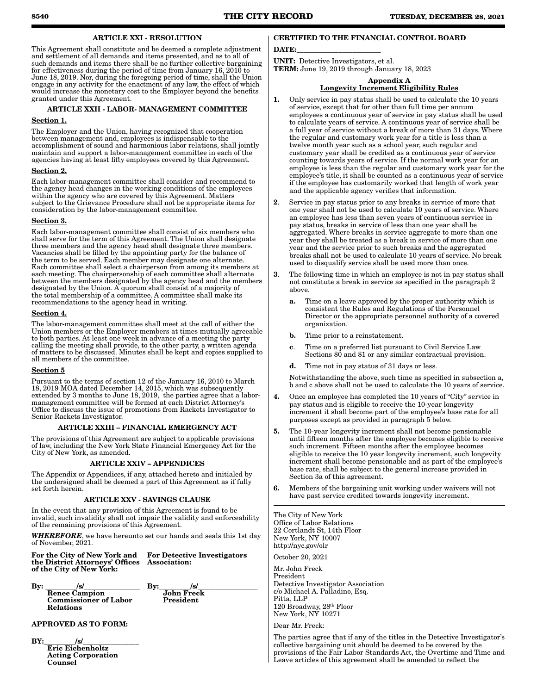ARTICLE XXI - RESOLUTION

This Agreement shall constitute and be deemed a complete adjustment and settlement of all demands and items presented, and as to all of such demands and items there shall be no further collective bargaining for effectiveness during the period of time from January 16, 2010 to June 18, 2019. Nor, during the foregoing period of time, shall the Union engage in any activity for the enactment of any law, the effect of which would increase the monetary cost to the Employer beyond the benefits granted under this Agreement.

#### ARTICLE XXII - LABOR- MANAGEMENT COMMITTEE

#### Section 1.

The Employer and the Union, having recognized that cooperation between management and, employees is indispensable to the accomplishment of sound and harmonious labor relations, shall jointly maintain and support a labor-management committee in each of the agencies having at least fifty employees covered by this Agreement.

#### Section 2.

Each labor-management committee shall consider and recommend to the agency head changes in the working conditions of the employees within the agency who are covered by this Agreement. Matters subject to the Grievance Procedure shall not be appropriate items for consideration by the labor-management committee.

#### Section 3.

Each labor-management committee shall consist of six members who shall serve for the term of this Agreement. The Union shall designate three members and the agency head shall designate three members. Vacancies shall be filled by the appointing party for the balance of the term to be served. Each member may designate one alternate. Each committee shall select a chairperson from among its members at each meeting. The chairpersonship of each committee shall alternate between the members designated by the agency head and the members designated by the Union. A quorum shall consist of a majority of the total membership of a committee. A committee shall make its recommendations to the agency head in writing.

#### Section 4.

The labor-management committee shall meet at the call of either the Union members or the Employer members at times mutually agreeable to both parties. At least one week in advance of a meeting the party calling the meeting shall provide, to the other party, a written agenda of matters to be discussed. Minutes shall be kept and copies supplied to all members of the committee.

#### Section 5

Pursuant to the terms of section 12 of the January 16, 2010 to March 18, 2019 MOA dated December 14, 2015, which was subsequently extended by 3 months to June 18, 2019, the parties agree that a labormanagement committee will be formed at each District Attorney's Office to discuss the issue of promotions from Rackets Investigator to Senior Rackets Investigator.

### ARTICLE XXIII – FINANCIAL EMERGENCY ACT

The provisions of this Agreement are subject to applicable provisions of law, including the New York State Financial Emergency Act for the City of New York, as amended.

#### ARTICLE XXIV – APPENDICES

The Appendix or Appendices, if any, attached hereto and initialed by the undersigned shall be deemed a part of this Agreement as if fully set forth herein.

### ARTICLE XXV - SAVINGS CLAUSE

In the event that any provision of this Agreement is found to be invalid, such invalidity shall not impair the validity and enforceability of the remaining provisions of this Agreement.

*WHEREFORE*, we have hereunto set our hands and seals this 1st day of November, 2021.

For the City of New York and the District Attorneys' Offices of the City of New York:

For Detective Investigators Association:

 $\text{By:}\_\_\_\text{s}$ Renee Campion Commissioner of Labor Relations

 $By:$   $|s|$ John Freck President

### APPROVED AS TO FORM:

BY:\_\_\_\_\_\_\_\_\_/s/\_\_\_\_\_\_\_\_\_\_\_\_\_\_\_\_ Eric Eichenholtz Acting Corporation Counsel

### CERTIFIED TO THE FINANCIAL CONTROL BOARD

### DATE:

UNIT: Detective Investigators, et al. TERM: June 19, 2019 through January 18, 2023

Appendix A

#### Longevity Increment Eligibility Rules

- 1. Only service in pay status shall be used to calculate the 10 years of service, except that for other than full time per annum employees a continuous year of service in pay status shall be used to calculate years of service. A continuous year of service shall be a full year of service without a break of more than 31 days. Where the regular and customary work year for a title is less than a twelve month year such as a school year, such regular and customary year shall be credited as a continuous year of service counting towards years of service. If the normal work year for an employee is less than the regular and customary work year for the employee's title, it shall be counted as a continuous year of service if the employee has customarily worked that length of work year and the applicable agency verifies that information.
- 2. Service in pay status prior to any breaks in service of more that one year shall not be used to calculate 10 years of service. Where an employee has less than seven years of continuous service in pay status, breaks in service of less than one year shall be aggregated. Where breaks in service aggregate to more than one year they shall be treated as a break in service of more than one year and the service prior to such breaks and the aggregated breaks shall not be used to calculate 10 years of service. No break used to disqualify service shall be used more than once.
- 3. The following time in which an employee is not in pay status shall not constitute a break in service as specified in the paragraph 2 above.
	- a. Time on a leave approved by the proper authority which is consistent the Rules and Regulations of the Personnel Director or the appropriate personnel authority of a covered organization.
	- b. Time prior to a reinstatement.
	- c. Time on a preferred list pursuant to Civil Service Law Sections  $80$  and  $81$  or any similar contractual provision.
	- d. Time not in pay status of 31 days or less.

Notwithstanding the above, such time as specified in subsection a, b and c above shall not be used to calculate the 10 years of service.

- 4. Once an employee has completed the 10 years of "City" service in pay status and is eligible to receive the 10-year longevity increment it shall become part of the employee's base rate for all purposes except as provided in paragraph 5 below.
- 5. The 10-year longevity increment shall not become pensionable until fifteen months after the employee becomes eligible to receive such increment. Fifteen months after the employee becomes eligible to receive the 10 year longevity increment, such longevity increment shall become pensionable and as part of the employee's base rate, shall be subject to the general increase provided in Section 3a of this agreement.
- 6. Members of the bargaining unit working under waivers will not have past service credited towards longevity increment.

The City of New York Office of Labor Relations 22 Cortlandt St, 14th Floor New York, NY 10007 http://nyc.gov/olr

October 20, 2021

Mr. John Freck President Detective Investigator Association c/o Michael A. Palladino, Esq. Pitta, LLP 120 Broadway, 28th Floor New York, NY 10271

Dear Mr. Freck:

The parties agree that if any of the titles in the Detective Investigator's collective bargaining unit should be deemed to be covered by the provisions of the Fair Labor Standards Act, the Overtime and Time and Leave articles of this agreement shall be amended to reflect the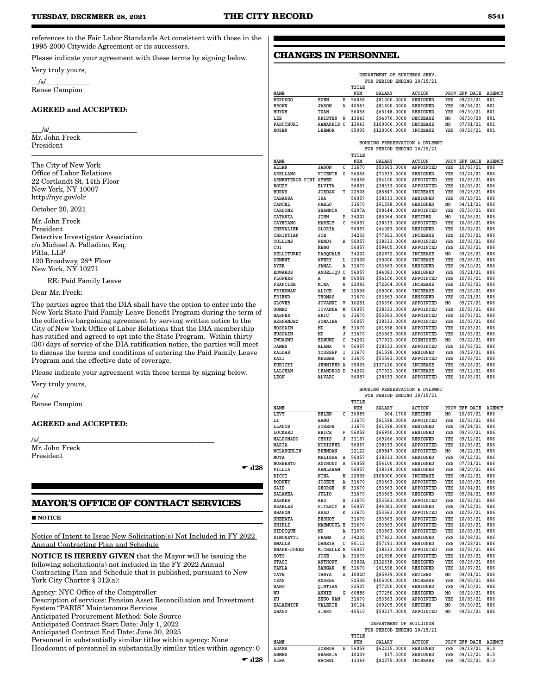**CHANGES IN PERSONNEL**

references to the Fair Labor Standards Act consistent with those in the 1995-2000 Citywide Agreement or its successors.

Please indicate your agreement with these terms by signing below.

Very truly yours,

 $/\mathrm{s}/$ Renee Campion

### AGREED and ACCEPTED:

 $\angle$ s/ $\angle$ Mr. John Freck President

The City of New York Office of Labor Relations 22 Cortlandt St, 14th Floor New York, NY 10007 http://nyc.gov/olr

October 20, 2021

Mr. John Freck President Detective Investigator Association c/o Michael A. Palladino, Esq. Pitta, LLP 120 Broadway, 28th Floor New York, NY 10271

RE: Paid Family Leave

Dear Mr. Freck:

The parties agree that the DIA shall have the option to enter into the New York State Paid Family Leave Benefit Program during the term of the collective bargaining agreement by serving written notice to the City of New York Office of Labor Relations that the DIA membership has ratified and agreed to opt into the State Program. Within thirty (30) days of service of the DIA ratification notice, the parties will meet to discuss the terms and conditions of entering the Paid Family Leave Program and the effective date of coverage.

Please indicate your agreement with these terms by signing below.

Very truly yours,

/s/ Renee Campion

### AGREED and ACCEPTED:

/s/\_\_\_\_\_\_\_\_\_\_\_\_\_\_\_\_\_\_\_\_\_\_\_\_\_\_\_\_\_\_\_\_\_\_\_\_\_\_\_\_\_\_\_\_\_\_\_\_\_\_

Mr. John Freck President

 $\bullet$  d28

### **MAYOR'S OFFICE OF CONTRACT SERVICES**

**NOTICE** 

Notice of Intent to Issue New Solicitation(s) Not Included in FY 2022 Annual Contracting Plan and Schedule

NOTICE IS HEREBY GIVEN that the Mayor will be issuing the following solicitation(s) not included in the FY 2022 Annual Contracting Plan and Schedule that is published, pursuant to New York City Charter § 312(a):

Agency: NYC Office of the Comptroller Description of services: Pension Asset Reconciliation and Investment System "PARIS" Maintenance Services Anticipated Procurement Method: Sole Source Anticipated Contract Start Date: July 1, 2022 Anticipated Contract End Date: June 30, 2025 Personnel in substantially similar titles within agency: None Headcount of personnel in substantially similar titles within agency: 0

|  | $\bullet$ |
|--|-----------|

|                          |                                   |        |                | DEPARTMENT OF BUSINESS SERV.<br>FOR PERIOD ENDING 10/15/21   |                              |                |                      |               |
|--------------------------|-----------------------------------|--------|----------------|--------------------------------------------------------------|------------------------------|----------------|----------------------|---------------|
| <b>NAME</b>              |                                   |        | TITLE<br>NUM   | <b>SALARY</b>                                                | <b>ACTION</b>                |                | PROV EFF DATE        | AGENCY        |
| <b>BERDUGO</b>           | <b>EDEN</b>                       | Е      | 56058          | \$81000.0000                                                 | <b>RESIGNED</b>              | YES            | 09/29/21             | 801           |
| <b>BROWN</b>             | <b>JASON</b>                      | Α      | 40563          | \$81600.0000                                                 | RESIGNED                     | YES            | 08/04/21             | 801           |
| HUYNH                    | TUAN                              |        | 56058          | \$65148.0000                                                 | RESIGNED                     | YES            | 09/30/21             | 801           |
| LEE                      | KRISTEN                           | W      | 13643          | \$94070.0000                                                 | <b>DECREASE</b>              | N <sub>O</sub> | 06/30/20             | 801           |
| <b>PARUCHURI</b>         | <b>RAMAKRIS C</b>                 |        | 13643          | \$100000.0000                                                | <b>DECREASE</b>              | NO.            | 07/01/21             | 801           |
| ROZEN                    | <b>LEEMOR</b>                     |        | 95005          | \$120000.0000                                                | INCREASE                     | YES            | 09/26/21             | 801           |
|                          |                                   |        | TITLE          | HOUSING PRESERVATION & DVLPMNT<br>FOR PERIOD ENDING 10/15/21 |                              |                |                      |               |
| NAME                     |                                   |        | NUM            | <b>SALARY</b>                                                | <b>ACTION</b>                |                | PROV EFF DATE        | AGENCY        |
| ALLEN                    | <b>JASON</b>                      | с      | 31670          | \$53563.0000                                                 | APPOINTED                    | YES            | 10/03/21             | 806           |
| <b>ARELLANO</b>          | VICENTE                           | ٥      | 56058          | \$73933.0000                                                 | <b>RESIGNED</b>              | YES            | 03/24/21             | 806           |
| ARMENTEROS PINI AYMEE    |                                   |        | 56058<br>56057 | \$54100.0000<br>\$38333.0000                                 | APPOINTED                    | YES            | 10/03/21             | 806           |
| BOUZY<br><b>BURNS</b>    | <b>ELVITA</b><br><b>JORDAN</b>    | т      | 22508          | \$85847.0000                                                 | APPOINTED<br><b>INCREASE</b> | YES<br>YES     | 10/03/21<br>09/26/21 | 806<br>806    |
| CABASSA                  | ISA                               |        | 56057          | \$38333.0000                                                 | RESIGNED                     | YES            | 09/15/21             | 806           |
| CANCEL                   | PABLO                             |        | 31670          | \$61598.0000                                                 | RESIGNED                     | NO             | 04/11/21             | 806           |
| CARDONE                  | <b>SHANNON</b>                    |        | 8297A          | \$98144.0000                                                 | APPOINTED                    | YES            | 05/30/21             | 806           |
| CATANIA                  | JOHN                              | P      | 34202          | \$85064.0000                                                 | RETIRED                      | N <sub>O</sub> | 10/06/21             | 806           |
| CAYETANO                 | MARELY                            | C      | 56057          | \$38333.0000                                                 | APPOINTED                    | YES            | 10/03/21             | 806           |
| CHEVALIER                | GLORIA                            |        | 56057          | \$44083.0000                                                 | RESIGNED                     | YES            | 10/02/21             | 806           |
| CHRISTIAN<br>COLLINS     | JOE<br>WENDY                      | R      | 34202<br>56057 | \$77921.0000<br>\$38333.0000                                 | <b>INCREASE</b><br>APPOINTED | YES<br>YES     | 10/03/21             | 806<br>806    |
| CUI                      | MENG                              |        | 56057          | \$59405.0000                                                 | APPOINTED                    | YES            | 10/03/21<br>10/03/21 | 806           |
| DELLITURRI               | PASQUALE                          |        | 34202          | \$82872.0000                                                 | INCREASE                     | NO             | 09/26/21             | 806           |
| DEMENT                   | AVERY                             | L      | 22508          | \$90000.0000                                                 | INCREASE                     | <b>YES</b>     | 09/06/21             | 806           |
| DYER                     | JAMAL                             | Α      | 31670          | \$53563.0000                                                 | RESIGNED                     | YES            | 06/10/21             | 806           |
| <b>EDWARDS</b>           | ANGELIQU C                        |        | 56057          | \$44083.0000                                                 | RESIGNED                     | YES            | 05/21/21             | 806           |
| <b>FLOWERS</b>           | А                                 | M      | 56058          | \$54100.0000                                                 | <b>APPOINTED</b>             | YES            | 10/03/21             | 806           |
| <b>FRANCISE</b>          | MINA                              | W      | 22092          | \$72204.0000                                                 | <b>INCREASE</b>              | YES            | 10/03/21             | 806           |
| FRIEDMAN                 | ALICE                             | M      | 22508          | \$90000.0000                                                 | INCREASE                     | YES            | 09/26/21             | 806           |
| FRIEND<br><b>GLOVER</b>  | THOMAS<br><b>JOVANNI</b>          | v      | 31670<br>10251 | \$53563.0000<br>\$36390.0000                                 | RESIGNED<br>APPOINTED        | YES<br>NO.     | 02/21/21<br>09/27/21 | 806<br>806    |
| <b>GOMEZ</b>             | <b>IOVANNA</b>                    | Μ      | 56057          | \$38333.0000                                                 | APPOINTED                    | YES            | 10/03/21             | 806           |
| HARPER                   | ERIC                              | G      | 31670          | \$53563.0000                                                 | <b>APPOINTED</b>             | YES            | 10/03/21             | 806           |
| <b>HERNANDEZ</b>         | <b>JOMAIRA</b>                    |        | 56057          | \$38333.0000                                                 | APPOINTED                    | YES            | 10/03/21             | 806           |
| HOSSAIN                  | MD                                | M      | 31670          | \$61598.0000                                                 | APPOINTED                    | YES            | 10/03/21             | 806           |
| <b>HUSSAIN</b>           | MD                                | J      | 31670          | \$53563.0000                                                 | APPOINTED                    | YES            | 10/03/21             | 806           |
| IWUAGWU                  | EDMUND                            | с      | 34202          | \$77921.0000                                                 | DISMISSED                    | NO.            | 09/22/21             | 806           |
| JAMES<br>KALDAS          | ALANA<br>YOUSSEF                  | v<br>I | 56057<br>31670 | \$38333.0000<br>\$61598.0000                                 | APPOINTED<br>RESIGNED        | YES<br>YES     | 10/03/21<br>09/19/21 | 806<br>806    |
| KAZI                     | MEZBHA                            | U      | 31670          | \$53563.0000                                                 | APPOINTED                    | YES            | 10/03/21             | 806           |
| KUBICKI                  | <b>JENNIFER A</b>                 |        | 95005          | \$137410.0000                                                | INCREASE                     | YES            | 09/26/21             | 806           |
| LALCHAN                  | LEANDROS D                        |        | 34202          | \$77921.0000                                                 | <b>INCREASE</b>              | YES            | 09/12/21             | 806           |
| LEON                     | <b>ALVARO</b>                     |        | 56057          | \$38333.0000                                                 | <b>APPOINTED</b>             | YES            | 10/03/21             | 806           |
|                          |                                   |        |                | HOUSING PRESERVATION & DVLPMNT<br>FOR PERIOD ENDING 10/15/21 |                              |                |                      |               |
| NAME                     |                                   |        | TITLE<br>NUM   | <b>SALARY</b>                                                | <b>ACTION</b>                |                | PROV EFF DATE        | <b>AGENCY</b> |
| LEVY                     | HELEN                             | с      | 30085          | \$64.1700                                                    | RETIRED                      | NO             | 10/07/21             | 806           |
| LI                       | HANG                              |        | 31670          | \$61598.0000                                                 | APPOINTED                    | <b>YES</b>     | 10/03/21             | 806           |
| LLANOS                   | <b>JOSEPH</b>                     |        | 31670          | \$61598.0000                                                 | <b>RESIGNED</b>              | YES            | 09/24/21             | 806           |
| LOCKARD                  | BRICE                             | F      | 56058          | \$66950.0000                                                 | RESIGNED                     | YES            | 09/30/21             | 806           |
| <b>MALDONADO</b>         | CHRIS                             | J      | 31167          | \$69266.0000                                                 | RESIGNED                     | YES            | 09/12/21             | 806           |
| MARIA<br>MCLAUGHLIN      | <b>NORISFER</b><br><b>BRENDAN</b> |        | 56057<br>22122 | \$38333.0000<br>\$89847.0000                                 | APPOINTED<br>APPOINTED       | YES<br>NO      | 10/03/21<br>08/22/21 | 806<br>806    |
| MOTA                     | <b>MELISSA</b>                    | Α      | 56057          | \$38333.0000                                                 | <b>RESIGNED</b>              | YES            | 09/12/21             | 806           |
| NORBERTO                 | ANTHONY                           | A      | 56058          | \$54100.0000                                                 | RESIGNED                     | YES            | 07/31/21             | 806           |
| PILLIA                   | KAMLARAM                          |        | 56057          | \$38334.0000 RESIGNED                                        |                              | YES            | 08/20/21             | 806           |
| RICCI                    | NINA                              | M      | 22508          | \$105000.0000                                                | <b>INCREASE</b>              | YES            | 08/22/21             | 806           |
| RODNEY                   | <b>JOSEPH</b>                     | A      | 31670          | \$53563.0000 APPOINTED                                       |                              | YES            | 10/03/21             | 806           |
| SAID                     | GEORGE                            | N      | 31670          | \$53563.0000 APPOINTED                                       |                              | YES            | 10/04/21             | 806           |
| SALAMEA<br><b>SARKER</b> | JULIO<br>ABU                      | s      | 31670          | \$53563.0000 RESIGNED<br>\$53563.0000 APPOINTED              |                              | YES<br>YES     | 09/04/21<br>10/03/21 | 806<br>806    |
| <b>SEARLES</b>           | FITZROY                           | R      | 31670<br>56057 | \$44083.0000 RESIGNED                                        |                              | YES            | 09/12/21             | 806           |
| SHAPON                   | ASAD                              | к      | 31670          | \$53563.0000                                                 | APPOINTED                    | YES            | 10/03/21             | 806           |
| <b>SHEHATA</b>           | <b>BESHOY</b>                     |        | 31670          | \$53563.0000 APPOINTED                                       |                              | YES            | 10/03/21             | 806           |
| SHIBLI                   | MAHMUDUL H                        |        | 31670          | \$53563.0000 APPOINTED                                       |                              | YES            | 10/03/21             | 806           |
| SIDDIQUE                 | MD                                | Α      | 31670          | \$53563.0000                                                 | APPOINTED                    | YES            | 10/03/21             | 806           |
| SIMONETTI                | FRANK                             | J      | 34202          | \$77921.0000 RESIGNED                                        |                              | YES            | 10/08/21             | 806           |
| <b>SMALLS</b>            | DANEYA                            | с      | 80112          | \$57191.0000 RESIGNED                                        |                              | YES            | 09/28/21             | 806           |
| SNAPE-JONES<br>SOTO      | MICHELLE N<br>JOSE                | Α      | 56057<br>31670 | \$38333.0000 APPOINTED<br>\$61598.0000 APPOINTED             |                              | YES<br>YES     | 10/03/21<br>10/03/21 | 806<br>806    |
| STASI                    | ANTHONY                           |        | 8300A          | \$112638.0000 RESIGNED                                       |                              | YES            | 09/26/21             | 806           |
| TAKLA                    | ZAHGAR                            | Μ      | 31670          | \$61598.0000                                                 | RESIGNED                     | YES            | 10/07/21             | 806           |
| TATE                     | TANYA                             | Α      | 1002C          | \$85939.0000 RETIRED                                         |                              | NO             | 09/01/21             | 806           |
| TRAN                     | ANDREW                            |        | 22508          | \$105000.0000                                                | <b>INCREASE</b>              | YES            | 09/05/21             | 806           |
| WANG                     | QINTIAN                           |        | 22507          | \$77250.0000 RESIGNED                                        |                              | YES            | 09/10/21             | 806           |
| WU                       | ANNIE                             | G      | 60888          | \$77250.0000                                                 | <b>RESIGNED</b>              | NO             | 09/29/21             | 806           |
| XU                       | ZHUO RAN                          |        | 31670          | \$53563.0000                                                 | APPOINTED                    | YES            | 10/03/21             | 806           |
| ZALAZNICK<br>ZHANG       | VALERIE<br><b>JINRU</b>           |        | 10124<br>40510 | \$69205.0000<br>\$50217.0000                                 | RETIRED<br>APPOINTED         | NO<br>NO       | 09/30/21<br>09/26/21 | 806<br>806    |
|                          |                                   |        |                | DEPARTMENT OF BUILDINGS<br>FOR PERIOD ENDING 10/15/21        |                              |                |                      |               |

**NAME NUM SALARY ACTION PROV EFF DATE AGENCY ADAMS JOSHUA E 56058 \$62215.0000 RESIGNED YES 09/19/21 810 AHMED SHAHRIA 10209 \$17.3000 RESIGNED YES 09/12/21 810**

 $$82275.0000$  INCREASE

E d28

 **TITLE**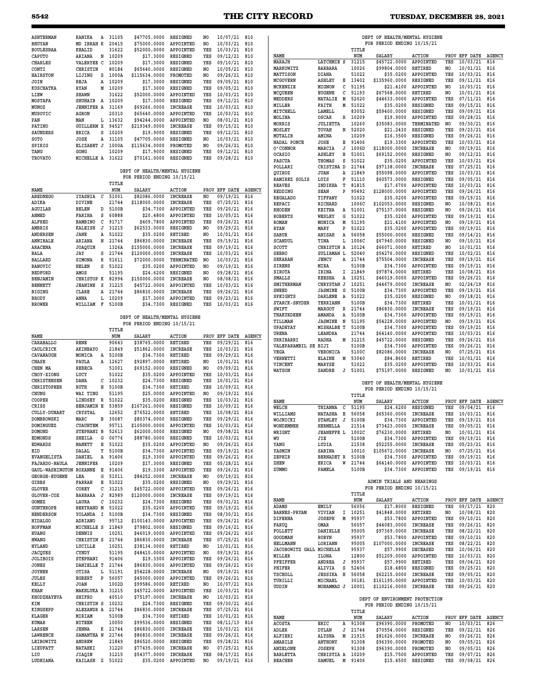| <b>ASHTERMAN</b>                |                                  |         |                               |                              |           |                              |               |                                   |                            |              |                                |                       |                |                              |               |
|---------------------------------|----------------------------------|---------|-------------------------------|------------------------------|-----------|------------------------------|---------------|-----------------------------------|----------------------------|--------------|--------------------------------|-----------------------|----------------|------------------------------|---------------|
|                                 | KANIKA                           | A 31105 | \$47705,0000                  | <b>RESIGNED</b>              | NO.       | 10/07/21 810                 |               |                                   |                            |              | DEPT OF HEALTH/MENTAL HYGIENE  |                       |                |                              |               |
| <b>BHUYAN</b>                   | MD IBRAH K                       | 20415   | \$75000.0000                  | APPOINTED                    | NO.       | 10/03/21                     | 810           |                                   |                            |              | FOR PERIOD ENDING 10/15/21     |                       |                |                              |               |
| <b>BOULESBAA</b>                | <b>KHALID</b>                    | 31622   | \$52000.0000                  | APPOINTED                    | YES       | 10/03/21                     | 810           |                                   |                            | TITLE        |                                |                       |                |                              |               |
| <b>CAPUTO</b>                   | ARIANA<br>N                      | 10209   | \$17.3000                     | RESIGNED                     | YES       | 09/12/21                     | 810           | NAME                              |                            | NUM          | <b>SALARY</b>                  | <b>ACTION</b>         |                | PROV EFF DATE                | <b>AGENCY</b> |
| CHARLES                         | VALERYEE C                       | 10209   | \$17.3000                     | RESIGNED                     | YES       | 09/10/21                     | 810           | MARAJH                            | LATCHMIE S                 | 31215        | \$45722.0000                   | APPOINTED             | YES            | 10/03/21                     | 816           |
| CONTI                           | CHRISTIN                         | 80184   | \$65640.0000                  | RESIGNED                     | NO        | 10/05/21                     | 810           | MARKOWITZ                         | <b>BARBARA</b>             | 10026        | \$99804.0000                   | RETIRED               | NO             | 10/01/21                     | 816           |
|                                 |                                  |         |                               |                              |           |                              |               | MATTISON                          | DIANA                      | 51022        | \$35.0200                      | APPOINTED             | YES            | 10/03/21                     | 816           |
| <b>HAIRSTON</b>                 | LIJING<br>s                      | 1000A   | \$115634.0000                 | PROMOTED                     | NO        | 09/26/21                     | 810           | <b>MCGOVERN</b>                   | ASHLEY<br>Е                | 13402        | \$135960.0000                  | RESIGNED              | YES            | 09/11/21                     | 816           |
| JOIN                            | REJA<br>Α                        | 10209   | \$17.3000                     | RESIGNED                     | YES       | 09/05/21                     | 810           |                                   | C                          |              |                                |                       |                |                              |               |
| <b>KUSCHATKA</b>                | <b>RYAN</b><br>М                 | 10209   | \$17.3000                     | RESIGNED                     | YES       | 09/05/21                     | 810           | MCKENZIE                          | MIGNON                     | 51195        | \$21,4100                      | APPOINTED             | NO             | 10/03/21                     | 816           |
| LIEW                            | <b>SHAWN</b>                     | 31622   | \$52000.0000                  | APPOINTED                    | YES       | 10/03/21                     | 810           | MCQUEEN                           | EUGENE<br>с                | 51193        | \$67568.0000                   | RETIRED               | NO             | 10/01/21                     | 816           |
| MOSTAFA                         | SHUHAIB A                        | 10209   | \$17.3000                     | RESIGNED                     | YES       | 09/12/21                     | 810           | MEDDERS                           | <b>NATALIE</b><br>M        | 52020        | \$44633.0000                   | APPOINTED             | YES            | 07/11/21                     | 816           |
| MUNOZ                           | <b>JENNIFER A</b>                | 31169   | \$69266.0000                  | <b>INCREASE</b>              | YES       | 10/03/21                     | 810           | MILLER                            | FAITH<br>М                 | 51022        | \$35.0200                      | RESIGNED              | YES            | 09/15/21                     | 816           |
| MUSOVIC                         | AGRON                            | 20310   | \$65640.0000                  | APPOINTED                    | YES       | 10/03/21                     | 810           | MITCHELL                          | LAMELL                     | 83052        | \$59400.0000                   | RESIGNED              | YES            | 09/09/21                     | 816           |
|                                 |                                  | 13632   |                               | APPOINTED                    |           |                              |               | MOLINA                            | OSCAR<br>R                 | 10209        | \$19.9000                      | APPOINTED             | YES            | 09/28/21                     | 816           |
| PAN                             | MAN<br>L                         |         | \$94244.0000                  |                              | NO.       | 08/01/21                     | 810           | MORRIS                            | <b>JULIETTA</b>            | 10260        | \$35083.0000                   | TERMINATED            | NO.            | 09/30/21                     | 816           |
| PATINO                          | <b>GUILLERM X</b>                | 94527   | \$219349.0000                 | <b>INCREASE</b>              | YES       | 09/15/21                     | 810           | MOSLEY                            | TOVAH<br>N                 | 52020        | \$21.2430                      | RESIGNED              | YES            | 09/23/21                     | 816           |
| <b>SAUNDERS</b>                 | ERICA<br>s                       | 10209   | \$19.9000                     | RESIGNED                     | YES       | 09/12/21                     | 810           | MUTALIB                           | AMINA                      | 10209        | \$16.3500                      | RESIGNED              | YES            | 09/26/21                     | 816           |
| SOTO                            | JOSE<br>A                        | 31105   | \$47705.0000                  | RESIGNED                     | NO        | 10/03/21                     | 810           | NADAL PONCE                       | JOSE                       | 91406        | \$19.3300                      | APPOINTED             | YES            | 10/03/21                     | 816           |
| SPIRIG                          | ELIZABET J                       | 1000A   | \$115634.0000                 | PROMOTED                     | NO        | 09/26/21                     | 810           |                                   | Е                          |              |                                |                       |                |                              |               |
| TANG                            | GONG                             | 10209   | \$17.9000                     | RESIGNED                     | YES       | 09/12/21                     | 810           | O' CONNOR                         | MARCIA<br>J                | 1006D        | \$118000.0000                  | <b>INCREASE</b>       | NO             | 09/19/21                     | 816           |
| TROVATO                         | MICHELLE A 31622                 |         | \$70161.0000                  | RESIGNED                     | YES       | 09/28/21                     | 810           | OCASIO                            | <b>ASHLEY</b><br>B         | 51001        | \$69152.0000                   | RESIGNED              | NO.            | 09/12/21                     | 816           |
|                                 |                                  |         |                               |                              |           |                              |               | PASCUA                            | THOMAS<br>s                | 51022        | \$35.0200                      | APPOINTED             | YES            | 10/03/21                     | 816           |
|                                 |                                  |         |                               |                              |           |                              |               | POLLARI                           | CRISTINA D                 | 21744        | \$97138.0000                   | <b>INCREASE</b>       | YES            | 07/25/21                     | 816           |
|                                 |                                  |         | DEPT OF HEALTH/MENTAL HYGIENE |                              |           |                              |               | QUIROZ                            | <b>JUAN</b><br>Α           | 21849        | \$55098.0000                   | APPOINTED             | YES            | 10/03/21                     | 816           |
|                                 |                                  |         | FOR PERIOD ENDING 10/15/21    |                              |           |                              |               | RAMIREZ SOLIS                     | LUIS<br>F                  | 51110        | \$60573.0000                   | RESIGNED              | YES            | 09/05/21                     | 816           |
|                                 |                                  | TITLE   |                               |                              |           |                              |               | <b>REAVES</b>                     | INDIKHA<br>т               | 81815        | \$17.6700                      | APPOINTED             | YES            | 10/03/21                     | 816           |
| NAME                            |                                  | NUM     | <b>SALARY</b>                 | ACTION                       |           | PROV EFF DATE                | <b>AGENCY</b> | REDDING                           | <b>SEAN</b><br>P           | 95492        | \$128000.0000                  | APPOINTED             | YES            | 09/26/21                     | 816           |
| ABEDNEGO                        | C<br><b>IYASHIA</b>              | 51001   | \$82086.0000                  | <b>INCREASE</b>              | NO.       | 09/19/21                     | 816           | <b>REGALADO</b>                   | TIFFANY                    | 51022        | \$35.0200                      | APPOINTED             | YES            | 09/19/21                     | 816           |
| ADIKA                           | DIVINE                           | 21744   | \$118000.0000                 | <b>INCREASE</b>              | YES       | 07/25/21                     | 816           | REPACI                            | RICHARD                    | 1006C        | \$102053.0000                  | RESIGNED              | N <sub>O</sub> | 10/08/21                     | 816           |
| AGUILAR                         | BELEN<br>D                       | 5100B   | \$34.7300                     | APPOINTED                    | YES       | 09/20/21                     | 816           | RHODEN                            | <b>KEITHA</b><br>А         | 51001        | \$75137.0000                   | RESIGNED              | NO.            | 09/26/21                     | 816           |
| AHMED                           | FARIHA<br>S                      | 60888   | \$20.4800                     | APPOINTED                    | YES       | 10/05/21                     | 816           | <b>ROBERTS</b>                    |                            | 51022        |                                | APPOINTED             |                | 09/19/21                     | 816           |
| ALFRED                          | C<br><b>BAMBINO</b>              | 91717   | \$409.7800                    | APPOINTED                    | YES       | 09/26/21                     | 816           |                                   | WESLEY<br>G                |              | \$35.0200                      |                       | YES            | 09/19/21                     |               |
|                                 |                                  |         |                               |                              |           |                              |               | ROMAN                             | MONICA<br>М                | 51195        | \$21,4100                      | APPOINTED             | NO             |                              | 816           |
| AMBRIS                          | J<br><b>KALEISH</b>              | 31215   | \$62533.0000                  | RESIGNED                     | NO.       | 09/29/21                     | 816           | <b>RYAN</b>                       | MARY<br>P                  | 51022        | \$35.0200                      | APPOINTED             | YES            | 09/19/21                     | 816           |
| ANDERSEN                        | JANE<br>Α                        | 51022   | \$35.0200                     | RETIRED                      | NO.       | 10/01/21                     | 816           | <b>SABUR</b>                      | <b>ANISAH</b><br>А         | 56058        | \$55000.0000                   | RESIGNED              | YES            | 09/14/21                     | 816           |
| ANNIBALE                        | ARIANA<br>N                      | 21744   | \$86830.0000                  | <b>INCREASE</b>              | YES       | 09/19/21                     | 816           | <b>SCANDUL</b>                    | TINA<br>L                  | 1006C        | \$67940.0000                   | RESIGNED              | NO.            | 09/10/21                     | 816           |
| <b>ARACENA</b>                  | <b>JOAQUIN</b>                   | 1326A   | \$155000.0000                 | <b>INCREASE</b>              | YES       | 09/19/21                     | 816           | SCOTT                             | CHRISTIN A                 | 10124        | \$66071.0000                   | RETIRED               | N <sub>O</sub> | 10/01/21                     | 816           |
| BALA                            | JAY<br>s                         | 21744   | \$120000.0000                 | <b>INCREASE</b>              | YES       | 10/03/21                     | 816           | <b>SEBRO</b>                      | SULIAMAN L                 | 52040        | \$54276.0000                   | RESIGNED              | YES            | 10/02/21                     | 816           |
| <b>BALLARD</b>                  | R<br><b>SIMONA</b>               | 51611   | \$72000.0000                  | TERMINATED                   | NO.       | 10/03/21                     | 816           | <b>SEKARAN</b>                    | JENCY<br>A                 | 21744        | \$75504.0000                   | <b>INCREASE</b>       | YES            | 09/19/21                     | 816           |
| BANOVIC                         | HELEN<br>s                       | 51022   | \$35.0200                     | APPOINTED                    | NO        | 09/19/21                     | 816           | SIRENS                            | MIRA                       | 5100B        | \$34,7300                      | APPOINTED             | YES            | 09/19/21                     | 816           |
| <b>BEDFORD</b>                  | AMOS                             | 51195   | \$24.6200                     | RESIGNED                     | NO.       | 09/28/21                     | 816           | <b>SIROTA</b>                     | IRINA<br>Ι.                | 21849        | \$97874.0000                   | RETIRED               | YES            | 10/08/21                     | 816           |
|                                 |                                  |         |                               |                              |           |                              |               | <b>SMALLS</b>                     | <b>KEESHA</b><br>A         | 10251        | \$46019.0000                   | APPOINTED             | YES            | 09/26/21                     | 816           |
| BENJAMIN                        | CHRISTOP K                       | 82994   | \$150000.0000                 | <b>INCREASE</b>              | NO        | 08/08/21                     | 816           |                                   |                            |              |                                |                       | NO             |                              |               |
| <b>BENNETT</b>                  | S<br><b>JEANINE</b>              | 31215   | \$45722.0000                  | APPOINTED                    | YES       | 10/03/21                     | 816           | <b>SMITHERMAN</b>                 | CHRYSTAN J                 | 10251        | \$44679.0000                   | <b>INCREASE</b>       |                | 02/24/19                     | 816           |
| <b>BIGING</b>                   | CLARE<br>Α                       | 21744   | \$86830.0000                  | <b>INCREASE</b>              | YES       | 09/26/21                     | 816           | <b>SNEED</b>                      | <b>JASMINE</b><br>G        | 5100B        | \$34.7300                      | APPOINTED             | YES            | 09/19/21                     | 816           |
| BRODY                           | ANNA<br>L                        | 10209   | \$17.3000                     | APPOINTED                    | YES       | 09/23/21                     | 816           | SPEIGHTS                          | DARLENE<br>A               | 51022        | \$35.0200                      | RESIGNED              | NO.            | 09/18/21                     | 816           |
| <b>BROWER</b>                   | $\mathbf{F}$<br>WILLIAM          | 5100B   | \$34.7300                     | RESIGNED                     | YES       | 10/03/21                     | 816           | STARCK-SNYDER                     | TERRIANN                   | 5100B        | \$34.7300                      | <b>RETIRED</b>        | YES            | 10/01/21                     | 816           |
|                                 |                                  |         |                               |                              |           |                              |               | SWIFT                             | MARGOT<br>R                | 21744        | \$86830.0000                   | <b>INCREASE</b>       | YES            | 09/19/21                     | 816           |
|                                 |                                  |         | DEPT OF HEALTH/MENTAL HYGIENE |                              |           |                              |               | THAKURDEEN                        | AMANDA<br>Α                | 5100B        | \$34.7300                      | APPOINTED             | YES            | 09/19/21                     | 816           |
|                                 |                                  |         | FOR PERIOD ENDING 10/15/21    |                              |           |                              |               | TILLMAN                           | <b>JASMINE</b><br>N        | 51195        | \$54228.0000                   | APPOINTED             | NO.            | 09/19/21                     | 816           |
|                                 |                                  |         |                               |                              |           |                              |               | UPADHYAY                          | <b>MISHALBE T</b>          | 5100B        | \$34.7300                      | APPOINTED             | YES            | 09/19/21                     | 816           |
|                                 |                                  | TITLE   |                               |                              |           |                              |               | URENA                             | LEANDRA                    | 21744        | \$64140.0000                   | APPOINTED             | YES            | 10/03/21                     | 816           |
| NAME                            |                                  | NUM     | <b>SALARY</b>                 | ACTION                       |           | PROV EFF DATE                | <b>AGENCY</b> | URRIBARRI                         | RADHA<br>м                 | 31215        | \$45722.0000                   | RESIGNED              | YES            | 09/26/21                     | 816           |
| CARABALLO                       | <b>RENE</b>                      | 90643   | \$38765.0000                  | RETIRED                      | YES       | 09/29/21                     | 816           | VALEPARAMBIL SE                   | BIJI                       | 5100B        | \$34.7300                      | APPOINTED             | YES            | 09/26/21                     | 816           |
| CAULCRICK                       | AKINBAYO                         | 21849   | \$51862.0000                  | <b>INCREASE</b>              | YES       | 10/03/21                     | 816           | VEGA                              | VERONICA                   | 5100C        | \$82086.0000                   | <b>INCREASE</b>       | NO             | 07/25/21                     | 816           |
| CAVANAUGH                       | MONICA                           | A 5100B | \$34.7300                     | RETIRED                      | YES       | 09/29/21                     | 816           | VERNETTI                          | M                          | 53040        |                                | RETIRED               |                |                              | 816           |
| CHASE                           | PAULA<br>Α                       | 12627   | \$92897.0000                  | RETIRED                      | NO        | 10/01/21                     | 816           |                                   | <b>ELAINE</b>              |              | \$84.8600                      |                       | YES            | 10/01/21                     |               |
| CHEN MA                         | <b>REBECA</b>                    | 51001   | \$69152.0000                  | <b>RESIGNED</b>              |           | 09/09/21                     | 816           | VINCENT                           | MARYSE                     | 51022        | \$35.0200                      | APPOINTED             | YES            | 10/03/21                     | 816           |
|                                 |                                  |         |                               |                              |           |                              |               |                                   |                            |              |                                |                       |                |                              |               |
|                                 |                                  |         |                               |                              | NO        |                              |               | WATSON                            | <b>SANDRE</b><br>J         | 51001        | \$75197.0000                   | RESIGNED              | NO             | 10/01/21                     | 816           |
| <b>CHOY-XIONG</b>               | LUCY                             | 51022   | \$35.0200                     | APPOINTED                    | YES       | 10/03/21                     | 816           |                                   |                            |              |                                |                       |                |                              |               |
| <b>CHRISTENSEN</b>              | с<br>DANA                        | 10232   | \$24.7300                     | RESIGNED                     | YES       | 10/01/21                     | 816           |                                   |                            |              | DEPT OF HEALTH/MENTAL HYGIENE  |                       |                |                              |               |
| <b>CHRISTOPHER</b>              | RUTH<br>н                        | 5100B   | \$34.7300                     | RETIRED                      | YES       | 10/09/21                     | 816           |                                   |                            |              | FOR PERIOD ENDING 10/15/21     |                       |                |                              |               |
| <b>CHUNG</b>                    | WAI TING                         | 51195   | \$25,0000                     | APPOINTED                    | NO.       | 09/19/21                     | 816           |                                   |                            | TITLE        |                                |                       |                |                              |               |
| COOPER                          | LINDSEY<br>R                     | 51022   | \$35.0200                     | <b>RESIGNED</b>              | YES       | 10/03/21                     | 816           | NAME                              |                            | NUM          | <b>SALARY</b>                  | <b>ACTION</b>         |                | PROV EFF DATE                | <b>AGENCY</b> |
| CRISS                           | <b>BENJAMIN E</b>                | 53859   | \$167261.0000                 | RESIGNED                     | YES       | 10/09/21                     | 816           |                                   |                            |              |                                |                       | YES            |                              |               |
| <b>CULLY-DUHART</b>             | CRYSTAL                          | 12652   | \$76522.0000                  | <b>RETIRED</b>               | YES       | 10/08/21                     | 816           | WELCH                             | THIANNA<br>с               | 51195        | \$24.6200                      | RESIGNED              |                | 09/04/21                     | 816           |
| DOMBROWSKI                      | MARC<br>в                        | 30087   | \$80374.0000                  | RESIGNED                     | YES       | 09/29/21                     | 816           | WILLIAMS                          | <b>NATASHA</b><br>Е        | 56058        | \$65360.0000                   | <b>INCREASE</b>       | YES            | 10/03/21                     | 816           |
|                                 |                                  |         |                               |                              |           |                              |               | WOJNICKI                          | <b>STANLEY</b><br>J        | 5100B        | \$34.7300                      | APPOINTED             | YES            | 09/19/21                     | 816           |
| DOMINGUEZ                       | CUAUHTEM                         | 95711   | \$105000.0000                 | <b>APPOINTEL</b>             | YES       | 10/03/21 816                 |               | WONDEMNEH                         | HERMELLA                   | 21514        | \$73423.0000                   | <b>INCREASE</b>       | YES            | 09/05/21                     | 816           |
| DOMOND                          | STEPHANI B                       | 52613   | \$62000.0000                  | RESIGNED                     | NO        | 09/08/21 816                 |               | WRIGHT                            | <b>JEANEFFE L 1002C</b>    |              | \$76230.0000                   | RETIRED               | NO             | 10/01/21 816                 |               |
| <b>EDMONDS</b>                  | SHEILA<br>G                      | 06776   | \$88780.0000                  | RESIGNED                     | YES       | 10/03/21 816                 |               | WU                                | JIE                        | 5100B        | \$34.7300                      | APPOINTED             | YES            | 09/19/21 816                 |               |
| <b>EDWARDS</b>                  | н<br>NANETT                      | 51022   | \$35.0200                     | APPOINTED                    | NO        | 09/26/21 816                 |               | YANG                              | LYDIA                      | 21538        | \$52255.0000                   | INCREASE              | YES            | 05/23/21 816                 |               |
| EID                             | DALAL<br>т                       | 5100B   | \$34.7300                     | APPOINTED                    | YES       | 09/19/21 816                 |               | YASMIN                            | SABINA                     | 10010        | \$105672.0000                  | INCREASE              | NO             | 07/25/21 816                 |               |
| <b>EVANGELISTA</b>              | DANIEL<br>Α                      | 91406   | \$19.3300                     | APPOINTED                    | YES       | 09/26/21 816                 |               | ZEPHIR                            | BERNADET R 5100B           |              | \$34.7300                      | APPOINTED             | YES            | 09/19/21 816                 |               |
| FAJARDO-NAULA                   | <b>JENNIFER</b>                  | 10209   | \$17.3000                     | RESIGNED                     | YES       | 05/28/21 816                 |               | ZHEN                              | ERICA<br>W                 | 21744        | \$64140.0000                   | APPOINTED             | YES            | 10/03/21 816                 |               |
| GAUL-WASHINGTON ROXANNE E 91406 |                                  |         | \$19.3300                     | APPOINTED                    | YES       | 09/26/21 816                 |               | ZUMMO                             | PAMELA                     | 5100B        | \$34.7300                      | APPOINTED             | YES            | 09/19/21 816                 |               |
| <b>GEORGE-EUGENE</b>            | LEA<br>G                         | 51011   | \$84252.0000                  | <b>INCREASE</b>              | NO        | 09/19/21 816                 |               |                                   |                            |              |                                |                       |                |                              |               |
| GIBBS                           | FARRAH<br>Е                      | 51022   | \$35.0200                     | RESIGNED                     | NO        | 09/29/21                     | 816           |                                   |                            |              | ADMIN TRIALS AND HEARINGS      |                       |                |                              |               |
|                                 |                                  |         |                               |                              |           |                              |               |                                   |                            |              | FOR PERIOD ENDING 10/15/21     |                       |                |                              |               |
| <b>GLOVER</b>                   | с<br>COREY<br>J                  | 31215   | \$45722.0000                  | APPOINTED                    | YES       | 09/26/21 816                 |               |                                   |                            | TITLE        |                                |                       |                |                              |               |
| GLOVER-COX                      | BARBARA                          | 82989   | \$120000.0000                 | <b>INCREASE</b>              | YES       | 09/19/21 816                 |               |                                   |                            |              |                                |                       |                |                              |               |
| GOMEZ                           | c<br>LAURA                       | 10232   | \$24.7300                     | RESIGNED                     | YES       | 09/01/21 816                 |               | NAME<br>ADAMS                     | <b>EMILY</b>               | NUM<br>56056 | SALARY                         | <b>ACTION</b>         | YES            | PROV EFF DATE AGENCY         | 820           |
| <b>GUNTHROPE</b>                | BERTRAND M 51022                 |         | \$35.0200                     | APPOINTED                    | YES       | 09/19/21 816                 |               |                                   |                            |              | \$17.8000                      | RESIGNED              |                | 09/17/21                     |               |
| <b>HENDERSON</b>                | YOLANDA I 5100B                  |         | \$34.7300                     | RESIGNED                     | YES       | 08/30/21 816                 |               | <b>BARNES-PRYAM</b>               | VIVIAN<br>Ι.               | 10251        | \$41848.0000                   | RETIRED               | NO             | 10/08/21 820                 |               |
| <b>HIDALGO</b>                  | ADRIANO                          | 95712   | \$100143.0000                 | APPOINTED                    | YES       | 09/26/21 816                 |               | DIPERNA                           | JOSEPH<br>М                | 95937        | \$53.7800                      | APPOINTED             | YES            | 09/10/21 820                 |               |
| HOFFMAN                         | MICHELLE S 21849                 |         | \$79802.0000                  | RESIGNED                     | YES       | 09/16/21 816                 |               | FARUQ                             | OMAR                       | 56057        | \$44083.0000                   | INCREASE              | YES            | 09/26/21                     | 820           |
| HUANG                           | DENNIS                           | 10251   | \$46019.0000                  | APPOINTED                    | YES       | 09/26/21 816                 |               | <b>FOLLETT</b>                    | DANIELLE                   | 95005        | \$97369.0000                   | <b>INCREASE</b>       | YES            | 08/22/21 820                 |               |
| HWANG                           | CHRISTIN S                       | 21744   | \$86830.0000                  | <b>INCREASE</b>              | YES       | 07/25/21 816                 |               | GOODMAN                           | <b>ROBYN</b>               | 95937        | \$53.7800                      | APPOINTED             | YES            | 09/10/21                     | 820           |
|                                 |                                  |         |                               |                              |           |                              |               | HELLMANN                          | LORIANN                    | 95005        | \$107000.0000                  | INCREASE              | YES            | 08/22/21                     | 820           |
| <b>HYLAND</b>                   | LUCILLE                          | 10251   | \$38134.0000                  | RETIRED                      | NO        | 10/01/21 816                 |               | JACOBOWITZ GALL MICHELLE          |                            | 95937        | \$57.9900                      | DECEASED              | YES            | 10/06/21                     | 820           |
| JACQUES                         | CYNDY                            | 51195   | \$48410.0000                  | APPOINTED                    | NO        | 09/19/21 816                 |               | MILLER                            | ILONA                      | 12800        | \$51209.0000                   | APPOINTED             | YES            | 10/03/21                     | 820           |
| <b>JOLIBOIS</b>                 | STEPHANI                         | 91406   | \$19.3300                     | APPOINTED                    | YES       | 09/26/21 816                 |               | PFEIFFER                          | ANDREA<br>J                | 95937        | \$57.9900                      | RETIRED               | YES            | 09/04/21 820                 |               |
| JONES                           | DANIELLE T 21744                 |         | \$86830.0000                  | APPOINTED                    | YES       | 09/26/21 816                 |               | PHIFER                            | ALIVIA<br>s                | 52406        | \$18.4800                      | RESIGNED              | YES            | 09/25/21 820                 |               |
| JOYNER                          | OTISA<br>L                       | 51191   | \$54228.0000                  | INCREASE                     | NO        | 09/19/21 816                 |               |                                   |                            |              |                                |                       | YES            |                              | 820           |
| JULES                           | EGBERT<br>$\mathbf{P}$           | 56057   | \$45000.0000                  | APPOINTED                    | YES       | 09/26/21 816                 |               | TSCHOLL                           | <b>JESSIKA H</b>           | 56058        | \$62215.0000                   | INCREASE              |                | 09/05/21                     |               |
| KELLY                           | <b>JOAN</b>                      | 1002D   | \$99586.0000                  | RETIRED                      | NO        | 10/07/21 816                 |               | TURILLI                           | MICHAEL                    | 30181        | \$161195.0000                  | APPOINTED             | YES            | 10/03/21 820                 |               |
| KHAN                            | MAKHLUKA R 31215                 |         | \$45722.0000                  | APPOINTED                    | YES       | 10/03/21 816                 |               | UDDIN                             | MOHAMMAD J 10001           |              | \$110216.0000                  | INCREASE              | YES            | 09/26/21 820                 |               |
|                                 |                                  |         |                               |                              |           |                              |               |                                   |                            |              |                                |                       |                |                              |               |
| KHODZHAYEVA                     | SHIFRO                           | 40510   | \$75197.0000                  | INCREASE                     | NO        | 10/03/21 816                 |               |                                   |                            |              | DEPT OF ENVIRONMENT PROTECTION |                       |                |                              |               |
| KIM                             | CHRISTIN S                       | 10232   | \$24.7300                     | RESIGNED                     | YES       | 09/30/21 816                 |               |                                   |                            |              | FOR PERIOD ENDING 10/15/21     |                       |                |                              |               |
| KINGSEPP                        | ALEXANDR A 21744                 |         | \$86830.0000                  | <b>INCREASE</b>              | YES       | $07/25/21$ 816               |               |                                   |                            | TITLE        |                                |                       |                |                              |               |
| KLAGER                          | MIRIAM                           | 5100B   | \$34.7300                     | RETIRED                      | YES       | 10/01/21 816                 |               | NAME                              |                            | NUM          | SALARY                         | <b>ACTION</b>         |                | PROV EFF DATE AGENCY         |               |
| KUMAR                           | NITEEN                           | 10050   | \$99536.0000                  | RESIGNED                     | YES       | 08/11/13 816                 |               | <b>ACOSTA</b>                     | ERIC<br>Α                  | 91308        | \$96390.0000                   | PROMOTED              | NO             | 10/03/21                     | 826           |
| LARSEN                          | <b>JENNA</b>                     | K 21744 | \$86830.0000                  | <b>INCREASE</b>              | YES       | 10/03/21 816                 |               | ADLER                             | DYLAN<br>J                 | 21744        | \$70554.0000                   | RESIGNED              | YES            | 09/22/21                     | 826           |
| LAWRENCE                        | SAMANTHA N                       | 21744   | \$86830.0000                  | <b>INCREASE</b>              | YES       | 09/26/21 816                 |               | ALFIERI                           | ALYSHA                     | M 21915      | \$81626.0000                   | INCREASE              | NO             | 09/26/21 826                 |               |
| LEIBOWITZ                       | ANDREW                           | 21849   | \$86520.0000                  | RESIGNED                     | YES       | 09/28/21 816                 |               |                                   |                            |              |                                |                       |                |                              |               |
|                                 |                                  |         |                               |                              |           |                              |               | AMABILE                           | <b>ANTHONY</b>             | 91308        | \$96390.0000                   | PROMOTED              | NO             | 09/05/21                     | 826           |
| LIEUFATT                        | NATAHKI                          | 31220   | \$77435.0000                  | <b>INCREASE</b>              | NO        | 07/25/21 816                 |               | ANZELONE                          | <b>JOSEPH</b>              | 91308        | \$96390.0000                   | PROMOTED              | NO             | 09/05/21                     | 826           |
| LIU<br>LUDHIANA                 | <b>JIAQIN</b><br>KAILASH Z 51022 | 31215   | \$54377.0000<br>\$35.0200     | <b>INCREASE</b><br>APPOINTED | YES<br>NO | 08/17/21 816<br>09/19/21 816 |               | <b>BARLETTA</b><br><b>BEACHER</b> | CHRISTIA A 10209<br>SAMUEL | M 91406      | \$15.7500<br>\$15.4500         | APPOINTED<br>RESIGNED | YES<br>YES     | 09/07/21 826<br>09/08/21 826 |               |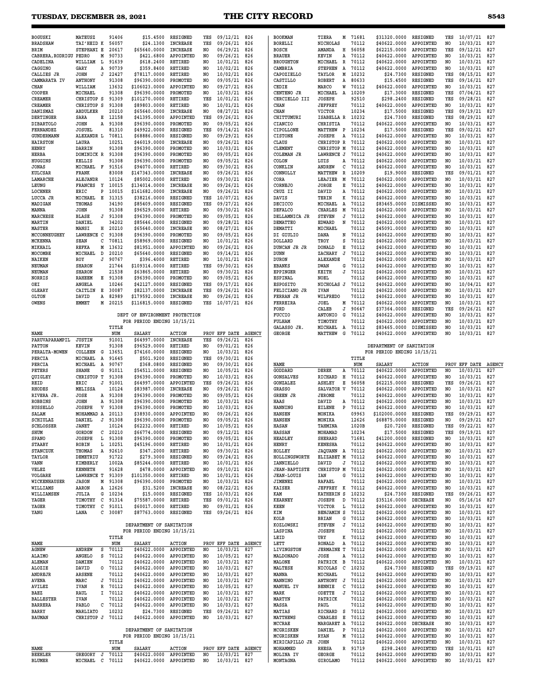| <b>BOGUSKI</b>           | MATEUSZ                      | 91406   | \$15,4500                              | RESIGNED        | YES            | 09/12/21                        | 826           | <b>BOOKMAN</b>        | TIERA<br>М                | 71681          | \$31320.0000                           | RESIGNED      | YES            | 10/07/21                     | 827           |
|--------------------------|------------------------------|---------|----------------------------------------|-----------------|----------------|---------------------------------|---------------|-----------------------|---------------------------|----------------|----------------------------------------|---------------|----------------|------------------------------|---------------|
| <b>BRADSHAW</b>          | TAI'HEID K                   | 56057   | \$24.1300                              | <b>INCREASE</b> | YES            | 09/26/21                        | 826           | <b>BORELLI</b>        | NICHOLAS                  | 70112          | \$40622.0000                           | APPOINTED     | NO             | 10/03/21                     | 827           |
| <b>BRIM</b>              | STEPHANI E                   | 20617   | \$65640.0000                           | INCREASE        | N <sub>O</sub> | 06/29/21                        | 826           | <b>BOSCH</b>          | AMANDA<br>н               | 56058          | \$62215.0000                           | APPOINTED     | YES            | 09/12/21                     | 827           |
| CABRERA, RODRIGU PEDRO   | М                            | 90733   | \$421.6800                             | APPOINTED       | NO.            | 09/26/21                        | 826           | <b>BRAUER</b>         | KEVIN<br>Α                | 70112          | \$40622.0000                           | APPOINTED     | NO             | 10/03/21                     | 827           |
| CADELINA                 | WILLIAM<br>L                 | 91639   | \$618.2400                             | RETIRED         | NO             | 10/01/21                        | 826           | <b>BROUGHTON</b>      | $\, {\bf R}$<br>MICHAEL   | 70112          | \$40622.0000                           | APPOINTED     | NO             | 10/03/21                     | 827           |
| CAGGINO                  | GARY<br>Α                    | 90739   | \$359.8400                             | RETIRED         | NO.            | 10/02/21                        | 826           | CAMBRIA               | <b>STEPHEN</b><br>A       | 70112          | \$40622.0000                           | APPOINTED     | NO             | 10/03/21                     | 827           |
| CALLIES JR               | <b>JOHN</b><br>J             | 22427   | \$78117.0000                           | <b>RETIRED</b>  | N <sub>O</sub> | 10/02/21                        | 826           | CAPOZIELLO            | TAYLOR<br>м               | 10232          | \$24.7300                              | RESIGNED      | YES            | 08/15/21                     | 827           |
| CAMMARATA IV             | <b>ANTHONY</b>               | 91308   | \$96390.0000                           | PROMOTED        | NO             | 09/05/21                        | 826           | CASTILLO              | <b>ROBERT</b><br>Α        | 80633          | \$15.4500                              | RESIGNED      | YES            | 09/16/21                     | 827           |
| CHAN                     | WILLIAM                      | 13632   | \$106023.0000                          | APPOINTED       | NO             | 09/27/21                        | 826           | CEDIE                 | MARCO<br>W                | 70112          | \$40622.0000                           | APPOINTED     | NO             | 10/03/21                     | 827           |
| COOPER                   | MICHAEL                      | 91308   | \$96390.0000                           | PROMOTED        | N <sub>O</sub> | 10/03/21                        | 826           | CENTENO JR            | MICHAEL<br>A              | 10209          | \$17,3000                              | RESIGNED      | YES            | 07/04/21                     | 827           |
|                          |                              |         |                                        |                 | YES            |                                 |               |                       |                           |                |                                        |               | YES            |                              |               |
| <b>CREAMER</b>           | CHRISTOP S                   | 91309   | \$101270.0000                          | RETIRED         |                | 10/01/21                        | 826           | CERCIELLO III         | <b>JOSEPH</b>             | 92510          | \$298.2400                             | RESIGNED      |                | 09/28/21                     | 827           |
| CREAMER                  | CHRISTOP S                   | 91308   | \$89803.0000                           | RETIRED         | NO             | 10/01/21                        | 826           | CHAN                  | <b>JEFFREY</b>            | 70112          | \$40622.0000                           | APPOINTED     | NO             | 10/03/21                     | 827           |
| DANISMAZ                 | <b>ABDULKER</b>              | 20210   | \$65640.0000                           | <b>INCREASE</b> | N <sub>O</sub> | 08/27/21                        | 826           | <b>CHAN</b>           | <b>VICTOR</b>             | 10234          | \$17.5000                              | RESIGNED      | YES            | 09/19/21                     | 827           |
| DERTINGER                | SARA<br>Е                    | 12158   | \$41395.0000                           | APPOINTED       | YES            | 09/26/21                        | 826           | CHITTUMURI            | ISABELLA R                | 10232          | \$24.7300                              | RESIGNED      | YES            | 08/29/21                     | 827           |
| <b>DIBARTOLO</b>         | JOHN<br>Α                    | 91308   | \$96390.0000                           | PROMOTED        | NO             | 09/05/21                        | 826           | CIANCIO               | CHRISTIA                  | 70112          | \$40622.0000                           | APPOINTED     | NO             | 10/03/21                     | 827           |
| FERNANDEZ                | <b>JOSUEL</b>                | 81310   | \$49922.0000                           | RESIGNED        | YES            | 09/14/21                        | 826           | CIPOLLONE             | $\mathbf{P}$<br>MATTHEW   | 10234          | \$17,5000                              | RESIGNED      | YES            | 09/02/21                     | 827           |
| GUNDERMANN               | ALEXANDR L                   | 70811   | \$68886.0000                           | RESIGNED        | NO             | 09/29/21                        | 826           | <b>CISTONE</b>        | <b>JOSEPH</b><br>Α        | 70112          | \$40622.0000                           | APPOINTED     | NO.            | 10/03/21                     | 827           |
| <b>HAIRSTON</b>          | LAURA                        | 10251   | \$46019.0000                           | <b>INCREASE</b> | NO             | 09/26/21                        | 826           | CLAUS                 | CHRISTOP<br>R             | 70112          | \$40622.0000                           | APPOINTED     | NO             | 10/03/21                     | 827           |
| HENRY                    | DARRIN                       | 91308   | \$96390.0000                           | PROMOTED        | NO             | 10/03/21                        | 826           | <b>CLEMENT</b>        | CHRISTOP M                | 70112          | \$40622.0000                           | APPOINTED     | NO.            | 10/03/21                     | 827           |
| HERBA                    | DOMINICK R                   | 91308   | \$96390.0000                           | PROMOTED        | N <sub>O</sub> | 09/05/21                        | 826           | <b>COLEMAN JR</b>     | LAWRENCE J                | 70112          | \$40622.0000                           | APPOINTED     | NO.            | 10/03/21                     | 827           |
|                          |                              |         |                                        |                 |                |                                 |               |                       |                           |                |                                        |               |                |                              |               |
| HUGGINS                  | KELLIS                       | 91308   | \$96390.0000                           | PROMOTED        | NO             | 09/05/21                        | 826           | COLON                 | LUIS<br>A                 | 70112          | \$40622.0000                           | APPOINTED     | NO.            | 10/03/21                     | 827           |
| JONAS                    | MICHAEL<br>F                 | 91516   | \$94070.0000                           | RETIRED         | N <sub>O</sub> | 09/30/21                        | 826           | CONKLIN               | с<br>ANDREW               | 70112          | \$40622.0000                           | APPOINTED     | NO             | 10/03/21                     | 827           |
| <b>KULCSAR</b>           | FRANK                        | 83008   | \$147343.0000                          | <b>INCREASE</b> | N <sub>O</sub> | 09/26/21                        | 826           | CONNOLLY              | MATTHEW<br>R              | 10209          | \$19.9000                              | RESIGNED      | YES            | 09/01/21                     | 827           |
| LAMARCHE                 | ALEJANDR                     | 10124   | \$85002.0000                           | RETIRED         | NO             | 09/30/21                        | 826           | CORA                  | LEAJIER<br>Μ              | 70112          | \$40622.0000                           | APPOINTED     | NO             | 10/03/21                     | 827           |
| LEUNG                    | <b>FRANCES</b><br>Y          | 10015   | \$134014.0000                          | <b>INCREASE</b> | NO             | 09/26/21                        | 826           | CORNEJO               | JORGE<br>Е                | 70112          | \$40622.0000                           | APPOINTED     | NO.            | 10/03/21                     | 827           |
| LOCHNER                  | ERIC<br>P                    | 10015   | \$161682.0000                          | <b>INCREASE</b> | N <sub>O</sub> | 09/26/21                        | 826           | CRUZ II               | DAVID<br>Α                | 70112          | \$40622.0000                           | APPOINTED     | NO.            | 10/03/21                     | 827           |
| LUCCA JR                 | Е<br>MICHAEL                 | 31315   | \$38216.0000                           | RESIGNED        | YES            | 10/07/21                        | 826           | DAVIS                 | TERIN<br>к                | 70112          | \$40622.0000                           | APPOINTED     | NO.            | 10/03/21                     | 827           |
| MADIGAN                  | THOMAS                       | 34190   | \$85409.0000                           | <b>RESIGNED</b> | YES            | 09/27/21                        | 826           | DECICCO               | A<br>MICHAEL              | 70112          | \$83465.0000                           | DISMISSED     | NO.            | 10/03/21                     | 827           |
| MANNA                    | JOHN                         | 91308   | \$96529.0000                           | RETIRED         | NO             | 09/30/21                        | 826           | <b>DEFALCO</b>        | <b>CHARLES</b><br>М       | 70112          | \$40622.0000                           | APPOINTED     | NO.            | 10/03/21                     | 827           |
| MARCHESE                 | <b>BLASE</b><br>J            | 91308   | \$96390.0000                           | PROMOTED        | N <sub>O</sub> | 09/05/21                        | 826           | DELLAMNICA JR         | <b>STEVEN</b><br>J        | 70112          | \$40622.0000                           | APPOINTED     | NO.            | 10/03/21                     | 827           |
| <b>MARTIN</b>            | DANIEL                       | 34202   | \$85646.0000                           | RESIGNED        | NO             | 09/28/21                        | 826           | <b>DEMATTEO</b>       | <b>EDWARD</b><br>N        | 70112          | \$40622.0000                           | APPOINTED     | NO             | 10/03/21                     | 827           |
| <b>MASTER</b>            | MANSI<br>н                   | 20210   | \$65640.0000                           | <b>INCREASE</b> | NO             | 08/27/21                        | 826           | DEMATTI               | MICHAEL                   | 70112          | \$45091.0000                           | APPOINTED     | NO             | 10/03/21                     | 827           |
|                          | LAWRENCE C                   | 91308   |                                        | PROMOTED        |                |                                 |               |                       |                           | 70112          |                                        | APPOINTED     |                |                              |               |
| MCCONNEUGHEY             |                              |         | \$96390.0000                           |                 | N <sub>O</sub> | 09/05/21                        | 826           | DI GIULIO             | DANA<br>N                 |                | \$40622.0000                           |               | NO             | 10/03/21                     | 827           |
| <b>MCKENNA</b>           | SEAN<br>c                    | 70811   | \$58969.0000                           | RESIGNED        | N <sub>O</sub> | 10/01/21                        | 826           | DOLLARD               | TROY<br>S                 | 70112          | \$40622.0000                           | APPOINTED     | NO.            | 10/03/21                     | 827           |
| MIKHAIL                  | <b>REFKA</b><br>М            | 13632   | \$81951.0000                           | APPOINTED       | NO             | 09/26/21                        | 826           | DUNCAN JR JR          | <b>DONALD</b><br>Е        | 70112          | \$40622.0000                           | APPOINTED     | NO             | 10/03/21                     | 827           |
| MOCOMBE                  | MICHAEL<br>D                 | 20210   | \$65640.0000                           | RESIGNED        | N <sub>O</sub> | 09/14/21                        | 826           | DUNN                  | ZACHARY<br>J              | 70112          | \$40622.0000                           | APPOINTED     | NO.            | 10/03/21                     | 827           |
| <b>NAIKEN</b>            | ROY<br>J                     | 90767   | \$396.4000                             | <b>RETIRED</b>  | NO             | 10/01/21                        | 826           | <b>DURON</b>          | <b>ALEXANDE</b>           | 70112          | \$40622.0000                           | APPOINTED     | NO.            | 10/03/21                     | 827           |
| <b>NEUMAN</b>            | <b>SHARON</b>                | 21744   | \$109314.0000                          | RETIRED         | YES            | 09/30/21                        | 826           | <b>EBANKS</b>         | <b>DWAN</b><br>G          | 70112          | \$40622.0000                           | APPOINTED     | NO             | 10/03/21                     | 827           |
| NEUMAN                   | <b>SHARON</b>                | 21538   | \$63865.0000                           | RETIRED         | N <sub>O</sub> | 09/30/21                        | 826           | <b>EPPINGER</b>       | KEITH<br>J                | 70112          | \$40622.0000                           | APPOINTED     | NO             | 10/03/21                     | 827           |
| <b>NORRIS</b>            | <b>RAHEEM</b><br>Е           | 91308   | \$96390.0000                           | PROMOTED        | NO             | 09/05/21                        | 826           | <b>ESPINAL</b>        | NOEL                      | 70112          | \$40622.0000                           | APPOINTED     | N <sub>O</sub> | 10/03/21                     | 827           |
| OEI                      | <b>ANGELA</b>                | 10246   | \$42127.0000                           | RESIGNED        | YES            | 09/17/21                        | 826           | <b>ESPOSITO</b>       | NICHOLAS J                | 70112          | \$40622.0000                           | APPOINTED     | NO             | 10/04/21                     | 827           |
| OLEARY                   | CAITLIN<br>Е                 | 30087   | \$82137.0000                           | <b>INCREASE</b> | YES            | 09/26/21                        | 826           | FELICIANO JR          | <b>IVAN</b>               | 70112          | \$40622.0000                           | APPOINTED     | NO.            | 10/03/21                     | 827           |
|                          |                              |         |                                        |                 |                |                                 |               |                       |                           | 70112          |                                        |               |                |                              |               |
| OLTON                    | DAVID<br>Α                   | 82989   | \$179592.0000                          | <b>INCREASE</b> | N <sub>O</sub> | 09/26/21                        | 826           | FERRAN JR             | WILFREDO                  |                | \$40622.0000                           | APPOINTED     | N <sub>O</sub> | 10/03/21                     | 827           |
| <b>OWENS</b>             | EMMET<br>М                   | 20215   | \$116815.0000                          | RESIGNED        | YES            | 10/07/21                        | 826           | FERREIRA              | JOEL<br>М                 | 70112          | \$40622.0000                           | APPOINTED     | NO             | 10/03/21                     | 827           |
|                          |                              |         |                                        |                 |                |                                 |               | FORD                  | CALEB<br>J                | 90647          | \$37364.0000                           | RESIGNED      | YES            | 09/26/21                     | 827           |
|                          |                              |         | DEPT OF ENVIRONMENT PROTECTION         |                 |                |                                 |               | <b>FUCCIO</b>         | <b>ANTONIO</b><br>G       | 70112          | \$40622.0000                           | APPOINTED     | NO             | 10/03/21                     | 827           |
|                          |                              |         | FOR PERIOD ENDING 10/15/21             |                 |                |                                 |               | <b>FULHAM</b>         | TIMOTHY                   | 70112          | \$40622.0000                           | APPOINTED     | NO.            | 10/03/21                     | 827           |
|                          |                              | TITLE   |                                        |                 |                |                                 |               | GALASSO JR.           | MICHAEL<br>A              | 70112          | \$83465.0000                           | DISMISSED     | NO.            | 10/03/21                     | 827           |
| NAME                     |                              | NUM     | SALARY                                 | <b>ACTION</b>   |                | PROV EFF DATE                   | <b>AGENCY</b> | <b>GEORGE</b>         | MATTHEW<br>G              | 70112          | \$40622.0000                           | APPOINTED     | NO.            | 10/03/21                     | 827           |
| PARUVAPARAMPIL           | <b>JUSTIN</b>                | 91001   | \$64997.0000                           | <b>INCREASE</b> | YES            | 09/26/21                        | 826           |                       |                           |                |                                        |               |                |                              |               |
| PATTON                   | <b>KEVIN</b>                 | 91308   |                                        |                 |                |                                 |               |                       |                           |                | DEPARTMENT OF SANITATION               |               |                |                              |               |
|                          |                              |         | \$96529.0000                           | RETIRED         | NO             | 09/01/21                        | 826           |                       |                           |                |                                        |               |                |                              |               |
|                          |                              |         |                                        |                 |                |                                 |               |                       |                           |                |                                        |               |                |                              |               |
| PERALTA-MOWEN            | COLLEEN<br>G                 | 13651   | \$74160.0000                           | RESIGNED        | NO.            | 10/03/21                        | 826           |                       |                           |                | FOR PERIOD ENDING 10/15/21             |               |                |                              |               |
| PERCIA                   | MICHAEL<br>A                 | 91645   | \$501.9200                             | RESIGNED        | YES            | 09/30/21                        | 826           |                       |                           | TITLE          |                                        |               |                |                              |               |
| PERCIA                   | MICHAEL<br>Α                 | 90767   | \$368.0800                             | RESIGNED        | NO             | 09/30/21                        | 826           | NAME                  |                           | NUM            | SALARY                                 | <b>ACTION</b> |                | PROV EFF DATE                | <b>AGENCY</b> |
| PETERS                   | <b>SHANE</b><br>G            | 91011   | \$54511.0000                           | RESIGNED        | NO             | 10/05/21                        | 826           | GODDARD               | DEREK<br>Α                | 70112          | \$40622.0000                           | APPOINTED     | NO             | 10/03/21                     | 827           |
| QUIGLEY                  | CHRISTOP T                   | 91308   | \$96390.0000                           | PROMOTED        | N <sub>O</sub> | 10/03/21                        | 826           | <b>GONSALVES</b>      | Н<br>RICHARD              | 70112          | \$40622.0000                           | APPOINTED     | NO             | 10/03/21                     | 827           |
| REID                     | ERIC<br>J                    | 91001   | \$64997.0000                           | APPOINTED       | YES            | 09/26/21                        | 826           | GONZALEZ              | Е<br><b>ASHLEY</b>        | 56058          | \$62215.0000                           | RESIGNED      | YES            | 09/26/21                     | 827           |
| RHODES                   | MELISSA                      | 10124   | \$83987.0000                           | <b>INCREASE</b> | NO             | 09/26/21                        | 826           | <b>GRASSO</b>         | <b>SALVATOR</b><br>V      | 70112          | \$40622.0000                           | APPOINTED     | NO             | 10/03/21                     | 827           |
| RIVERA JR.               | JOSE<br>Α                    | 91308   | \$96390.0000                           | PROMOTED        | N <sub>O</sub> | 09/05/21                        | 826           | <b>GREEN JR</b>       | <b>JEROME</b>             | 70112          | \$40622.0000                           | APPOINTED     | NO             | 10/03/21                     | 827           |
| <b>ROBBINS</b>           | <b>JOHN</b><br>Α             | 91308   | \$96390.0000                           | PROMOTED        | NO             | 10/03/21                        | 826           | HAAS                  | DAVID<br>Α                | 70112          | \$40622.0000                           | APPOINTED     | NO.            | 10/03/21                     | 827           |
| <b>RUSSELLO</b>          | <b>JOSEPH</b><br>V           | 91308   | \$96390.0000                           | PROMOTED        | NO             | 10/03/21                        | 826           | <b>HANNING</b>        | EILENE<br>P               | 70112          | \$40622.0000                           | APPOINTED     | NO             | 10/03/21                     | 827           |
|                          | MOHAMMAD A                   | 20113   | \$38930.0000                           | APPOINTED       | N <sub>O</sub> |                                 | 826           |                       |                           | 09963          |                                        | RESIGNED      | YES            |                              | 827           |
| SALAM                    |                              |         |                                        | PROMOTED        | NO             | 09/26/21                        |               | <b>HANSEN</b>         | MONIKA                    |                | \$102000.0000                          | RESIGNED      | N <sub>O</sub> | 09/29/21<br>09/29/21         |               |
| SCHIULAZ                 | DANIEL<br>J                  | 91308   | \$96390.0000                           |                 |                | 09/05/21                        | 826           | <b>HANSEN</b>         | MONIKA                    | 12626          | \$68875.0000                           |               |                |                              | 827           |
| SCHLOSSER                | <b>JANET</b>                 | 10124   | \$62232.0000                           | RETIRED         | NO             | 10/05/21 826                    |               | <b>HASAN</b>          | TAHMINA                   | 1020B          | \$20.7200                              | RESIGNED      | YES            | 09/22/21                     | 827           |
| SHUM                     | GORDON<br>С                  | 20210   | \$66774.0000 RESIGNED                  |                 | NO             | 09/12/21 826                    |               | <b>HASSAN</b>         | MOHAMAD                   | 10234          | \$17.5000                              | RESIGNED      | YES            | 09/19/21 827                 |               |
| SPANO                    | JOSEPH<br>L                  | 91308   | \$96390.0000                           | PROMOTED        | NO.            | 09/05/21 826                    |               | HEADLEY               | SHERARD                   | 71681          | \$41200.0000                           | RESIGNED      | NO             | 10/03/21 827                 |               |
| <b>STAABY</b>            | ROBIN<br>Ŀ                   | 10251   | \$45196.0000                           | RETIRED         | NO.            | 10/01/21 826                    |               | HENRY                 | <b>KENESHA</b>            | 70112          | \$40622.0000                           | APPOINTED     | NO             | 10/03/21                     | 827           |
| STANCZUK                 | Α<br>THOMAS                  | 92610   | \$347.2000                             | RETIRED         | NO.            | 09/30/21 826                    |               | HOLLEY                | JAQUANN A 70112           |                | \$40622.0000                           | APPOINTED     | NO             | 10/03/21 827                 |               |
| TAYLOR                   | DEMETRIU                     | 91722   | \$279.3000                             | RESIGNED        | NO             | 09/24/21 826                    |               | HOLLINGSWORTH         | ELIZABET M                | 70112          | \$40622.0000                           | APPOINTED     | NO             | 10/03/21 827                 |               |
| VANN                     | KIMBERLY                     | 1002A   | \$85244.0000                           | RETIRED         | NO             | 10/01/21 826                    |               | IANNIELLO             | DAVID<br>J                | 70112          | \$40622.0000                           | APPOINTED     | NO             | 10/03/21                     | 827           |
| VELEZ                    | <b>KENNETH</b>               | 91628   | \$478.0000                             | APPOINTED       | NO             | 09/10/21 826                    |               | <b>JEAN-BAPTISTE</b>  | CHRISTOP M                | 70112          | \$40622.0000                           | APPOINTED     | NO             | 10/03/21 827                 |               |
| VOLGARE                  | LAWRENCE T                   | 91309   | \$101350.0000                          | RETIRED         | NO             | 10/01/21                        | 826           | <b>JEAN-LOUIS</b>     | IAN<br>G                  | 70112          | \$40622.0000                           | APPOINTED     | NO             | 10/03/21                     | 827           |
| WICKENHAUSER             | <b>JASON</b><br>М            | 91308   | \$96390.0000                           | PROMOTED        | NO.            | 10/03/21 826                    |               | JIMENEZ               | RAFAEL                    | 70112          | \$40622.0000                           | APPOINTED     | NO             | 10/03/21                     | 827           |
| WILLIAMS                 | AARON                        | A 12626 | \$31.5200                              | INCREASE        | NO             | 08/22/21 826                    |               | <b>KAISER</b>         | <b>JEFFREY K</b>          | 70112          | \$40622.0000                           | APPOINTED     | NO             | 10/03/21 827                 |               |
| WILLIAMSEN               | JULIA<br>G                   | 10234   | \$15.0000                              | RESIGNED        | YES            | 10/03/21 826                    |               | KAM                   | KATHERIN S                | 10232          | \$24.7300                              | RESIGNED      | YES            | 09/26/21                     | 827           |
| YAGER                    | TIMOTHY<br>C                 | 91314   | \$75587.0000                           | RETIRED         | YES            | 09/01/21 826                    |               | <b>KEARNEY</b>        | JOSEPH<br>D               | 70112          | \$35116.0000                           | DECREASE      | NO             | 05/16/16                     | 827           |
|                          |                              |         |                                        |                 | NO             |                                 |               | KEEN                  |                           |                |                                        |               | NO             | 10/03/21 827                 |               |
| YAGER                    | TIMOTHY<br>$\mathbf{C}$      | 91011   | \$60017.0000                           | RETIRED         |                | 09/01/21 826                    |               |                       | VICTOR<br>L               | 70112          | \$40622.0000                           | APPOINTED     |                |                              |               |
| YANG                     | LANA                         | C 30087 | \$87763.0000 RESIGNED                  |                 |                | YES 09/26/21 826                |               | KIM                   | <b>BENJAMIN S</b>         | 70112          | \$40622.0000                           | APPOINTED     | NO             | 10/03/21                     | 827           |
|                          |                              |         |                                        |                 |                |                                 |               | KOLB                  | BRIAN<br>G                | 70112          | \$40622.0000                           | APPOINTED     | NO.            | 10/03/21                     | 827           |
|                          |                              |         | DEPARTMENT OF SANITATION               |                 |                |                                 |               | KOZLOWSKI             | J<br><b>STEVEN</b>        | 70112          | \$40622.0000                           | APPOINTED     | NO             | 10/03/21                     | 827           |
|                          |                              |         | FOR PERIOD ENDING 10/15/21             |                 |                |                                 |               | LASPINA               | JOSEPH                    | 70112          | \$40622.0000                           | APPOINTED     | NO             | 10/03/21                     | 827           |
|                          |                              | TITLE   |                                        |                 |                |                                 |               | LEID                  | URY<br>к                  | 70112          | \$40622.0000                           | APPOINTED     | NO.            | 10/03/21 827                 |               |
| NAME                     |                              | NUM     | SALARY                                 | <b>ACTION</b>   |                | PROV EFF DATE AGENCY            |               | LETT                  | RONALD                    | A 70112        | \$40622.0000                           | APPOINTED     | NO             | 10/03/21 827                 |               |
| AGNEW                    | s<br>ANDREW                  | 70112   | \$40622.0000                           | APPOINTED       | NO             | 10/03/21                        | 827           | LIVINGSTON            | <b>JERMAINE T</b>         | 70112          | \$40622.0000                           | APPOINTED     | NO             | 10/03/21                     | 827           |
| ALAIMO                   | s<br><b>ANGELO</b>           | 70112   | \$40622.0000                           | APPOINTED       | NO.            | 10/05/21 827                    |               | MALDONADO             | Α<br>JOSE                 | 70112          | \$40622.0000                           | APPOINTED     | NO             | 10/03/21                     | 827           |
| ALEMAN                   | DAMIEN                       | 70112   | \$40622.0000                           | APPOINTED       | NO             | 10/03/21 827                    |               | MALONE                | PATRICK B                 | 70112          | \$40622.0000                           | APPOINTED     | NO             | 10/03/21                     | 827           |
| ALOZIE                   | DAVID<br>0                   | 70112   | \$40622.0000                           | APPOINTED       | NO             | 10/03/21 827                    |               | MALTESE               | NICOLAS<br>C              | 10232          | \$24.7300                              | RESIGNED      | YES            | 09/19/21                     | 827           |
| ANDREJR                  | ARSENE                       | 70112   | \$40622.0000                           | APPOINTED       | NO             | 10/03/21 827                    |               | MANNA                 | MICHAEL                   | 70112          | \$40622.0000                           | APPOINTED     | NO.            | 10/03/21 827                 |               |
|                          |                              |         |                                        |                 |                |                                 |               |                       |                           |                |                                        |               |                |                              |               |
| AVENA                    | MARC                         | J 70112 | \$40622.0000                           | APPOINTED       | NO.            | 10/03/21 827                    |               | MANNINO               | ANTHONY J                 | 70112          | \$40622.0000                           | APPOINTED     | NO             | 10/03/21                     | 827           |
| AVILEZ                   | <b>IVAN</b><br>R             | 70112   | \$40622.0000                           | APPOINTED       | NO             | 10/05/21 827                    |               | MANUEL IV             | <b>BENNIE</b><br>с        | 70112          | \$40622.0000                           | APPOINTED     | NO             | 10/03/21                     | 827           |
| BAEZ                     | RAUL<br>Ι.                   | 70112   | \$40622.0000                           | APPOINTED       | NO             | 10/03/21 827                    |               | MARK                  | J<br>ODETTE               | 70112          | \$40622.0000                           | APPOINTED     | NO             | 10/03/21 827                 |               |
| <b>BALLESTER</b>         | <b>IVAN</b>                  | 70112   | \$40622.0000                           | APPOINTED       | NO             | 10/03/21 827                    |               | MARTYN                | PATRICK                   | 70112          | \$40622.0000                           | APPOINTED     | NO             | 10/03/21 827                 |               |
| <b>BARRERA</b>           | PABLO<br>с                   | 70112   | \$40622.0000                           | APPOINTED       | NO             | 10/03/21 827                    |               | MASSA                 | PAUL                      | 70112          | \$40622.0000                           | APPOINTED     | NO             | 10/03/21                     | 827           |
| BARRY                    | MARLIATO                     | 10232   | \$24.7300                              | RESIGNED        | YES            | 09/26/21 827                    |               | MATIAS                | RICHARD S                 | 70112          | \$40622.0000                           | APPOINTED     | NO             | 10/03/21 827                 |               |
| <b>BAUMAN</b>            | CHRISTOP J 70112             |         | \$40622.0000                           | APPOINTED       | NO             | 10/03/21 827                    |               | MATTHEWS              | CHARLES<br>Е              | 70112          | \$40622.0000                           | APPOINTED     | NO             | 10/03/21                     | 827           |
|                          |                              |         |                                        |                 |                |                                 |               | MCCRAE                | MARGARET A                | 70112          | \$40622.0000                           | DECREASE      | NO             | 10/03/21                     | 827           |
|                          |                              |         | DEPARTMENT OF SANITATION               |                 |                |                                 |               | MCGRISKEN             | DANIEL<br>P               | 70112          | \$40622.0000                           | APPOINTED     | NO             | 10/03/21 827                 |               |
|                          |                              |         | FOR PERIOD ENDING 10/15/21             |                 |                |                                 |               | MCGRISKEN             | <b>RYAN</b><br>м          | 70112          | \$40622.0000                           | APPOINTED     | NO             | 10/03/21                     | 827           |
|                          |                              | TITLE   |                                        |                 |                |                                 |               | MIRICAPILLO JR        | JOHN                      | 70112          | \$40622.0000                           | APPOINTED     | NO.            | 10/03/21 827                 |               |
| NAME                     |                              | NUM     |                                        |                 |                |                                 |               |                       |                           |                |                                        |               | YES            |                              |               |
|                          |                              |         | <b>SALARY</b>                          | <b>ACTION</b>   |                | PROV EFF DATE AGENCY            |               | MOHAMMED              | RHESA                     | R 91719        | \$298.2400                             | APPOINTED     |                | 10/01/21 827                 |               |
| <b>BEEHLER</b><br>BLUMER | GREGORY J<br>MICHAEL C 70112 | 70112   | \$40622.0000<br>\$40622.0000 APPOINTED | APPOINTED       | NO             | 10/03/21 827<br>NO 10/03/21 827 |               | MOLINA IV<br>MONTAGNA | GEORGE<br><b>GIROLAMO</b> | 70112<br>70112 | \$40622.0000<br>\$40622.0000 APPOINTED | APPOINTED     | NO<br>NO       | 10/03/21 827<br>10/03/21 827 |               |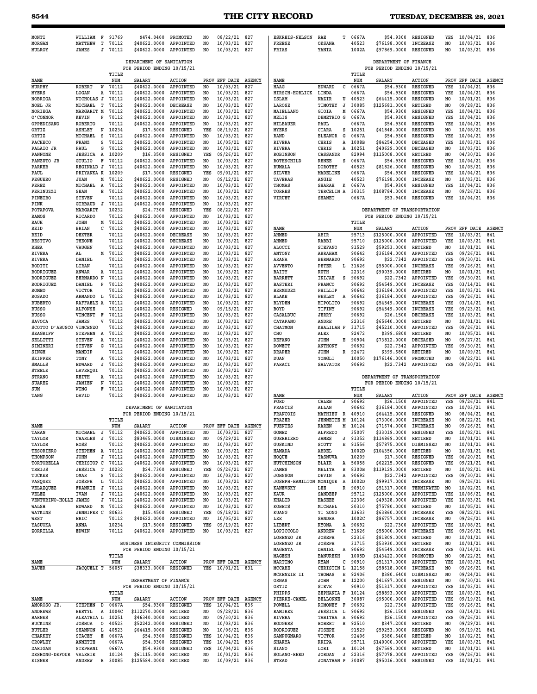### **8544 THE CITY RECORD TUESDAY, DECEMBER 28, 2021**

**SOLANO-REED JORDAN J 22316 \$57078.0000 APPOINTED YES 09/26/21 841**

\$95016.0000 RESIGNED

| MONTI<br><b>MORGAN</b>         | WILLIAM<br><b>MATTHEW</b>     | $\mathbf{F}$<br>т | 91769<br>70112 | \$474.0400<br>\$40622.0000                             | PROMOTED<br>APPOINTED        | NO<br>NO.  | 08/22/21<br>10/03/21         | 827<br>827    | <b>ESKREIS-NELSON</b><br><b>FREESE</b> | RAE<br>T.<br>OKSANA                 | 0667A<br>40523   | \$54.9300<br>\$76198.0000                           | RESIGNED<br>INCREASE               | YES<br>N <sub>O</sub> | 10/04/21<br>10/03/21         | 836<br>836           |
|--------------------------------|-------------------------------|-------------------|----------------|--------------------------------------------------------|------------------------------|------------|------------------------------|---------------|----------------------------------------|-------------------------------------|------------------|-----------------------------------------------------|------------------------------------|-----------------------|------------------------------|----------------------|
| MULROY                         | <b>JAMES</b>                  | J                 | 70112          | \$40622.0000                                           | APPOINTED                    | NO         | 10/03/21                     | 827           | FRIAS                                  | YANIA                               | 1002A            | \$97869.0000                                        | RESIGNED                           | NO                    | 10/03/21                     | 836                  |
|                                |                               |                   |                | DEPARTMENT OF SANITATION<br>FOR PERIOD ENDING 10/15/21 |                              |            |                              |               |                                        |                                     |                  | DEPARTMENT OF FINANCE<br>FOR PERIOD ENDING 10/15/21 |                                    |                       |                              |                      |
| NAME                           |                               |                   | TITLE<br>NUM   | <b>SALARY</b>                                          | <b>ACTION</b>                |            | PROV EFF DATE                | <b>AGENCY</b> | NAME                                   |                                     | TITLE<br>NUM     | <b>SALARY</b>                                       | <b>ACTION</b>                      |                       | PROV EFF DATE                | AGENCY               |
| MURPHY                         | <b>ROBERT</b>                 | W                 | 70112          | \$40622.0000                                           | APPOINTED                    | NO.        | 10/03/21                     | 827           | HAAG                                   | с<br>EDWARD                         | 0667A            | \$54.9300                                           | RESIGNED                           | YES                   | 10/04/21                     | 836                  |
| <b>MYERS</b>                   | LOGAN                         | Α                 | 70112          | \$40622.0000                                           | APPOINTED                    | NO         | 10/03/21                     | 827           | HIRSCH-HORLICK                         | LINDA                               | 0667A            | \$54.9300                                           | RESIGNED                           | YES                   | 10/04/21                     | 836                  |
| NOBRIGA                        | NICHOLAS J                    |                   | 70112          | \$40622.0000                                           | APPOINTED                    | NO         | 10/03/21                     | 827           | ISLAM                                  | NAZIR<br>U                          | 40523            | \$64415.0000                                        | RESIGNED                           | N <sub>O</sub>        | 10/01/21                     | 836                  |
| NOEL JR                        | MICHAEL                       | т                 | 70112          | \$40622.0000                                           | <b>DECREASE</b>              | NO         | 10/03/21                     | 827           | LAROSE                                 | TIMOTHY<br>J                        | 30085            | \$125681.0000                                       | RETIRED                            | NO                    | 09/28/21                     | 836                  |
| <b>NORIEGA</b>                 | MARGARIT M                    |                   | 70112          | \$40622.0000                                           | APPOINTED                    | NO         | 10/03/21                     | 827           | MAIELLANO                              | GIOIA<br>М                          | 0667A            | \$54.9300                                           | RESIGNED                           | YES                   | 10/04/21                     | 836                  |
| O' CONNOR<br>OPPEDISANO        | KEVIN<br><b>ROBERTO</b>       | P                 | 70112<br>70112 | \$40622.0000<br>\$40622.0000                           | APPOINTED<br>APPOINTED       | NO.<br>NO. | 10/03/21<br>10/03/21         | 827<br>827    | MELIS<br>MILBAUER                      | DEMETRIO G<br>PAUL                  | 0667A<br>0667A   | \$54.9300<br>\$54.9300                              | RESIGNED<br>RESIGNED               | YES<br>YES            | 10/04/21<br>10/04/21         | 836<br>836           |
| ORTIZ                          | ASHLEY                        | N                 | 10234          | \$17.5000                                              | RESIGNED                     | YES        | 08/19/21                     | 827           | <b>MYERS</b>                           | CIARA<br>S                          | 10251            | \$41848.0000                                        | RESIGNED                           | NO.                   | 10/08/21                     | 836                  |
| ORTIZ                          | MICHAEL                       | s                 | 70112          | \$40622.0000                                           | APPOINTED                    | NO         | 10/03/21                     | 827           | RAND                                   | G<br><b>ELEANOR</b>                 | 0667A            | \$54.9300                                           | RESIGNED                           | YES                   | 10/04/21                     | 836                  |
| PACHECO                        | FRANZ                         | s                 | 70112          | \$40622.0000                                           | APPOINTED                    | NO.        | 10/05/21                     | 827           | <b>RIVERA</b>                          | CHRIS<br>A                          | 1008B            | \$84254.0000                                        | DECEASED                           | YES                   | 10/03/21                     | 836                  |
| PALAIO JR                      | PAUL                          | G                 | 70112          | \$40622.0000                                           | APPOINTED                    | NO         | 10/03/21                     | 827           | <b>RIVERA</b>                          | CHRIS<br>A                          | 10251            | \$40629.0000                                        | <b>DECEASED</b>                    | NO.                   | 10/03/21                     | 836                  |
| PANNONE                        | <b>JESSICA A</b>              |                   | 10209          | \$16.3500                                              | RESIGNED                     | YES        | 09/26/21                     | 827           | <b>ROBINSON</b>                        | CASSANDR                            | 82994            | \$115008.0000                                       | RETIRED                            | NO                    | 04/30/21                     | 836                  |
| PANZUTO JR                     | <b>GIULIO</b>                 | F                 | 70112          | \$40622.0000                                           | APPOINTED                    | NO         | 10/03/21                     | 827           | ROTHSCHILD                             | RENEE<br>s                          | 0667A            | \$54.9300                                           | RESIGNED                           | YES                   | 10/04/21                     | 836                  |
| PARKER                         | REGINALD J                    |                   | 70112          | \$40622.0000                                           | APPOINTED                    | NO         | 10/03/21                     | 827           | RUMALA                                 | <b>DOROTHY</b>                      | 40523            | \$81826.0000                                        | <b>RESIGNED</b>                    | NO.                   | 10/05/21                     | 836                  |
| PAUL                           | PRIYANKA K                    |                   | 10209          | \$17.3000                                              | RESIGNED                     | YES        | 09/01/21                     | 827           | <b>SILVER</b>                          | MADELINE                            | 0667A            | \$54.9300                                           | RESIGNED                           | YES                   | 10/04/21                     | 836                  |
| PEGUERO<br>PEREZ               | <b>JUAN</b><br>MICHAEL        | М<br>$\mathbf{A}$ | 70112<br>70112 | \$40622.0000<br>\$40622.0000                           | RESIGNED<br>APPOINTED        | NO<br>NO.  | 09/12/21<br>10/03/21         | 827<br>827    | TAVERAS<br>THOMAS                      | ANGIE<br><b>SHARAH</b><br>K         | 40523<br>0667A   | \$76198.0000<br>\$54.9300                           | <b>INCREASE</b><br>RESIGNED        | NO.<br>YES            | 10/03/21<br>10/04/21         | 836<br>836           |
| PERINUZZI                      | SEAN                          | Е                 | 70112          | \$40622.0000                                           | APPOINTED                    | NO         | 10/03/21                     | 827           | TORRES                                 | TERCELIN A                          | 30315            | \$108784.0000                                       | <b>INCREASE</b>                    | NO                    | 09/26/21                     | 836                  |
| PINEIRO                        | <b>STEVEN</b>                 |                   | 70112          | \$40622.0000                                           | APPOINTED                    | NO         | 10/03/21                     | 827           | VIRUET                                 | <b>SHANET</b>                       | 0667A            | \$53.9400                                           | RESIGNED                           | YES                   | 10/04/21                     | 836                  |
| PINK                           | GIRBAUD                       | J                 | 70112          | \$40622.0000                                           | APPOINTED                    | NO.        | 10/03/21                     | 827           |                                        |                                     |                  |                                                     |                                    |                       |                              |                      |
| POTAPOVA                       | MARGARIT                      |                   | 10232          | \$24.7300                                              | RESIGNED                     | YES        | 08/22/21                     | 827           |                                        |                                     |                  | DEPARTMENT OF TRANSPORTATION                        |                                    |                       |                              |                      |
| <b>RAMOS</b>                   | <b>RICARDO</b>                |                   | 70112          | \$40622.0000                                           | APPOINTED                    | NO         | 10/03/21                     | 827           |                                        |                                     |                  | FOR PERIOD ENDING 10/15/21                          |                                    |                       |                              |                      |
| RAUH                           | <b>JOHN</b>                   | м                 | 70112          | \$40622.0000                                           | APPOINTED                    | NO.        | 10/03/21                     | 827           |                                        |                                     | TITLE            |                                                     |                                    |                       |                              |                      |
| REID                           | <b>BRIAN</b><br><b>DEXTER</b> | c                 | 70112<br>70112 | \$40622.0000                                           | APPOINTED<br><b>DECREASE</b> | NO         | 10/03/21<br>10/03/21         | 827           | NAME                                   |                                     | NUM              | <b>SALARY</b><br>\$125000.0000                      | <b>ACTION</b><br>APPOINTED         |                       | PROV EFF DATE<br>10/03/21    | <b>AGENCY</b><br>841 |
| REID<br><b>RESTIVO</b>         | THEONE                        |                   | 70112          | \$40622.0000<br>\$40622.0000                           | <b>DECREASE</b>              | NO<br>NO.  | 10/03/21                     | 827<br>827    | AHMED<br>AHMED                         | ABIR<br>RABBI                       | 95713<br>95710   | \$125000.0000                                       | APPOINTED                          | YES<br>YES            | 10/03/21                     | 841                  |
| RHEA                           | VAUGHN                        |                   | 70112          | \$40622.0000                                           | APPOINTED                    | NO.        | 10/03/21                     | 827           | ALOCCI                                 | <b>STEFANO</b>                      | 91529            | \$59253.0000                                        | <b>RETIRED</b>                     | NO.                   | 10/01/21                     | 841                  |
| RIVERA                         | AL                            | M                 | 70112          | \$40622.0000                                           | APPOINTED                    | NO         | 10/03/21                     | 827           | ANTONY                                 | ABRAHAM                             | 90642            | \$36184.0000                                        | APPOINTED                          | YES                   | 09/26/21                     | 841                  |
| RIVERA                         | DANIEL                        |                   | 70112          | \$40622.0000                                           | APPOINTED                    | NO.        | 10/03/21                     | 827           | ARANA                                  | <b>BERNARDO</b>                     | 90692            | \$22.7342                                           | APPOINTED                          | YES                   | 09/30/21                     | 841                  |
| RODITI                         | LIRAN                         |                   | 70112          | \$40622.0000                                           | APPOINTED                    | NO.        | 10/03/21                     | 827           | <b>AVVENTO</b>                         | PETER<br>L                          | 31626            | \$55000.0000                                        | <b>INCREASE</b>                    | YES                   | 09/26/21                     | 841                  |
| RODRIGUEZ                      | ANWAR                         | Α                 | 70112          | \$40622.0000                                           | APPOINTED                    | NO         | 10/03/21                     | 827           | BAITY                                  | RUTH                                | 22316            | \$90039.0000                                        | RETIRED                            | NO.                   | 10/01/21                     | 841                  |
| RODRIGUEZ                      | <b>BERNARDO N</b>             |                   | 70112          | \$40622.0000                                           | APPOINTED                    | NO         | 10/03/21                     | 827           | <b>BARRETT</b>                         | IKIJAH<br>s                         | 90692            | \$22.7342                                           | APPOINTED                          | YES                   | 09/30/21                     | 841                  |
| RODRIGUEZ                      | DANIEL                        | $\mathbf{P}$      | 70112          | \$40622.0000                                           | APPOINTED                    | NO.        | 10/03/21                     | 827           | <b>BASTERI</b>                         | FRANCO                              | 90692            | \$54549.0000                                        | <b>INCREASE</b>                    | YES                   | 03/14/21                     | 841                  |
| ROMEO                          | <b>VICTOR</b>                 |                   | 70112          | \$40622.0000                                           | APPOINTED                    | NO         | 10/03/21                     | 827           | <b>BERMUDEZ</b>                        | PHILLIP                             | 90642            | \$36184.0000                                        | APPOINTED                          | YES                   | 10/03/21                     | 841                  |
| <b>ROSADO</b>                  | ARMANDO L                     |                   | 70112          | \$40622.0000                                           | APPOINTED                    | NO         | 10/03/21                     | 827           | <b>BLAKE</b>                           | WESLEY<br>A                         | 90642            | \$36184.0000                                        | APPOINTED                          | YES                   | 09/26/21                     | 841                  |
| <b>RUBERTO</b><br><b>RUSSO</b> | RAFFAELE A<br><b>ALFONSE</b>  |                   | 70112<br>70112 | \$40622.0000<br>\$40622.0000                           | APPOINTED<br>RESIGNED        | NO<br>NO   | 10/03/21<br>09/15/21         | 827<br>827    | <b>BLYDEN</b><br><b>BOYD</b>           | HIPOLITO<br>TIFINY                  | 90692<br>90692   | \$54549.0000<br>\$54549.0000                        | <b>INCREASE</b><br><b>INCREASE</b> | YES<br>YES            | 03/14/21<br>09/23/21         | 841<br>841           |
| <b>RUSSO</b>                   | VINCENT                       | F                 | 70112          | \$40622.0000                                           | APPOINTED                    | NO         | 10/03/21                     | 827           | CASALDUC                               | <b>JERRY</b>                        | 90692            | \$26.1500                                           | <b>DECREASE</b>                    | YES                   | 10/03/21                     | 841                  |
| SAVOCA                         | <b>JAMES</b>                  | v                 | 70112          | \$40622.0000                                           | APPOINTED                    | NO         | 10/03/21                     | 827           | CATAPANO                               | ANDRE                               | 22316            | \$65640.0000                                        | RETIRED                            | NO.                   | 10/01/21                     | 841                  |
| SCOTTO D'ABUSCO                | VINCENZO                      |                   | 70112          | \$40622.0000                                           | APPOINTED                    | NO.        | 10/03/21                     | 827           | CHATMON                                | KHALILAH F                          | 31715            | \$45210.0000                                        | APPOINTED                          | YES                   | 09/26/21                     | 841                  |
| <b>SEAGRIFF</b>                | <b>STEPHEN</b>                |                   | A 70112        | \$40622.0000                                           | APPOINTED                    | NO         | 10/03/21                     | 827           | CHO                                    | ALEX                                | 92472            | \$399.6800                                          | RETIRED                            | NO                    | 10/05/21                     | 841                  |
| SELLITTI                       | <b>STEVEN</b>                 | Α                 | 70112          | \$40622.0000                                           | APPOINTED                    | NO         | 10/03/21                     | 827           | <b>DEFANO</b>                          | <b>JOHN</b><br>Е                    | 90904            | \$73812.0000                                        | DECEASED                           | NO.                   | 09/27/21                     | 841                  |
| SIMINERI                       | <b>STEVEN</b>                 | G                 | 70112          | \$40622.0000                                           | APPOINTED                    | NO.        | 10/03/21                     | 827           | <b>DOWETT</b>                          | <b>ANTHONY</b>                      | 90692            | \$22.7342                                           | APPOINTED                          | YES                   | 09/30/21                     | 841                  |
| SINGH                          | MANDIP                        |                   | 70112          | \$40622.0000                                           | APPOINTED                    | NO         | 10/03/21                     | 827           | <b>DRAPER</b>                          | <b>JOHN</b><br>R                    | 92472            | \$399.6800                                          | RETIRED                            | NO.                   | 10/09/21                     | 841                  |
| SKIPPER                        | TONY                          | A<br>J            | 70112          | \$40622.0000                                           | APPOINTED                    | NO         | 10/03/21                     | 827           | DUAN                                   | YONGLI                              | 10050            | \$176146.0000                                       | PROMOTED                           | NO<br>YES             | 08/22/21                     | 841                  |
| SMALLS<br><b>STEELE</b>        | EDWARD<br>LAVEROUI            |                   | 70112<br>70112 | \$40622.0000<br>\$40622.0000                           | APPOINTED<br>APPOINTED       | NO.<br>NO. | 10/03/21<br>10/03/21         | 827<br>827    | FARACI                                 | <b>SALVATOR</b>                     | 90692            | \$22.7342                                           | APPOINTED                          |                       | 09/30/21                     | 841                  |
| <b>STRANO</b>                  | KEITH                         | Α                 | 70112          | \$40622.0000                                           | APPOINTED                    | NO         | 10/03/21                     | 827           |                                        |                                     |                  | DEPARTMENT OF TRANSPORTATION                        |                                    |                       |                              |                      |
| <b>SUAREZ</b>                  | <b>JAMIEN</b>                 | N                 | 70112          | \$40622.0000                                           | APPOINTED                    | NO         | 10/03/21                     | 827           |                                        |                                     |                  | FOR PERIOD ENDING 10/15/21                          |                                    |                       |                              |                      |
| SUM                            | WING                          | F                 | 70112          | \$40622.0000                                           | APPOINTED                    | NO.        | 10/03/21                     | 827           |                                        |                                     | TITLE            |                                                     |                                    |                       |                              |                      |
| TANG                           | DAVID                         |                   | 70112          | \$40622.0000                                           | APPOINTED                    | NO         | 10/03/21                     | 827           | NAME                                   |                                     | NUM              | SALARY                                              | <b>ACTION</b>                      |                       | PROV EFF DATE                | <b>AGENCY</b>        |
|                                |                               |                   |                |                                                        |                              |            |                              |               | FORD                                   | CALEB<br>J                          | 90692            | \$26.1500                                           | APPOINTED                          | YES                   | 09/26/21                     | 841                  |
|                                |                               |                   |                | DEPARTMENT OF SANITATION                               |                              |            |                              |               | FRANCIS                                | ALLAN                               | 90642            | \$36184.0000                                        | APPOINTED                          | YES                   | 10/03/21                     | 841                  |
|                                |                               |                   |                | FOR PERIOD ENDING 10/15/21                             |                              |            |                              |               | FRANCOIS                               | MATHIEU<br>R                        | 40910            | \$64415.0000                                        | <b>RESIGNED</b>                    | NO.                   | 08/04/21                     | 841                  |
|                                |                               |                   | TITLE          |                                                        |                              |            |                              |               | FRAZER                                 | <b>JENNETTE M</b>                   | 10124            | \$73006.0000                                        | <b>INCREASE</b>                    | NO.                   | 08/22/21                     | 841                  |
| NAME<br>TARAN                  | MICHAEL J                     |                   | NUM<br>70112   | SALARY<br>\$40622.0000                                 | <b>ACTION</b><br>APPOINTED   | PROV<br>NO | EFF DATE<br>10/03/21 827     | <b>AGENCY</b> | FUENTES<br>GOMEZ                       | <b>KAREN</b><br>М<br><b>ALFREDO</b> | 10124<br>35007   | \$71674.0000<br>\$33019.0000                        | INCREASE<br>RESIGNED               | NO<br>YES             | 09/26/21<br>10/02/21         | 841<br>841           |
| TAYLOR                         | CHARLES                       | J                 | 70112          | \$83465.0000                                           | DISMISSED                    | NO         | 09/29/21 827                 |               | <b>GUERRIERO</b>                       | JAMES                               | $J$ 91352        | \$114869.0000                                       | RETIRED                            | NO                    | 10/01/21 841                 |                      |
| TAYLOR                         | ROSS                          |                   | 70112          | \$40622.0000                                           | APPOINTED                    | NO         | 10/03/21 827                 |               | GUSKIND                                | SCOTT<br>Е                          | 91556            | \$57875.0000                                        | DISMISSED                          | N0                    | 10/01/21 841                 |                      |
| <b>TESORIERO</b>               | STEPHEN A                     |                   | 70112          | \$40622.0000                                           | APPOINTED                    | NO         | 10/03/21 827                 |               | HAMADA                                 | ABDEL                               | 1002D            | \$104350.0000                                       | RETIRED                            | NO.                   | 10/01/21                     | 841                  |
| THOMPSON                       | JOHN                          | J                 | 70112          | \$40622.0000                                           | APPOINTED                    | NO         | 10/03/21 827                 |               | HOQUE                                  | TASNUVA                             | 10209            | \$17.3000                                           | RESIGNED                           | YES                   | 06/20/21 841                 |                      |
| TORTORELLA                     | CHRISTOP C                    |                   | 70112          | \$40622.0000                                           | APPOINTED                    | NO         | 10/03/21 827                 |               | HUTCHINSON                             | <b>BLAIR</b>                        | A 56058          | \$62215.0000                                        | RESIGNED                           | YES                   | 09/21/21 841                 |                      |
| TREIJS                         | <b>JESSICA T</b>              |                   | 10232          | \$24.7300                                              | RESIGNED                     | YES        | 09/26/21 827                 |               | <b>JAMES</b>                           | MELITA<br>R                         | 8300B            | \$119129.0000                                       | RETIRED                            | N <sub>O</sub>        | 10/02/21                     | 841                  |
| TUCKER<br>VASQUEZ              | OMAR<br>JOSEPH                | s                 | 70112<br>70112 | \$40622.0000<br>\$40622.0000                           | APPOINTED<br>APPOINTED       | NO         | 10/03/21 827<br>10/03/21 827 |               | <b>JOHNSON</b><br>JOSEPH-HAMILTON      | DEVIN<br>Α<br>MONIQUE               | 90692<br>1002D   | \$22.7342<br>\$99917.0000                           | APPOINTED<br>INCREASE              | YES                   | 09/30/21 841<br>09/26/21 841 |                      |
| VELAZQUEZ                      | FRANKIE                       | L<br>J            | 70112          | \$40622.0000                                           | APPOINTED                    | NO<br>NO   | 10/03/21 827                 |               | <b>KANEVSKY</b>                        | A<br>LEE<br>R                       | 90910            | \$51317.0000                                        | TERMINATED                         | NO<br>N0              | 10/02/21 841                 |                      |
| VELEZ                          | <b>IVAN</b>                   | J                 | 70112          | \$40622.0000                                           | APPOINTED                    | NO         | 10/03/21 827                 |               | KAUR                                   | <b>SANDEEP</b>                      | 95712            | \$125000.0000                                       | APPOINTED                          | YES                   | 10/06/21 841                 |                      |
| VENTURINO-HOLLE JAMES          |                               | J                 | 70112          | \$40622.0000                                           | APPOINTED                    | NO         | 10/03/21 827                 |               | KHALID                                 | HASEEB                              | 22306            | \$49328.0000                                        | APPOINTED                          | YES                   | 10/03/21 841                 |                      |
| WALSH                          | EDWARD                        | M                 | 70112          | \$40622.0000                                           | APPOINTED                    | NO.        | 10/03/21 827                 |               | KOBETS                                 | MICHAEL                             | 20310            | \$75780.0000                                        | RETIRED                            | NO                    | 10/05/21 841                 |                      |
| <b>WATKINS</b>                 | <b>JENNIFER C</b>             |                   | 80633          | \$15.4500                                              | RESIGNED                     | YES        | 09/18/21 827                 |               | KUANG                                  | YI ZONG                             | 13633            | \$63860.0000                                        | INCREASE                           | YES                   | 08/22/21 841                 |                      |
| WEST                           | ERIC                          |                   | 70112          | \$40622.0000                                           | APPOINTED                    | NO         | 10/05/21 827                 |               | LEE                                    | SANDRA                              | 1002C            | \$86757.0000                                        | INCREASE                           | NO                    | 09/26/21 841                 |                      |
| YASUOKA                        | ANNA                          |                   | 10234          | \$17.5000                                              | RESIGNED                     | YES        | 09/19/21 827                 |               | LIBERT                                 | KYONA                               | A 90692          | \$22.7300                                           | APPOINTED                          | YES                   | 10/08/21 841                 |                      |
| ZORRILLA                       | EDWIN                         |                   | 70112          | \$40622.0000                                           | APPOINTED                    | NO.        | 10/03/21 827                 |               | LOPICCOLO                              | ANDREW                              | L 31626          | \$55000.0000                                        | <b>INCREASE</b>                    | YES                   | 09/26/21 841                 |                      |
|                                |                               |                   |                |                                                        |                              |            |                              |               | LORENZO JR                             | <b>JOSEPH</b>                       | 22316            | \$81809.0000                                        | RETIRED                            | NO.                   | 10/01/21 841                 |                      |
|                                |                               |                   |                | BUSINESS INTEGRITY COMMISSION                          |                              |            |                              |               | LORENZO JR                             | <b>JOSEPH</b>                       | 31715            | \$53930.0000                                        | RETIRED                            | NO.                   | 10/01/21 841                 |                      |
|                                |                               |                   | TITLE          | FOR PERIOD ENDING 10/15/21                             |                              |            |                              |               | MAGENTA<br>MAGESH                      | DANIEL<br><b>BANUREKH</b>           | A 90692<br>1005D | \$54549.0000<br>\$143422.0000                       | INCREASE<br>PROMOTED               | YES<br>NO.            | 03/14/21 841<br>08/22/21 841 |                      |
| NAME                           |                               |                   | NUM            | SALARY                                                 | <b>ACTION</b>                |            | PROV EFF DATE AGENCY         |               | MARTINO                                | с<br>RYAN                           | 90910            | \$51317.0000                                        | APPOINTED                          | YES                   | 10/03/21 841                 |                      |
| <b>BAUER</b>                   | JACQUELI T 56057              |                   |                | \$38333.0000                                           | RESIGNED                     | YES        | 10/01/21 831                 |               | MCCABE                                 | CHRISTIN L                          | 12158            | \$58618.0000                                        | INCREASE                           | NO.                   | 09/26/21 841                 |                      |
|                                |                               |                   |                |                                                        |                              |            |                              |               | MCKENZIE II                            | THOMAS<br>Е                         | 92406            | \$380.6400                                          | DISMISSED                          | NO.                   | 09/24/21                     | 841                  |
|                                |                               |                   |                | DEPARTMENT OF FINANCE                                  |                              |            |                              |               | ORNAS                                  | R<br>JOHN                           | 12200            | \$41697.0000                                        | RESIGNED                           | NO.                   | 09/30/21 841                 |                      |
|                                |                               |                   |                | FOR PERIOD ENDING 10/15/21                             |                              |            |                              |               | ORTIZ                                  | <b>STEVE</b>                        | 90910            | \$51317.0000                                        | APPOINTED                          | YES                   | 10/03/21 841                 |                      |
|                                |                               |                   | TITLE          |                                                        |                              |            |                              |               | PHIPPS                                 | ZEPHANIA F                          | 10124            | \$58893.0000                                        | APPOINTED                          | YES                   | 10/03/21                     | 841                  |
| NAME                           |                               |                   | NUM            | SALARY                                                 | <b>ACTION</b>                |            | PROV EFF DATE AGENCY         |               | PIERRE-CANEL                           | <b>BELLONNE</b>                     | 30087            | \$95000.0000                                        | APPOINTED                          | YES                   | 09/19/21 841                 |                      |
| AMOROSO JR.                    |                               | D                 | 0667A          | \$54.9300                                              | RESIGNED<br>RETIRED          | YES        | 10/04/21                     | 836           | POWELL                                 | ROMONEY F                           | 90692            | \$22.7300                                           | APPOINTED                          | YES                   | 09/26/21 841                 |                      |
|                                | <b>STEPHEN</b>                |                   |                |                                                        |                              | NO         | 09/28/21 836                 |               | RAMIREZ                                | <b>JESSICA L</b>                    | 90692            | \$26.1500                                           | RESIGNED                           | YES                   | 03/14/21 841                 |                      |
| <b>ANDREWS</b>                 | BERTYL                        |                   | A 1004C        | \$112270.0000                                          |                              |            |                              |               |                                        |                                     |                  |                                                     |                                    |                       |                              |                      |
| <b>BARNES</b>                  | ALEATHIA L 10251              |                   |                | \$46340.0000                                           | RETIRED                      | NO         | 09/30/21 836                 |               | RIVERA                                 | TABITHA A                           | 90692            | \$26.1500                                           | APPOINTED                          | YES                   | 09/26/21 841                 |                      |
| <b>BUCKINS</b>                 | <b>JOSHUA</b>                 | $\circ$           | 40523          | \$52242.0000                                           | RESIGNED                     | NO         | 10/03/21 836                 |               | <b>RODGERS</b>                         | ROBERT<br>R                         | 92510            | \$347.2000                                          | RETIRED                            | NO                    | 09/29/21 841                 |                      |
| <b>BUTLER</b>                  | SHANNON L 40523               |                   |                | \$64415.0000                                           | RESIGNED                     | NO         | 10/06/21 836                 |               | RODRIGUEZ                              | JOSEPH                              | 91529            | \$59253.0000                                        | RESIGNED                           | NO.                   | 09/19/21 841                 |                      |
| <b>CHARKEY</b><br>CROWLEY      | STACEY<br><b>ANNETTE</b>      | Е                 | 0667A<br>0667A | \$54.9300<br>\$54.9300                                 | RESIGNED<br>RESIGNED         | YES<br>YES | 10/04/21 836<br>10/04/21 836 |               | SAMPUGNARO<br>SHAKYA                   | VICTOR<br>KRIPA                     | 92406<br>95711   | \$380.6400<br>\$140000.0000                         | RETIRED<br>APPOINTED               | NO<br>YES             | 10/02/21 841<br>10/03/21 841 |                      |

**I** 

**DESHONG-DEFOUR VALERIE 10124 \$61115.0000 RETIRED NO 10/01/21 836**

 $$125584.0000$  RETIRED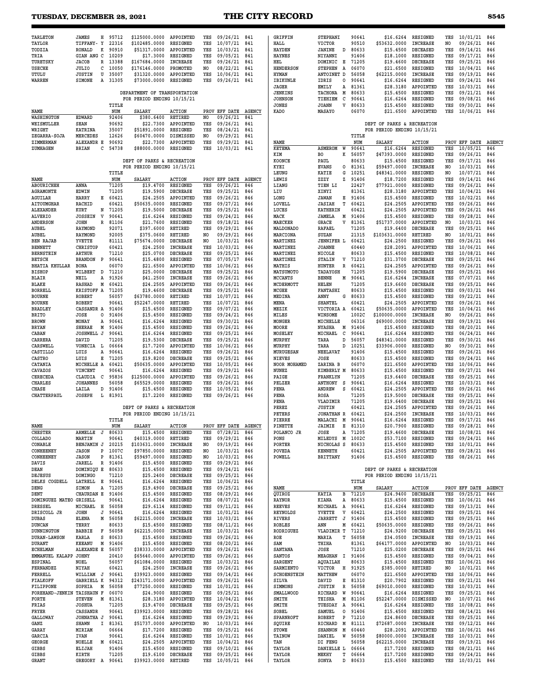| <b>TARLETON</b>                          | <b>JAMES</b><br>н<br>TIFFANY- Y                 | 95712<br>22316 | \$125000.0000<br>\$102485.0000 | APPOINTED<br>RESIGNED        | YES<br>YES            | 09/26/21<br>10/07/21      | 841<br>841           | GRIFFIN<br>HALL             | STEPHANI<br><b>VICTOR</b>               | 90641<br>90510 | \$16.6264<br>\$53632.0000                                | RESIGNED<br><b>INCREASE</b>        | YES                   | 10/01/21                         | 846           |
|------------------------------------------|-------------------------------------------------|----------------|--------------------------------|------------------------------|-----------------------|---------------------------|----------------------|-----------------------------|-----------------------------------------|----------------|----------------------------------------------------------|------------------------------------|-----------------------|----------------------------------|---------------|
| TAYLOR<br>TODZIA                         | <b>RONALD</b><br>к                              | 90910          | \$51317.0000                   | APPOINTED                    | YES                   | 10/03/21                  | 841                  | <b>HAYDEN</b>               | JANINE<br>D                             | 80633          | \$15.4500                                                | <b>DECEASED</b>                    | NO<br>YES             | 09/26/21<br>09/14/21             | 846<br>846    |
| TRIA<br>TURETSKY                         | GIAN ANG C                                      | 10209          | \$17.3000                      | RESIGNED                     | YES                   | 09/05/21                  | 841                  | <b>HAYNES</b>               | NIYANNI                                 | 91406<br>71205 | \$18,1000                                                | RESIGNED<br><b>DECREASE</b>        | YES                   | 09/17/21                         | 846           |
| <b>USECHE</b>                            | <b>JACOB</b><br>R<br>JULIO<br>с                 | 13388<br>10050 | \$167684.0000<br>\$176146.0000 | INCREASE<br>PROMOTED         | YES<br>N <sub>O</sub> | 09/26/21<br>08/22/21      | 841<br>841           | HEL<br><b>HENDERSON</b>     | DOMINIC<br>Е<br><b>STEPHEN</b><br>A     | 06070          | \$19,4600<br>\$21.6500                                   | RESIGNED                           | YES<br>YES            | 09/25/21<br>10/04/21             | 846<br>846    |
| UTULU                                    | <b>JUSTIN</b><br>U                              | 35007          | \$31320.0000                   | APPOINTED                    | YES                   | 10/06/21                  | 841                  | <b>HYMAN</b>                | ANTOINET D                              | 56058          | \$62215.0000                                             | <b>INCREASE</b>                    | YES                   | 09/19/21                         | 846           |
| WARREN                                   | SIMONE<br>Α                                     | 31305          | \$73000.0000                   | RESIGNED                     | YES                   | 09/26/21                  | 841                  | IBIKUNLE<br>JAGER           | IDRIS<br>о<br>EMILY<br>Α                | 90641<br>81361 | \$16.6264<br>\$28.3180                                   | RESIGNED<br>APPOINTED              | YES<br>YES            | 09/24/21<br>10/03/21             | 846<br>846    |
|                                          |                                                 |                | DEPARTMENT OF TRANSPORTATION   |                              |                       |                           |                      | <b>JENKINS</b>              | TACHONA<br>M                            | 80633          | \$15,4500                                                | RESIGNED                           | YES                   | 09/21/21                         | 846           |
|                                          |                                                 | TITLE          | FOR PERIOD ENDING 10/15/21     |                              |                       |                           |                      | <b>JOHNSON</b><br>JONES     | TIEHIEM<br>с<br>V<br><b>JOANN</b>       | 90641<br>80633 | \$16.6264<br>\$15.4500                                   | RESIGNED<br>RESIGNED               | YES<br>YES            | 09/08/21<br>09/30/21             | 846<br>846    |
| NAME                                     |                                                 | NUM            | <b>SALARY</b>                  | <b>ACTION</b>                |                       | PROV EFF DATE             | <b>AGENCY</b>        | KADO                        | MASAYO                                  | 06070          | \$21.6500                                                | APPOINTED                          | YES                   | 10/06/21                         | 846           |
| WASHINGTON<br>WEISMULLER                 | <b>EDWARD</b><br><b>SEAN</b>                    | 92406<br>90692 | \$380.6400<br>\$22.7300        | RETIRED<br>APPOINTED         | NO<br>YES             | 09/26/21<br>09/26/21      | 841<br>841           |                             |                                         |                | DEPT OF PARKS & RECREATION                               |                                    |                       |                                  |               |
| <b>WRIGHT</b>                            | <b>KATRINA</b>                                  | 35007          | \$51891.0000                   | RESIGNED                     | YES                   | 08/24/21                  | 841                  |                             |                                         |                | FOR PERIOD ENDING 10/15/21                               |                                    |                       |                                  |               |
| ZEGARRA-SOJA<br>ZIMMERMAN                | MERCEDES<br>ALEXANDR E                          | 12626<br>90692 | \$60470.0000<br>\$22,7300      | DISMISSED<br>APPOINTED       | NO<br>YES             | 09/29/21<br>09/29/21      | 841<br>841           | NAME                        |                                         | TITLE<br>NUM   | <b>SALARY</b>                                            | <b>ACTION</b>                      |                       | PROV EFF DATE                    | <b>AGENCY</b> |
| ZUMHAGEN                                 | <b>BRIAN</b><br>C                               | 54738          | \$88000.0000                   | RESIGNED                     | YES                   | 10/03/21                  | 841                  | <b>KETEMA</b>               | <b>ASMEROM</b><br>W                     | 90641          | \$16.6264                                                | RESIGNED                           | YES                   | 10/05/21                         | 846           |
|                                          |                                                 |                | DEPT OF PARKS & RECREATION     |                              |                       |                           |                      | KIM<br>KOONCE               | BO<br>к<br>PAUL                         | 56057<br>80633 | \$47393.0000<br>\$15.4500                                | <b>RESIGNED</b><br>RESIGNED        | YES<br>YES            | 09/26/21<br>09/17/21             | 846<br>846    |
|                                          |                                                 |                | FOR PERIOD ENDING 10/15/21     |                              |                       |                           |                      | KYEI                        | <b>EVANS</b><br>0                       | 81361          | \$59497.0000                                             | <b>INCREASE</b>                    | NO                    | 10/03/21                         | 846           |
|                                          |                                                 | TITLE          |                                |                              |                       |                           |                      | LEUNG                       | KATIE<br>G<br>z                         | 10251          | \$48341.0000                                             | RESIGNED                           | NO.                   | 10/07/21                         | 846           |
| NAME<br>ABOURICHEH                       | ANNA                                            | NUM<br>71205   | <b>SALARY</b><br>\$19.4700     | <b>ACTION</b><br>RESIGNED    | YES                   | PROV EFF DATE<br>09/26/21 | <b>AGENCY</b><br>846 | LEWIS<br>LIANG              | ZZZY<br>TIEN LI                         | 91406<br>22427 | \$18.7200<br>\$77921.0000                                | RESIGNED<br>RESIGNED               | YES<br>YES            | 09/14/21<br>09/26/21             | 846<br>846    |
| <b>AGRAMONTE</b>                         | EDWIN                                           | 71205          | \$19.5900                      | <b>DECREASE</b>              | YES                   | 09/25/21                  | 846                  | LIU                         | XINYI                                   | 81361          | \$28.3180                                                | APPOINTED                          | YES                   | 10/04/21                         | 846           |
| AGUILAR<br><b>AITOUMGHAR</b>             | HARRY<br>Е<br>RACHID                            | 60421<br>60421 | \$24.2505<br>\$50635.0000      | APPOINTED<br>RESIGNED        | YES<br>YES            | 09/26/21<br>09/27/21      | 846<br>846           | LONG<br>LOVELL              | <b>JAWAN</b><br>Е<br>т<br><b>JASIAH</b> | 91406<br>60421 | \$15.4500<br>\$24.2505                                   | RESIGNED<br>APPOINTED              | YES<br>YES            | 10/02/21<br>09/26/21             | 846<br>846    |
| ALEXANDER                                | KURT<br>N                                       | 71205          | \$19.5000                      | DECREASE                     | YES                   | 09/25/21                  | 846                  | LUCES                       | <b>KATHERIN</b>                         | 60421          | \$24.2505                                                | APPOINTED                          | YES                   | 09/26/21                         | 846           |
| ALVERIO<br>ANDERSON                      | <b>JOSSEIN</b><br>v<br>JOHN<br>R                | 90641<br>81106 | \$16.6264<br>\$21.7600         | RESIGNED<br>RESIGNED         | YES<br>YES            | 09/24/21<br>09/18/21      | 846<br>846           | MACK<br><b>MAECKER</b>      | JAMELA<br>М<br>GRACE<br>v               | 91406<br>81361 | \$15,4500<br>\$51737.0000                                | RESIGNED<br>APPOINTED              | YES<br>NO             | 09/28/21<br>10/03/21             | 846<br>846    |
| AUBEL                                    | <b>RAYMOND</b>                                  | 92071          | \$397.6000                     | RETIRED                      | YES                   | 09/29/21                  | 846                  | MALDONADO                   | <b>RAFAEL</b>                           | 71205          | \$19.6400                                                | <b>DECREASE</b>                    | YES                   | 09/25/21                         | 846           |
| AUBEL<br><b>BEN RAJAB</b>                | <b>RAYMOND</b><br>YVETTE                        | 92005<br>81111 | \$375.0600<br>\$75674.0000     | RETIRED<br>DECREASE          | N <sub>O</sub><br>NO  | 09/29/21<br>10/03/21      | 846<br>846           | MARCIONA<br>MARTINEZ        | SUZAN<br><b>JENNIFER L</b>              | 21315<br>60421 | \$103631.0000<br>\$24,2500                               | RETIRED<br>RESIGNED                | N <sub>O</sub><br>YES | 10/01/21<br>09/26/21             | 846<br>846    |
| <b>BENNETT</b>                           | <b>CHRISTOP</b>                                 | 60421          | \$24.2500                      | INCREASE                     | YES                   | 10/03/21                  | 846                  | MARTINEZ                    | <b>JOANNE</b>                           | 60440          | \$28.2091                                                | APPOINTED                          | YES                   | 10/06/21                         | 846           |
| <b>BERNSTEIN</b><br><b>BETSCH</b>        | <b>ARTHUR</b><br><b>BRANDON</b><br>$\mathbf{P}$ | 71210<br>90641 | \$25.0700<br>\$15.4800         | DECREASE<br>RESIGNED         | YES<br>YES            | 09/25/21<br>07/05/17      | 846<br>846           | MARTINEZ<br>MARTINEZ        | NICOLE<br><b>STALIN</b><br>V            | 80633<br>71210 | \$15,4500<br>\$31.3700                                   | RESIGNED<br><b>DECREASE</b>        | YES<br>YES            | 10/08/21<br>09/25/21             | 846<br>846    |
| <b>BHATIA KHULLAR</b>                    | BONA                                            | 06070          | \$21.6500                      | APPOINTED                    | YES                   | 10/06/21                  | 846                  | MATHIS                      | <b>HUNTER</b><br>R                      | 60421          | \$24.2505                                                | APPOINTED                          | YES                   | 09/26/21                         | 846           |
| <b>BISHOP</b>                            | WILBERT D                                       | 71210          | \$25.0000                      | DECREASE                     | YES                   | 09/25/21                  | 846                  | MATSUMOTO                   | TADAYOSH                                | 71205          | \$19.5900                                                | <b>DECREASE</b>                    | YES                   | 09/25/21                         | 846           |
| BLAIR<br>BLAKE                           | NEIL<br>A<br><b>RASHAD</b><br>Μ                 | 91926<br>60421 | \$41.2500<br>\$24.2505         | <b>INCREASE</b><br>APPOINTED | YES<br>YES            | 09/26/21<br>09/26/21      | 846<br>846           | <b>MCCANTS</b><br>MCDERMOTT | <b>BENNE</b><br>М<br>HELEN              | 90641<br>71205 | \$16.6264<br>\$19.6600                                   | <b>INCREASE</b><br><b>DECREASE</b> | YES<br>YES            | 07/07/21<br>09/25/21             | 846<br>846    |
| <b>BORRELL</b>                           | KRISTOFF A                                      | 71205          | \$19.4600                      | <b>DECREASE</b>              | YES                   | 09/25/21                  | 846                  | MCGEE                       | FANTASHI                                | 80633          | \$15.4500                                                | RESIGNED                           | YES                   | 09/03/21                         | 846           |
| <b>BOURNE</b><br><b>BOURNE</b>           | <b>ROBERT</b><br><b>ROBERT</b>                  | 56057<br>90641 | \$63780.0000<br>\$52247.0000   | RETIRED<br>RETIRED           | YES<br>YES            | 10/07/21<br>10/07/21      | 846<br>846           | MEDINA<br>MENA              | ANNY<br>G<br><b>SHANTEL</b>             | 80633<br>60421 | \$15.4500<br>\$24.2505                                   | RESIGNED<br>APPOINTED              | YES<br>YES            | 09/22/21<br>09/26/21             | 846<br>846    |
| <b>BRADLEY</b>                           | CASSANDR A                                      | 91406          | \$15.4500                      | RESIGNED                     | YES                   | 09/07/21                  | 846                  | MEZIK                       | VICTORIA A                              | 60421          | \$50635.0000                                             | APPOINTED                          | YES                   | 10/04/21                         | 846           |
| <b>BRITO</b><br><b>BROWN</b>             | JOSE<br>o<br>MONAY<br>Α                         | 91406<br>90641 | \$15.4500<br>\$16.6264         | RESIGNED<br>RESIGNED         | YES<br>YES            | 09/24/21<br>09/30/21      | 846<br>846           | MILES<br>MONGER             | WINSOME<br>MICHELLE                     | 1002C<br>06316 | \$100000.0000<br>\$69000.0000                            | <b>INCREASE</b><br><b>INCREASE</b> | NO.<br>YES            | 09/26/21<br>09/19/21             | 846<br>846    |
| <b>BRYAN</b>                             | <b>SHERAE</b><br>Μ                              | 91406          | \$15.4500                      | RESIGNED                     | YES                   | 09/26/21                  | 846                  | MOORE                       | <b>NYASHA</b><br>Μ                      | 91406          | \$15.4500                                                | RESIGNED                           | YES                   | 08/20/21                         | 846           |
| CABAN<br>CARRERA                         | JOSHWELL J<br>DAVID                             | 90641<br>71205 | \$16.6264<br>\$19.5300         | RESIGNED<br>DECREASE         | YES<br>YES            | 09/25/21<br>09/25/21      | 846<br>846           | MOSELEY<br>MURPHY           | MICHAEL<br>c<br>TARA<br>D               | 90641<br>56057 | \$16.6264<br>\$48341.0000                                | RESIGNED<br>RESIGNED               | YES<br>YES            | 06/24/21<br>09/30/21             | 846<br>846    |
| CARSWELL                                 | VONECIA L                                       | 06664          | \$17.7200                      | APPOINTED                    | YES                   | 10/06/21                  | 846                  | MURPHY                      | TARA<br>D                               | 10251          | \$33906.0000                                             | RESIGNED                           | NO                    | 09/30/21                         | 846           |
| CASTILLO<br><b>CASTRO</b>                | LUIS<br>Α<br>LUIS<br>Е                          | 90641<br>71205 | \$16.6264<br>\$19.8200         | RESIGNED<br><b>DECREASE</b>  | YES<br>YES            | 09/26/21<br>09/25/21      | 846<br>846           | MURUGESAN<br><b>NIEVES</b>  | <b>NEELAVAT</b><br>JOSE                 | 91406<br>80633 | \$15.4500<br>\$15.4500                                   | RESIGNED<br>RESIGNED               | YES<br>YES            | 09/26/21<br>09/24/21             | 846<br>846    |
| CATANIA                                  | MICHELLE A                                      | 60421          | \$50635.0000                   | APPOINTED                    | YES                   | 10/05/21                  | 846                  | NOOR MOHAMED                | ZARINA B                                | 06070          | \$21.6500                                                | APPOINTED                          | YES                   | 10/06/21                         | 846           |
| CAVAZOS<br>CERECEDA                      | VINCENT<br>CLAUDIA                              | 90641<br>95836 | \$16.6264<br>\$125000.0000     | RESIGNED<br>APPOINTED        | YES<br>YES            | 09/29/21<br>09/26/21      | 846                  | NUNEZ<br>PAIGE              | KIMBERLY M<br>FRANKLYN                  | 80633<br>71205 | \$15.4500<br>\$19.6400                                   | RESIGNED<br><b>DECREASE</b>        | YES<br>YES            | 09/27/21                         | 846<br>846    |
| <b>CHARLES</b>                           | C<br><b>JOHANNES</b>                            | 56058          | \$65529.0000                   | RESIGNED                     | YES                   | 09/26/21                  | 846<br>846           | PELZER                      | ANTHONY S                               | 90641          | \$16.6264                                                | RESIGNED                           | YES                   | 09/25/21<br>10/03/21             | 846           |
| CHASE                                    | LAILA<br>D                                      | 91406          | \$15.4500                      | RESIGNED                     | YES                   | 10/05/21                  | 846                  | PENA                        | s<br>ANDREW                             | 60421          | \$24.2505                                                | APPOINTED                          | YES                   | 09/26/21                         | 846           |
| CHATTERPAUL                              | <b>JOSEPH</b><br>ь                              | 81901          | \$17.2200                      | <b>RESIGNED</b>              | YES                   | 09/26/21                  | 846                  | PENA<br>PENA                | ROSA<br>VLADIMIR                        | 71205<br>71205 | \$19,5000<br>\$19.6400                                   | <b>DECREASE</b><br><b>DECREASE</b> | YES<br>YES            | 09/25/21<br>09/25/21             | 846<br>846    |
|                                          |                                                 |                | DEPT OF PARKS & RECREATION     |                              |                       |                           |                      | PEREZ                       | <b>JUSTIN</b>                           | 60421          | \$24.2505                                                | APPOINTED                          | YES                   | 09/26/21                         | 846           |
|                                          |                                                 | TITLE          | FOR PERIOD ENDING 10/15/21     |                              |                       |                           |                      | PETERS<br>PIERRE            | <b>JONATHAN R</b><br>MALACHI M          | 60421<br>90641 | \$24.2500<br>\$16.6264                                   | <b>INCREASE</b><br>RESIGNED        | YES<br>YES            | 10/03/21<br>09/17/21             | 846<br>846    |
| NAME                                     |                                                 | NUM            | SALARY                         | <b>ACTION</b>                |                       | PROV EFF DATE AGENCY      |                      | PINETTE                     | <b>JAIMIE</b><br>Е                      | 81310          | \$20.7900                                                | RESIGNED                           | YRS                   | 09/28/21                         | 846           |
| <b>CHESTER</b><br>COLLADO                | ARMELLE<br>J<br>MARTIN                          | 80633<br>90641 | \$15.4500<br>\$40319.0000      | RESIGNED<br>RETIRED          | YES<br>YES            | 07/28/21<br>09/29/21      | 846<br>846           | POLANCO JR<br>PONS          | JOSE<br>Α<br>MILEDYS M                  | 71205<br>1002C | \$19.4600<br>\$53.7100                                   | DECREASE<br>RESIGNED               | YES<br>YES            | 10/08/21<br>09/24/21             | 846<br>846    |
| CONABLE                                  | <b>BENJAMIN J</b>                               | 20215          | \$103631.0000                  | <b>INCREASE</b>              | NO.                   | 09/19/21                  | 846                  | PORTER                      | NICHOLAS S                              | 80633          | \$15,4500                                                | RESIGNED                           | YES                   | 10/01/21                         | 846           |
| CONHEENEY<br>CONHEENEY                   | <b>JASON</b><br>P<br><b>JASON</b><br>P          | 1007C<br>81361 | \$97850.0000<br>\$59497.0000   | RESIGNED<br>RESIGNED         | NO<br>N0              | 10/03/21<br>10/03/21      | 846<br>846           | POVEDA<br>POWELL            | <b>KENNETH</b><br><b>BRITTANY</b>       | 60421<br>91406 | \$24.2505<br>\$15.4500 RESIGNED                          | APPOINTED                          | YES<br>YES            | 09/28/21<br>08/26/21 846         | 846           |
| DAVIS                                    | <b>JARELL</b><br>R                              | 91406          | \$15.4500                      | RESIGNED                     | YES                   | 09/29/21                  | 846                  |                             |                                         |                |                                                          |                                    |                       |                                  |               |
| DEAN<br>DEJESUS                          | DOMINIQU E<br><b>DOMINGO</b>                    | 80633<br>71210 | \$15.4500<br>\$25.2400         | RESIGNED<br>DECREASE         | YES<br>YES            | 09/24/21<br>09/25/21      | 846<br>846           |                             |                                         |                | DEPT OF PARKS & RECREATION<br>FOR PERIOD ENDING 10/15/21 |                                    |                       |                                  |               |
| DELKS COGDELL                            | LATRELL E                                       | 90641          | \$16.6264                      | RESIGNED                     | YES                   | 10/06/21                  | 846                  |                             |                                         | TITLE          |                                                          |                                    |                       |                                  |               |
| DENG<br>DENT                             | SIMON<br>Α<br>CHAURDAN E                        | 71205<br>91406 | \$19.4900<br>\$15.4500         | DECREASE<br>RESIGNED         | YES<br>YES            | 09/25/21<br>08/29/21      | 846<br>846           | NAME<br>QUIROZ              | KATIA<br>в                              | NUM<br>71210   | SALARY<br>\$24.9400                                      | ACTION<br>DECREASE                 | YES                   | PROV EFF DATE AGENCY<br>09/25/21 | 846           |
| DOMINGUEZ MATEO GRISELL                  |                                                 | 90641          | \$16.6264                      | RESIGNED                     | YES                   | 08/07/21                  | 846                  | RAYNOR                      | KIANA<br>Α                              | 80633          | \$15.4500                                                | RESIGNED                           | YES                   | 10/06/21                         | 846           |
| <b>DRESSEL</b><br>DRISCOLL JR            | MICHAEL H<br><b>JOHN</b><br>J                   | 56058<br>90641 | \$29.6114<br>\$16.6264         | RESIGNED<br>RESIGNED         | YES<br>YES            | 09/11/21<br>10/01/21      | 846<br>846           | <b>REEVES</b><br>REYNOLDS   | MICHAEL<br>A<br>YVETTE<br>V             | 90641<br>60421 | \$16.6264<br>\$24.2500                                   | RESIGNED<br>RESIGNED               | YES<br>YES            | 09/13/21<br>09/25/21             | 846<br>846    |
| DUBAS                                    | ELENA<br>M                                      | 56058          | \$62215.0000                   | INCREASE                     | YES                   | 10/03/21                  | 846                  | <b>RIVERS</b>               | <b>JARRETT</b><br>J                     | 91406          | \$15.4500                                                | RESIGNED                           | YES                   | 09/25/21                         | 846           |
| <b>DUNCAN</b>                            | TERRY                                           | 80633<br>56058 | \$15.4500<br>\$62215.0000      | RESIGNED<br><b>INCREASE</b>  | YES                   | 08/11/21                  | 846<br>846           | <b>ROBLES</b>               | ANN<br>М                                | 60421<br>71210 | \$50635.0000                                             | RESIGNED<br><b>DECREASE</b>        | YES                   | 09/26/21                         | 846<br>846    |
| <b>DUNNINGTON</b><br><b>DURAN-LAWSON</b> | BABBIE<br>F<br>KARLA<br>s                       | 80633          | \$15.4500                      | RESIGNED                     | YES<br>YES            | 10/03/21<br>09/26/21      | 846                  | RODRIGUEZ<br>ROE            | VLADIMIR T<br>MARIA<br>т                | 56058          | \$24.9200<br>\$34.0500                                   | INCREASE                           | YES<br>YES            | 09/25/21<br>09/19/21             | 846           |
| DURANT                                   | <b>KEEANU</b><br>M                              | 91406          | \$15.4500                      | RESIGNED                     | YES                   | 08/20/21                  | 846                  | SAM                         | THIHA                                   | 81361          | \$64177.0000                                             | APPOINTED                          | NO.                   | 10/03/21                         | 846           |
| <b>ECHELMAN</b><br>EMMANUEL KALAPP JOHNY | <b>ALEXANDE E</b>                               | 56057<br>20410 | \$38333.0000<br>\$65640.0000   | APPOINTED<br>APPOINTED       | YES<br>YES            | 09/26/21<br>09/26/21      | 846<br>846           | <b>SANTANA</b><br>SANTOS    | JOSE<br>MEAGHAN I                       | 71210<br>91406 | \$25.0200<br>\$15.4500                                   | <b>DECREASE</b><br>RESIGNED        | YES<br>YES            | 09/25/21<br>09/04/21             | 846<br>846    |
| <b>ESPINAL</b>                           | NOEL                                            | 56057          | \$61084.0000                   | RESIGNED                     | YES                   | 10/03/21                  | 846                  | <b>SARGENT</b>              | AQUAILAH                                | 80633          | \$15.4500                                                | RESIGNED                           | YES                   | 10/06/21                         | 846           |
| FERNANDEZ<br>FERRELL                     | <b>NIYAH</b><br>WILLIAM J                       | 60421<br>90641 | \$24.2500<br>\$39923.0000      | INCREASE<br>RESIGNED         | YES<br>YES            | 09/26/21<br>09/14/21      | 846<br>846           | SARMIENTO<br>SCHOENSTEIN    | VICTOR<br>н<br>MATTHEW                  | 91925<br>06070 | \$385.0000<br>\$21.6500                                  | RETIRED<br>APPOINTED               | NO<br>YES             | 10/01/21<br>10/06/21             | 846<br>846    |
| FIALKOFF                                 | <b>GABRIELL K</b>                               | 94312          | \$243171.0000                  | APPOINTED                    | YES                   | 09/26/21                  | 846                  | SILVA                       | DAVID<br>Е                              | 81310          | \$20.7902                                                | RESIGNED                           | YES                   | 09/21/21                         | 846           |
| FILIPPONE<br>FOREHAND-JENKIN TAISHAUN F  | SOPHIA<br>M                                     | 56058<br>06070 | \$77250.0000<br>\$24.9000      | RESIGNED<br>RESIGNED         | YES<br>YES            | 10/01/21<br>09/25/21      | 846<br>846           | SIMMONS<br>SMALLWOOD        | <b>JUSTIN</b><br>R<br>RICHARD<br>W      | 56058<br>90641 | \$69010.0000<br>\$16.6264                                | RESIGNED<br>RESIGNED               | YES<br>YES            | 10/03/21<br>09/25/21             | 846<br>846    |
| FORTE                                    | <b>STEVEN</b>                                   | M 81361        | \$28.3180                      | APPOINTED                    | YES                   | 10/04/21                  | 846                  | SMITH                       | TEISHA<br>M                             | 81106          | \$52247.0000                                             | DISMISSED                          | NO.                   | 10/07/21                         | 846           |
| FRIAS<br>FRYER                           | <b>JOSHUA</b><br>CASSANDR                       | 71205<br>90641 | \$19.4700<br>\$39923.0000      | DECREASE<br>RESIGNED         | YES<br>YES            | 09/25/21<br>09/28/21      | 846<br>846           | SMITH<br>SOBEL              | TUESDAY<br>A<br>SAMUEL<br>0             | 90641<br>91406 | \$16.6264<br>\$15.4500                                   | RESIGNED<br>RESIGNED               | YES<br>YES            | 10/08/21<br>08/14/21             | 846<br>846    |
| <b>GALLOWAY</b>                          |                                                 | 90641          | \$16.6264                      | RESIGNED                     | YES                   | 09/29/21                  | 846                  | SPARNROFT                   | ROBERT<br>P                             | 71210          | \$24.8600                                                | DECREASE                           | YES                   | 09/25/21                         | 846           |
|                                          | JOHNATHA J                                      |                |                                |                              |                       |                           | 846                  | SQUIRE                      | RICHARD<br>M                            | 81111          | \$72687.0000                                             | INCREASE                           | YES                   | 09/12/21                         | 846           |
| GANZ                                     | SHAWN<br>Ι.                                     | 81361          | \$51737.0000                   | APPOINTED                    | N0                    | 10/03/21                  |                      |                             |                                         |                |                                                          |                                    |                       |                                  |               |
| GARAY<br>GARCIA                          | MIRIAM<br><b>IVAN</b>                           | 06664<br>90641 | \$17.7200<br>\$16.6264         | RESIGNED<br>RESIGNED         | YES<br>YES            | 09/25/21<br>10/01/21      | 846<br>846           | STOWE<br>TAINOW             | <b>SHANNON</b><br>M<br>W<br>DANIEL      | 60440<br>56058 | \$28.2091<br>\$80000.0000                                | APPOINTED<br><b>INCREASE</b>       | YES<br>YES            | 10/06/21<br>10/03/21             | 846<br>846    |
| GEORGE                                   | NOELLE                                          | M 60421        | \$24.2505                      | APPOINTED                    | YES                   | 10/04/21                  | 846                  | TAN                         | DI FENG                                 | 56058          | \$62215.0000                                             | INCREASE                           | YES                   | 09/19/21                         | 846           |
| GIBBS<br>GIBBS                           | ELIJAH<br>KIRTH<br>GREGORY A 90641              | 91406<br>71205 | \$15.4500<br>\$19.6100         | RESIGNED<br>DECREASE         | YES<br>YES            | 09/10/21<br>09/25/21      | 846<br>846           | TAYLOR<br>TAYLOR            | DANIELLE L<br>MEKHY<br>т                | 06664<br>06664 | \$17.7200<br>\$17.7200                                   | RESIGNED<br>RESIGNED               | YES<br>YES            | 08/21/21<br>09/24/21             | 846<br>846    |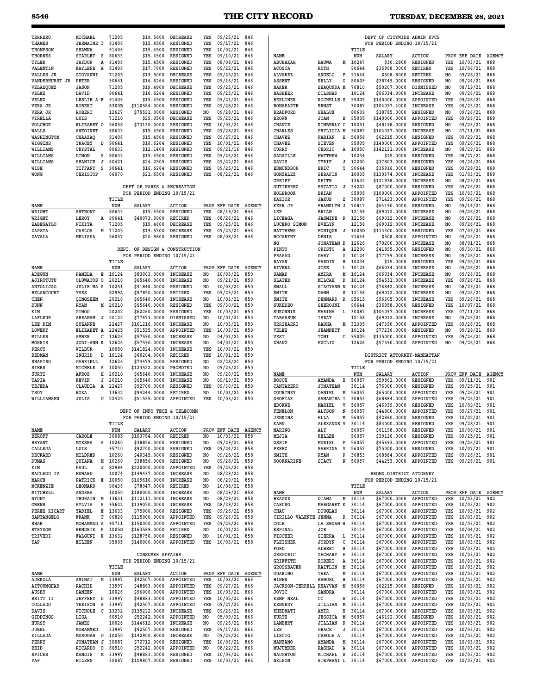| <b>TERRERO</b>                   | MICHAEL                    | 71205            | \$19,5600                                                | <b>DECREASE</b>              | YES        | 09/25/21                     | 846           |                                 |                                            |                  | DEPT OF CITYWIDE ADMIN SVCS                           |                                    |                                  |                      |                      |
|----------------------------------|----------------------------|------------------|----------------------------------------------------------|------------------------------|------------|------------------------------|---------------|---------------------------------|--------------------------------------------|------------------|-------------------------------------------------------|------------------------------------|----------------------------------|----------------------|----------------------|
| THAMES                           | <b>JERMAINE T</b>          | 91406<br>91406   | \$15.4500<br>\$15,4500                                   | RESIGNED<br>RESIGNED         | YES        | 09/17/21                     | 846           |                                 |                                            | TITLE            | FOR PERIOD ENDING 10/15/21                            |                                    |                                  |                      |                      |
| THOMPSON<br><b>THORNES</b>       | <b>SHAWNA</b><br>STARLET S | 80633            | \$15.4500                                                | RESIGNED                     | YES<br>YES | 10/02/21<br>09/10/21         | 846<br>846    | NAME                            |                                            | NUM              | SALARY                                                | <b>ACTION</b>                      | PROV                             | EFF DATE             | <b>AGENCY</b>        |
| TYLER                            | <b>JAYDON</b><br>А         | 91406            | \$15.4500                                                | RESIGNED                     | YES        | 08/08/21                     | 846           | ABUBAKAR                        | HAUWA<br>м                                 | 10247            | \$30.2800                                             | RESIGNED                           | YES                              | 10/03/21             | 868                  |
| VALENTIN                         | <b>KAYLENE</b><br>A        | 91406            | \$17.7600                                                | RESIGNED                     | YES        | 09/22/21                     | 846           | <b>ACOSTA</b>                   | RUTH                                       | 90644            | \$36958.0000                                          | RETIRED                            | YES                              | 10/06/21             | 868                  |
| VALLES JR                        | GIOVANNI                   | 71205            | \$19.5000                                                | <b>DECREASE</b><br>RESIGNED  | YES        | 09/25/21                     | 846           | <b>ALVAREZ</b>                  | ANGELO<br>F                                | 91644<br>80609   | \$508.8000                                            | RETIRED                            | N <sub>O</sub>                   | 09/28/21<br>09/24/21 | 868                  |
| VANDERHURST JR<br>VELAZQUEZ      | PETER<br><b>JASON</b>      | 90641<br>71205   | \$16.6264<br>\$19,4800                                   | <b>DECREASE</b>              | YES<br>YES | 09/16/21<br>09/25/21         | 846<br>846    | ASSENT<br><b>BAKER</b>          | KELLY<br>0<br>SHAQUNDA M                   | 70810            | \$38749.0000<br>\$50207.0000                          | RESIGNED<br>DISMISSED              | N <sub>O</sub><br>N <sub>O</sub> | 08/19/21             | 868<br>868           |
| VELEZ                            | DAVID                      | 90641            | \$16.6264                                                | RESIGNED                     | YES        | 09/25/21                     | 846           | <b>BASHEER</b>                  | DILSHAD                                    | 10124            | \$66034.0000                                          | INCREASE                           | NO                               | 09/26/21             | 868                  |
| VELEZ                            | LESLIE A F                 | 91406            | \$15.4500                                                | RESIGNED                     | YES        | 09/23/21                     | 846           | <b>BERLINER</b>                 | ROCHELLE S                                 | 95005            | \$140000.0000                                         | APPOINTED                          | YES                              | 09/26/21             | 868                  |
| VERA JR                          | <b>ROBERT</b>              | 8300B            | \$110584.0000                                            | RESIGNED                     | YES        | 09/28/21                     | 846           | <b>BONAPARTE</b>                | ERNST                                      | 30087            | \$104097.4000                                         | <b>INCREASE</b>                    | YES                              | 05/23/21             | 868                  |
| VERA JR<br>VIRELLA               | <b>ROBERT</b><br>LUIS      | 12627<br>71210   | \$75591.0000<br>\$25.0500                                | RESIGNED<br><b>DECREASE</b>  | NO<br>YES  | 09/28/21<br>09/25/21         | 846<br>846    | <b>BRADFORD</b><br><b>BROWN</b> | <b>SHALUX</b><br><b>JOAN</b><br>в          | 80609<br>95005   | \$38785.0000<br>\$140000.0000                         | RESIGNED<br>APPOINTED              | N <sub>O</sub><br>YES            | 09/26/21<br>09/26/21 | 868<br>868           |
| <b>VOLCHOK</b>                   | ELIZABET O                 | 56058            | \$73130.0000                                             | RESIGNED                     | YES        | 10/03/21                     | 846           | CHANCE                          | KIMBERLY C                                 | 10251            | \$48198.0000                                          | RESIGNED                           | NO.                              | 09/26/21             | 868                  |
| WALLS                            | ANTOINET                   | 80633            | \$15.4500                                                | RESIGNED                     | YES        | 09/28/21                     | 846           | <b>CHARLES</b>                  | PHYLICIA M                                 | 30087            | \$104097.0000                                         | <b>INCREASE</b>                    | N <sub>O</sub>                   | 07/11/21             | 868                  |
| WASHINGTON                       | CHAAZAQ                    | 91406            | \$15.4500                                                | RESIGNED                     | YES        | 09/27/21                     | 846           | CHAVEZ                          | FABIAN<br>Е                                | 56058            | \$62215.0000                                          | RESIGNED                           | YES                              | 09/29/21             | 868                  |
| WIGGINS                          | TRACEY<br>D                | 90641            | \$16.6264                                                | RESIGNED                     | YES        | 10/01/21                     | 846           | CHAVEZ                          | <b>STEVEN</b>                              | 95005            | \$140000.0000                                         | APPOINTED                          | YES                              | 09/26/21             | 868                  |
| WILLIAMS<br>WILLIAMS             | CRYSTAL<br>DIMON<br>s      | 80633<br>80633   | \$12,1400<br>\$15.4500                                   | RESIGNED<br>RESIGNED         | YES<br>YES | 09/21/16<br>09/26/21         | 846<br>846    | CURRY<br>DADAILLE               | CEDRIC<br>MATTHEW                          | A 10050<br>10234 | \$142121.0000<br>\$15.0000                            | <b>INCREASE</b><br>RESIGNED        | NO.<br>YES                       | 08/29/21<br>08/27/21 | 868<br>868           |
| WILLIAMS                         | J<br><b>SHANICE</b>        | 60421            | \$24.2505                                                | RESIGNED                     | YES        | 09/22/21                     | 846           | DAVIS                           | TYRIF<br>J                                 | 12200            | \$37803.0000                                          | RESIGNED                           | YES                              | 09/24/21             | 868                  |
| WISE                             | TIFFANY<br>S               | 90641            | \$16.6264                                                | RESIGNED                     | YES        | 09/25/21                     | 846           | <b>EDMUNDSON</b>                | ERIC<br>т                                  | 90644            | \$36916.0000                                          | RESIGNED                           | YES                              | 09/28/21             | 868                  |
| WONG                             | <b>CHRISTOP</b>            | 06070            | \$21.6500                                                | RESIGNED                     | YES        | 08/22/21                     | 846           | GONZALEZ                        | <b>SERAFIN</b>                             | 10035            | \$130374.0000                                         | <b>INCREASE</b>                    | YES                              | 01/03/21             | 868                  |
|                                  |                            |                  |                                                          |                              |            |                              |               | GREIFF                          | KEITH                                      | 13632            | \$121938.0000                                         | <b>INCREASE</b>                    | N <sub>O</sub>                   | 08/29/21             | 868                  |
|                                  |                            |                  | DEPT OF PARKS & RECREATION<br>FOR PERIOD ENDING 10/15/21 |                              |            |                              |               | <b>GUTIERREZ</b><br>HOLBROOK    | <b>ESTATIO</b><br>J<br><b>BRIAN</b>        | 34202<br>95005   | \$87000.0000<br>\$100000.0000                         | RESIGNED<br>APPOINTED              | YES<br>YES                       | 09/26/21<br>10/03/21 | 868<br>868           |
|                                  |                            | TITLE            |                                                          |                              |            |                              |               | KAZIOR                          | JAKUB<br>z                                 | 30087            | \$71423.0000                                          | APPOINTED                          | YES                              | 09/26/21             | 868                  |
| NAME                             |                            | NUM              | <b>SALARY</b>                                            | <b>ACTION</b>                |            | PROV EFF DATE                | <b>AGENCY</b> | KERR JR                         | FRANKLYN J                                 | 70817            | \$64190.0000                                          | RESIGNED                           | N <sub>O</sub>                   | 09/14/21             | 868                  |
| WRIGHT                           | <b>ANTHONY</b>             | 80633            | \$15.4500                                                | RESIGNED                     | YES        | 08/19/21                     | 846           | LEE                             | <b>BRIAN</b>                               | 12158            | \$69012.0000                                          | <b>INCREASE</b>                    | NO                               | 09/26/21             | 868                  |
| WRIGHT<br>ZABEGAYLO              | LEROY<br>A<br>NIKITA       | 90641<br>71205   | \$40073.0000<br>\$19,4600                                | RETIRED<br><b>DECREASE</b>   | YES<br>YES | 08/26/21<br>09/25/21         | 846<br>846    | LICEAGA<br>LUCERO SIMON         | <b>JASMINE</b><br><b>EVELYN</b>            | R 12158<br>12158 | \$69012.0000<br>\$69012.0000                          | <b>INCREASE</b><br><b>INCREASE</b> | NO<br>N <sub>O</sub>             | 09/26/21<br>09/26/21 | 868<br>868           |
| ZAPATA                           | CARLOS<br>м                | 71205            | \$19.5500                                                | <b>DECREASE</b>              | YES        | 09/25/21                     | 846           | <b>MATTHEWS</b>                 | MONIQUE<br>J                               | 1005D            | \$113300.0000                                         | RESIGNED                           | YES                              | 07/09/21             | 868                  |
| ZAVALA                           | MELISSA                    | 56057            | \$20.9800                                                | RESIGNED                     | YES        | 08/08/21                     | 846           | <b>MCCARTHY</b>                 | DENIS                                      | 91644            | \$508.8000                                            | APPOINTED                          | NO                               | 09/26/21             | 868                  |
|                                  |                            |                  |                                                          |                              |            |                              |               | NG                              | <b>JONATHAN K</b>                          | 12626            | \$70200.0000                                          | <b>INCREASE</b>                    | N <sub>O</sub>                   | 08/01/21             | 868                  |
|                                  |                            |                  | DEPT. OF DESIGN & CONSTRUCTION                           |                              |            |                              |               | PINTO                           | <b>CRISTO</b><br>Α                         | 12200            | \$41895.0000                                          | RESIGNED                           | N <sub>O</sub>                   | 09/30/21             | 868                  |
|                                  |                            | TITLE            | FOR PERIOD ENDING 10/15/21                               |                              |            |                              |               | PRASAD<br>RAYAN                 | GARY<br>G<br>FARDIN                        | 10124<br>H 10234 | \$77799.0000<br>\$15,0000                             | <b>INCREASE</b><br>RESIGNED        | N <sub>O</sub><br>YES            | 09/26/21<br>09/05/21 | 868<br>868           |
| NAME                             |                            | NUM              | SALARY                                                   | <b>ACTION</b>                |            | PROV EFF DATE                | AGENCY        | RIVERA                          | JOSE<br>Ŀ                                  | 10124            | \$66034.0000                                          | <b>INCREASE</b>                    | NO                               | 09/26/21             | 868                  |
| <b>ADEGUN</b>                    | PAMELA<br>Е                | 10124            | \$83003.0000                                             | <b>INCREASE</b>              | NO.        | 10/03/21                     | 850           | SAMAD                           | AMIRA<br>М                                 | 10124            | \$66034.0000                                          | <b>INCREASE</b>                    | N <sub>O</sub>                   | 09/26/21             | 868                  |
| AJIROTUTU                        | OLUWATOS O                 | 20210            | \$65640.0000                                             | <b>INCREASE</b>              | NO         | 09/21/21                     | 850           | SLATER                          | к<br>MILCAH                                | 10124            | \$54531.0000                                          | <b>INCREASE</b>                    | YES                              | 09/26/21             | 868                  |
| ANTOLIJAO                        | <b>JULIE MA S</b>          | 10251            | \$41848.0000                                             | RESIGNED                     | NO         | 10/03/21                     | 850           | SMALL                           | <b>STACYANN</b><br>N                       | 10124            | \$76842.0000                                          | <b>INCREASE</b>                    | NO                               | 08/29/21             | 868                  |
| <b>BELANCOURT</b><br><b>CHEN</b> | YVES<br>QINGSHEN           | 8299A<br>20210   | \$97850.0000<br>\$65640.0000                             | RETIRED<br><b>INCREASE</b>   | YES<br>NO. | 09/29/21<br>10/03/21         | 850<br>850    | SMITH<br>SMITH                  | <b>DAWN</b><br>s<br>DENNARD<br>R           | 12158<br>95615   | \$69012.0000<br>\$96305.0000                          | <b>INCREASE</b><br><b>INCREASE</b> | N <sub>O</sub><br>YES            | 09/26/21<br>09/26/21 | 868<br>868           |
| DUNN                             | <b>RYAN</b><br>М           | 20210            | \$65640.0000                                             | RESIGNED                     | YES        | 09/30/21                     | 850           | <b>SUKHDEO</b>                  | SEEROJNI                                   | 90644            | \$36958.0000                                          | RESIGNED                           | YES                              | 10/07/21             | 868                  |
| KIM                              | <b>GIWOO</b>               | 20202            | \$62260.0000                                             | RESIGNED                     | YES        | 10/03/21                     | 850           | SUKONNIK                        | MARINA<br>L                                | 30087            | \$104097.0000                                         | <b>INCREASE</b>                    | YES                              | 07/11/21             | 868                  |
| LAFLEUR                          | ABRAHAM J                  | 20122            | \$77673.0000                                             | DISMISSED                    | NO         | 10/01/21                     | 850           | TABASSUM                        | <b>ISRAT</b>                               | 12158            | \$69012.0000                                          | <b>INCREASE</b>                    | NO.                              | 09/26/21             | 868                  |
| LEE KIM                          | <b>SUZANNE</b>             | 22427            | \$101216.0000                                            | <b>INCREASE</b>              | NO.<br>YES | 10/03/21                     | 850           | URRIBARRI                       | RADHA<br>м                                 | 31305            | \$47390.0000                                          | APPOINTED                          | YES<br>N <sub>O</sub>            | 09/26/21             | 868                  |
| LOWERY<br>MILLER                 | ELIZABET A<br>AMBER<br>с   | 22425<br>12626   | \$51535.0000<br>\$57590.0000                             | APPOINTED<br><b>INCREASE</b> | NO         | 10/03/21<br>04/01/21         | 850<br>850    | VELEZ<br>VEST                   | <b>JEANNETT</b><br>TOMI<br>с               | 10124<br>95005   | \$77236.0000<br>\$135000.0000                         | RESIGNED<br>APPOINTED              | YES                              | 09/28/21<br>09/26/21 | 868<br>868           |
| MORRIS                           | JODI-ANN K                 | 12626            | \$57590.0000                                             | <b>INCREASE</b>              | NO.        | 04/01/21                     | 850           | ZHANG                           | <b>EUCLID</b>                              | 12626            | \$57590.0000                                          | APPOINTED                          | NO.                              | 09/26/21             | 868                  |
|                                  |                            |                  |                                                          |                              |            |                              |               |                                 |                                            |                  |                                                       |                                    |                                  |                      |                      |
| PERCY                            | WILBUR                     | 10050            | \$141824.0000                                            | <b>INCREASE</b>              | YES        | 10/03/21                     | 850           |                                 |                                            |                  |                                                       |                                    |                                  |                      |                      |
| <b>REDMAN</b>                    | INGRID<br>D                | 10124            | \$60204.0000                                             | RETIRED                      | YES        | 10/01/21                     | 850           |                                 |                                            |                  | DISTRICT ATTORNEY-MANHATTAN                           |                                    |                                  |                      |                      |
| SHAPIRO                          | GABRIELL                   | 12626            | \$74479.0000                                             | RESIGNED                     | NO.        | 02/28/21                     | 850           |                                 |                                            |                  | FOR PERIOD ENDING 10/15/21                            |                                    |                                  |                      |                      |
| SIEBS                            | MICHELE<br>A               | 10050            | \$123522.0000                                            | PROMOTED<br><b>INCREASE</b>  | NO.        | 09/26/21<br>09/20/21         | 850           |                                 |                                            | TITLE            |                                                       |                                    |                                  | EFF DATE             |                      |
| SURTI<br>TAPIA                   | AFROZ<br>н<br>KEVIN<br>J   | 20210<br>20210   | \$65640.0000<br>\$65640.0000                             | <b>INCREASE</b>              | NO<br>NO   | 09/19/21                     | 850<br>850    | NAME<br><b>BOSCH</b>            | AMANDA<br>н                                | NUM<br>56057     | SALARY<br>\$59861.0000                                | <b>ACTION</b><br>RESIGNED          | PROV<br>YES                      | 09/11/21             | <b>AGENCY</b><br>901 |
| TEJEDA                           | CLAUDIA A 22427            |                  | \$92700.0000                                             | RESIGNED                     | YES        | 09/30/21                     | 850           | CANTARERO                       | <b>JONATHAN</b>                            | 30114            | \$76000.0000                                          | RESIGNED                           | YES                              | 09/25/21             | 901                  |
| TSOY                             | <b>ROZA</b>                | 13632            | \$94244.0000                                             | RETIRED                      | NO.        | 10/01/21                     | 850           | COURTNEY                        | DANIEL<br>M                                | 56057            | \$65000.0000                                          | APPOINTED                          | YES                              | 09/26/21             | 901                  |
| WILLIAMSEN                       | JULIA<br>G                 | 22425            | \$51535.0000                                             | APPOINTED                    | YES        | 10/03/21                     | 850           | <b>DROFIAK</b>                  | SAMANTHA I                                 | 30853            | \$68884.0000                                          | APPOINTED                          | YES                              | 09/26/21             | 901                  |
|                                  |                            |                  | DEPT OF INFO TECH & TELECOMM                             |                              |            |                              |               | <b>EDOKWE</b><br><b>FENELON</b> | MARIEL<br>V<br><b>ALYSON</b><br>N          | 56057<br>56057   | \$46939.0000<br>\$44800.0000                          | RESIGNED<br>APPOINTED              | YES<br>YES                       | 10/09/21             | 901<br>901           |
|                                  |                            |                  | FOR PERIOD ENDING 10/15/21                               |                              |            |                              |               | <b>JENKINS</b>                  | ELLA<br>М                                  | 56057            | \$42860.0000                                          | RESIGNED                           | YES                              | 09/27/21<br>10/02/21 | 901                  |
|                                  |                            | TITLE            |                                                          |                              |            |                              |               | KAHN                            | ALEXANDE V                                 | 30114            | \$83000.0000                                          | <b>RESIGNED</b>                    | YES                              | 09/28/21             | 901                  |
| NAME                             |                            | NUM              | SALARY                                                   | <b>ACTION</b>                |            | PROV EFF DATE                | <b>AGENCY</b> | MARINO                          | $\mathtt{ALY}$                             | 56057            | \$61198.0000                                          | RESIGNED                           | YES                              | 10/08/21             | 901                  |
| <b>BEROFF</b>                    | CAROLE                     | 30085            | \$103784.0000                                            | RETIRED                      | NO         | 10/03/21                     | 858           | MEJIA                           | KELLEE                                     | 56057            | \$39120.0000                                          | RESIGNED                           | YES                              | 09/25/21             | 901                  |
| <b>BRYANT</b><br>CALLEJA         | MYESHA<br>A<br>LUIS        | 10260<br>95710   | \$38856.0000<br>\$92700.0000                             | RESIGNED<br>RESIGNED         | NO.<br>YES | 09/29/21 858<br>09/24/21     | 858           | OSSIP<br>PEREZ                  | MURIEL<br>F<br>V<br>SABRINA                | 56057<br>56057   | \$45693.0000<br>\$75000.0000                          | APPOINTED<br>RESIGNED              | YES<br>YES                       | 09/26/21<br>10/07/21 | 901<br>901           |
| DECKARD                          | MILDRED                    | 10260            | \$40345.0000                                             | RESIGNED                     | NO         | 09/28/21                     | 858           | SMITH                           | <b>RYAN</b><br>P                           | 30853            | \$68884.0000                                          | APPOINTED                          | YES                              | 09/26/21             | 901                  |
| DUMAS                            | QUIANA                     | M 10260          | \$38856.0000                                             | RESIGNED                     | NO         | 09/28/21 858                 |               | SOOKNARINE                      | <b>STACY</b>                               | N 56057          | \$44253.0000                                          | APPOINTED                          | YES                              | 09/26/21 901         |                      |
| KIM                              | PAUL<br>J                  | 82984            | \$220000.0000                                            | APPOINTED                    | YES        | 09/26/21 858                 |               |                                 |                                            |                  |                                                       |                                    |                                  |                      |                      |
| MACLEOD IV<br>MARCH              | <b>EDWARD</b><br>PATRICK E | 10074<br>10050   | \$149437.0000<br>\$169610.0000                           | INCREASE<br><b>INCREASE</b>  | NO<br>NO   | 08/29/21<br>08/29/21 858     | 858           |                                 |                                            |                  | BRONX DISTRICT ATTORNEY<br>FOR PERIOD ENDING 10/15/21 |                                    |                                  |                      |                      |
| MCKENZIE                         | LEONARD                    | 90436            | \$78047.0000                                             | RETIRED                      | NO         | 10/08/21                     | 858           |                                 |                                            | TITLE            |                                                       |                                    |                                  |                      |                      |
| MITCHELL                         | ANDREA                     | 10050            | \$180000.0000                                            | INCREASE                     | NO.        | 08/29/21 858                 |               | NAME                            |                                            | NUM              | SALARY                                                | <b>ACTION</b>                      |                                  | PROV EFF DATE        | <b>AGENCY</b>        |
| NYUNT                            | THURAIN                    | M 13631          | \$112111.0000                                            | <b>INCREASE</b>              | NO         | 08/29/21                     | 858           | <b>BEAGUE</b>                   | DIANA<br>M                                 | 30114            | \$67000.0000                                          | APPOINTED                          | YES                              | 10/03/21             | 902                  |
| OWENS                            | SYLVIA<br>s                | 95622            | \$139050.0000                                            | INCREASE                     | YES        | 08/29/21                     | 858           | CARUSO                          | MARGARET K                                 | 30114            | \$67000.0000                                          | APPOINTED                          | YES                              | 10/03/21             | 902                  |
| PEREZ RICART<br>SANTANGELO       | YADIEL<br>Е<br>т<br>FRANK  | 13633<br>06828   | \$75000.0000<br>\$115000.0000                            | RESIGNED<br>APPOINTED        | YES<br>YES | 09/26/21 858<br>09/26/21     | 858           | CHAU<br>CIRILLO VALENTE         | <b>DOUGLAS</b><br>JENNA                    | 30114<br>R 30114 | \$67000.0000<br>\$67000.0000                          | APPOINTED<br>APPOINTED             | YES<br>YES                       | 10/03/21<br>10/03/21 | 902<br>902           |
| SHAH                             | MOHAMMAD A                 | 95711            | \$150000.0000                                            | APPOINTED                    | YES        | 09/26/21                     | 858           | COLE                            | LA SHUAN R 30114                           |                  | \$67000.0000                                          | APPOINTED                          | YES                              | 10/03/21             | 902                  |
| STRYDOM                          | HENDRIK P 1005D            |                  | \$163589.0000                                            | RETIRED                      | NO         | 10/01/21 858                 |               | ESPINAL                         | JOE                                        | 30114            | \$67000.0000                                          | APPOINTED                          | YES                              | 10/04/21             | 902                  |
| TRIVEDI                          | FALGUNI                    | K 13632          | \$128750.0000                                            | RESIGNED                     | NO         | 10/01/21 858                 |               | FISCHER                         | SIERRA<br>L                                | 30114            | \$67000.0000                                          | APPOINTED                          | YES                              | 10/03/21             | 902                  |
| YAP                              | EILEEN                     | 95005            | \$140000.0000                                            | APPOINTED                    | YES        | 10/03/21 858                 |               | <b>FLEISHER</b><br>FORD         | JORDYN<br>c<br>в<br>ALBERT                 | 30114<br>30114   | \$67000.0000<br>\$67000.0000                          | APPOINTED<br>APPOINTED             | YES<br>YES                       | 10/03/21<br>10/03/21 | 902<br>902           |
|                                  |                            |                  | <b>CONSUMER AFFAIRS</b>                                  |                              |            |                              |               | GREGORIC                        | ZACHARY<br>Е                               | 30114            | \$67000.0000                                          | APPOINTED                          | YES                              | 10/03/21             | 902                  |
|                                  |                            |                  | FOR PERIOD ENDING 10/15/21                               |                              |            |                              |               | GRIFFITH                        | Α<br>ROBERT                                | 30114            | \$67000.0000                                          | APPOINTED                          | YES                              | 10/03/21             | 902                  |
|                                  |                            | TITLE            |                                                          |                              |            |                              |               | <b>GROSSBAUER</b>               | M<br>KAITLIN                               | 30114            | \$67000.0000                                          | APPOINTED                          | YES                              | 10/03/21             | 902                  |
| NAME                             |                            | NUM              | SALARY                                                   | <b>ACTION</b>                | YES        | PROV EFF DATE AGENCY         |               | <b>GUARINO</b><br>HINES         | TARA<br>М                                  | 30114<br>30114   | \$67000.0000                                          | APPOINTED                          | YES<br>YES                       | 10/03/21             | 902<br>902           |
| ADEKOLA<br>AITOUMGHAR            | AMINAT<br>M<br>RACHID      | 33997<br>33997   | \$42507.0000<br>\$48883.0000                             | APPOINTED<br>APPOINTED       | YES        | 10/03/21<br>09/27/21 866     | 866           | <b>JACKSON-TERRELL</b>          | SAMUEL<br>н<br><b>RHAYVAN</b><br>M         | 56058            | \$67000.0000<br>\$62215.0000                          | APPOINTED<br>RESIGNED              | YES                              | 10/03/21<br>10/03/21 | 902                  |
| AUSBY                            | DANEEN                     | 10026            | \$96000.0000                                             | APPOINTED                    | YES        | 10/03/21                     | 866           | JOVIC                           | SANDRA                                     | 30114            | \$67000.0000                                          | APPOINTED                          | YES                              | 10/03/21             | 902                  |
| BRITT II                         | JEFFREY D 33997            |                  | \$48883.0000                                             | APPOINTED                    | YES        | 10/05/21 866                 |               | <b>KEMP NEAL</b>                | cc<br>W                                    | 30114            | \$67000.0000                                          | APPOINTED                          | YES                              | 10/03/21             | 902                  |
| COLLADO                          | YERISON                    | A 33997          | \$42507.0000                                             | APPOINTED                    | YES        | 09/27/21                     | 866           | KENNEDY                         | <b>JILLIAN</b><br>M                        | 30114            | \$67000.0000                                          | APPOINTED                          | YES                              | 10/03/21             | 902                  |
| DAVIS<br>GIDDINGS                | NICHOLE C<br>LISA          | 13232<br>60910   | \$139222.0000<br>\$52242.0000                            | INCREASE<br>APPOINTED        | YES<br>NO  | 09/26/21<br>05/09/21         | 866<br>866    | KHEDMATI<br>KURTZ               | н<br>AMIR<br>M<br><b>JESSICA</b>           | 30114<br>56057   | \$67000.0000<br>\$46192.0000                          | APPOINTED<br>RESIGNED              | YES<br>YES                       | 10/03/21<br>10/03/21 | 902<br>902           |
| HURST                            | JAMES                      | 10026            | \$144612.0000                                            | INCREASE                     | NO         | 09/26/21                     | 866           | LAMBERT                         | R<br>JILLIAN                               | 30114            | \$67000.0000                                          | APPOINTED                          | YES                              | 10/03/21             | 902                  |
| JUBEL                            | MOHAMMED                   | 33997            | \$42507.0000                                             | RESIGNED                     | YES        | 09/17/21 866                 |               | LEE                             | J<br>GRACE                                 | 30114            | \$67000.0000                                          | APPOINTED                          | YES                              | 10/03/21             | 902                  |
| KILLADA                          | MURUGAN G                  | 10050            | \$142900.8000                                            | INCREASE                     | NO         | 09/26/21                     | 866           | LISCIO                          | CAROLE A                                   | 30114            | \$67000.0000                                          | APPOINTED                          | YES                              | 10/03/21             | 902                  |
| PERRY                            | JONATHAN J                 | 30087            | \$72712.0000                                             | RESIGNED                     | YES        | 10/06/21                     | 866           | MANZANO                         | M<br>AMANDA                                | 30114            | \$67000.0000                                          | APPOINTED                          | YES                              | 10/03/21             | 902                  |
| REID<br>SPICER                   | RICARDO O<br>KANDIS        | 60910<br>M 33997 | \$52242.0000<br>\$48883.0000                             | APPOINTED<br>RESIGNED        | NO<br>YES  | 08/22/21 866<br>10/06/21 866 |               | MUJUMDER<br><b>NAUGHTON</b>     | RASHAD<br>s<br>MICHAEL<br>STEPHANI L 30114 | A 30114<br>30114 | \$67000.0000<br>\$67000.0000                          | APPOINTED<br>APPOINTED             | YES<br>YES                       | 10/03/21<br>10/03/21 | 902<br>902           |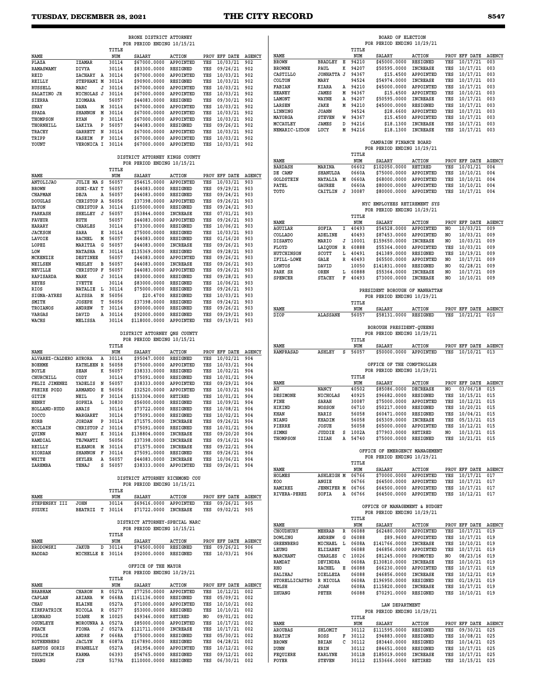|                                                      |                                               |                  | BRONX DISTRICT ATTORNEY                                      |                              |            |                              |               |                           |                                                    |                | BOARD OF ELECTION                                      |                                    |            |                                  |                      |
|------------------------------------------------------|-----------------------------------------------|------------------|--------------------------------------------------------------|------------------------------|------------|------------------------------|---------------|---------------------------|----------------------------------------------------|----------------|--------------------------------------------------------|------------------------------------|------------|----------------------------------|----------------------|
|                                                      |                                               | TITLE            | FOR PERIOD ENDING 10/15/21                                   |                              |            |                              |               |                           |                                                    | TITLE          | FOR PERIOD ENDING 10/29/21                             |                                    |            |                                  |                      |
| NAME                                                 |                                               | NUM              | <b>SALARY</b>                                                | <b>ACTION</b>                |            | PROV EFF DATE AGENCY         |               | NAME<br><b>BROWN</b>      | <b>BRADLEY</b><br>Е                                | NUM<br>94210   | <b>SALARY</b><br>\$45000.0000                          | <b>ACTION</b><br>RESIGNED          | YES        | PROV EFF DATE AGENCY<br>10/17/21 | 003                  |
| PLAZA<br><b>RAMASWAMY</b>                            | <b>IZAMAR</b><br>DIVYA                        | 30114<br>30114   | \$67000.0000<br>\$83300.0000                                 | APPOINTED<br>RESIGNED        | YES<br>YES | 10/03/21<br>09/26/21         | 902<br>902    | <b>BROWNE</b>             | PAUL<br>к                                          | 94207          | \$50595.0000                                           | <b>INCREASE</b>                    | YES        | 10/17/21                         | 003                  |
| REID                                                 | ZACHARY A 30114                               |                  | \$67000.0000                                                 | APPOINTED                    | YES        | 10/03/21                     | 902           | CASTILLO                  | JONHATTA J                                         | 94367          | \$15.4500                                              | APPOINTED                          | YES        | 10/17/21                         | 003                  |
| REILLY                                               | STEPHANI M                                    | 30114            | \$90900.0000                                                 | RESIGNED                     | YES        | 10/03/21                     | 902           | COLTON                    | MARY                                               | 94524          | \$54974.0000                                           | <b>INCREASE</b>                    | YES        | 10/17/21                         | 003                  |
| <b>RUSSELL</b><br>SALATINO JR                        | MARC<br>J<br>NICHOLAS J                       | 30114<br>30114   | \$67000.0000<br>\$67000.0000                                 | APPOINTED<br>APPOINTED       | YES<br>YES | 10/03/21<br>10/03/21         | 902<br>902    | FABIAN<br><b>HEANEY</b>   | KIARA<br>A<br>JAMES<br>м                           | 94210<br>94367 | \$45000.0000<br>\$15,4500                              | APPOINTED<br>APPOINTED             | YES<br>YES | 10/17/21<br>10/10/21             | 003<br>003           |
| SIERRA                                               | XIOMARA                                       | 56057            | \$44083.0000                                                 | RESIGNED                     | YES        | 09/30/21                     | 902           | LAMONT                    | WAYNE<br>Α                                         | 94207          | \$50595.0000                                           | <b>INCREASE</b>                    | YES        | 10/17/21                         | 003                  |
| SNAY                                                 | DANA                                          | M 30114          | \$67000.0000                                                 | APPOINTED                    | YES        | 10/03/21                     | 902           | LARSEN                    | JAKE<br>М                                          | 94210          | \$45000.0000                                           | RESIGNED                           | YES        | 10/17/21                         | 003                  |
| SPADA                                                | M<br><b>SHANNON</b>                           | 30114            | \$67000.0000                                                 | APPOINTED                    | YES        | 10/03/21                     | 902           | LINNING                   | <b>JOANN</b>                                       | 94524          | \$28.6600                                              | APPOINTED                          | YES        | 10/17/21                         | 003                  |
| THOMPSON                                             | <b>RYAN</b><br>P                              | 30114            | \$67000.0000                                                 | APPOINTED                    | YES        | 10/03/21                     | 902           | MAYORGA<br>MCCAULEY       | <b>STEVEN</b><br>W<br><b>JAMES</b><br><sub>D</sub> | 94367<br>94216 | \$15,4500<br>\$18.1300                                 | APPOINTED<br>INCREASE              | YES<br>YES | 10/17/21<br>10/17/21             | 003<br>003           |
| THORNHILL<br><b>TRACEY</b>                           | ZAKIYA<br>P<br>GARRETT N                      | 56057<br>30114   | \$44083.0000<br>\$67000.0000                                 | RESIGNED<br>APPOINTED        | YES<br>YES | 09/26/21<br>10/03/21         | 902<br>902    | NEMARIC-LYDON             | LUCY<br>М                                          | 94216          | \$18,1300                                              | <b>INCREASE</b>                    | YES        | 10/17/21                         | 003                  |
| TRIPP                                                | <b>KASEIM</b><br>F                            | 30114            | \$67000.0000                                                 | APPOINTED                    | YES        | 10/03/21                     | 902           |                           |                                                    |                |                                                        |                                    |            |                                  |                      |
| YOUNT                                                | VERONICA I 30114                              |                  | \$67000.0000                                                 | APPOINTED                    | YES        | 10/03/21 902                 |               |                           |                                                    |                | CAMPAIGN FINANCE BOARD                                 |                                    |            |                                  |                      |
|                                                      |                                               |                  |                                                              |                              |            |                              |               |                           |                                                    | TITLE          | FOR PERIOD ENDING 10/29/21                             |                                    |            |                                  |                      |
|                                                      |                                               |                  | DISTRICT ATTORNEY KINGS COUNTY<br>FOR PERIOD ENDING 10/15/21 |                              |            |                              |               | NAME                      |                                                    | NUM            | SALARY                                                 | <b>ACTION</b>                      |            | PROV EFF DATE AGENCY             |                      |
|                                                      |                                               | TITLE            |                                                              |                              |            |                              |               | <b>BARDASH</b><br>DE CAMP | MARINA<br>SHANULDA                                 | 06602<br>0660A | \$102050.0000<br>\$75000.0000                          | <b>RETIRED</b><br>APPOINTED        | YES<br>YES | 10/01/21<br>10/10/21             | 004<br>004           |
| NAME                                                 |                                               | NUM              | <b>SALARY</b>                                                | <b>ACTION</b>                |            | PROV EFF DATE AGENCY         |               | GOLDSTEIN                 | NATALIA M                                          | 0660A          | \$68000.0000                                           | APPOINTED                          | YES        | 10/10/21                         | 004                  |
| <b>ANTOLIJAO</b><br><b>BROWN</b>                     | <b>JULIE MA S</b><br>SONI-KAY T               | 56057<br>56057   | \$54615.0000<br>\$44083.0000                                 | APPOINTED<br>RESIGNED        | YES<br>YES | 10/03/21<br>09/29/21         | 903<br>903    | PATEL                     | <b>GAUREE</b>                                      | 0660A          | \$80000.0000                                           | APPOINTED                          | YES        | 10/10/21                         | 004                  |
| CHAPMAN                                              | DEJA<br>Α                                     | 56057            | \$44083.0000                                                 | RESIGNED                     | YES        | 09/24/21                     | 903           | TOTO                      | CAITLIN J                                          | 30087          | \$80000.0000                                           | APPOINTED                          | YES        | 10/17/21                         | 004                  |
| <b>DOUGLAS</b>                                       | CHRISTOP A                                    | 56056            | \$37398.0000                                                 | APPOINTED                    | YES        | 09/26/21                     | 903           |                           |                                                    |                | NYC EMPLOYEES RETIREMENT SYS                           |                                    |            |                                  |                      |
| <b>EATON</b>                                         | CHRISTOP A                                    | 30114            | \$105000.0000                                                | RESIGNED                     | YES        | 09/24/21                     | 903           |                           |                                                    |                | FOR PERIOD ENDING 10/29/21                             |                                    |            |                                  |                      |
| FARKASH                                              | SHELLEY J                                     | 56057            | \$53844.0000                                                 | <b>INCREASE</b>              | YES        | 07/01/21                     | 903           |                           |                                                    | TITLE          |                                                        |                                    |            |                                  |                      |
| <b>FAVEUR</b><br><b>HARARY</b>                       | RUTH<br><b>CHARLES</b>                        | 56057<br>30114   | \$44083.0000<br>\$73300.0000                                 | APPOINTED<br>RESIGNED        | YES<br>YES | 09/26/21<br>10/06/21         | 903<br>903    | <b>NAME</b>               |                                                    | NUM            | SALARY                                                 | <b>ACTION</b>                      |            | PROV EFF DATE AGENCY             |                      |
| <b>JACKSON</b>                                       | SARA<br>Е                                     | 30114            | \$75000.0000                                                 | RESIGNED                     | YES        | 10/03/21                     | 903           | AGUILAR<br>COLLADO        | SOFIA<br>I.<br>ADELINE                             | 40493<br>40493 | \$54528.0000<br>\$87453.0000                           | APPOINTED<br>APPOINTED             | NO<br>NO   | 10/03/21<br>10/03/21             | 009<br>009           |
| LAVOIE                                               | RACHEL<br>м                                   | 56057            | \$44083.0000                                                 | RESIGNED                     | YES        | 01/16/20                     | 903           | <b>DISANTO</b>            | MARIO<br>J                                         | 10001          | \$159650.0000                                          | <b>INCREASE</b>                    | NO         | 10/03/21                         | 009                  |
| LOPEZ                                                | G<br>MARITZA                                  | 56057            | \$44083.0000                                                 | <b>INCREASE</b>              | YES        | 09/26/21                     | 903           | FLOYD                     | R<br>LAIQUON                                       | 60888          | \$55364.0000                                           | APPOINTED                          | YES        | 10/03/21                         | 009                  |
| LOW                                                  | NATASHA<br>к<br><b>DESTINEE</b>               | 30114<br>56057   | \$135369.0000                                                | RESIGNED                     | YES        | 09/28/21                     | 903           | HUTCHINSON                | SCOTT<br>L                                         | 40491          | \$41389.0000                                           | <b>RESIGNED</b>                    | YES        | 10/19/21                         | 009                  |
| MCKENZIE<br>NEILSEN                                  | WESLEY<br>в                                   | 56057            | \$44083.0000<br>\$44083.0000                                 | APPOINTED<br><b>INCREASE</b> | YES<br>YES | 09/26/21<br>09/26/21         | 903<br>903    | IFILL-LOWE                | R<br>GALE                                          | 40493          | \$65500.0000                                           | APPOINTED                          | NO         | 10/17/21                         | 009                  |
| NEVILLE                                              | CHRISTOP F                                    | 56057            | \$44083.0000                                                 | APPOINTED                    | YES        | 09/26/21                     | 903           | LONTOS<br>PARK SR         | DAVID<br>OREN<br>L                                 | 10050<br>60888 | \$141831.0000<br>\$55364.0000                          | RESIGNED<br><b>INCREASE</b>        | NO<br>NO.  | 02/28/21<br>10/17/21             | 009<br>009           |
| RAPISARDA                                            | MARK<br>J                                     | 30114            | \$83000.0000                                                 | RESIGNED                     | YES        | 09/28/21                     | 903           | <b>SPENCER</b>            | <b>STACEY</b><br>F                                 | 40493          | \$73000.0000                                           | <b>INCREASE</b>                    | NO         | 10/10/21                         | 009                  |
| <b>REYES</b>                                         | <b>IVETTE</b>                                 | 30114            | \$83000.0000                                                 | RESIGNED                     | YES        | 10/06/21                     | 903           |                           |                                                    |                |                                                        |                                    |            |                                  |                      |
| RIOS<br>SIGNA-AYRES                                  | NATALIE L<br>ALYSSA<br>N                      | 30114<br>56056   | \$75000.0000<br>\$20.4700                                    | <b>RESIGNED</b><br>RESIGNED  | YES<br>YES | 09/26/21<br>10/03/21         | 903<br>903    |                           |                                                    |                | PRESIDENT BOROUGH OF MANHATTAN                         |                                    |            |                                  |                      |
| SMITH                                                | <b>JOSEPH</b><br>т                            | 56056            | \$37398.0000                                                 | RESIGNED                     | YES        | 09/24/21                     | 903           |                           |                                                    | TITLE          | FOR PERIOD ENDING 10/29/21                             |                                    |            |                                  |                      |
| <b>TROIANOS</b>                                      | ANDREW<br>т                                   | 30114            | \$90000.0000                                                 | <b>RESIGNED</b>              | YES        | 09/26/21                     | 903           | NAME                      |                                                    | NUM            | <b>SALARY</b>                                          | <b>ACTION</b>                      |            | PROV EFF DATE                    | <b>AGENCY</b>        |
| VARGAS                                               | DAVID<br>Α                                    | 30114            | \$92000.0000                                                 | RESIGNED                     | YES        | 09/29/21                     | 903           | DIOP                      | <b>ALASSANE</b>                                    | 56057          | \$58131.0000                                           | RESIGNED                           | YES        | 10/21/21                         | 010                  |
| WACHS                                                | MELISSA                                       | 30114            | \$118000.0000                                                | APPOINTED                    | YES        | 09/19/21                     | 903           |                           |                                                    |                |                                                        |                                    |            |                                  |                      |
|                                                      |                                               |                  | DISTRICT ATTORNEY ONS COUNTY                                 |                              |            |                              |               |                           |                                                    |                | BOROUGH PRESIDENT-QUEENS<br>FOR PERIOD ENDING 10/29/21 |                                    |            |                                  |                      |
|                                                      |                                               |                  | FOR PERIOD ENDING 10/15/21                                   |                              |            |                              |               |                           |                                                    | TITLE          |                                                        |                                    |            |                                  |                      |
| NAME                                                 |                                               | TITLE<br>NUM     | SALARY                                                       | <b>ACTION</b>                |            | PROV EFF DATE                | <b>AGENCY</b> | NAME<br>RAMPRASAD         | <b>ASHLEY</b><br>s                                 | NUM<br>56057   | SALARY<br>\$50000.0000                                 | <b>ACTION</b><br>APPOINTED         | YES        | PROV EFF DATE<br>10/10/21        | AGENCY<br>013        |
| ALVAREZ-CALDERO AURORA                               | Α                                             | 30114            | \$95047.0000                                                 | RESIGNED                     | YES        | 10/02/21                     | 904           |                           |                                                    |                |                                                        |                                    |            |                                  |                      |
| <b>BOEHME</b>                                        | <b>KATHLEEN R</b>                             | 56058            | \$75000.0000                                                 | APPOINTED                    | YES        | 10/03/21                     | 904           |                           |                                                    |                | OFFICE OF THE COMPTROLLER                              |                                    |            |                                  |                      |
| <b>BOYLE</b>                                         | <b>SEAN</b>                                   | K 56057          | \$38333.0000                                                 | RESIGNED                     | YES        | 10/02/21                     | 904           |                           |                                                    |                | FOR PERIOD ENDING 10/29/21                             |                                    |            |                                  |                      |
| CHURCHILL<br>FELIZ JIMENEZ                           | CODY<br>YADELIS N                             | 30114<br>56057   | \$75091.0000<br>\$38333.0000                                 | RESIGNED<br>APPOINTED        | YES<br>YES | 10/01/21<br>09/29/21         | 904<br>904    | NAME                      |                                                    | TITLE<br>NUM   | <b>SALARY</b>                                          | <b>ACTION</b>                      | PROV       | EFF DATE                         | <b>AGENCY</b>        |
| FREIRE POZO                                          | Е<br>ARMANDO                                  | 56056            | \$32520.0000                                                 | APPOINTED                    | YES        | 10/03/21                     | 904           | AU                        | NANCY                                              | 40502          | \$85086.0000                                           | <b>DECREASE</b>                    | NO         | 03/06/18                         | 015                  |
| GITIN                                                | NEIL<br>F                                     | 30114            | \$153304.0000                                                | RETIRED                      | YES        | 10/01/21                     | 904           | <b>DESIMONE</b>           | <b>NICHOLAS</b>                                    | 40925          | \$96682.0000                                           | <b>RESIGNED</b>                    | YES        | 10/15/21                         | 015                  |
| HENRY                                                | L.<br>SOPHIA                                  | 30830            | \$56000.0000                                                 | RESIGNED                     | YES        | 10/09/21                     | 904           | FINE                      | SARAH                                              | 30087<br>06710 | \$75000.0000                                           | APPOINTED                          | YES        | 10/12/21                         | 015                  |
| HOLLAND-RUDD                                         | ANAIS                                         | 30114<br>30114   | \$73722.0000                                                 | RESIGNED                     | YES        | 10/08/21                     | 904           | HIKIND<br>KHAN            | <b>NOSSON</b><br>HARIS                             | 56058          | \$50217.0000<br>\$60471.0000                           | <b>RESIGNED</b><br><b>RESIGNED</b> | YES<br>YES | 10/20/21<br>10/04/21             | 015<br>015           |
| <b>IOCCO</b><br>KORB                                 | MARGARET<br><b>JORDAN</b><br>P                | 30114            | \$75091.0000<br>\$71575.0000                                 | RESIGNED<br><b>INCREASE</b>  | YES<br>YES | 10/02/21<br>09/26/21         | 904<br>904    | NIANG                     | KHADIM                                             | 56058          | \$65309.0000                                           | <b>INCREASE</b>                    | YES        | 05/13/21                         | 015                  |
| MCCLAIN                                              | CHRISTOP J                                    | 30114            | \$75091.0000                                                 | RESIGNED                     | YES        | 10/01/21 904                 |               | PIERRE                    | JOSUE                                              | 56058          | \$65000.0000                                           | APPOINTED                          | YES        | 10/12/21 015                     |                      |
| QUINN                                                | к<br>MARY                                     | 30114            | \$138804.0000                                                | INCREASE                     | YES        | 09/20/20 904                 |               | SIMMS                     | JUDDIE<br>s                                        | 1002A          | \$77903.0000 RETIRED                                   |                                    | NO         | 10/13/21 015                     |                      |
| RAMDIAL                                              | TEJWANTI                                      | 56056            | \$37398.0000                                                 | <b>INCREASE</b>              | YES        | 09/16/21 904                 |               | THOMPSON                  | IZIAH<br>A                                         | 54740          | \$75000.0000                                           | RESIGNED                           |            | YES 10/21/21 015                 |                      |
| REILLY                                               | ELEANOR M                                     | 30114<br>30114   | \$71575.0000                                                 | INCREASE                     | YES        | 09/22/21 904                 |               |                           |                                                    |                | OFFICE OF EMERGENCY MANAGEMENT                         |                                    |            |                                  |                      |
| <b>RIORDAN</b><br>WHITE                              | $\mathbf{F}$<br><b>SHANNON</b><br>SKYLER<br>A | 56057            | \$75091.0000<br>\$44083.0000                                 | RESIGNED<br>INCREASE         | YES<br>YES | 09/26/21 904<br>10/06/21 904 |               |                           |                                                    |                | FOR PERIOD ENDING 10/29/21                             |                                    |            |                                  |                      |
| ZAREMBA                                              | TENAJ<br>s                                    | 56057            | \$38333.0000                                                 | APPOINTED                    |            | YES 09/26/21 904             |               |                           |                                                    | TITLE          |                                                        |                                    |            |                                  |                      |
|                                                      |                                               |                  |                                                              |                              |            |                              |               | NAME<br>HOLMES            | <b>ASHLEIGH M</b>                                  | NUM<br>06766   | SALARY<br>\$70000.0000                                 | <b>ACTION</b><br>APPOINTED         | YES        | PROV EFF DATE AGENCY<br>10/17/21 | 017                  |
|                                                      |                                               |                  | DISTRICT ATTORNEY RICHMOND COU<br>FOR PERIOD ENDING 10/15/21 |                              |            |                              |               | KOO                       | ANGIE                                              | 06766          | \$64500.0000 APPOINTED                                 |                                    | YES        | 10/17/21 017                     |                      |
|                                                      |                                               | TITLE            |                                                              |                              |            |                              |               | RAMIREZ                   | <b>JENNIFER M</b>                                  | 06766          | \$64500.0000 APPOINTED                                 |                                    | YES        | 10/17/21 017                     |                      |
| NAME                                                 |                                               | NUM              | SALARY                                                       | <b>ACTION</b>                |            | PROV EFF DATE AGENCY         |               | RIVERA-PEREZ              | SOFIA                                              | A 06766        | \$64500.0000 APPOINTED                                 |                                    |            | YES 10/12/21 017                 |                      |
| STEPENSKY III<br>SUZUKI                              | <b>JOHN</b><br>BEATRIZ T 30114                | 30114            | \$69616.0000<br>\$71722.0000                                 | APPOINTED<br><b>INCREASE</b> | YES<br>YES | 09/26/21 905<br>09/02/21 905 |               |                           |                                                    |                | OFFICE OF MANAGEMENT & BUDGET                          |                                    |            |                                  |                      |
|                                                      |                                               |                  |                                                              |                              |            |                              |               |                           |                                                    | TITLE          | FOR PERIOD ENDING 10/29/21                             |                                    |            |                                  |                      |
|                                                      |                                               |                  | DISTRICT ATTORNEY-SPECIAL NARC                               |                              |            |                              |               | NAME                      |                                                    | NUM            | SALARY                                                 | <b>ACTION</b>                      |            | PROV EFF DATE AGENCY             |                      |
|                                                      |                                               |                  | FOR PERIOD ENDING 10/15/21                                   |                              |            |                              |               | CHOUDHURY                 | MEHRAB<br>R                                        | 06088          | \$62480.0000                                           | APPOINTED                          | YES        | 10/17/21                         | 019                  |
| NAME                                                 |                                               | TITLE<br>NUM     | <b>SALARY</b>                                                | <b>ACTION</b>                |            | PROV EFF DATE AGENCY         |               | <b>DOWLING</b>            | ANDREW<br>G                                        | 06088          | \$89.9600                                              | APPOINTED                          | YES        | 10/17/21                         | 019                  |
| <b>BRODOWSKI</b>                                     | JAKUB<br>D                                    | 30114            | \$74500.0000                                                 | RESIGNED                     | YES        | 09/26/21 906                 |               | <b>GREENBERG</b><br>LEUNG | MICHAEL L<br>ELIZABET                              | 0608A<br>06088 | \$141766.0000<br>\$46856.0000                          | INCREASE<br>APPOINTED              | YES<br>YES | 10/10/21<br>10/17/21 019         | 019                  |
| HADDAD                                               | MICHELLE E 30114                              |                  | \$92000.0000                                                 | RESIGNED                     |            | YES 10/03/21 906             |               | MARCHANT                  | CHARLES C                                          | 10026          | \$81245.0000                                           | PROMOTED                           | NO         | 08/23/16 019                     |                      |
|                                                      |                                               |                  |                                                              |                              |            |                              |               | RAMDAT                    | DEVINDRA                                           | 0608A          | \$130810.0000                                          | INCREASE                           | YES        | 10/10/21                         | 019                  |
|                                                      |                                               |                  | OFFICE OF THE MAYOR<br>FOR PERIOD ENDING 10/29/21            |                              |            |                              |               | RHO                       | RACHEL<br>E                                        | 06088          | \$66230.0000                                           | APPOINTED                          | YES        | 10/17/21 019                     |                      |
|                                                      |                                               | TITLE            |                                                              |                              |            |                              |               | SALIHAJ                   | DIELLEZA<br>R NICOLA                               | 06088          | \$46856.0000                                           | <b>INCREASE</b><br>RESIGNED        | YES        | 10/12/21 019                     |                      |
| NAME                                                 |                                               | NUM              | SALARY                                                       | <b>ACTION</b>                |            | PROV EFF DATE AGENCY         |               | STORELLICASTRO<br>WELSH   | <b>JOAN</b>                                        | 0608A<br>0608A | \$196950.0000<br>\$115820.0000                         | <b>INCREASE</b>                    | YES<br>YES | 01/19/21<br>10/17/21 019         | 019                  |
| <b>BRABHAM</b>                                       | CHARON<br>R                                   | 0527A            | \$77250.0000                                                 | APPOINTED                    | YES        | $10/12/21$ 002               |               | ZHUANG                    | PETER                                              | 06088          | \$70291.0000                                           | RESIGNED                           |            | YES 10/10/21 019                 |                      |
| CAPLAN                                               | ARIANA<br>W                                   | 0668A            | \$161136.0000                                                | RESIGNED                     | YES        | 05/09/21 002                 |               |                           |                                                    |                |                                                        |                                    |            |                                  |                      |
| CHAU                                                 | <b>ELAINE</b>                                 | 0527A            | \$71000.0000                                                 | APPOINTED                    | YES        | 10/10/21                     | 002           |                           |                                                    |                | LAW DEPARTMENT                                         |                                    |            |                                  |                      |
| KIRKPATRICK                                          | NICOLA<br>R                                   | 05277<br>M 10025 | \$53000.0000<br>\$49346.0000                                 | RESIGNED<br>RETIRED          | YES<br>NO. | 10/10/21 002<br>09/01/21     | 002           |                           |                                                    | TITLE          | FOR PERIOD ENDING 10/29/21                             |                                    |            |                                  |                      |
|                                                      |                                               |                  |                                                              |                              |            |                              |               |                           |                                                    | NUM            |                                                        | <b>ACTION</b>                      |            |                                  | PROV EFF DATE AGENCY |
|                                                      | DIANE<br>MOROUNRA A                           | 0527A            | \$85000.0000                                                 | APPOINTED                    |            | YES 10/17/21 002             |               |                           |                                                    |                |                                                        |                                    |            |                                  |                      |
|                                                      | FIONA<br>J                                    | 0527A            | \$121711.0000                                                | <b>INCREASE</b>              | YES        | 10/17/21                     | 002           | NAME<br><b>AROUBAS</b>    | SHLOMIT                                            | 30112          | SALARY<br>\$111595.0000                                | RESIGNED                           | YES        | 09/30/21                         | 025                  |
|                                                      | ANDRE<br>F                                    | 0668A            | \$75000.0000                                                 | RESIGNED                     | YES        | 05/30/21                     | 002           | <b>BRATIN</b>             | ROSS<br>F                                          | 30112          | \$94883.0000                                           | RESIGNED                           | YES        | 10/08/21 025                     |                      |
| LEONARD<br>OGUNLEYE<br>PEACH<br>PUGLIE<br>ROTHENBERG | JACLYN H                                      | 6087A            | \$167890.0000                                                | RESIGNED                     | YES        | 04/28/21 002                 |               | <b>BROWN</b>              | <b>BRIAN</b><br>с                                  | 30112          | \$83440.0000                                           | RESIGNED                           | YES        | 10/14/21                         | 025                  |
| SANTOS GORIS<br>TSULTRIM                             | <b>EVANELLY</b><br>KARMA                      | 0527A<br>06393   | \$81954.0000<br>\$54765.0000                                 | APPOINTED<br>RESIGNED        | YES        | 10/12/21<br>YES 09/12/21 002 | 002           | DUNN<br>FEQUIERE          | ERIN<br>KARLYNE                                    | 30112<br>3011B | \$84651.0000<br>\$185019.0000 INCREASE                 | RESIGNED                           | YES        | 10/17/21<br>YES 10/17/21 025     | 025                  |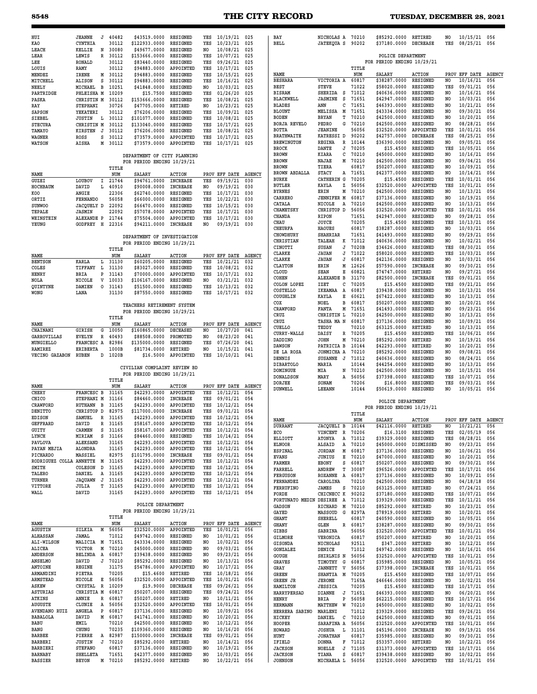### **8548 THE CITY RECORD TUESDAY, DECEMBER 28, 2021**

| HUI<br>KAO                               |                                  |                       |                                                           |                              |                |                                  |               |                                        |                                        |                  |                                                 |                             |                                  |                              |            |
|------------------------------------------|----------------------------------|-----------------------|-----------------------------------------------------------|------------------------------|----------------|----------------------------------|---------------|----------------------------------------|----------------------------------------|------------------|-------------------------------------------------|-----------------------------|----------------------------------|------------------------------|------------|
|                                          | <b>JEANNE</b><br>J               | 40482                 | \$43519,0000                                              | RESIGNED                     | YES            | $10/19/21$ 025                   |               | BAY                                    | NICHOLAS A 70210                       |                  | \$85292,0000                                    | RETIRED                     | N <sub>O</sub>                   | $10/15/21$ 056               |            |
| LEACH                                    | CYNTHIA<br>KELLIE<br>N           | 30112<br>30080        | \$122933.0000<br>\$49677.0000                             | RESIGNED<br>RESIGNED         | YES<br>NO      | 10/23/21<br>10/08/21             | 025<br>025    | <b>BELL</b>                            | <b>JATEKQUA S</b>                      | 90202            | \$37180.0000                                    | <b>DECREASE</b>             | YES                              | 08/25/21                     | 056        |
| LEAR                                     | LEWIS                            | 30112<br>R            | \$153666.0000                                             | RESIGNED                     | YES            | 10/07/21                         | 025           |                                        |                                        |                  | POLICE DEPARTMENT                               |                             |                                  |                              |            |
| LEE                                      | <b>RONALD</b>                    | 30112                 | \$83440.0000                                              | RESIGNED                     | YES            | 09/26/21                         | 025           |                                        |                                        |                  | FOR PERIOD ENDING 10/29/21                      |                             |                                  |                              |            |
| LOUIS<br>MENDEZ                          | RAMY<br>IRENE                    | 30112<br>M 30112      | \$94883.0000<br>\$94883.0000                              | APPOINTED<br>RESIGNED        | YES<br>YES     | 10/17/21<br>10/15/21             | 025<br>025    | NAME                                   |                                        | TITLE<br>NUM     | <b>SALARY</b>                                   | <b>ACTION</b>               |                                  | PROV EFF DATE                | AGE        |
| MITCHELL                                 | <b>ALISON</b><br>s               | 30112                 | \$94883.0000                                              | RESIGNED                     | YES            | 10/16/21                         | 025           | <b>BESHARA</b>                         | VICTORIA A                             | 60817            | \$38287.0000                                    | RESIGNED                    | N <sub>O</sub>                   | 10/16/21                     | 056        |
| NEELY<br>PARTRIDGE                       | MICHAEL<br>в<br>PHLEISHA M       | 10251<br>10209        | \$41848.0000<br>\$15.7500                                 | <b>RESIGNED</b><br>RESIGNED  | NO.<br>YES     | 10/03/21<br>01/26/20             | 025<br>025    | <b>BEST</b><br><b>BISRAM</b>           | <b>STEVE</b><br>SHERIDA<br><b>S</b>    | 71022<br>71012   | \$58020.0000<br>\$40636.0000                    | RESIGNED<br>RESIGNED        | YES<br>NO                        | 09/01/21<br>10/16/21         | 056<br>056 |
| PASKA                                    | CHRISTIN M                       | 30112                 | \$153666.0000                                             | RESIGNED                     | YES            | 10/08/21                         | 025           | <b>BLACKWELL</b>                       | <b>JASMINE</b><br>s                    | 71651            | \$42947.0000                                    | RESIGNED                    | N <sub>O</sub>                   | 10/03/21                     | 056        |
| RAY                                      | STEPHANI                         | 30726                 | \$47705.0000                                              | RETIRED                      | NO.            | 10/23/21                         | 025           | <b>BLADES</b>                          | ANN<br>с                               | 71651            | \$46393.0000                                    | RESIGNED                    | NO.                              | 10/21/21                     | 056        |
| <b>SAPSON</b><br>SIEBEL                  | YEKATERI<br><b>JUSTIN</b><br>L   | 30112<br>30112        | \$76206.0000<br>\$101077.0000                             | <b>RESIGNED</b><br>RESIGNED  | YES<br>YES     | 10/09/21<br>10/08/21             | 025<br>025    | <b>BLOUNT</b><br><b>BODEN</b>          | M<br>MELISSA<br><b>BRYAN</b><br>т      | 71651<br>70210   | \$43334.0000<br>\$42500.0000                    | RESIGNED<br>RESIGNED        | N <sub>O</sub><br>N <sub>O</sub> | 09/30/21<br>10/20/21         | 056<br>056 |
| <b>STECURA</b>                           | CHRISTIN M                       | 30112                 | \$133040.0000                                             | RESIGNED                     | YES            | 10/17/21                         | 025           | <b>BORJA REVELO</b>                    | PEDRO<br>G                             | 70210            | \$42500.0000                                    | RESIGNED                    | NO.                              | 08/28/21                     | 056        |
| TAMAYO                                   | <b>KIRSTEN</b><br>J              | 30112                 | \$76206.0000                                              | <b>RESIGNED</b>              | YES            | 10/08/21                         | 025           | <b>BOTTA</b>                           | <b>JEANINE</b>                         | 56056            | \$32520.0000                                    | APPOINTED                   | YES                              | 10/01/21                     | 056        |
| WAGNER<br>WATSON                         | ROSS<br><b>AISHA</b>             | s<br>30112<br>M 30112 | \$73579.0000<br>\$73579.0000                              | APPOINTED<br>APPOINTED       | YES<br>YES     | 10/17/21<br>10/17/21             | 025<br>025    | <b>BRATHWAITE</b><br><b>BREWINGTON</b> | KATRESSI D<br>REGINA<br>R              | 90202<br>10144   | \$42757.0000<br>\$36390.0000                    | <b>DECREASE</b><br>RESIGNED | YES<br>NO.                       | 08/25/21<br>09/05/21         | 056<br>056 |
|                                          |                                  |                       |                                                           |                              |                |                                  |               | <b>BROCK</b>                           | DANTE<br>J                             | 70205            | \$15.4500                                       | RESIGNED                    | YES                              | 10/05/21                     | 056        |
|                                          |                                  |                       | DEPARTMENT OF CITY PLANNING                               |                              |                |                                  |               | <b>BROWN</b>                           | KIARA<br>с                             | 70210            | \$45000.0000                                    | RESIGNED                    | NO.                              | 10/16/21                     | 056        |
|                                          |                                  | TITLE                 | FOR PERIOD ENDING 10/29/21                                |                              |                |                                  |               | <b>BROWN</b><br><b>BROWN</b>           | NAJAE<br>М<br>TIERA                    | 70210<br>60817   | \$42500.0000<br>\$50207.0000                    | RESIGNED<br>RESIGNED        | N <sub>O</sub><br>NO.            | 09/04/21<br>10/09/21         | 056<br>056 |
| NAME                                     |                                  | NUM                   | <b>SALARY</b>                                             | <b>ACTION</b>                | PROV           | EFF DATE AGENCY                  |               | <b>BROWN ABDALLA</b>                   | <b>STACY</b><br>A                      | 71651            | \$42377.0000                                    | RESIGNED                    | NO.                              | 10/14/21                     | 056        |
| GUZEI                                    | LOUBOV<br>Ι.                     | 21744                 | \$94761.0000                                              | <b>INCREASE</b>              | YES            | 09/19/21                         | 030           | <b>BURKE</b><br><b>BUTLER</b>          | <b>CATHERIN G</b><br>KAYLA<br>z        | 70205<br>56056   | \$15.4500<br>\$32520.0000                       | RESIGNED<br>APPOINTED       | YES<br>YES                       | 10/01/21<br>10/01/21         | 056<br>056 |
| HOCHBAUM<br>KOO                          | DAVID<br>L<br>ANGIE              | 40910<br>22306        | \$90008.0000<br>\$62740.0000                              | <b>INCREASE</b><br>RESIGNED  | NO.<br>YES     | 09/19/21<br>10/17/21             | 030<br>030    | <b>BYRNES</b>                          | ERIN<br>Μ                              | 70210            | \$42500.0000                                    | RESIGNED                    | NO.                              | 10/13/21                     | 056        |
| ORTIZ                                    | <b>FERNANDO</b>                  | 56058                 | \$66000.0000                                              | RESIGNED                     | YES            | 10/22/21                         | 030           | CARRERO                                | <b>JENNIFER M</b>                      | 60817            | \$37136.0000                                    | <b>RESIGNED</b>             | N <sub>O</sub>                   | 10/19/21                     | 056        |
| <b>SUNWOO</b>                            | JACQUELY D                       | 22092                 | \$66470.0000                                              | RESIGNED                     | YES            | 10/15/21                         | 030           | CATALA<br>CHAMETSKY                    | NICOLE<br>A<br>CHRISTOP D              | 70210<br>56056   | \$42500.0000<br>\$32520.0000                    | RESIGNED<br>APPOINTED       | NO.<br>YES                       | 10/13/21<br>10/01/21         | 056<br>056 |
| TEPALE<br>WEINSTEIN                      | JASMIN<br>ALEXANDE P             | 22092<br>21744        | \$57078.0000<br>\$75504.0000                              | APPOINTED<br>APPOINTED       | YES<br>YES     | 10/17/21<br>10/17/21             | 030<br>030    | CHANDA                                 | <b>RIPON</b>                           | 71651            | \$42947.0000                                    | RESIGNED                    | N <sub>O</sub>                   | 09/28/21                     | 056        |
| YEUNG                                    | GODFREY H                        | 22316                 | \$94211.0000                                              | <b>INCREASE</b>              | NO.            | 09/19/21                         | 030           | CHAU                                   | JOYCE                                  | 70205            | \$15.4500                                       | RESIGNED                    | YES                              | 10/13/21                     | 056        |
|                                          |                                  |                       |                                                           |                              |                |                                  |               | <b>CHEURFA</b><br><b>CHOWDHURY</b>     | <b>HAOUES</b><br><b>SHAHRIAR</b>       | 60817<br>71651   | \$38287.0000<br>\$41493.0000                    | RESIGNED<br>RESIGNED        | NO.<br>N <sub>O</sub>            | 10/03/21<br>09/29/21         | 056<br>056 |
|                                          |                                  |                       | DEPARTMENT OF INVESTIGATION<br>FOR PERIOD ENDING 10/29/21 |                              |                |                                  |               | CHRISTIAN                              | TALEAH<br>к                            | 71012            | \$40636.0000                                    | <b>RESIGNED</b>             | N <sub>O</sub>                   | 10/02/21                     | 056        |
|                                          |                                  | TITLE                 |                                                           |                              |                |                                  |               | CINOTTI                                | SUSAN<br>J                             | 7020B            | \$34626.0000                                    | RESIGNED                    | YES                              | 08/30/21                     | 056        |
| NAME                                     |                                  | NUM                   | SALARY                                                    | <b>ACTION</b>                |                | PROV EFF DATE                    | <b>AGENCY</b> | CLARKE<br><b>CLARKE</b>                | <b>JAUAN</b><br>J<br><b>JAUAN</b><br>J | 71022<br>60817   | \$58020.0000<br>\$42136.0000                    | RESIGNED<br><b>RESIGNED</b> | YES<br>N <sub>O</sub>            | 10/03/21<br>10/03/21         | 056<br>056 |
| <b>BENTSON</b><br>COLES                  | KARLA<br>TIFFANY<br>L            | 31130<br>Ŀ<br>31130   | \$60205.0000<br>\$83027.0000                              | RESIGNED<br>RESIGNED         | YES<br>YES     | 10/21/21<br>10/08/21             | 032<br>032    | <b>CLAYTON</b>                         | ERIN<br>М                              | 12626            | \$57590.0000                                    | <b>INCREASE</b>             | NO.                              | 09/30/21                     | 056        |
| HENRY                                    | <b>BRIA</b>                      | P<br>31143            | \$70000.0000                                              | APPOINTED                    | YES            | 10/17/21                         | 032           | CLOUD                                  | <b>SEAN</b><br>Е                       | 60821            | \$74747.0000                                    | <b>RETIRED</b>              | NO.                              | 09/27/21                     | 056        |
| NOLA                                     | NICOLE<br>v                      | 10033                 | \$106167.0000                                             | RESIGNED                     | N <sub>O</sub> | 03/21/21                         | 032           | COHEN<br>COLON LOPEZ                   | <b>ALEXANDE B</b><br>IZET<br>с         | 31170<br>70205   | \$82500.0000<br>\$15.4500                       | <b>INCREASE</b><br>RESIGNED | YES<br>YES                       | 09/01/21<br>09/21/21         | 056<br>056 |
| QUINTYNE<br>WONG                         | DAMIEN<br>$\circ$<br>LANA        | 31143<br>31130        | \$51500.0000<br>\$87550.0000                              | RESIGNED<br>RESIGNED         | YES<br>YES     | 10/13/21<br>10/17/21             | 032<br>032    | COSTELLO                               | IKEAMAA A                              | 60817            | \$39438.0000                                    | RESIGNED                    | N <sub>O</sub>                   | 10/13/21                     | 056        |
|                                          |                                  |                       |                                                           |                              |                |                                  |               | COUGHLIN                               | KAYLA<br>Е                             | 60621            | \$67422.0000<br>\$50207.0000                    | RESIGNED                    | NO.                              | 10/13/21                     | 056        |
|                                          |                                  |                       | TEACHERS RETIREMENT SYSTEM                                |                              |                |                                  |               | COX<br>CRAWFORD                        | NOEL<br>в<br>FANTA<br>М                | 60817<br>71651   | \$41493.0000                                    | RESIGNED<br>RESIGNED        | N <sub>O</sub><br>NO.            | 10/20/21<br>09/23/21         | 056<br>056 |
|                                          |                                  | TITLE                 | FOR PERIOD ENDING 10/29/21                                |                              |                |                                  |               | CRUZ                                   | CHRISTIN L                             | 70210            | \$42500.0000                                    | RESIGNED                    | NO.                              | 10/13/21                     | 056        |
| NAME                                     |                                  | NUM                   | SALARY                                                    | <b>ACTION</b>                | PROV           | EFF DATE                         | <b>AGENCY</b> | CRUZ                                   | TASHA MA N                             | 60817            | \$37136.0000                                    | <b>RESIGNED</b>             | N <sub>O</sub>                   | 10/09/21                     | 056        |
| CHAINANI                                 | <b>GIRISH</b><br>G               | 10050                 | \$160865.0000                                             | <b>DECEASED</b>              | NO.            | 10/27/20                         | 041           | <b>CUELLO</b><br><b>CURRY-WALLS</b>    | TEDDY<br>DAISY<br>R                    | 70210<br>70205   | \$63125.0000<br>\$15.4500                       | RETIRED<br>RESIGNED         | NO.<br>YES                       | 10/13/21<br>10/06/21         | 056<br>056 |
| GARROVILLAS<br>MUNGIELLO                 | <b>EVELYN</b><br>R<br>FRANCESC A | 40493<br>82986        | \$88508.0000<br>\$135000.0000                             | PROMOTED<br>RESIGNED         | NO<br>YES      | 08/23/20<br>07/26/20             | 041<br>041    | <b>DADDINO</b>                         | <b>JOHN</b><br>М                       | 70210            | \$85292.0000                                    | <b>RETIRED</b>              | N <sub>O</sub>                   | 10/19/21                     | 056        |
| <b>RAMIREZ</b>                           | <b>ERIBERTA</b>                  | 1000B                 | \$81734.0000                                              | <b>RETIRED</b>               | NO.            | 10/15/21                         | 041           | <b>DAWSON</b>                          | PATRICIA B                             | 10144            | \$42293.0000                                    | <b>RETIRED</b>              | NO.                              | 10/20/21                     | 056        |
| VECINO GAZABON                           | RUBEN<br>D                       | 1020B                 | \$16.5000                                                 | APPOINTED                    | YES            | 10/10/21                         | 041           | DE LA ROSA<br>DENNIS                   | JONMICHA A<br>SUSANNE J                | 70210<br>71012   | \$85292.0000<br>\$40636.0000                    | RESIGNED<br>RESIGNED        | NO.<br>N <sub>O</sub>            | 09/08/21<br>08/24/21         | 056<br>056 |
|                                          |                                  |                       | CIVILIAN COMPLAINT REVIEW BD                              |                              |                |                                  |               | <b>DIBARTOLO</b>                       | MARIA                                  | 10144            | \$44254.0000                                    | RESIGNED                    | N <sub>O</sub>                   | 10/13/21                     | 056        |
|                                          |                                  |                       | FOR PERIOD ENDING 10/29/21                                |                              |                |                                  |               | <b>DOMINGUE</b><br><b>DONALDSON</b>    | MIA<br>N<br>MARY<br>Α                  | 70210<br>56056   | \$42500.0000<br>\$37398.0000                    | RESIGNED<br>RESIGNED        | NO.<br>YES                       | 10/15/21<br>10/07/21         | 056<br>056 |
|                                          |                                  |                       |                                                           |                              |                |                                  |               |                                        |                                        | 70206            | \$16.8000                                       |                             |                                  | 09/03/21                     | 056        |
|                                          |                                  | TITLE                 |                                                           |                              |                |                                  |               | <b>DORJEE</b>                          | SONAM                                  |                  |                                                 | <b>RESIGNED</b>             | YES                              |                              |            |
| NAME                                     |                                  | NUM                   | SALARY                                                    | <b>ACTION</b><br>APPOINTED   | PROV           | EFF DATE                         | <b>AGENCY</b> | <b>DUNWELL</b>                         | <b>LEEANN</b>                          | 10144            | \$50619.0000                                    | RESIGNED                    | NO.                              | 10/05/21                     | 056        |
| CHERY<br>CHICO                           | FRANCESC B<br>STEPHANI M         | 31165<br>31166        | \$42293.0000<br>\$84460.0000                              | <b>INCREASE</b>              | YES<br>YES     | 10/12/21<br>09/01/21             | 054<br>054    |                                        |                                        |                  |                                                 |                             |                                  |                              |            |
| CRAWFORD                                 | RUTHANN<br>в                     | 31165                 | \$42293.0000                                              | APPOINTED                    | YES            | 10/12/21                         | 054           |                                        |                                        |                  | POLICE DEPARTMENT<br>FOR PERIOD ENDING 10/29/21 |                             |                                  |                              |            |
| DENITTO<br><b>EDISON</b>                 | CHRISTOP D<br>SAMUEL             | 82975<br>31165        | \$117000.0000<br>\$42293.0000                             | <b>INCREASE</b><br>APPOINTED | YES<br>YES     | 09/01/21                         | 054<br>054    |                                        |                                        | TITLE            |                                                 |                             |                                  |                              |            |
| GEFFRARD                                 | R<br>DAVID                       | 31165<br>ĸ            | \$58167.0000                                              | <b>APPOINTED</b>             | YES            | 10/12/21<br>10/12/21 054         |               | NAME<br><b>DURRANT</b>                 |                                        | NUM              | <b>SALARY</b>                                   | <b>ACTION</b><br>RETIRED    |                                  | PROV EFF DATE AGE            |            |
| GUITY                                    | CARMEN                           | S 31165               | \$58167.0000 APPOINTED                                    |                              | YES            | $10/12/21$ 054                   |               | ECO                                    | JACQUELI B 10144<br>VINCENT R 70206    |                  | \$42116.0000<br>\$16.3100                       | RESIGNED                    | NO<br>YES                        | 10/21/21<br>02/05/19         | 056<br>056 |
| LYNCH<br>PAVLOVA                         | s<br>MIRIAM<br>ALEKSAND          | 31166<br>31165        | \$84460.0000<br>\$42293.0000                              | RESIGNED<br>APPOINTED        | YES<br>YES     | 10/14/21<br>10/12/21             | 054<br>054    | <b>ELLIOTT</b>                         | ATONYA<br>A                            | 71012            | \$39329.0000                                    | RESIGNED                    | YES                              | 08/28/21                     | 056        |
| PAYAN MEJIA                              | ALONDRA                          | 31165                 | \$42293.0000                                              | APPOINTED                    | YES            | 10/12/21                         | 054           | <b>ELNOOR</b><br>ESPINAL               | ALSAID<br>A<br><b>JORDAN</b><br>M      | 70210<br>60817   | \$45000.0000<br>\$37136.0000                    | DISMISSED<br>RESIGNED       | N <sub>O</sub><br>NO.            | 09/23/21<br>10/06/21         | 056<br>056 |
| PICHARDO                                 | MASSIEL                          | 82975                 | \$101795.0000                                             | INCREASE                     | YES            | 09/01/21                         | 054           | <b>EVANS</b>                           | JUNIUS<br>Е                            | 70210            | \$47000.0000                                    | RESIGNED                    | NO                               | 10/20/21                     | 056        |
| RODRIGUEZ COLLA ANNETTE M 31165<br>SMITH | D<br>COLESON                     | 31165                 | \$42293.0000<br>\$42293.0000                              | APPOINTED<br>APPOINTED       | YES<br>YES     | $10/12/21$ 054<br>10/12/21       | 054           | FARMER                                 | EBONY<br>s                             | 60817            | \$50207.0000                                    | RESIGNED                    | N <sub>O</sub>                   | 09/30/21 056                 |            |
| TALERO                                   | DANIEL                           | A 31165               | \$42293.0000                                              | APPOINTED                    | YES            | 10/12/21                         | 054           | FARRELL<br><b>FERGUSON</b>             | ANDREW<br>т<br>ROXANNE<br>A            | 30087<br>60817   | \$96526.0000<br>\$37136.0000                    | APPOINTED<br>RESIGNED       | YES<br>NO.                       | 10/17/21<br>10/09/21         | 056<br>056 |
| TURNER                                   | <b>JAQUAWN</b><br>J              | 31165                 | \$42293.0000                                              | APPOINTED                    | YES            | 10/12/21                         | 054           | <b>FERNANDEZ</b>                       | CAROLINA                               | 70210            | \$42500.0000                                    | RESIGNED                    | NO.                              | 04/18/18                     | 056        |
| VITTORE<br>WALL                          | <b>JULIA</b><br>DAVID            | т<br>31165<br>31165   | \$42293.0000<br>\$42293.0000 APPOINTED                    | APPOINTED                    | YES<br>YES     | 10/12/21<br>$10/12/21$ 054       | 054           | FERRUFINO                              | JAMES                                  | S 70210          | \$63125.0000                                    | <b>RETIRED</b>              | NO.                              | 07/24/21                     | 056        |
|                                          |                                  |                       |                                                           |                              |                |                                  |               | FORDE<br>FORTUNATO MEDIN DESIREE A     | CHICNECC K                             | 90202<br>71012   | \$37180.0000<br>\$39329.0000                    | RESIGNED<br>RESIGNED        | YES<br>YES                       | 10/07/21<br>$10/11/21$ 056   | 056        |
|                                          |                                  |                       | POLICE DEPARTMENT                                         |                              |                |                                  |               | <b>GADSON</b>                          | RICHARD<br>M                           | 70210            | \$85292.0000                                    | RETIRED                     | NO.                              | 10/23/21                     | 056        |
|                                          |                                  | TITLE                 | FOR PERIOD ENDING 10/29/21                                |                              |                |                                  |               | GAYED                                  | MASSOUD<br>G                           | 8297A            | \$78919.0000                                    | RETIRED                     | NO                               | 10/20/21                     | 056        |
| NAME                                     |                                  | NUM                   | <b>SALARY</b>                                             | <b>ACTION</b>                | PROV           | EFF DATE AGENCY                  |               | <b>GHANT</b><br><b>GHANY</b>           | SHERELL<br>GLEN                        | 60817<br>R 60817 | \$40590.0000<br>\$38287.0000                    | RESIGNED<br>RESIGNED        | NO.<br>NO.                       | 10/05/21<br>09/30/21         | 056<br>056 |
| AGUSTIN                                  | SILKIA<br>М                      | 56056                 | \$32520.0000                                              | APPOINTED                    | YES            | 10/01/21                         | 056           | <b>GIBBS</b>                           | SABRINA                                | 56056            | \$32520.0000                                    | APPOINTED                   | YES                              | 10/01/21                     | 056        |
| ALHASSAN<br>ALI-WILSON                   | JAMAL<br>MALICIA M 71651         | 71012                 | \$49742.0000<br>\$43334.0000                              | RESIGNED<br>RESIGNED         | NO<br>NO.      | 10/01/21<br>10/02/21             | 056<br>056    | GILMORE                                | VERONICA                               | 60817            | \$50207.0000                                    | RETIRED                     | NO.                              | 10/20/21 056                 |            |
| ALICEA                                   | VICTOR                           | M 70210               | \$45000.0000                                              | RESIGNED                     | NO.            | 09/03/21 056                     |               | GISONDA<br>GONZALEZ                    | NICHOLAS<br>DENICE                     | 92511<br>71012   | \$347.2000<br>\$49742.0000                      | RETIRED<br>RESIGNED         | NO.<br>NO.                       | 10/12/21<br>10/16/21         | 056<br>056 |
| ANDERSON                                 | A<br><b>BELINDA</b>              | 60817                 | \$39438.0000                                              | RESIGNED                     | NO             | 09/23/21                         | 056           | GOUGH                                  | SHIRLNIS N                             | 56056            | \$32520.0000                                    | APPOINTED                   | YES                              | 10/01/21                     | 056        |
| ANSELMO<br>ANTOINE                       | DAVID<br>REGINE                  | J 70210<br>31175      | \$85292.0000<br>\$54786.0000                              | RESIGNED<br>APPOINTED        | NO.<br>NO      | $10/13/21$ 056<br>$10/17/21$ 056 |               | GRAVES                                 | TIMOTHY G                              | 60817            | \$35985.0000                                    | RESIGNED                    | NO                               | 10/05/21                     | 056        |
| ARMANDINI                                | PIETRA                           | 70205                 | \$15.4600                                                 | RETIRED                      | YES            | 10/18/21                         | 056           | GRAY<br><b>GREEN</b>                   | JANNETT V<br>SHANTIA M 70205           | 56056            | \$37398.0000<br>\$15.4500                       | <b>INCREASE</b><br>RESIGNED | YES<br>YES                       | 10/01/21<br>10/07/21 056     | 056        |
| ARMSTEAD                                 | NICOLE                           | E 56056               | \$32520.0000                                              | APPOINTED                    | YES            | 10/01/21                         | 056           | <b>GREEN JR</b>                        | JEROME                                 | 7165A            | \$46646.0000                                    | RESIGNED                    | NO.                              | 10/02/21                     | 056        |
| ASKEW<br>ASTURIAS                        | CRYSTAL<br>R<br>CHRISTIA M 60817 | 10209                 | \$19.9000<br>\$50207.0000                                 | DECREASE<br>RESIGNED         | YES<br>YES     | 09/26/21<br>09/24/21 056         | 056           | HAMILTON                               | <b>JESSICA</b>                         | 70205            | \$15.4500                                       | RESIGNED                    | YES                              | 10/17/21                     | 056        |
| <b>ATKINS</b>                            | ANNIE                            | R 60817               | \$50207.0000                                              | RETIRED                      | NO             | 10/11/21 056                     |               | HARRYPERSAD<br>HENRY                   | DIANNE<br>J<br>BRIA<br>P               | 71651<br>56058   | \$46393.0000<br>\$62215.0000                    | RESIGNED<br>RESIGNED        | NO.<br>YES                       | 06/20/21<br>10/17/21         | 056<br>056 |
| <b>AUGUSTE</b>                           | CLUNIE                           | A 56056               | \$32520.0000                                              | APPOINTED                    | YES            | 10/01/21                         | 056           | <b>HERMANN</b>                         | W<br>MATTHEW                           | 70210            | \$45000.0000                                    | RESIGNED                    | N <sub>O</sub>                   | 10/02/21 056                 |            |
| AVENDANO RUIZ                            | P<br>ANGELA                      | 60817                 | \$37136.0000                                              | RESIGNED                     | NO             | 10/09/21                         | 056           | HERRERA SABINO                         | MARLENI                                | 71012            | \$39329.0000                                    | RESIGNED                    | YES                              | 09/26/21                     | 056        |
| BABALOLA<br>BABU                         | DAVID<br>EMIL                    | M 60817<br>70210      | \$41741.0000<br>\$42500.0000                              | RESIGNED<br>RESIGNED         | NO.<br>NO      | 10/20/21<br>10/12/21             | 056<br>056    | HICKEY<br>HOOPER                       | DANIEL<br>с<br>SARAFINA A 56056        | 70210            | \$42500.0000<br>\$32520.0000                    | RESIGNED<br>APPOINTED       | NO.<br>YES                       | 09/01/21<br>10/01/21 056     | 056        |
| <b>BANG</b>                              | <b>CHUNG</b>                     | 70235                 | \$109360.0000                                             | RESIGNED                     | NO             | $10/16/20$ 056                   |               | HOWARD                                 | <b>JOSHUA</b><br>L                     | 31101            | \$45196.0000                                    | <b>INCREASE</b>             | NO.                              | 09/19/21                     | 056        |
| <b>BARBEE</b>                            | PIERRE                           | A 82987<br>J          | \$150000.0000                                             | INCREASE                     | YES<br>NO.     | 09/01/21                         | 056           | HUNT                                   | <b>JONATHAN</b>                        | 60817            | \$35985.0000                                    | RESIGNED                    | NO.                              | 09/30/21                     | 056        |
| <b>BARBERI</b><br><b>BARBIERI</b>        | <b>JUSTIN</b><br><b>STEFANO</b>  | 70210<br>60817        | \$85292.0000<br>\$37136.0000                              | RETIRED<br>RESIGNED          | NO             | $10/14/21$ 056<br>10/19/21       | 056           | IFIELD<br><b>JACKSON</b>               | <b>DONNA</b><br>NOELLE<br>J            | F 71012<br>71105 | \$53357.0000<br>\$31373.0000                    | RETIRED<br>APPOINTED        | NO.<br>YES                       | $10/22/21$ 056<br>10/17/21   | 056        |
| <b>BARNABY</b><br><b>BASSIER</b>         | SHELLETA<br><b>BEYON</b>         | 71651<br>M 70210      | \$42377.0000<br>\$85292.0000                              | RESIGNED<br>RETIRED          | NO<br>NO       | 10/03/21<br>$10/22/21$ 056       | 056           | <b>JACKSON</b><br><b>JOHNSON</b>       | TIANA<br>s<br>MICHAELA L 56056         | 60817            | \$39438.0000<br>\$32520.0000                    | RESIGNED<br>APPOINTED       | NO.                              | 10/02/21<br>YES 10/01/21 056 | 056        |

|                                        |                                 |        |                | POLICE DEPARTMENT                               |                             |                |                      |               |
|----------------------------------------|---------------------------------|--------|----------------|-------------------------------------------------|-----------------------------|----------------|----------------------|---------------|
|                                        |                                 |        | TITLE          | FOR PERIOD ENDING 10/29/21                      |                             |                |                      |               |
| NAME                                   |                                 |        | NUM            | SALARY                                          | <b>ACTION</b>               |                | PROV EFF DATE        | AGENCY        |
| BESHARA<br><b>BEST</b>                 | VICTORIA A<br><b>STEVE</b>      |        | 60817<br>71022 | \$38287.0000<br>\$58020.0000                    | RESIGNED<br><b>RESIGNED</b> | NO<br>YES      | 10/16/21<br>09/01/21 | 056<br>056    |
| <b>BISRAM</b>                          | SHERIDA                         | s      | 71012          | \$40636.0000                                    | RESIGNED                    | N <sub>O</sub> | 10/16/21             | 056           |
| <b>BLACKWELL</b>                       | <b>JASMINE</b>                  | s      | 71651          | \$42947.0000                                    | <b>RESIGNED</b>             | NO             | 10/03/21             | 056           |
| <b>BLADES</b><br><b>BLOUNT</b>         | ANN<br>MELISSA                  | С<br>M | 71651<br>71651 | \$46393.0000<br>\$43334.0000                    | RESIGNED<br>RESIGNED        | NO<br>NO       | 10/21/21<br>09/30/21 | 056<br>056    |
| <b>BODEN</b>                           | BRYAN                           | т      | 70210          | \$42500.0000                                    | RESIGNED                    | NO             | 10/20/21             | 056           |
| BORJA REVELO                           | PEDRO                           | G      | 70210          | \$42500.0000                                    | RESIGNED                    | NO             | 08/28/21             | 056           |
| вотта                                  | <b>JEANINE</b>                  |        | 56056          | \$32520.0000                                    | <b>APPOINTED</b>            | YES            | 10/01/21             | 056           |
| BRATHWAITE<br><b>BREWINGTON</b>        | KATRESSI D<br><b>REGINA</b>     | R      | 90202<br>10144 | \$42757.0000<br>\$36390.0000                    | DECREASE<br>RESIGNED        | YES<br>NO      | 08/25/21<br>09/05/21 | 056<br>056    |
| BROCK                                  | DANTE                           | J      | 70205          | \$15.4500                                       | <b>RESIGNED</b>             | YES            | 10/05/21             | 056           |
| <b>BROWN</b>                           | KIARA                           | С      | 70210          | \$45000.0000                                    | RESIGNED                    | NO.            | 10/16/21             | 056           |
| <b>BROWN</b>                           | <b>NAJAE</b><br>TIERA           | M      | 70210          | \$42500.0000                                    | RESIGNED<br>RESIGNED        | NO<br>NO       | 09/04/21<br>10/09/21 | 056           |
| <b>BROWN</b><br><b>BROWN ABDALLA</b>   | <b>STACY</b>                    | A      | 60817<br>71651 | \$50207.0000<br>\$42377.0000                    | RESIGNED                    | NO             | 10/14/21             | 056<br>056    |
| BURKE                                  | CATHERIN G                      |        | 70205          | \$15.4500                                       | RESIGNED                    | YES            | 10/01/21             | 056           |
| BUTLER                                 | KAYLA                           | z      | 56056          | \$32520.0000                                    | APPOINTED                   | YES            | 10/01/21             | 056           |
| BYRNES<br>CARRERO                      | ERIN<br><b>JENNIFER M</b>       | М      | 70210<br>60817 | \$42500.0000<br>\$37136.0000                    | RESIGNED<br>RESIGNED        | NO<br>NO       | 10/13/21<br>10/19/21 | 056<br>056    |
| CATALA                                 | NICOLE                          | Α      | 70210          | \$42500.0000                                    | RESIGNED                    | NO             | 10/13/21             | 056           |
| CHAMETSKY                              | CHRISTOP D                      |        | 56056          | \$32520.0000                                    | <b>APPOINTED</b>            | YES            | 10/01/21             | 056           |
| CHANDA<br>CHAU                         | RIPON                           |        | 71651          | \$42947.0000                                    | RESIGNED                    | NO.            | 09/28/21             | 056           |
| CHEURFA                                | JOYCE<br><b>HAOUES</b>          |        | 70205<br>60817 | \$15.4500<br>\$38287.0000                       | RESIGNED<br>RESIGNED        | YES<br>NO      | 10/13/21<br>10/03/21 | 056<br>056    |
| <b>CHOWDHURY</b>                       | SHAHRIAR                        |        | 71651          | \$41493.0000                                    | RESIGNED                    | NO             | 09/29/21             | 056           |
| <b>CHRISTIAN</b>                       | TALEAH                          | к      | 71012          | \$40636.0000                                    | RESIGNED                    | NO             | 10/02/21             | 056           |
| CINOTTI                                | SUSAN                           | J      | 7020B          | \$34626.0000                                    | <b>RESIGNED</b>             | YES            | 08/30/21             | 056           |
| CLARKE<br>CLARKE                       | JAUAN<br>JAUAN                  | J<br>J | 71022<br>60817 | \$58020.0000<br>\$42136.0000                    | RESIGNED<br>RESIGNED        | YES<br>NO      | 10/03/21<br>10/03/21 | 056<br>056    |
| <b>CLAYTON</b>                         | ERIN                            | Μ      | 12626          | \$57590.0000                                    | <b>INCREASE</b>             | NO             | 09/30/21             | 056           |
| CLOUD                                  | SEAN                            | Е      | 60821          | \$74747.0000                                    | RETIRED                     | NO             | 09/27/21             | 056           |
| COHEN                                  | ALEXANDE B<br><b>IZET</b>       |        | 31170          | \$82500.0000                                    | <b>INCREASE</b>             | YES<br>YES     | 09/01/21             | 056           |
| COLON LOPEZ<br><b>COSTELLO</b>         | IKEAMAA                         | с<br>Α | 70205<br>60817 | \$15.4500<br>\$39438.0000                       | RESIGNED<br><b>RESIGNED</b> | NO             | 09/21/21<br>10/13/21 | 056<br>056    |
| COUGHLIN                               | KAYLA                           | Е      | 60621          | \$67422.0000                                    | RESIGNED                    | NO             | 10/13/21             | 056           |
| COX                                    | <b>NOEL</b>                     | в      | 60817          | \$50207.0000                                    | RESIGNED                    | NO             | 10/20/21             | 056           |
| CRAWFORD                               | FANTA                           | M      | 71651          | \$41493.0000                                    | <b>RESIGNED</b>             | NO             | 09/23/21             | 056           |
| CRUZ<br>CRUZ                           | CHRISTIN L<br>TASHA MA N        |        | 70210<br>60817 | \$42500.0000<br>\$37136.0000                    | RESIGNED<br>RESIGNED        | NO<br>NO       | 10/13/21<br>10/09/21 | 056<br>056    |
| CUELLO                                 | TEDDY                           |        | 70210          | \$63125.0000                                    | RETIRED                     | NO             | 10/13/21             | 056           |
| <b>CURRY-WALLS</b>                     | DAISY                           | R      | 70205          | \$15.4500                                       | RESIGNED                    | YES            | 10/06/21             | 056           |
| DADDINO                                | JOHN                            | Μ      | 70210          | \$85292.0000                                    | RETIRED                     | NO             | 10/19/21             | 056           |
| DAWSON<br>DE LA ROSA                   | PATRICIA B<br><b>JONMICHA A</b> |        | 10144<br>70210 | \$42293.0000<br>\$85292.0000                    | RETIRED<br><b>RESIGNED</b>  | NO<br>NO       | 10/20/21<br>09/08/21 | 056<br>056    |
| DENNIS                                 | <b>SUSANNE</b>                  | J      | 71012          | \$40636.0000                                    | RESIGNED                    | NO             | 08/24/21             | 056           |
| <b>DIBARTOLO</b>                       | MARIA                           |        | 10144          | \$44254.0000                                    | RESIGNED                    | NO             | 10/13/21             | 056           |
| <b>DOMINGUE</b><br><b>DONALDSON</b>    | MIA<br>MARY                     | N<br>A | 70210<br>56056 | \$42500.0000<br>\$37398.0000                    | <b>RESIGNED</b><br>RESIGNED | NO<br>YES      | 10/15/21<br>10/07/21 | 056<br>056    |
| <b>DORJEE</b>                          | SONAM                           |        | 70206          | \$16.8000                                       | RESIGNED                    | YES            | 09/03/21             | 056           |
| DUNWELL                                | <b>LEEANN</b>                   |        | 10144          | \$50619.0000                                    | RESIGNED                    | NO             | 10/05/21             | 056           |
|                                        |                                 |        |                |                                                 |                             |                |                      |               |
|                                        |                                 |        |                | POLICE DEPARTMENT<br>FOR PERIOD ENDING 10/29/21 |                             |                |                      |               |
|                                        |                                 |        | TITLE          |                                                 |                             |                |                      |               |
| NAME                                   |                                 |        | NUM            | SALARY                                          | <b>ACTION</b>               |                | PROV EFF DATE        | <b>AGENCY</b> |
| DURRANT<br>ECO                         | <b>JACQUELI B</b><br>VINCENT    | R      | 10144<br>70206 | \$42116.0000<br>\$16.3100                       | RETIRED                     | NO<br>YES      | 10/21/21<br>02/05/19 | 056<br>056    |
| <b>ELLIOTT</b>                         | <b>ATONYA</b>                   | A      | 71012          | \$39329.0000                                    | <b>RESIGNED</b><br>RESIGNED | YES            | 08/28/21             | 056           |
| <b>ELNOOR</b>                          | ALSAID                          | Α      | 70210          | \$45000.0000                                    | DISMISSED                   | NO             | 09/23/21             | 056           |
| <b>ESPINAL</b>                         | <b>JORDAN</b>                   | M      | 60817          | \$37136.0000                                    | <b>RESIGNED</b>             | NO             | 10/06/21             | 056           |
| <b>EVANS</b><br><b>FARMER</b>          | JUNIUS<br>EBONY                 | Е<br>s | 70210<br>60817 | \$47000.0000 RESIGNED<br>\$50207.0000           | <b>RESIGNED</b>             | NO<br>NO       | 10/20/21<br>09/30/21 | 056<br>056    |
| <b>FARRELL</b>                         | ANDREW                          | т      | 30087          | \$96526.0000                                    | APPOINTED                   | YES            | 10/17/21             | 056           |
| <b>FERGUSON</b>                        | ROXANNE                         | Α      | 60817          | \$37136.0000                                    | <b>RESIGNED</b>             | NO             | 10/09/21             | 056           |
| <b>FERNANDEZ</b>                       | CAROLINA                        |        | 70210          | \$42500.0000                                    | <b>RESIGNED</b>             | NO             | 04/18/18             | 056           |
| FERRUFINO<br><b>FORDE</b>              | JAMES<br>CHICNECC K             | s      | 70210<br>90202 | \$63125.0000<br>\$37180.0000                    | RETIRED<br>RESIGNED         | NO<br>YES      | 07/24/21<br>10/07/21 | 056<br>056    |
| FORTUNATO MEDIN DESIREE                |                                 | Α      | 71012          | \$39329.0000                                    | RESIGNED                    | YES            | 10/11/21             | 056           |
| <b>GADSON</b>                          | RICHARD                         | Μ      | 70210          | \$85292.0000                                    | RETIRED                     | NO             | 10/23/21             | 056           |
| <b>GAYED</b>                           | MASSOUD                         | G      | 8297A          | \$78919.0000                                    | RETIRED                     | NO             | 10/20/21             | 056           |
| <b>GHANT</b><br>GHANY                  | SHERELL<br>GLEN                 | R      | 60817<br>60817 | \$40590.0000<br>\$38287.0000                    | RESIGNED<br>RESIGNED        | NO<br>NO       | 10/05/21<br>09/30/21 | 056<br>056    |
| GIBBS                                  | SABRINA                         |        | 56056          | \$32520.0000                                    | APPOINTED                   | YES            | 10/01/21             | 056           |
| <b>GILMORE</b>                         | VERONICA                        |        | 60817          | \$50207.0000                                    | RETIRED                     | NO             | 10/20/21             | 056           |
| <b>GISONDA</b>                         | NICHOLAS                        |        | 92511          | \$347.2000                                      | RETIRED<br><b>RESIGNED</b>  | NO             | 10/12/21<br>10/16/21 | 056           |
| <b>GONZALEZ</b><br>GOUGH               | DENICE<br>SHIRLNIS N            |        | 71012<br>56056 | \$49742.0000<br>\$32520.0000                    | <b>APPOINTED</b>            | NO<br>YES      | 10/01/21             | 056<br>056    |
| GRAVES                                 | TIMOTHY                         | G      | 60817          | \$35985.0000                                    | RESIGNED                    | NO             | 10/05/21             | 056           |
| <b>GRAY</b>                            | <b>JANNETT</b>                  | v      | 56056          | \$37398.0000                                    | INCREASE                    | YES            | 10/01/21             | 056           |
| GREEN                                  | <b>SHANTIA</b>                  | M      | 70205          | \$15.4500                                       | <b>RESIGNED</b>             | YES            | 10/07/21             | 056           |
| <b>GREEN JR</b><br><b>HAMILTON</b>     | <b>JEROME</b><br><b>JESSICA</b> |        | 7165A<br>70205 | \$46646.0000<br>\$15.4500                       | RESIGNED<br>RESIGNED        | NO<br>YES      | 10/02/21<br>10/17/21 | 056<br>056    |
| HARRYPERSAD                            | <b>DIANNE</b>                   | J      | 71651          | \$46393.0000                                    | <b>RESIGNED</b>             | NO             | 06/20/21             | 056           |
| <b>HENRY</b>                           | BRIA                            | P      | 56058          | \$62215.0000                                    | RESIGNED                    | YES            | 10/17/21             | 056           |
| <b>HERMANN</b>                         | MATTHEW                         | W      | 70210          | \$45000.0000                                    | <b>RESIGNED</b>             | NO             | 10/02/21             | 056           |
| <b>HERRERA SABINO</b><br><b>HICKEY</b> | MARLENI<br>DANIEL               | с      | 71012<br>70210 | \$39329.0000<br>\$42500.0000                    | RESIGNED<br>RESIGNED        | YES<br>NO      | 09/26/21<br>09/01/21 | 056<br>056    |
| <b>HOOPER</b>                          | SARAFINA A                      |        | 56056          | \$32520.0000                                    | APPOINTED                   | YES            | 10/01/21             | 056           |
| <b>HOWARD</b>                          |                                 |        |                |                                                 |                             |                |                      |               |
|                                        | <b>JOSHUA</b>                   | L      | 31101          | \$45196.0000                                    | <b>INCREASE</b>             | NO             | 09/19/21             | 056           |
| <b>HUNT</b>                            | <b>JONATHAN</b>                 |        | 60817          | \$35985.0000                                    | <b>RESIGNED</b>             | NO             | 09/30/21             | 056           |
| IFIELD<br><b>JACKSON</b>               | DONNA<br>NOELLE                 | F<br>J | 71012<br>71105 | \$53357.0000<br>\$31373.0000                    | RETIRED<br>APPOINTED        | NO<br>YES      | 10/22/21<br>10/17/21 | 056<br>056    |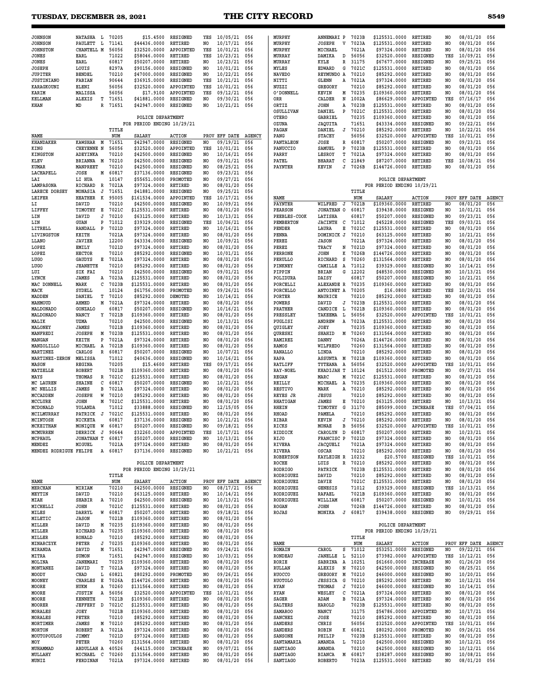$\blacksquare$ 

### **TUESDAY, DECEMBER 28, 2021 THE CITY RECORD 8549**

| <b>JOHNSON</b>             | NATASHA L                  |              | 70205          | \$15,4500                     | <b>RESIGNED</b>                    | YES                   | 10/05/21                   | 056           | MURPHY                  | ANNEMARI P                        | 7023B          | \$125531.0000                                   | RETIRED                          | NO             | 08/01/20             | 056           |
|----------------------------|----------------------------|--------------|----------------|-------------------------------|------------------------------------|-----------------------|----------------------------|---------------|-------------------------|-----------------------------------|----------------|-------------------------------------------------|----------------------------------|----------------|----------------------|---------------|
| <b>JOHNSON</b>             | PAULETT                    | L            | 71141          | \$44436.0000                  | RETIRED                            | NO.                   | 10/17/21                   | 056           | MURPHY                  | $\mathbf v$<br><b>JOSEPH</b>      | 7023A          | \$125531.0000                                   | <b>RETIRED</b>                   | NO             | 08/01/20             | 056           |
| <b>JOHNSTON</b>            | CHANTELL M                 |              | 56056          | \$32520.0000                  | APPOINTED                          | YES                   | 10/01/21                   | 056           | MURPHY                  | MICHAEL                           | 7021A          | \$97324.0000                                    | RETIRED                          | N <sub>O</sub> | 08/01/20             | 056           |
| JONES                      | EARL                       |              | 71022          | \$58046.0000                  | RETIRED                            | YES                   | 10/23/21                   | 056           | MURRAY                  | DAMIKA<br>D                       | 56056          | \$32520.0000                                    | <b>RESIGNED</b>                  | YES            | 10/09/21             | 056           |
| JONES                      | EARL                       |              | 60817          | \$50207.0000                  | RETIRED                            | NO                    | 10/23/21                   | 056           | MURRAY                  | KYLE<br>$\mathbb R$               | 31175          | \$67677.0000                                    | <b>RESIGNED</b>                  | NO.            | 09/25/21             | 056           |
| <b>JOSEPH</b>              | LOUIS                      |              | 8297A          | \$90156.0000                  | <b>RESIGNED</b>                    | N <sub>O</sub>        | 10/01/21                   | 056           | MYLES                   | <b>EDWARD</b><br>G                | 7021C          | \$125531.0000                                   | <b>RETIRED</b>                   | NO.            | 08/01/20             | 056           |
| <b>JUPITER</b>             | <b>BENDEL</b>              |              | 70210          | \$47000.0000                  | <b>RESIGNED</b>                    | NO                    | 10/22/21                   | 056           | <b>NAVEDO</b>           | REYMUNDO<br>Α                     | 70210          | \$85292.0000                                    | RETIRED                          | NO.            | 08/01/20             | 056           |
| <b>JUSTINIANO</b>          | FABIAN                     |              | 90644          | \$36915.0000                  | RESIGNED                           | YES                   | 10/21/21                   | 056           | NITTI                   | <b>GLENN</b><br>Α                 | 7021A          | \$97324.0000                                    | <b>RETIRED</b>                   | NO.            | 08/01/20             | 056           |
| KARAGKOUNI                 | ELENI                      |              | 56056          | \$32520.0000                  | APPOINTED                          | YES                   | 10/01/21                   | 056           | NUZZI                   | GREGORY                           | 70210          | \$85292.0000                                    | RETIRED                          | NO.            | 08/01/20             | 056           |
| KARIM                      | MALISSA                    |              | 56056<br>71651 | \$17.9100                     | APPOINTED<br>RESIGNED              | YES<br>NO             | 09/12/21                   | 056           | O'DONNELL               | KEVIN<br>Μ<br>N                   | 70235<br>1002A | \$109360.0000<br>\$86629.0000                   | RETIRED<br>APPOINTED             | NO.<br>YES     | 08/01/20<br>07/16/17 | 056<br>056    |
| KELLMAN<br>KHAN            | ALEXIS<br>MD               | т<br>R       | 71651          | \$41881.0000<br>\$42947.0000  | RESIGNED                           | NO                    | 09/30/21<br>10/21/21       | 056<br>056    | ORR<br>ORTIZ            | CALDER<br>JOHN<br>Α               | 7023B          | \$125531.0000                                   | <b>RETIRED</b>                   | NO.            | 08/01/20             | 056           |
|                            |                            |              |                |                               |                                    |                       |                            |               | OSULLIVAN               | DANIEL<br>P                       | 7021C          | \$125531.0000                                   | RETIRED                          | NO             | 08/01/20             | 056           |
|                            |                            |              |                | POLICE DEPARTMENT             |                                    |                       |                            |               | OTERO                   | GABRIEL                           | 70235          | \$109360.0000                                   | RETIRED                          | NO             | 08/01/20             | 056           |
|                            |                            |              |                | FOR PERIOD ENDING 10/29/21    |                                    |                       |                            |               | OZUNA                   | JAQUITA                           | 71651          | \$43334.0000                                    | RESIGNED                         | NO             | 09/22/21             | 056           |
|                            |                            |              | TITLE          |                               |                                    |                       |                            |               | PAGAN                   | DANIEL<br>J                       | 70210          | \$85292.0000                                    | RETIRED                          | NO             | 10/22/21             | 056           |
| NAME                       |                            |              | NUM            | SALARY                        | <b>ACTION</b>                      |                       | PROV EFF DATE              | <b>AGENCY</b> | PANG                    | <b>STACEY</b>                     | 56056          | \$32520.0000                                    | APPOINTED                        | YES            | 10/01/21             | 056           |
| <b>KHANDAKER</b>           | <b>KAWSHAR</b>             | М            | 71651          | \$42947.0000                  | RESIGNED                           | NO                    | 09/19/21                   | 056           | PANTALEON               | JOSE<br>R                         | 60817          | \$50207.0000                                    | RESIGNED                         | NO             | 09/23/21             | 056           |
| KING                       | <b>CHEYENNE N</b>          |              | 56056          | \$32520.0000                  | APPOINTED                          | YES                   | 10/01/21                   | 056           | PANUCCIO                | SAMUEL<br>P                       | 7023B          | \$125531.0000                                   | RETIRED                          | NO             | 08/01/20             | 056           |
| <b>KINGSTON</b>            | ADEYINKA                   |              | 70210          | \$42500.0000                  | <b>RESIGNED</b>                    | NO.                   | 10/16/21                   | 056           | PARRY                   | LESROY<br>т                       | 7021A          | \$97324.0000                                    | RETIRED                          | N <sub>O</sub> | 08/01/20             | 056           |
| KLEV                       | <b>BRIANNA</b>             | M            | 70210          | \$42500.0000                  | RESIGNED                           | NO.                   | 09/01/21                   | 056           | PATEL                   | <b>BHARAT</b><br>с                | 21849          | \$87207.0000                                    | RETIRED                          | YES            | 10/08/21             | 056           |
| KUMAR                      | MANPREET                   |              | 70210          | \$42500.0000                  | RESIGNED                           | NO                    | 08/25/21                   | 056           | PAYNTER                 | KEVIN<br>J                        | 7026B          | \$144726.0000                                   | <b>RETIRED</b>                   | NO             | 08/01/20             | 056           |
| LACHAPELL                  | JOSE                       | М            | 60817          | \$37136.0000                  | <b>RESIGNED</b>                    | NO                    | 09/23/21                   | 056           |                         |                                   |                |                                                 |                                  |                |                      |               |
| LAI                        | LI HUA<br>RICHARD          | R            | 10147<br>7021A | \$55651.0000<br>\$97324.0000  | PROMOTED<br><b>RETIRED</b>         | NO.<br>NO.            | 09/27/21<br>08/01/20       | 056<br>056    |                         |                                   |                | POLICE DEPARTMENT<br>FOR PERIOD ENDING 10/29/21 |                                  |                |                      |               |
| LAMPASONA<br>LARECE DORSEY | <b>MONASIA</b>             | J            | 71651          | \$41881.0000                  | <b>RESIGNED</b>                    | NO.                   | 09/25/21                   | 056           |                         |                                   | TITLE          |                                                 |                                  |                |                      |               |
| LEIFER                     | <b>HEATHER</b>             | к            | 95005          | \$161534.0000                 | APPOINTED                          | YES                   | 10/17/21                   | 056           | NAME                    |                                   | NUM            | SALARY                                          | <b>ACTION</b>                    | PROV           | EFF DATE             | <b>AGENCY</b> |
| LI                         | DAVID                      |              | 70210          | \$42500.0000                  | RESIGNED                           | NO                    | 10/09/21                   | 056           | PAYNTER                 | WILFRED<br>J                      | 7021B          | \$109360.0000                                   | RETIRED                          | NO             | 08/01/20             | 056           |
| LIFFEY                     | TIMOTHY                    | Е            | 7021C          | \$125531.0000                 | RETIRED                            | NO                    | 08/01/20                   | 056           | <b>PEARSON</b>          | JONATHAN O                        | 60817          | \$39438.0000                                    | <b>RESIGNED</b>                  | NO             | 10/01/21             | 056           |
| LIN                        | DAVID                      | J            | 70210          | \$63125.0000                  | RETIRED                            | NO.                   | 10/13/21                   | 056           | PEEBLES-COOK            | LATISHA                           | 60817          | \$50207.0000                                    | <b>RESIGNED</b>                  | NO             | 09/23/21             | 056           |
| LIN                        | <b>GUAN</b>                | P            | 71012          | \$39329.0000                  | <b>RESIGNED</b>                    | YES                   | 10/06/21                   | 056           | PEMBERTON               | <b>JACINTH</b><br>с               | 71012          | \$45228.0000                                    | <b>RESIGNED</b>                  | YES            | 09/03/21             | 056           |
| LITRELL                    | RANDALL                    | $\mathbf{P}$ | 7021D          | \$97324.0000                  | RETIRED                            | N <sub>O</sub>        | 10/16/21                   | 056           | PENDER                  | LAURA<br>Е                        | 7021C          | \$125531.0000                                   | RETIRED                          | NO.            | 08/01/20             | 056           |
| LIVINGSTON                 | KEITH                      |              | 7021A          | \$97324.0000                  | RETIRED                            | NO                    | 08/01/20                   | 056           | PENNA                   | DOMINICK<br>J                     | 70210          | \$63125.0000                                    | RETIRED                          | NO.            | 10/21/21             | 056           |
| LLANO                      | <b>JAVIER</b>              |              | 12200          | \$43334.0000                  | <b>RESIGNED</b>                    | NO                    | 10/09/21                   | 056           | PEREZ                   | <b>JASON</b>                      | 7021A          | \$97324.0000                                    | RETIRED                          | NO             | 08/01/20             | 056           |
| LOPEZ                      | <b>EMILY</b>               |              | 7021D          | \$97324.0000                  | <b>RETIRED</b>                     | NO.                   | 08/01/20                   | 056           | PEREZ                   | TRACY<br>N                        | 7021D          | \$97324.0000                                    | <b>RETIRED</b>                   | NO             | 08/01/20             | 056           |
| LOPEZ                      | <b>HECTOR</b>              |              | 70210          | \$85292.0000                  | <b>RESIGNED</b>                    | NO.                   | 10/01/21                   | 056           | <b>PERRONE</b>          | <b>JOHN</b><br>к                  | 7026B          | \$144726.0000                                   | RETIRED                          | NO             | 08/01/20             | 056           |
| <b>LUGO</b>                | GAUDYS                     | Е            | 7021A          | \$97324.0000                  | RETIRED                            | NO                    | 08/01/20                   | 056           | PERULLO                 | s<br>RICHARD                      | 70260          | \$131564.0000                                   | RETIRED                          | N <sub>O</sub> | 08/01/20             | 056           |
| <b>LUGO</b><br>LUI         | <b>JEANETTE</b><br>SIK FAI |              | 70210<br>70210 | \$85292.0000<br>\$42500.0000  | RETIRED<br><b>RESIGNED</b>         | NO.<br>N <sub>O</sub> | 08/01/20<br>09/01/21       | 056<br>056    | PINKNEY<br>PIPPIN       | CAMILLE<br>Α<br><b>BRIAN</b><br>G | 71012<br>12202 | \$39329.0000                                    | RESIGNED<br><b>RESIGNED</b>      | NO<br>NO       | 10/14/21             | 056<br>056    |
| LYNCH                      | JAMES                      | A            | 7023A          | \$125531.0000                 | RETIRED                            | NO                    | 08/01/20                   | 056           | POLIDURA                | DAISY                             | 60817          | \$48530.0000<br>\$50207.0000                    | <b>RESIGNED</b>                  | NO             | 10/13/21<br>10/21/21 | 056           |
| MAC DONNELL                | MARK                       | с            | 7023B          | \$125531.0000                 | RETIRED                            | NO.                   | 08/01/20                   | 056           | PORCELLI                | ALEXANDE R                        | 70235          | \$109360.0000                                   | RETIRED                          | NO             | 08/01/20             | 056           |
| MACK                       | SYDELL                     |              | 10124          | \$61756.0000                  | PROMOTED                           | N <sub>O</sub>        | 09/26/21                   | 056           | PORCELLO                | ANTOINET<br>A                     | 70205          | \$16.0800                                       | <b>RETIRED</b>                   | YES            | 10/20/21             | 056           |
| MADDEN                     | DANIEL                     | т            | 70210          | \$85292.0000                  | DEMOTED                            | NO                    | 10/14/21                   | 056           | PORTER                  | MAURICE                           | 70210          | \$85292.0000                                    | RETIRED                          | N <sub>O</sub> | 08/01/20             | 056           |
| MAHMOUD                    | AHMED                      | M            | 7021A          | \$97324.0000                  | RETIRED                            | NO                    | 08/01/20                   | 056           | POWERS                  | DAVID<br>J                        | 7023B          | \$125531.0000                                   | RETIRED                          | NO             | 08/01/20             | 056           |
| MALDONADO                  | GONZALO                    |              | 60817          | \$50207.0000                  | <b>RESIGNED</b>                    | N <sub>0</sub>        | 10/16/21                   | 056           | PRATHER                 | CANDICE<br>L                      | 7021B          | \$109360.0000                                   | <b>RETIRED</b>                   | NO             | 08/01/20             | 056           |
| MALDONADO                  | NANCY                      | Y            | 7021B          | \$109360.0000                 | RETIRED                            | NO                    | 08/01/20                   | 056           | PRESSLEY                | TAKEEMA<br>L                      | 56056          | \$32520.0000                                    | APPOINTED                        | YES            | 10/01/21             | 056           |
| MALIK                      | UZMA                       |              | 70210          | \$42500.0000                  | <b>RESIGNED</b>                    | NO.                   | 10/13/21                   | 056           | PUGLISI                 | ANDREW<br>Α                       | 7023A          | \$125531.0000                                   | RETIRED                          | NO             | 08/01/20             | 056           |
| MALONEY                    | JAMES                      |              | 7021B          | \$109360.0000                 | <b>RETIRED</b>                     | NO                    | 08/01/20                   | 056           | QUIGLEY                 | JOEY                              | 70235          | \$109360.0000                                   | <b>RETIRED</b>                   | NO             | 08/01/20             | 056           |
| MANFREDI                   | <b>JOSEPH</b>              | М            | 7023B          | \$125531.0000                 | RETIRED                            | NO                    | 08/01/20                   | 056           | QURESHI                 | SHAHID<br>Μ                       | 70260          | \$131564.0000                                   | RETIRED                          | N <sub>O</sub> | 08/01/20             | 056           |
| MANGAN                     | KEITH                      | P            | 7021A          | \$97324.0000                  | RETIRED                            | NO                    | 08/01/20                   | 056           | RAMIREZ                 | DANNY                             | 7026A          | \$144726.0000                                   | RETIRED                          | NO             | 08/01/20             | 056           |
| MANZOLILLO                 | MICHAEL                    | A            | 7021B          | \$109360.0000                 | RETIRED                            | NO.                   | 08/01/20                   | 056           | RAMOS                   | WILFREDO                          | 70260<br>70210 | \$131564.0000                                   | <b>RETIRED</b>                   | NO.            | 08/01/20             | 056           |
| MARTINEZ<br>MARTINEZ-ZERON | CARLOS<br>MELISSA          | R            | 60817<br>71012 | \$50207.0000<br>\$40636.0000  | <b>RESIGNED</b><br><b>RESIGNED</b> | N <sub>0</sub><br>NO. | 10/07/21<br>10/16/21       | 056<br>056    | RANALLO<br>RAPA         | LINDA<br><b>ASSUNTA</b><br>M      | 7021B          | \$85292.0000<br>\$109360.0000                   | <b>RETIRED</b><br><b>RETIRED</b> | NO.<br>NO      | 08/01/20<br>08/01/20 | 056<br>056    |
| MASON                      | <b>REGINA</b>              |              | 70205          | \$15.4600                     | RETIRED                            | YES                   | 09/17/21                   | 056           | RATLIFF                 | TYTEANA<br>A                      | 56056          | \$32520.0000                                    | APPOINTED                        | YES            | 10/01/21             | 056           |
| MATZELLE                   | <b>ROBERT</b>              |              | 7021B          | \$109360.0000                 | RETIRED                            | NO                    | 08/01/20                   | 056           | <b>RAY-NOEL</b>         | KHADIJAH<br>т                     | 10124          | \$61512.0000                                    | PROMOTED                         | NO             | 09/27/21             | 056           |
| MAYS                       | THOMAS                     | R            | 7021C          | \$125531.0000                 | RETIRED                            | NO                    | 08/01/20                   | 056           | <b>REGAN</b>            | MARC<br>M                         | 7021C          | \$125531.0000                                   | RETIRED                          | NO             | 08/01/20             | 056           |
| MC LAUREN                  | <b>SHAINE</b>              | с            | 60817          | \$50207.0000                  | <b>RESIGNED</b>                    | NO                    | 10/21/21                   | 056           | REILLY                  | MICHAEL<br>Α                      | 70235          | \$109360.0000                                   | RETIRED                          | NO             | 08/01/20             | 056           |
| MC NELLIS                  | JAMES                      | в            | 7021A          | \$97324.0000                  | RETIRED                            | NO.                   | 08/01/20                   | 056           | RESTIVO                 | MARK<br>Α                         | 70210          | \$85292.0000                                    | RETIRED                          | NO             | 08/01/20             | 056           |
| MCCADDEN                   | <b>JOSEPH</b>              | W            | 70210          | \$85292.0000                  | RETIRED                            | NO                    | 08/01/20                   | 056           | REYES JR                | JESUS                             | 70210          | \$85292.0000                                    | RETIRED                          | NO.            | 08/01/20             | 056           |
| MCCLURE                    | JOHN                       | М            | 7021C          | \$125531.0000                 | RETIRED                            | NO                    | 08/01/20                   | 056           | <b>RHATIGAN</b>         | JAMES<br>Е                        | 70210          | \$63125.0000                                    | <b>RETIRED</b>                   | N <sub>O</sub> | 10/13/21             | 056           |
| MCDONALD                   | YOLANDA                    |              | 71012          | \$33888.0000                  | RESIGNED                           | NO.                   | 12/15/05                   | 056           | RHEIN                   | TIMOTHY<br>G                      | 31170          | \$85099.0000                                    | <b>INCREASE</b>                  | YES            | 07/04/21             | 056           |
| MCILMURRAY                 | PATRICK                    | - J          | 7021C          | \$125531.0000                 | RETIRED                            | N <sub>O</sub>        | 08/01/20                   | 056           | RHOAD                   | PAMELA                            | 70210          | \$85292.0000                                    | RETIRED                          | NO             | 08/01/20             | 056           |
| MCINTOSH                   | <b>NICKETA</b>             |              | 60817          | \$37136.0000                  | RESIGNED                           | NO                    | 10/21/21                   | 056           | <b>RIBAR</b>            | KEVIN<br>J                        | 70210          | \$85292.0000                                    | RETIRED                          | NO             | 08/01/20             | 056           |
| MCKEITHAN<br>MCMURREN      | MONIQUE<br>DERRICK J       | W            | 60817<br>90644 | \$50207.0000<br>\$32260.0000  | RESIGNED<br>APPOINTED              | NO<br>YES             | 09/18/21<br>$10/17/21$ 056 | 056           | RICKS<br>RIDDICK        | MONAE<br>в<br>CAROLYN<br>D        | 56056<br>60817 | \$32520.0000<br>\$50207.0000                    | APPOINTED<br>RETIRED             | YES<br>NO      | 10/01/21<br>10/23/21 | 056<br>056    |
| MCPHAUL                    | JONATHAN T                 |              | 60817          | \$50207.0000                  | RESIGNED                           | NO.                   | 10/13/21                   | 056           | RIJO                    | FRANCISC P                        | 7021D          | \$97324.0000                                    | <b>RETIRED</b>                   | NO             | 08/01/20             | 056           |
| MENDEZ                     | MIGUEL                     |              | 7021A          | \$97324.0000                  | RETIRED                            | NO                    | 08/01/20                   | 056           | RIVERA                  | <b>JACQUELI</b>                   | 7021A          | \$97324.0000                                    | RETIRED                          | NO             | 08/01/20             | 056           |
| MENDEZ RODRIGUE FELIPE     |                            | A            | 60817          | \$37136.0000                  | RESIGNED                           | NO.                   | 10/21/21 056               |               | RIVERA                  | OSCAR                             | 70210          | \$85292.0000                                    | RETIRED                          | NO.            | 08/01/20             | 056           |
|                            |                            |              |                |                               |                                    |                       |                            |               | <b>ROBERTSON</b>        | <b>KAYLEIGH R</b>                 | 10232          | \$20.5700                                       | RESIGNED                         | YES            | 10/01/21             | 056           |
|                            |                            |              |                | POLICE DEPARTMENT             |                                    |                       |                            |               | ROCHE                   | LUIS<br>R                         | 70210          | \$85292.0000                                    | RETIRED                          | NO             | 08/01/20             | 056           |
|                            |                            |              |                | FOR PERIOD ENDING 10/29/21    |                                    |                       |                            |               | <b>RODRIGO</b>          | PATRICK                           | 7023B          | \$125531.0000                                   | RETIRED                          | NO             | 08/01/20             | 056           |
|                            |                            |              | TITLE          |                               |                                    |                       |                            |               | RODRIGUEZ               | DAVID                             | 70210          | \$85292.0000                                    | RETIRED                          | NO             | 08/01/20             | 056           |
| NAME                       |                            |              | NUM            | <b>SALARY</b>                 | <b>ACTION</b>                      |                       | PROV EFF DATE AGENCY       |               | RODRIGUEZ               | DAVIE                             | 7021C          | \$125531.0000                                   | RETIRED                          | NO             | 08/01/20             | 056           |
| MERCHAN<br>MEYTIN          | MIRIAM                     |              | 70210<br>70210 | \$42500.0000<br>\$63125.0000  | RESIGNED<br>RETIRED                | NO<br>NO.             | 08/17/21                   | 056           | RODRIGUEZ               | <b>GENESIS</b>                    | 71012<br>7021B | \$39329.0000<br>\$109360.0000                   | RESIGNED                         | YES<br>NO      | 10/13/21             | 056<br>056    |
| MIAH                       | DAVID<br>SHABIR            |              | A 70210        | \$42500.0000                  | RESIGNED                           | NO.                   | 10/14/21<br>10/13/21       | 056<br>056    | RODRIGUEZ<br>RODRIGUEZ  | RAFAEL<br>WILLIAM                 | 60817          | \$50207.0000                                    | RETIRED<br>RESIGNED              | NO             | 08/01/20<br>10/01/21 | 056           |
| MICHELLI                   | <b>JOHN</b>                |              | 7021C          | \$125531.0000                 | RETIRED                            | NO                    | 08/01/20                   | 056           | ROGAN                   | JOHN                              | 7026B          | \$144726.0000                                   | RETIRED                          | NO             | 08/01/20             | 056           |
| MILES                      | DARRYL                     | W            | 60817          | \$50207.0000                  | RETIRED                            | NO                    | 09/18/21                   | 056           | ROJAS                   | MONIKA<br>J                       | 60817          | \$39438.0000                                    | RESIGNED                         | NO             | 09/29/21 056         |               |
| MILETIC                    | <b>JASON</b>               |              | 7021B          | \$109360.0000                 | <b>RETIRED</b>                     | NO                    | 08/01/20                   | 056           |                         |                                   |                |                                                 |                                  |                |                      |               |
| MILLER                     | DAVID                      |              | M 70235        | \$109360.0000                 | RETIRED                            | NO.                   | 08/01/20                   | 056           |                         |                                   |                | POLICE DEPARTMENT                               |                                  |                |                      |               |
| MILLER                     | RICHARD                    |              | A 70235        | \$109360.0000                 | RETIRED                            | NO                    | 08/01/20                   | 056           |                         |                                   |                | FOR PERIOD ENDING 10/29/21                      |                                  |                |                      |               |
| MILLER                     | RONALD                     |              | 70210          | \$85292.0000                  | RETIRED                            | NO                    | 08/01/20                   | 056           |                         |                                   | TITLE          |                                                 |                                  |                |                      |               |
| MINARCZYK                  | PETER                      | J            | 70235          | \$109360.0000                 | RETIRED                            | NO.                   | 08/01/20                   | 056           | NAME                    |                                   | NUM            | SALARY                                          | <b>ACTION</b>                    |                | PROV EFF DATE AGENCY |               |
| MIRANDA                    | DAVID                      |              | M 71651        | \$42947.0000                  | RESIGNED                           | NO                    | 09/24/21                   | 056           | ROMAIN                  | CAROL<br>s                        | 71012          | \$53251.0000                                    | RESIGNED                         | NO             | 09/22/21             | 056           |
| <b>MITRA</b>               | <b>SUMON</b>               |              | 71651          | \$42947.0000                  | RESIGNED                           | NO                    | 10/03/21                   | 056           | <b>RONDEAU</b>          | <b>JANELLE</b><br>L               | 52110          | \$73982.0000                                    | APPOINTED                        | YES            | 10/12/21             | 056           |
| MOLINA                     | <b>JANEMARI</b>            |              | 70235<br>7021A | \$109360.0000<br>\$97324.0000 | RETIRED                            | NO.                   | 08/01/20<br>08/01/20       | 056<br>056    | RORIE                   | SABRINA<br>Α<br>ALEXIS<br>N       | 10251<br>70210 | \$61660.0000<br>\$42500.0000                    | INCREASE                         | NO             | 01/26/20<br>08/25/21 | 056           |
| MONTANEZ<br>MOODY          | DAVID<br>CHAD              | т<br>L       | 60821          | \$80292.0000                  | RETIRED<br>PROMOTED                | NO<br>NO              | 09/26/21                   | 056           | RULLAN<br><b>RUOCCO</b> | M<br>GREGORY                      | 70210          | \$46000.0000                                    | RESIGNED<br>RESIGNED             | NO<br>NO.      | 10/20/21             | 056<br>056    |
| MOONEY                     | CHARLES E                  |              | 7026A          | \$144726.0000                 | RETIRED                            | NO                    | 08/01/20                   | 056           | <b>RUOTOLO</b>          | G<br><b>JESSICA</b>               | 70210          | \$85292.0000                                    | RETIRED                          | NO             | 10/12/21             | 056           |
| MOORE                      | HUKM                       | Α            | 70260          | \$131564.0000                 | RETIRED                            | NO.                   | 08/01/20                   | 056           | RYAN                    | THOMAS<br>J                       | 70210          | \$46000.0000                                    | RESIGNED                         | NO             | 10/14/21             | 056           |
| MOORE                      | <b>JUSTIN</b>              | Α            | 56056          | \$32520.0000                  | APPOINTED                          | YES                   | 10/01/21                   | 056           | RYAN                    | c<br>WESLEY                       | 7021A          | \$97324.0000                                    | RETIRED                          | NO             | 08/01/20             | 056           |
| MOORE                      | <b>KENNETH</b>             |              | 7021B          | \$109360.0000                 | RETIRED                            | NO                    | 08/01/20                   | 056           | SAGER                   | ADAM<br>в                         | 7021A          | \$97324.0000                                    | RETIRED                          | NO             | 08/01/20             | 056           |
| MOORER                     | JEFFERY D                  |              | 7021C          | \$125531.0000                 | RETIRED                            | NO.                   | 08/01/20                   | 056           | SALTERS                 | HAROLD                            | 7023B          | \$125531.0000                                   | RETIRED                          | NO             | 08/01/20             | 056           |
| MORALES                    | JOEY                       |              | 7021B          | \$109360.0000                 | RETIRED                            | NO                    | 08/01/20                   | 056           | <b>SAMAROO</b>          | NANCY                             | 31175          | \$54786.0000                                    | APPOINTED                        | NO.            | 10/17/21             | 056           |
| MORALES                    | PETER                      |              | 70210          | \$85292.0000                  | RETIRED                            | NO                    | 08/01/20                   | 056           | <b>SANCHEZ</b>          | JOSE                              | 70210          | \$85292.0000                                    | RETIRED                          | NO             | 08/01/20             | 056           |
| MORTIMER                   | JAMES                      | м            | 70210          | \$85292.0000                  | RETIRED                            | NO                    | 08/01/20                   | 056           | SANDERS                 | CHRIS                             | 56056          | \$32520.0000                                    | APPOINTED                        | YES            | 10/01/21             | 056           |
| MORTON                     | ROBERT                     | Α            | 7021A          | \$97324.0000                  | RETIRED                            | NO                    | 08/01/20                   | 056           | SANDERS                 | K<br>ROBIN                        | 60821          | \$80292.0000                                    | PROMOTED                         | NO             | 09/26/21             | 056           |
| MOUTOPOULOS                | <b>JIMMY</b>               |              | 7021D          | \$97324.0000                  | RETIRED                            | N0                    | 08/01/20                   | 056           | SANSONE                 | PHILIP                            | 7023B          | \$125531.0000                                   | RETIRED                          | NO             | 08/01/20             | 056           |
| MOY<br>MUHAMMAD            | PETER<br>ABDULLAH A        |              | 70260<br>40526 | \$131564.0000<br>\$44115.0000 | RETIRED<br>INCREASE                | NO<br>NO.             | 08/01/20<br>09/07/21       | 056<br>056    | SANTAMARIA<br>SANTIAGO  | AMANDA<br>L.<br>AMANDA            | 70210<br>70210 | \$42500.0000<br>\$42500.0000                    | RESIGNED<br>RESIGNED             | NO<br>NO       | 10/12/21<br>10/12/21 | 056<br>056    |
| MULLAHY                    | MICHAEL                    | $\mathbf{C}$ | 70260          | \$131564.0000                 | RETIRED                            | NO.                   | 08/01/20                   | 056           | SANTIAGO                | <b>BIANCA</b><br>М                | 60817          | \$38287.0000                                    | RESIGNED                         | NO             | 10/08/21             | 056           |
| MUNIZ                      | FERDINAN                   |              | 7021A          | \$97324.0000 RETIRED          |                                    | NO.                   | 08/01/20 056               |               | SANTIAGO                | <b>ROBERTO</b>                    | 7023A          | \$125531.0000                                   | RETIRED                          | NO             | 08/01/20 056         |               |